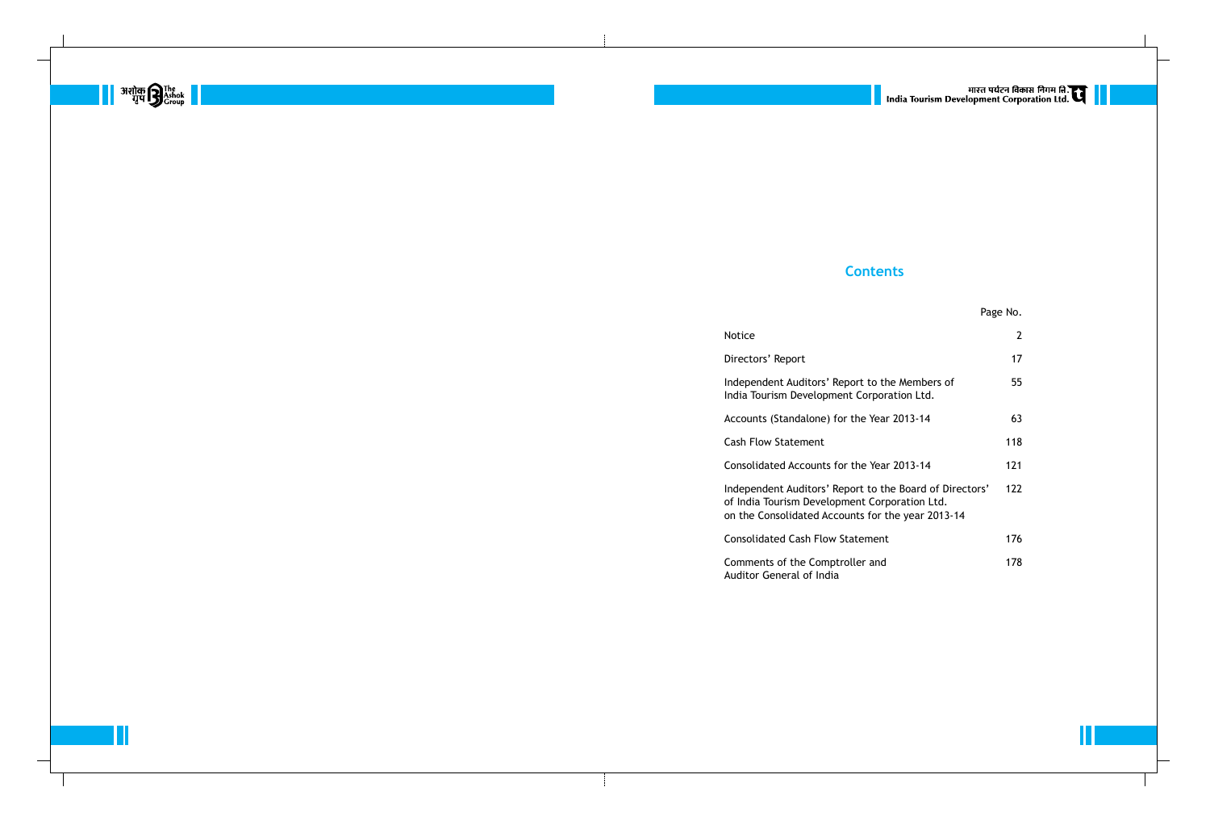## **Contents**

|                                                                                                                 | Page No.       |
|-----------------------------------------------------------------------------------------------------------------|----------------|
|                                                                                                                 | $\overline{2}$ |
| t                                                                                                               | 17             |
| ditors' Report to the Members of<br>evelopment Corporation Ltd.                                                 | 55             |
| lalone) for the Year 2013-14                                                                                    | 63             |
| ment                                                                                                            | 118            |
| counts for the Year 2013-14                                                                                     | 121            |
| ditors' Report to the Board of Directors'<br>Development Corporation Ltd.<br>ated Accounts for the year 2013-14 | 122            |
| ısh Flow Statement                                                                                              | 176            |
| e Comptroller and<br>of India                                                                                   | 178            |





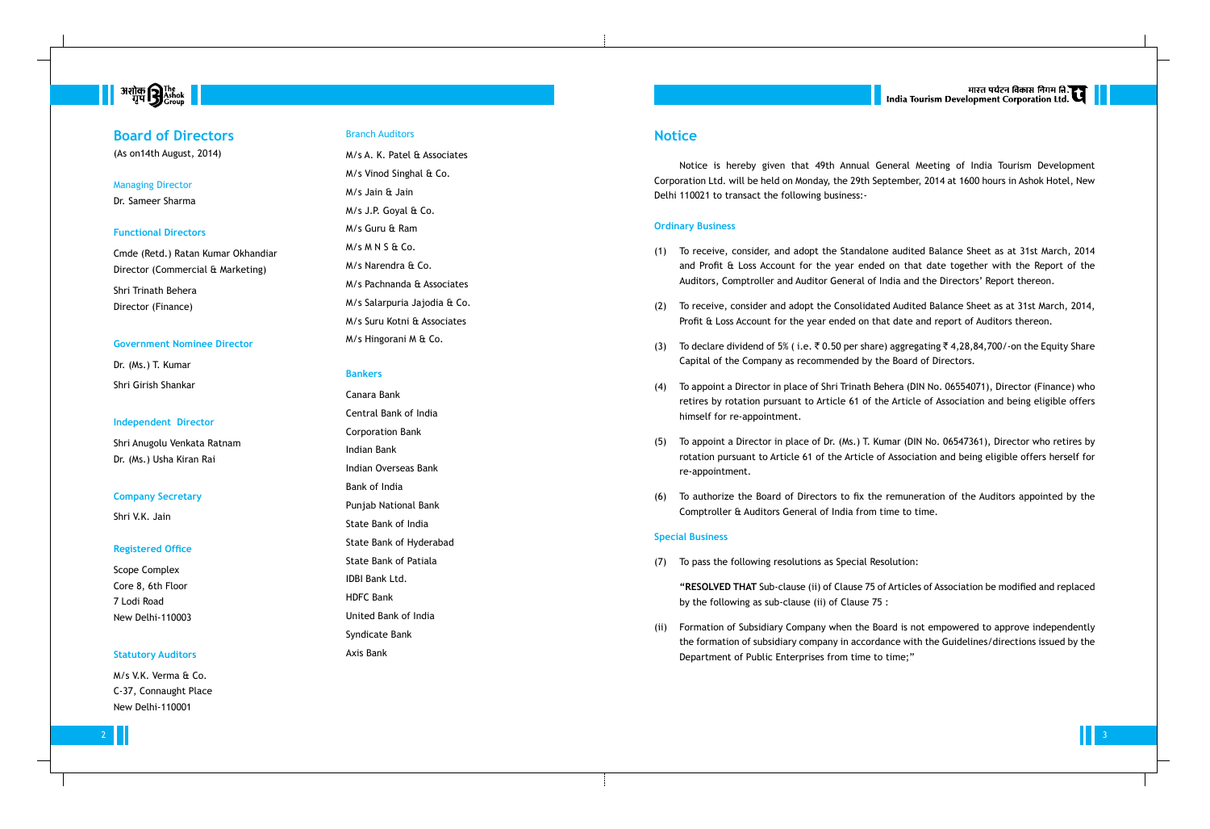### **Notice**

Notice is hereby given that 49th Annual General Meeting of India Tourism Development Corporation Ltd. will be held on Monday, the 29th September, 2014 at 1600 hours in Ashok Hotel, New Delhi 110021 to transact the following business:-

#### **Ordinary Business**

(1) To receive, consider, and adopt the Standalone audited Balance Sheet as at 31st March, 2014 and Profit & Loss Account for the year ended on that date together with the Report of the Auditors, Comptroller and Auditor General of India and the Directors' Report thereon.

(3) To declare dividend of 5% (i.e.  $\bar{\tau}$  0.50 per share) aggregating  $\bar{\tau}$  4,28,84,700/-on the Equity Share Capital of the Company as recommended by the Board of Directors.

(2) To receive, consider and adopt the Consolidated Audited Balance Sheet as at 31st March, 2014, Profit & Loss Account for the year ended on that date and report of Auditors thereon.

(4) To appoint a Director in place of Shri Trinath Behera (DIN No. 06554071), Director (Finance) who retires by rotation pursuant to Article 61 of the Article of Association and being eligible offers

- 
- 
- 
- himself for re-appointment.
- re-appointment.
- 

(5) To appoint a Director in place of Dr. (Ms.) T. Kumar (DIN No. 06547361), Director who retires by rotation pursuant to Article 61 of the Article of Association and being eligible offers herself for

(6) To authorize the Board of Directors to fix the remuneration of the Auditors appointed by the Comptroller & Auditors General of India from time to time.

### **Special Business**

(7) To pass the following resolutions as Special Resolution:

**"RESOLVED THAT** Sub-clause (ii) of Clause 75 of Articles of Association be modified and replaced by the following as sub-clause (ii) of Clause 75 :



(ii) Formation of Subsidiary Company when the Board is not empowered to approve independently the formation of subsidiary company in accordance with the Guidelines/directions issued by the Department of Public Enterprises from time to time;"

# **B** अशोक **B** The The Transfer  $\blacksquare$

### **Board of Directors**

(As on14th August, 2014)

#### Managing Director

Dr. Sameer Sharma

#### **Functional Directors**

Cmde (Retd.) Ratan Kumar Okhandiar Director (Commercial & Marketing) Shri Trinath Behera Director (Finance)

#### **Government Nominee Director**

Dr. (Ms.) T. Kumar Shri Girish Shankar

#### **Independent Director**

Shri Anugolu Venkata Ratnam Dr. (Ms.) Usha Kiran Rai

#### **Company Secretary**

Shri V.K. Jain

#### **Registered Office**

Scope Complex Core 8, 6th Floor 7 Lodi Road New Delhi-110003

#### **Statutory Auditors**

M/s V.K. Verma & Co. C-37, Connaught Place New Delhi-110001

#### Branch Auditors

M/s A. K. Patel & Associates M/s Vinod Singhal & Co. M/s Jain & Jain M/s J.P. Goyal & Co. M/s Guru & Ram M/s M N S & Co. M/s Narendra & Co. M/s Pachnanda & Associates M/s Salarpuria Jajodia & Co. M/s Suru Kotni & Associates M/s Hingorani M & Co.

### **Bankers**

Canara Bank Central Bank of India Corporation Bank Indian Bank Indian Overseas Bank Bank of India Punjab National Bank State Bank of India State Bank of Hyderabad State Bank of Patiala IDBI Bank Ltd. HDFC Bank United Bank of India Syndicate Bank Axis Bank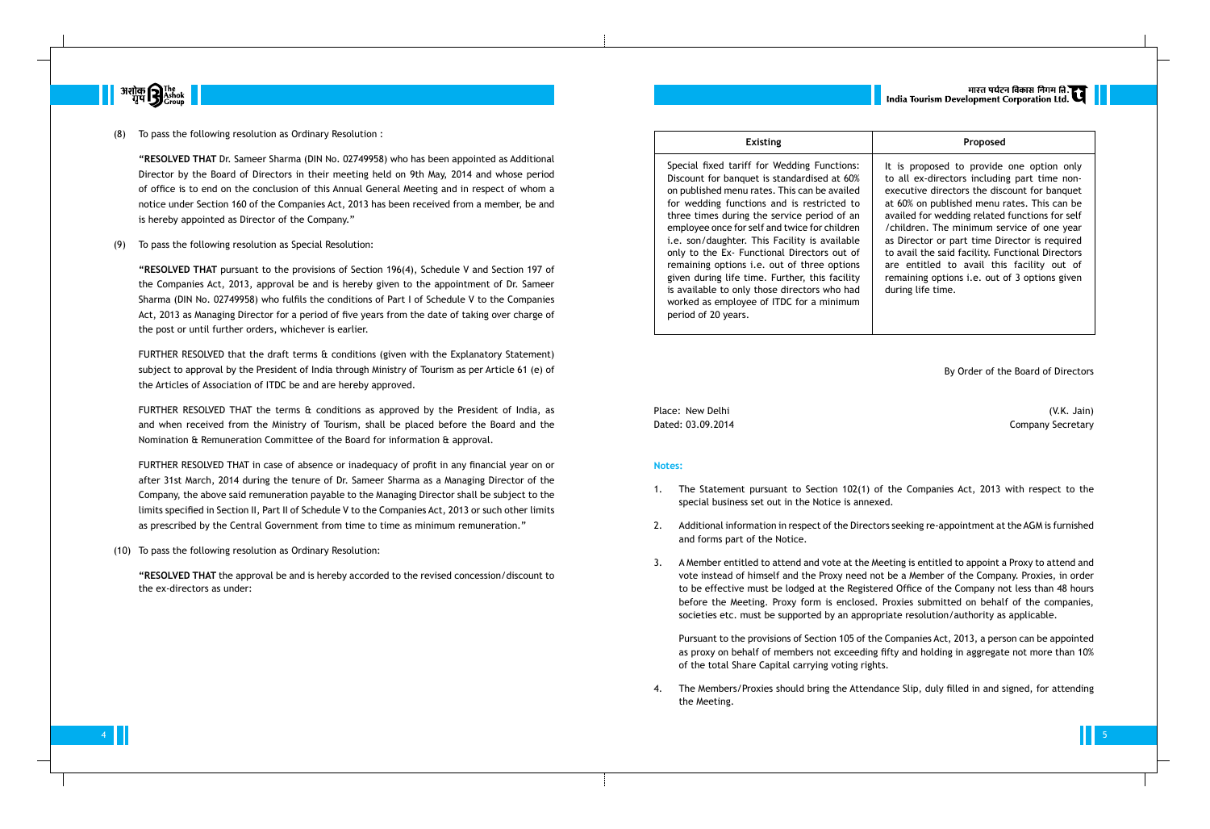

To pass the following resolution as Ordinary Resolution :

**"RESOLVED THAT** Dr. Sameer Sharma (DIN No. 02749958) who has been appointed as Additional Director by the Board of Directors in their meeting held on 9th May, 2014 and whose period of office is to end on the conclusion of this Annual General Meeting and in respect of whom a notice under Section 160 of the Companies Act, 2013 has been received from a member, be and is hereby appointed as Director of the Company."

(9) To pass the following resolution as Special Resolution:

**"RESOLVED THAT** pursuant to the provisions of Section 196(4), Schedule V and Section 197 of the Companies Act, 2013, approval be and is hereby given to the appointment of Dr. Sameer Sharma (DIN No. 02749958) who fulfils the conditions of Part I of Schedule V to the Companies Act, 2013 as Managing Director for a period of five years from the date of taking over charge of the post or until further orders, whichever is earlier.

FURTHER RESOLVED that the draft terms & conditions (given with the Explanatory Statement) subject to approval by the President of India through Ministry of Tourism as per Article 61 (e) of the Articles of Association of ITDC be and are hereby approved.

FURTHER RESOLVED THAT the terms & conditions as approved by the President of India, as and when received from the Ministry of Tourism, shall be placed before the Board and the Nomination & Remuneration Committee of the Board for information & approval.

Place: New Delhi (V.K. Jain) Dated: 03.09.2014 Company Secretary

FURTHER RESOLVED THAT in case of absence or inadequacy of profit in any financial year on or after 31st March, 2014 during the tenure of Dr. Sameer Sharma as a Managing Director of the Company, the above said remuneration payable to the Managing Director shall be subject to the limits specified in Section II, Part II of Schedule V to the Companies Act, 2013 or such other limits as prescribed by the Central Government from time to time as minimum remuneration."

(10) To pass the following resolution as Ordinary Resolution:

**"RESOLVED THAT** the approval be and is hereby accorded to the revised concession/discount to the ex-directors as under:

Special fixed tariff for Wedding Functions: Discount for banquet is standardised at 60% on published menu rates. This can be availed for wedding functions and is restricted to three times during the service period of an employee once for self and twice for children i.e. son/daughter. This Facility is available only to the Ex- Functional Directors out of remaining options i.e. out of three options given during life time. Further, this facility is available to only those directors who had worked as employee of ITDC for a minimum period of 20 years.



By Order of the Board of Directors

#### **Notes:**

1. The Statement pursuant to Section 102(1) of the Companies Act, 2013 with respect to the

- special business set out in the Notice is annexed.
- and forms part of the Notice.
- 

2. Additional information in respect of the Directors seeking re-appointment at the AGM is furnished

3. A Member entitled to attend and vote at the Meeting is entitled to appoint a Proxy to attend and vote instead of himself and the Proxy need not be a Member of the Company. Proxies, in order to be effective must be lodged at the Registered Office of the Company not less than 48 hours before the Meeting. Proxy form is enclosed. Proxies submitted on behalf of the companies, societies etc. must be supported by an appropriate resolution/authority as applicable.

Pursuant to the provisions of Section 105 of the Companies Act, 2013, a person can be appointed as proxy on behalf of members not exceeding fifty and holding in aggregate not more than 10% of the total Share Capital carrying voting rights.

4. The Members/Proxies should bring the Attendance Slip, duly filled in and signed, for attending

the Meeting.

|<br>| India Tourism Development Corporation Ltd.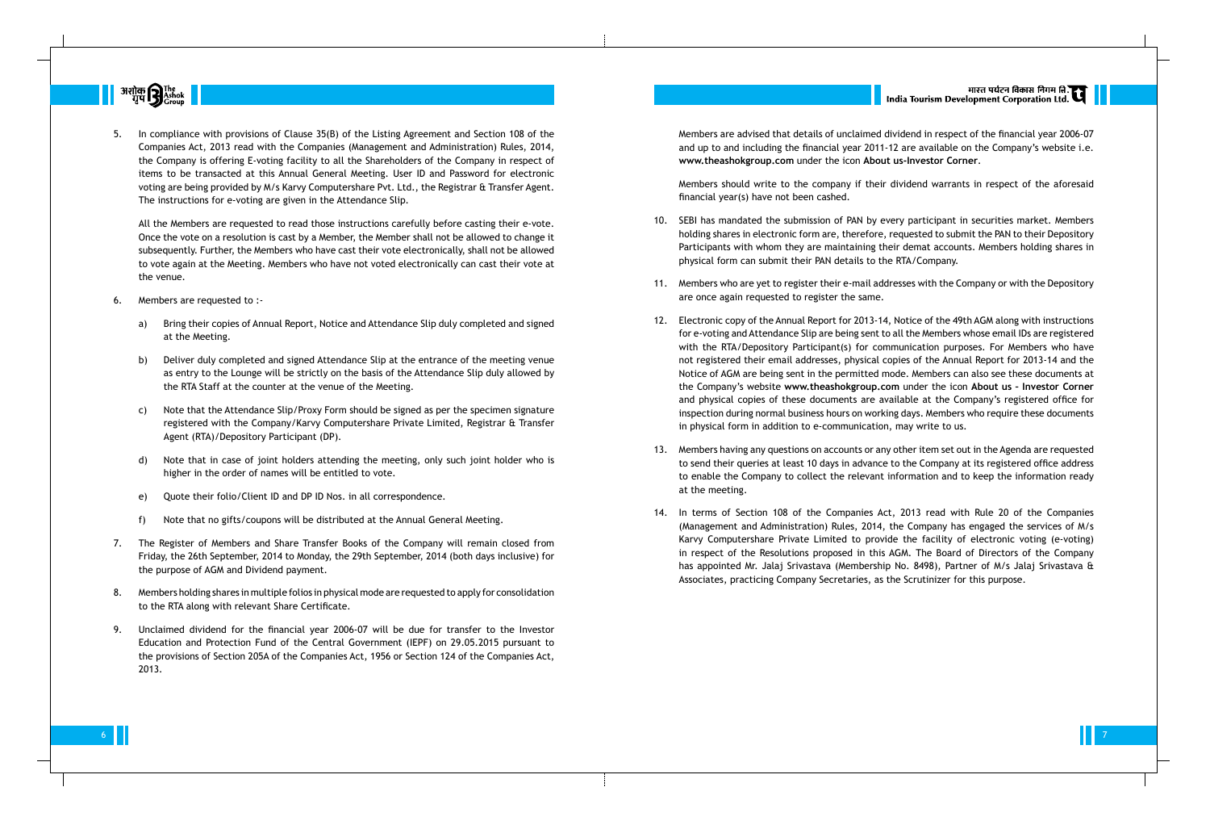

5. In compliance with provisions of Clause 35(B) of the Listing Agreement and Section 108 of the Companies Act, 2013 read with the Companies (Management and Administration) Rules, 2014, the Company is offering E-voting facility to all the Shareholders of the Company in respect of items to be transacted at this Annual General Meeting. User ID and Password for electronic voting are being provided by M/s Karvy Computershare Pvt. Ltd., the Registrar & Transfer Agent. The instructions for e-voting are given in the Attendance Slip.

All the Members are requested to read those instructions carefully before casting their e-vote. Once the vote on a resolution is cast by a Member, the Member shall not be allowed to change it subsequently. Further, the Members who have cast their vote electronically, shall not be allowed to vote again at the Meeting. Members who have not voted electronically can cast their vote at the venue.

- 6. Members are requested to :
	- a) Bring their copies of Annual Report, Notice and Attendance Slip duly completed and signed at the Meeting.
	- b) Deliver duly completed and signed Attendance Slip at the entrance of the meeting venue as entry to the Lounge will be strictly on the basis of the Attendance Slip duly allowed by the RTA Staff at the counter at the venue of the Meeting.
	- c) Note that the Attendance Slip/Proxy Form should be signed as per the specimen signature registered with the Company/Karvy Computershare Private Limited, Registrar & Transfer Agent (RTA)/Depository Participant (DP).
	- d) Note that in case of joint holders attending the meeting, only such joint holder who is higher in the order of names will be entitled to vote.
	- e) Quote their folio/Client ID and DP ID Nos. in all correspondence.
	- f) Note that no gifts/coupons will be distributed at the Annual General Meeting.
- 7. The Register of Members and Share Transfer Books of the Company will remain closed from Friday, the 26th September, 2014 to Monday, the 29th September, 2014 (both days inclusive) for the purpose of AGM and Dividend payment.
- 8. Members holding shares in multiple folios in physical mode are requested to apply for consolidation to the RTA along with relevant Share Certificate.
- 9. Unclaimed dividend for the financial year 2006-07 will be due for transfer to the Investor Education and Protection Fund of the Central Government (IEPF) on 29.05.2015 pursuant to the provisions of Section 205A of the Companies Act, 1956 or Section 124 of the Companies Act, 2013.

Members are advised that details of unclaimed dividend in respect of the financial year 2006-07 and up to and including the financial year 2011-12 are available on the Company's website i.e. **www.theashokgroup.com** under the icon **About us-Investor Corner**.

Members should write to the company if their dividend warrants in respect of the aforesaid financial year(s) have not been cashed.

10. SEBI has mandated the submission of PAN by every participant in securities market. Members holding shares in electronic form are, therefore, requested to submit the PAN to their Depository Participants with whom they are maintaining their demat accounts. Members holding shares in physical form can submit their PAN details to the RTA/Company.

11. Members who are yet to register their e-mail addresses with the Company or with the Depository

12. Electronic copy of the Annual Report for 2013-14, Notice of the 49th AGM along with instructions for e-voting and Attendance Slip are being sent to all the Members whose email IDs are registered with the RTA/Depository Participant(s) for communication purposes. For Members who have not registered their email addresses, physical copies of the Annual Report for 2013-14 and the Notice of AGM are being sent in the permitted mode. Members can also see these documents at the Company's website **www.theashokgroup.com** under the icon **About us – Investor Corner** and physical copies of these documents are available at the Company's registered office for inspection during normal business hours on working days. Members who require these documents in physical form in addition to e-communication, may write to us.

- 
- are once again requested to register the same.
- 
- at the meeting.
- 



13. Members having any questions on accounts or any other item set out in the Agenda are requested to send their queries at least 10 days in advance to the Company at its registered office address to enable the Company to collect the relevant information and to keep the information ready

14. In terms of Section 108 of the Companies Act, 2013 read with Rule 20 of the Companies (Management and Administration) Rules, 2014, the Company has engaged the services of M/s Karvy Computershare Private Limited to provide the facility of electronic voting (e-voting) in respect of the Resolutions proposed in this AGM. The Board of Directors of the Company has appointed Mr. Jalaj Srivastava (Membership No. 8498), Partner of M/s Jalaj Srivastava & Associates, practicing Company Secretaries, as the Scrutinizer for this purpose.

6 7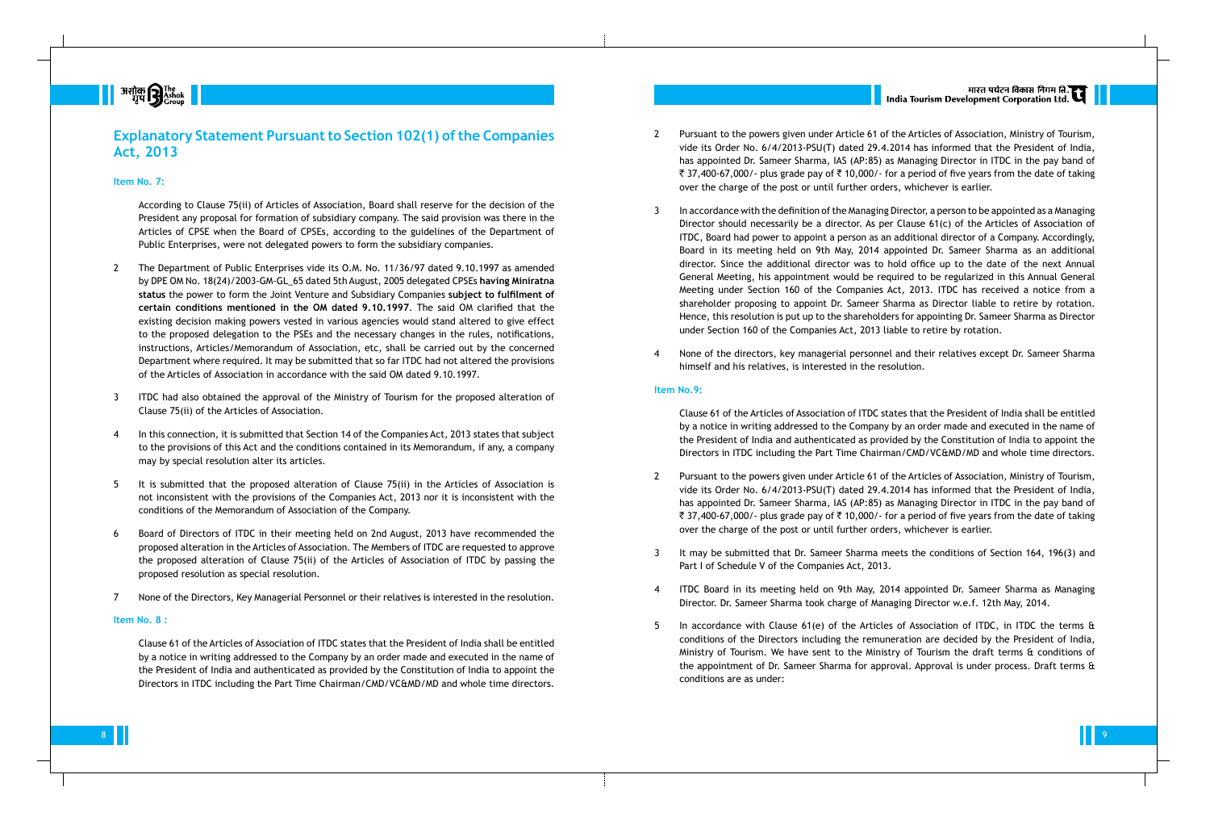## **Explanatory Statement Pursuant to Section 102(1) of the Companies Act, 2013**

#### **Item No. 7:**

According to Clause 75(ii) of Articles of Association, Board shall reserve for the decision of the President any proposal for formation of subsidiary company. The said provision was there in the Articles of CPSE when the Board of CPSEs, according to the guidelines of the Department of Public Enterprises, were not delegated powers to form the subsidiary companies.

- 2 The Department of Public Enterprises vide its O.M. No. 11/36/97 dated 9.10.1997 as amended by DPE OM No. 18(24)/2003-GM-GL\_65 dated 5th August, 2005 delegated CPSEs **having Miniratna status** the power to form the Joint Venture and Subsidiary Companies **subject to fulfilment of certain conditions mentioned in the OM dated 9.10.1997**. The said OM clarified that the existing decision making powers vested in various agencies would stand altered to give effect to the proposed delegation to the PSEs and the necessary changes in the rules, notifications, instructions, Articles/Memorandum of Association, etc, shall be carried out by the concerned Department where required. It may be submitted that so far ITDC had not altered the provisions of the Articles of Association in accordance with the said OM dated 9.10.1997.
- 3 ITDC had also obtained the approval of the Ministry of Tourism for the proposed alteration of Clause 75(ii) of the Articles of Association.
- 4 In this connection, it is submitted that Section 14 of the Companies Act, 2013 states that subject to the provisions of this Act and the conditions contained in its Memorandum, if any, a company may by special resolution alter its articles.
- 5 It is submitted that the proposed alteration of Clause 75(ii) in the Articles of Association is not inconsistent with the provisions of the Companies Act, 2013 nor it is inconsistent with the conditions of the Memorandum of Association of the Company.
- 6 Board of Directors of ITDC in their meeting held on 2nd August, 2013 have recommended the proposed alteration in the Articles of Association. The Members of ITDC are requested to approve the proposed alteration of Clause 75(ii) of the Articles of Association of ITDC by passing the proposed resolution as special resolution.
- 7 None of the Directors, Key Managerial Personnel or their relatives is interested in the resolution.

#### **Item No. 8 :**

Clause 61 of the Articles of Association of ITDC states that the President of India shall be entitled by a notice in writing addressed to the Company by an order made and executed in the name of the President of India and authenticated as provided by the Constitution of India to appoint the Directors in ITDC including the Part Time Chairman/CMD/VC&MD/MD and whole time directors.

- 
- 
- 

5 In accordance with Clause 61(e) of the Articles of Association of ITDC, in ITDC the terms & conditions of the Directors including the remuneration are decided by the President of India, Ministry of Tourism. We have sent to the Ministry of Tourism the draft terms & conditions of the appointment of Dr. Sameer Sharma for approval. Approval is under process. Draft terms &

2 Pursuant to the powers given under Article 61 of the Articles of Association, Ministry of Tourism, vide its Order No. 6/4/2013-PSU(T) dated 29.4.2014 has informed that the President of India, has appointed Dr. Sameer Sharma, IAS (AP:85) as Managing Director in ITDC in the pay band of ₹ 37,400-67,000/- plus grade pay of ₹ 10,000/- for a period of five years from the date of taking over the charge of the post or until further orders, whichever is earlier.

3 In accordance with the definition of the Managing Director, a person to be appointed as a Managing Director should necessarily be a director. As per Clause 61(c) of the Articles of Association of ITDC, Board had power to appoint a person as an additional director of a Company. Accordingly, Board in its meeting held on 9th May, 2014 appointed Dr. Sameer Sharma as an additional director. Since the additional director was to hold office up to the date of the next Annual General Meeting, his appointment would be required to be regularized in this Annual General Meeting under Section 160 of the Companies Act, 2013. ITDC has received a notice from a shareholder proposing to appoint Dr. Sameer Sharma as Director liable to retire by rotation. Hence, this resolution is put up to the shareholders for appointing Dr. Sameer Sharma as Director under Section 160 of the Companies Act, 2013 liable to retire by rotation.

4 None of the directors, key managerial personnel and their relatives except Dr. Sameer Sharma himself and his relatives, is interested in the resolution.

#### **Item No.9:**

Clause 61 of the Articles of Association of ITDC states that the President of India shall be entitled by a notice in writing addressed to the Company by an order made and executed in the name of the President of India and authenticated as provided by the Constitution of India to appoint the Directors in ITDC including the Part Time Chairman/CMD/VC&MD/MD and whole time directors.

2 Pursuant to the powers given under Article 61 of the Articles of Association, Ministry of Tourism, vide its Order No. 6/4/2013-PSU(T) dated 29.4.2014 has informed that the President of India, has appointed Dr. Sameer Sharma, IAS (AP:85) as Managing Director in ITDC in the pay band of ₹ 37,400-67,000/- plus grade pay of ₹ 10,000/- for a period of five years from the date of taking over the charge of the post or until further orders, whichever is earlier.

3 It may be submitted that Dr. Sameer Sharma meets the conditions of Section 164, 196(3) and

4 ITDC Board in its meeting held on 9th May, 2014 appointed Dr. Sameer Sharma as Managing Director. Dr. Sameer Sharma took charge of Managing Director w.e.f. 12th May, 2014.

- 
- Part I of Schedule V of the Companies Act, 2013.
- 
- conditions are as under:

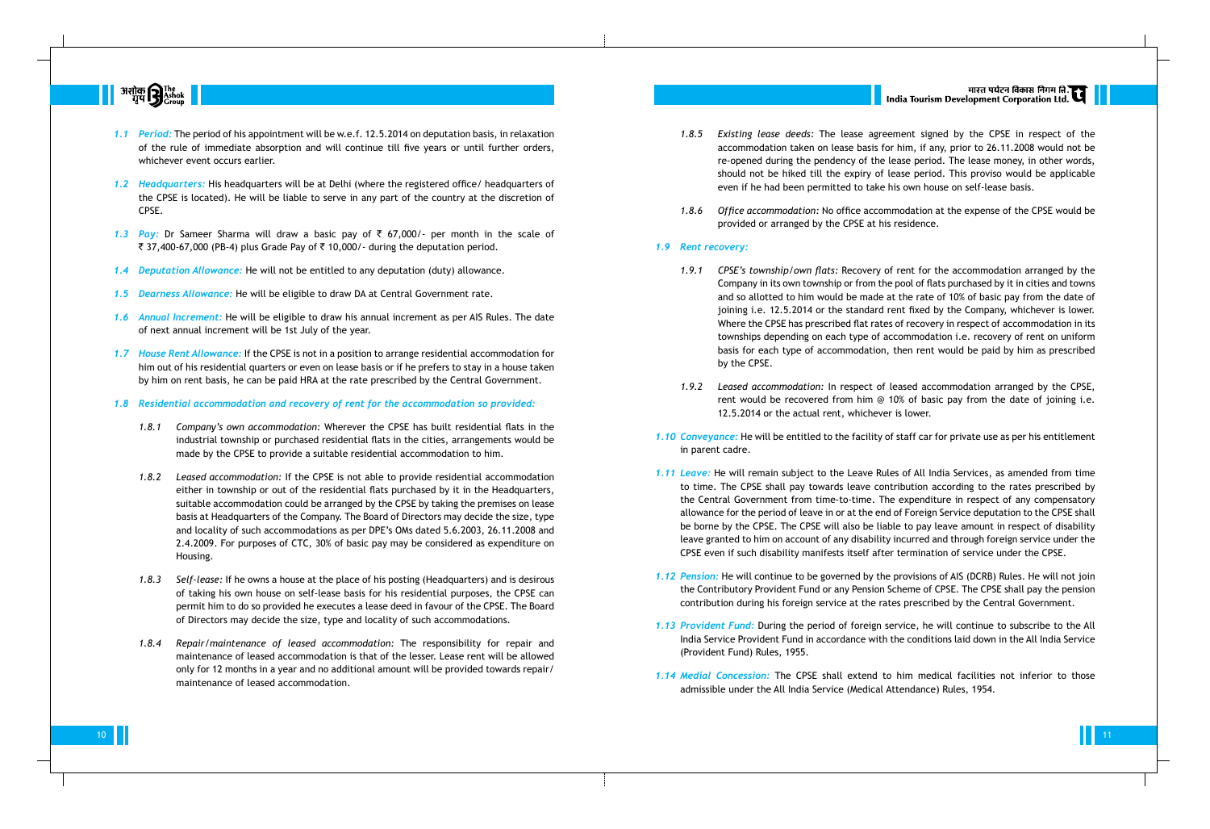

- *1.1 Period:* The period of his appointment will be w.e.f. 12.5.2014 on deputation basis, in relaxation of the rule of immediate absorption and will continue till five years or until further orders, whichever event occurs earlier.
- *1.2 Headquarters:* His headquarters will be at Delhi (where the registered office/ headquarters of the CPSE is located). He will be liable to serve in any part of the country at the discretion of CPSE.
- 1.3 **Pay:** Dr Sameer Sharma will draw a basic pay of  $\bar{\tau}$  67,000/- per month in the scale of ₹ 37,400-67,000 (PB-4) plus Grade Pay of ₹ 10,000/- during the deputation period.
- *1.4 Deputation Allowance:* He will not be entitled to any deputation (duty) allowance.
- *1.5 Dearness Allowance:* He will be eligible to draw DA at Central Government rate.
- *1.6 Annual Increment:* He will be eligible to draw his annual increment as per AIS Rules. The date of next annual increment will be 1st July of the year.
- *1.7 House Rent Allowance:* If the CPSE is not in a position to arrange residential accommodation for him out of his residential quarters or even on lease basis or if he prefers to stay in a house taken by him on rent basis, he can be paid HRA at the rate prescribed by the Central Government.
- *1.8 Residential accommodation and recovery of rent for the accommodation so provided:*
	- *1.8.1 Company's own accommodation:* Wherever the CPSE has built residential flats in the industrial township or purchased residential flats in the cities, arrangements would be made by the CPSE to provide a suitable residential accommodation to him.
	- *1.8.2 Leased accommodation:* If the CPSE is not able to provide residential accommodation either in township or out of the residential flats purchased by it in the Headquarters, suitable accommodation could be arranged by the CPSE by taking the premises on lease basis at Headquarters of the Company. The Board of Directors may decide the size, type and locality of such accommodations as per DPE's OMs dated 5.6.2003, 26.11.2008 and 2.4.2009. For purposes of CTC, 30% of basic pay may be considered as expenditure on Housing.
	- *1.8.3 Self-lease:* If he owns a house at the place of his posting (Headquarters) and is desirous of taking his own house on self-lease basis for his residential purposes, the CPSE can permit him to do so provided he executes a lease deed in favour of the CPSE. The Board of Directors may decide the size, type and locality of such accommodations.
	- *1.8.4 Repair/maintenance of leased accommodation:* The responsibility for repair and maintenance of leased accommodation is that of the lesser. Lease rent will be allowed only for 12 months in a year and no additional amount will be provided towards repair/ maintenance of leased accommodation.
- 
- 

*1.8.5 Existing lease deeds:* The lease agreement signed by the CPSE in respect of the accommodation taken on lease basis for him, if any, prior to 26.11.2008 would not be re-opened during the pendency of the lease period. The lease money, in other words, should not be hiked till the expiry of lease period. This proviso would be applicable even if he had been permitted to take his own house on self-lease basis.

*1.8.6 Office accommodation:* No office accommodation at the expense of the CPSE would be provided or arranged by the CPSE at his residence.

#### *1.9 Rent recovery:*

*1.9.1 CPSE's township/own flats:* Recovery of rent for the accommodation arranged by the Company in its own township or from the pool of flats purchased by it in cities and towns and so allotted to him would be made at the rate of 10% of basic pay from the date of joining i.e. 12.5.2014 or the standard rent fixed by the Company, whichever is lower. Where the CPSE has prescribed flat rates of recovery in respect of accommodation in its townships depending on each type of accommodation i.e. recovery of rent on uniform basis for each type of accommodation, then rent would be paid by him as prescribed

*1.9.2 Leased accommodation:* In respect of leased accommodation arranged by the CPSE, rent would be recovered from him  $\odot$  10% of basic pay from the date of joining i.e. 12.5.2014 or the actual rent, whichever is lower.

*1.10 Conveyance:* He will be entitled to the facility of staff car for private use as per his entitlement

*1.11 Leave:* He will remain subject to the Leave Rules of All India Services, as amended from time to time. The CPSE shall pay towards leave contribution according to the rates prescribed by the Central Government from time-to-time. The expenditure in respect of any compensatory allowance for the period of leave in or at the end of Foreign Service deputation to the CPSE shall be borne by the CPSE. The CPSE will also be liable to pay leave amount in respect of disability leave granted to him on account of any disability incurred and through foreign service under the CPSE even if such disability manifests itself after termination of service under the CPSE.

- by the CPSE.
- 
- in parent cadre.
	-
- 
- (Provident Fund) Rules, 1955.
- 



*1.12 Pension:* He will continue to be governed by the provisions of AIS (DCRB) Rules. He will not join the Contributory Provident Fund or any Pension Scheme of CPSE. The CPSE shall pay the pension contribution during his foreign service at the rates prescribed by the Central Government.

*1.13 Provident Fund:* During the period of foreign service, he will continue to subscribe to the All India Service Provident Fund in accordance with the conditions laid down in the All India Service

*1.14 Medial Concession:* The CPSE shall extend to him medical facilities not inferior to those admissible under the All India Service (Medical Attendance) Rules, 1954.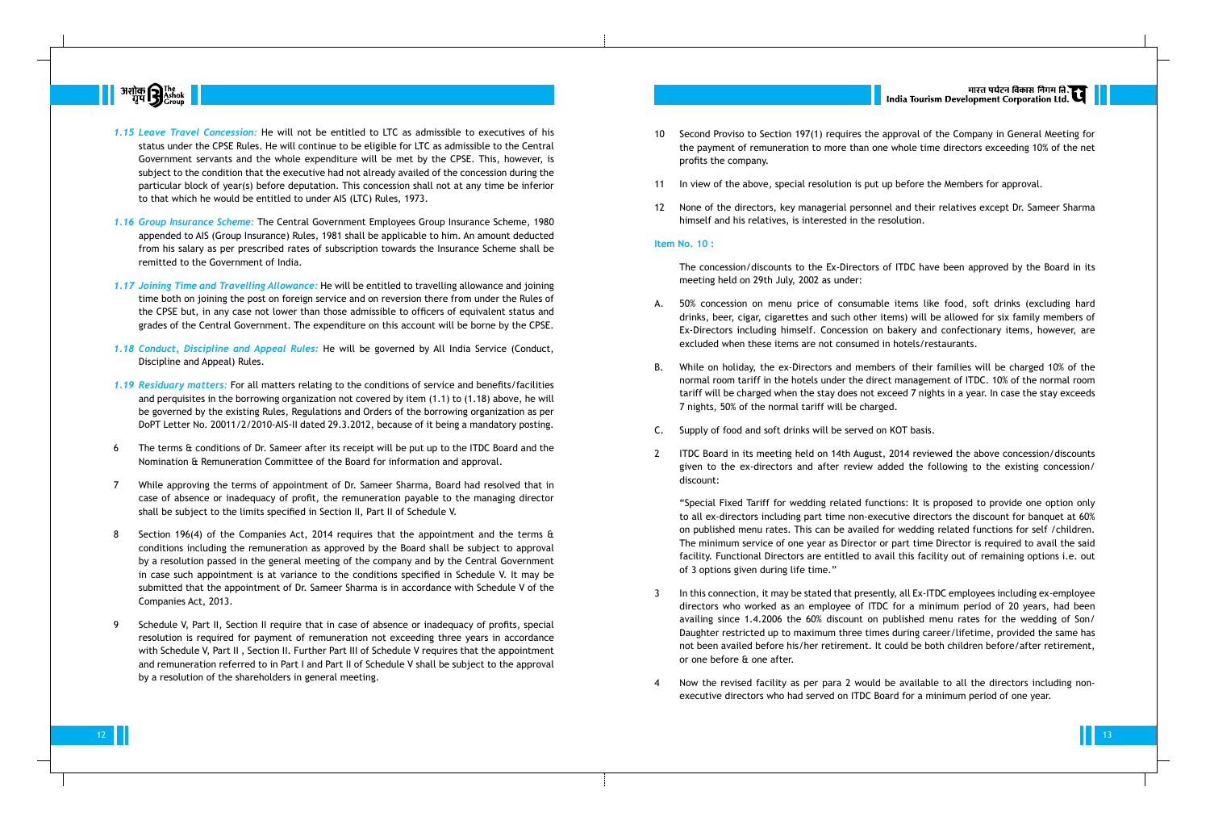

- *1.15 Leave Travel Concession:* He will not be entitled to LTC as admissible to executives of his status under the CPSE Rules. He will continue to be eligible for LTC as admissible to the Central Government servants and the whole expenditure will be met by the CPSE. This, however, is subject to the condition that the executive had not already availed of the concession during the particular block of year(s) before deputation. This concession shall not at any time be inferior to that which he would be entitled to under AIS (LTC) Rules, 1973.
- *1.16 Group Insurance Scheme:* The Central Government Employees Group Insurance Scheme, 1980 appended to AIS (Group Insurance) Rules, 1981 shall be applicable to him. An amount deducted from his salary as per prescribed rates of subscription towards the Insurance Scheme shall be remitted to the Government of India.
- *1.17 Joining Time and Travelling Allowance:* He will be entitled to travelling allowance and joining time both on joining the post on foreign service and on reversion there from under the Rules of the CPSE but, in any case not lower than those admissible to officers of equivalent status and grades of the Central Government. The expenditure on this account will be borne by the CPSE.
- *1.18 Conduct, Discipline and Appeal Rules:* He will be governed by All India Service (Conduct, Discipline and Appeal) Rules.
- *1.19 Residuary matters:* For all matters relating to the conditions of service and benefits/facilities and perquisites in the borrowing organization not covered by item (1.1) to (1.18) above, he will be governed by the existing Rules, Regulations and Orders of the borrowing organization as per DoPT Letter No. 20011/2/2010-AIS-II dated 29.3.2012, because of it being a mandatory posting.
- 6 The terms & conditions of Dr. Sameer after its receipt will be put up to the ITDC Board and the Nomination & Remuneration Committee of the Board for information and approval.
- 7 While approving the terms of appointment of Dr. Sameer Sharma, Board had resolved that in case of absence or inadequacy of profit, the remuneration payable to the managing director shall be subject to the limits specified in Section II, Part II of Schedule V.
- 8 Section 196(4) of the Companies Act, 2014 requires that the appointment and the terms & conditions including the remuneration as approved by the Board shall be subject to approval by a resolution passed in the general meeting of the company and by the Central Government in case such appointment is at variance to the conditions specified in Schedule V. It may be submitted that the appointment of Dr. Sameer Sharma is in accordance with Schedule V of the Companies Act, 2013.
- 9 Schedule V, Part II, Section II require that in case of absence or inadequacy of profits, special resolution is required for payment of remuneration not exceeding three years in accordance with Schedule V, Part II , Section II. Further Part III of Schedule V requires that the appointment and remuneration referred to in Part I and Part II of Schedule V shall be subject to the approval by a resolution of the shareholders in general meeting.

10 Second Proviso to Section 197(1) requires the approval of the Company in General Meeting for the payment of remuneration to more than one whole time directors exceeding 10% of the net

- profits the company.
- 
- 

11 In view of the above, special resolution is put up before the Members for approval.

12 None of the directors, key managerial personnel and their relatives except Dr. Sameer Sharma himself and his relatives, is interested in the resolution.

#### **Item No. 10 :**

The concession/discounts to the Ex-Directors of ITDC have been approved by the Board in its meeting held on 29th July, 2002 as under:

A. 50% concession on menu price of consumable items like food, soft drinks (excluding hard drinks, beer, cigar, cigarettes and such other items) will be allowed for six family members of Ex-Directors including himself. Concession on bakery and confectionary items, however, are excluded when these items are not consumed in hotels/restaurants.

B. While on holiday, the ex-Directors and members of their families will be charged 10% of the normal room tariff in the hotels under the direct management of ITDC. 10% of the normal room tariff will be charged when the stay does not exceed 7 nights in a year. In case the stay exceeds

C. Supply of food and soft drinks will be served on KOT basis.

- 
- 7 nights, 50% of the normal tariff will be charged.
- 
- discount:

2 ITDC Board in its meeting held on 14th August, 2014 reviewed the above concession/discounts given to the ex-directors and after review added the following to the existing concession/

"Special Fixed Tariff for wedding related functions: It is proposed to provide one option only to all ex-directors including part time non-executive directors the discount for banquet at 60% on published menu rates. This can be availed for wedding related functions for self /children. The minimum service of one year as Director or part time Director is required to avail the said facility. Functional Directors are entitled to avail this facility out of remaining options i.e. out of 3 options given during life time."

3 In this connection, it may be stated that presently, all Ex-ITDC employees including ex-employee directors who worked as an employee of ITDC for a minimum period of 20 years, had been availing since 1.4.2006 the 60% discount on published menu rates for the wedding of Son/ Daughter restricted up to maximum three times during career/lifetime, provided the same has not been availed before his/her retirement. It could be both children before/after retirement,

- or one before & one after.
- 

|<br>| India Tourism Development Corporation Ltd.

4 Now the revised facility as per para 2 would be available to all the directors including nonexecutive directors who had served on ITDC Board for a minimum period of one year.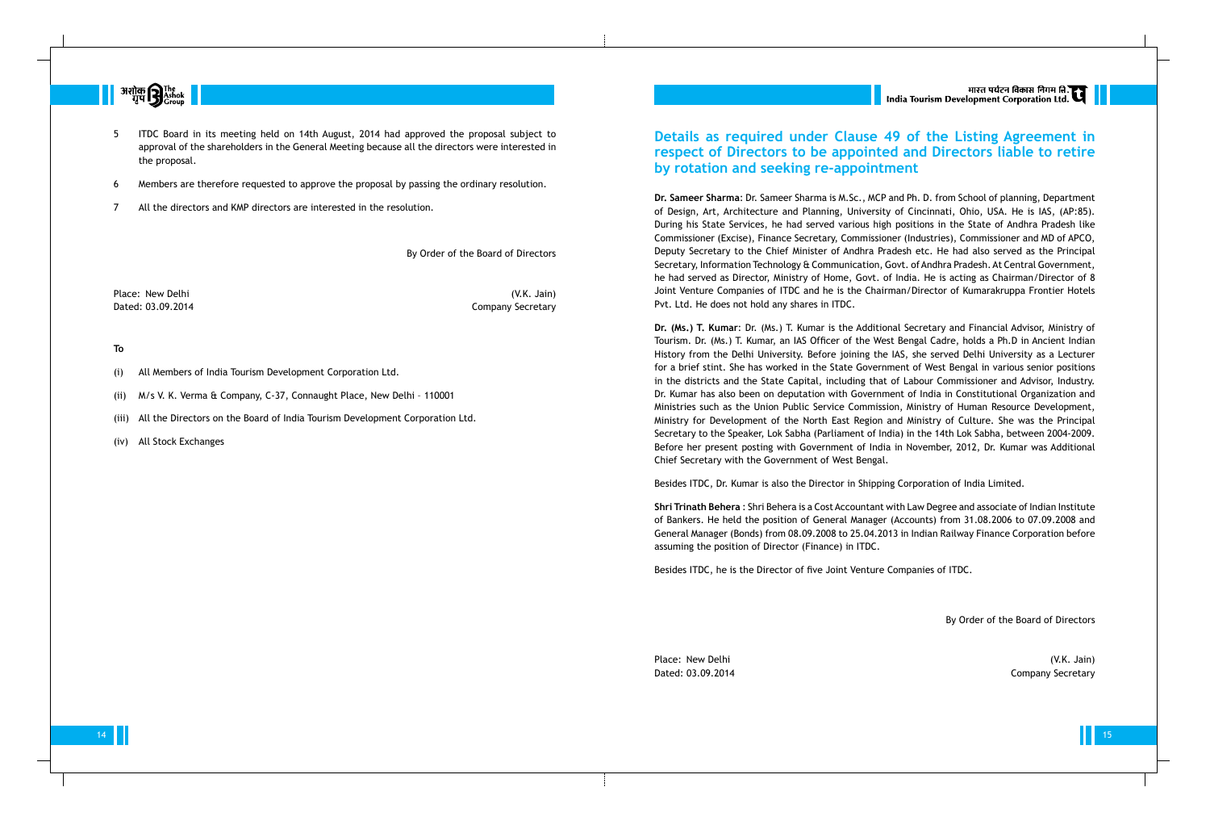

- 5 ITDC Board in its meeting held on 14th August, 2014 had approved the proposal subject to approval of the shareholders in the General Meeting because all the directors were interested in the proposal.
- 6 Members are therefore requested to approve the proposal by passing the ordinary resolution.
- 7 All the directors and KMP directors are interested in the resolution.

By Order of the Board of Directors

Place: New Delhi (V.K. Jain)

Dated: 03.09.2014 Company Secretary

### **To**

- (i) All Members of India Tourism Development Corporation Ltd.
- (ii) M/s V. K. Verma & Company, C-37, Connaught Place, New Delhi 110001
- (iii) All the Directors on the Board of India Tourism Development Corporation Ltd.
- (iv) All Stock Exchanges

## **Details as required under Clause 49 of the Listing Agreement in respect of Directors to be appointed and Directors liable to retire by rotation and seeking re-appointment**

**Dr. Sameer Sharma**: Dr. Sameer Sharma is M.Sc., MCP and Ph. D. from School of planning, Department of Design, Art, Architecture and Planning, University of Cincinnati, Ohio, USA. He is IAS, (AP:85). During his State Services, he had served various high positions in the State of Andhra Pradesh like Commissioner (Excise), Finance Secretary, Commissioner (Industries), Commissioner and MD of APCO, Deputy Secretary to the Chief Minister of Andhra Pradesh etc. He had also served as the Principal Secretary, Information Technology & Communication, Govt. of Andhra Pradesh. At Central Government, he had served as Director, Ministry of Home, Govt. of India. He is acting as Chairman/Director of 8 Joint Venture Companies of ITDC and he is the Chairman/Director of Kumarakruppa Frontier Hotels Pvt. Ltd. He does not hold any shares in ITDC.

Place: New Delhi (V.K. Jain) Dated: 03.09.2014 Company Secretary

**Dr. (Ms.) T. Kumar**: Dr. (Ms.) T. Kumar is the Additional Secretary and Financial Advisor, Ministry of Tourism. Dr. (Ms.) T. Kumar, an IAS Officer of the West Bengal Cadre, holds a Ph.D in Ancient Indian History from the Delhi University. Before joining the IAS, she served Delhi University as a Lecturer for a brief stint. She has worked in the State Government of West Bengal in various senior positions in the districts and the State Capital, including that of Labour Commissioner and Advisor, Industry. Dr. Kumar has also been on deputation with Government of India in Constitutional Organization and Ministries such as the Union Public Service Commission, Ministry of Human Resource Development, Ministry for Development of the North East Region and Ministry of Culture. She was the Principal Secretary to the Speaker, Lok Sabha (Parliament of India) in the 14th Lok Sabha, between 2004-2009. Before her present posting with Government of India in November, 2012, Dr. Kumar was Additional Chief Secretary with the Government of West Bengal.

Besides ITDC, Dr. Kumar is also the Director in Shipping Corporation of India Limited.

**Shri Trinath Behera** : Shri Behera is a Cost Accountant with Law Degree and associate of Indian Institute of Bankers. He held the position of General Manager (Accounts) from 31.08.2006 to 07.09.2008 and General Manager (Bonds) from 08.09.2008 to 25.04.2013 in Indian Railway Finance Corporation before assuming the position of Director (Finance) in ITDC.

Besides ITDC, he is the Director of five Joint Venture Companies of ITDC.

By Order of the Board of Directors

14 15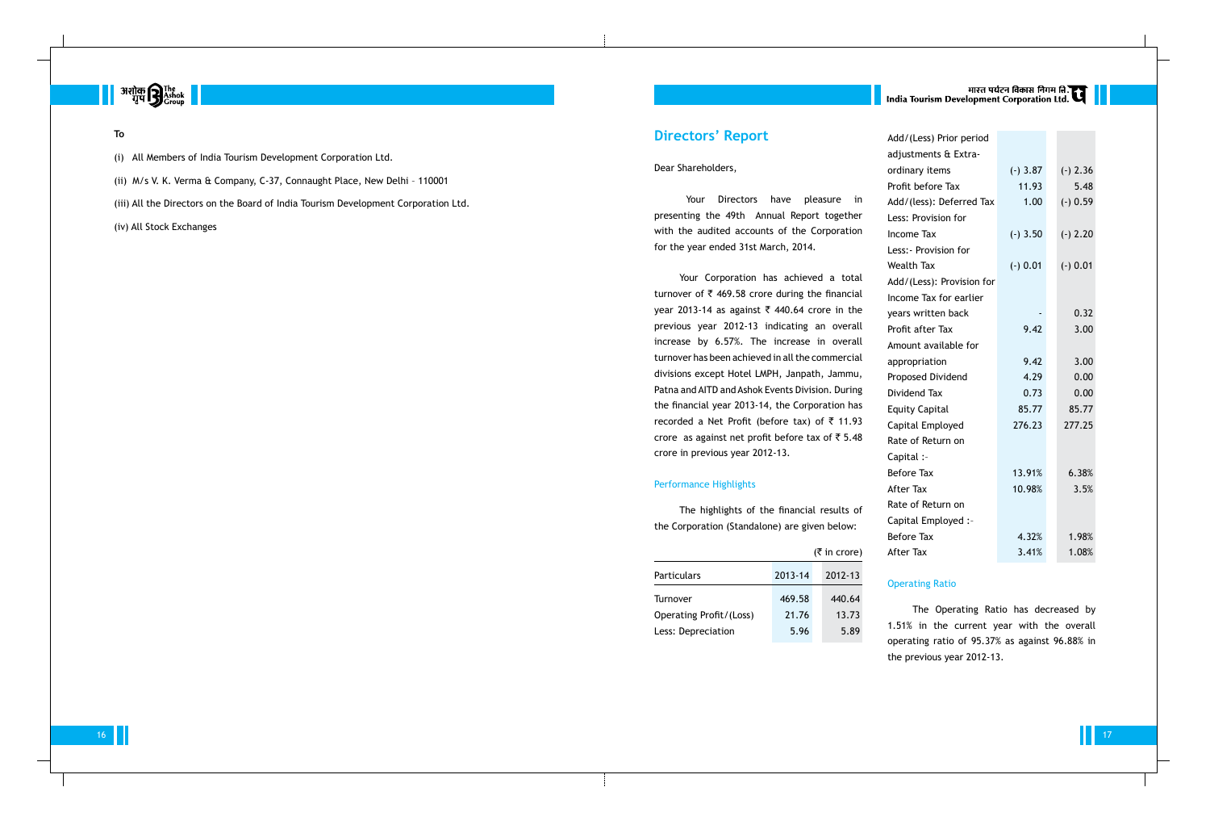## **Directors' Report**

#### Dear Shareholders,

Your Directors have pleasure in presenting the 49th Annual Report together with the audited accounts of the Corporation for the year ended 31st March, 2014.

Your Corporation has achieved a total turnover of  $\bar{\tau}$  469.58 crore during the financial year 2013-14 as against  $\bar{\tau}$  440.64 crore in the previous year 2012-13 indicating an overall increase by 6.57%. The increase in overall turnover has been achieved in all the commercial divisions except Hotel LMPH, Janpath, Jammu, Patna and AITD and Ashok Events Division. During the financial year 2013-14, the Corporation has recorded a Net Profit (before tax) of  $\bar{z}$  11.93 crore as against net profit before tax of  $\overline{5}$  5.48 crore in previous year 2012-13.

#### Performance Highlights

The highlights of the financial results of the Corporation (Standalone) are given below:

|                                |         | $(5 \text{ in } \text{core})$ |
|--------------------------------|---------|-------------------------------|
| <b>Particulars</b>             | 2013-14 | 2012-13                       |
| Turnover                       | 469.58  | 440.64                        |
| <b>Operating Profit/(Loss)</b> | 21.76   | 13.73                         |
| Less: Depreciation             | 5.96    | 5.89                          |

# मारत पर्यटन विकास निगम ति.<br>India Tourism Development Corporation Ltd.

| Add/(Less) Prior period   |            |            |
|---------------------------|------------|------------|
| adjustments & Extra-      |            |            |
| ordinary items            | $(-)$ 3.87 | $(-)$ 2.36 |
| Profit before Tax         | 11.93      | 5.48       |
| Add/(less): Deferred Tax  | 1.00       | $(-) 0.59$ |
| Less: Provision for       |            |            |
| <b>Income Tax</b>         | $(-)$ 3.50 | $(-) 2.20$ |
| Less: - Provision for     |            |            |
| <b>Wealth Tax</b>         | $(-) 0.01$ | $(-) 0.01$ |
| Add/(Less): Provision for |            |            |
| Income Tax for earlier    |            |            |
| years written back        |            | 0.32       |
| Profit after Tax          | 9.42       | 3.00       |
| Amount available for      |            |            |
| appropriation             | 9.42       | 3.00       |
| Proposed Dividend         | 4.29       | 0.00       |
| Dividend Tax              | 0.73       | 0.00       |
| <b>Equity Capital</b>     | 85.77      | 85.77      |
| Capital Employed          | 276.23     | 277.25     |
| Rate of Return on         |            |            |
| Capital :-                |            |            |
| <b>Before Tax</b>         | 13.91%     | 6.38%      |
| <b>After Tax</b>          | 10.98%     | 3.5%       |
| Rate of Return on         |            |            |
| Capital Employed :-       |            |            |
| <b>Before Tax</b>         | 4.32%      | 1.98%      |
| <b>After Tax</b>          | 3.41%      | 1.08%      |

### Operating Ratio

The Operating Ratio has decreased by 1.51% in the current year with the overall operating ratio of 95.37% as against 96.88% in the previous year 2012-13.



#### **To**

- (i) All Members of India Tourism Development Corporation Ltd.
- (ii) M/s V. K. Verma & Company, C-37, Connaught Place, New Delhi 110001
- (iii) All the Directors on the Board of India Tourism Development Corporation Ltd.
- (iv) All Stock Exchanges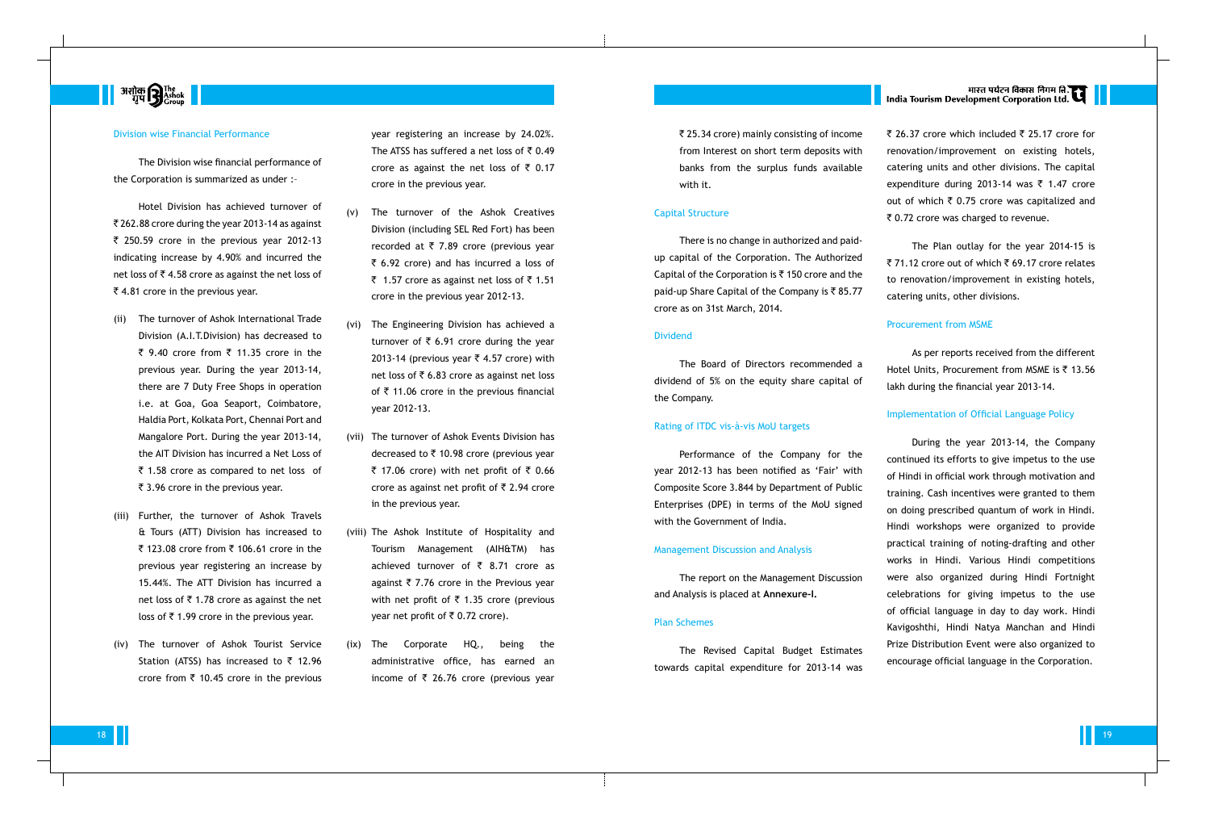

#### Division wise Financial Performance

Hotel Division has achieved turnover of  $\overline{8}$  262.88 crore during the year 2013-14 as against  $\bar{\tau}$  250.59 crore in the previous year 2012-13 indicating increase by 4.90% and incurred the net loss of  $\bar{z}$  4.58 crore as against the net loss of  $\bar{\xi}$  4.81 crore in the previous year.

The Division wise financial performance of the Corporation is summarized as under :–

- (ii) The turnover of Ashok International Trade Division (A.I.T.Division) has decreased to ₹ 9.40 crore from ₹ 11.35 crore in the previous year. During the year 2013-14, there are 7 Duty Free Shops in operation i.e. at Goa, Goa Seaport, Coimbatore, Haldia Port, Kolkata Port, Chennai Port and Mangalore Port. During the year 2013-14, the AIT Division has incurred a Net Loss of  $\bar{\tau}$  1.58 crore as compared to net loss of  $\bar{\tau}$  3.96 crore in the previous year.
- (iii) Further, the turnover of Ashok Travels & Tours (ATT) Division has increased to ₹ 123.08 crore from ₹ 106.61 crore in the previous year registering an increase by 15.44%. The ATT Division has incurred a net loss of  $\bar{\tau}$  1.78 crore as against the net loss of  $\bar{\tau}$  1.99 crore in the previous year.
- (iv) The turnover of Ashok Tourist Service Station (ATSS) has increased to  $\bar{\tau}$  12.96 crore from  $\bar{\tau}$  10.45 crore in the previous
- (v) The turnover of the Ashok Creatives Division (including SEL Red Fort) has been recorded at  $\overline{\tau}$  7.89 crore (previous year  $\bar{z}$  6.92 crore) and has incurred a loss of ₹ 1.57 crore as against net loss of  $\bar{z}$  1.51 crore in the previous year 2012-13.
- (vi) The Engineering Division has achieved a turnover of  $\bar{\tau}$  6.91 crore during the year 2013-14 (previous year  $\bar{\tau}$  4.57 crore) with net loss of  $\overline{5}$  6.83 crore as against net loss of  $\bar{\tau}$  11.06 crore in the previous financial year 2012-13.
- (vii) The turnover of Ashok Events Division has decreased to  $\bar{\tau}$  10.98 crore (previous year  $\bar{\tau}$  17.06 crore) with net profit of  $\bar{\tau}$  0.66 crore as against net profit of  $\bar{\tau}$  2.94 crore in the previous year.
- (viii) The Ashok Institute of Hospitality and Tourism Management (AIH&TM) has achieved turnover of  $\bar{\tau}$  8.71 crore as against  $\overline{\tau}$  7.76 crore in the Previous year with net profit of  $\bar{\tau}$  1.35 crore (previous year net profit of  $\bar{\tau}$  0.72 crore).
- (ix) The Corporate HQ., being the administrative office, has earned an income of  $\overline{\zeta}$  26.76 crore (previous year

` 25.34 crore) mainly consisting of income from Interest on short term deposits with banks from the surplus funds available with it.

#### Capital Structure

There is no change in authorized and paidup capital of the Corporation. The Authorized Capital of the Corporation is  $\bar{\tau}$  150 crore and the paid-up Share Capital of the Company is  $\bar{\tau}$  85.77 crore as on 31st March, 2014.

### Dividend

The Board of Directors recommended a dividend of 5% on the equity share capital of the Company.

#### Rating of ITDC vis-à-vis MoU targets

Performance of the Company for the year 2012-13 has been notified as 'Fair' with Composite Score 3.844 by Department of Public Enterprises (DPE) in terms of the MoU signed with the Government of India.

#### Management Discussion and Analysis

The report on the Management Discussion and Analysis is placed at **Annexure-I.**

#### Plan Schemes

The Revised Capital Budget Estimates towards capital expenditure for 2013-14 was

# मारत पर्यटन विकास निगम ति.<br>India Tourism Development Corporation Ltd.

₹ 26.37 crore which included ₹ 25.17 crore for renovation/improvement on existing hotels, catering units and other divisions. The capital expenditure during 2013-14 was  $\bar{\tau}$  1.47 crore out of which  $\bar{\tau}$  0.75 crore was capitalized and ₹ 0.72 crore was charged to revenue.

year registering an increase by 24.02%. The ATSS has suffered a net loss of  $\overline{5}$  0.49 crore as against the net loss of  $\bar{\tau}$  0.17 crore in the previous year.

> The Plan outlay for the year 2014-15 is ₹ 71.12 crore out of which  $\bar{x}$  69.17 crore relates to renovation/improvement in existing hotels, catering units, other divisions.

#### Procurement from MSME

As per reports received from the different Hotel Units, Procurement from MSME is  $\bar{\tau}$  13.56 lakh during the financial year 2013-14.

#### Implementation of Official Language Policy

During the year 2013-14, the Company continued its efforts to give impetus to the use of Hindi in official work through motivation and training. Cash incentives were granted to them on doing prescribed quantum of work in Hindi. Hindi workshops were organized to provide practical training of noting-drafting and other works in Hindi. Various Hindi competitions were also organized during Hindi Fortnight celebrations for giving impetus to the use of official language in day to day work. Hindi Kavigoshthi, Hindi Natya Manchan and Hindi Prize Distribution Event were also organized to encourage official language in the Corporation.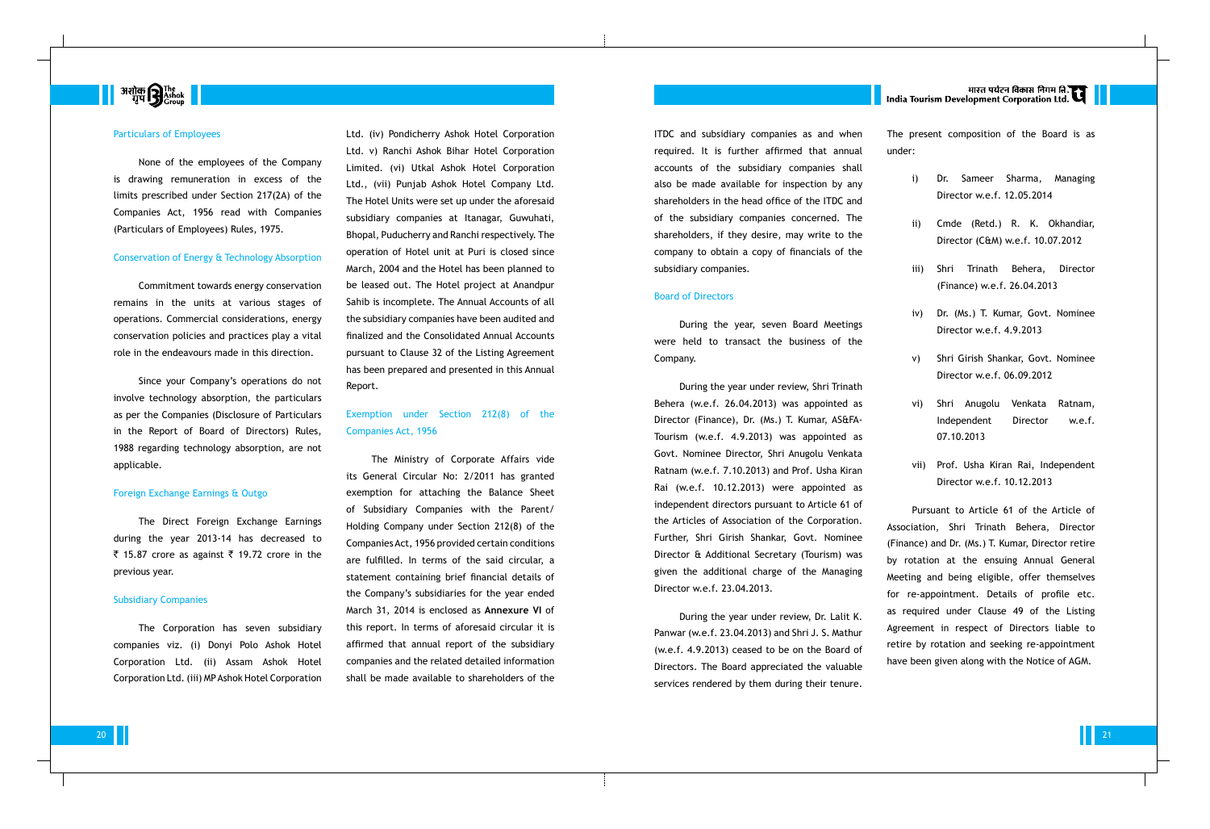

#### Particulars of Employees

None of the employees of the Company is drawing remuneration in excess of the limits prescribed under Section 217(2A) of the Companies Act, 1956 read with Companies (Particulars of Employees) Rules, 1975.

#### Conservation of Energy & Technology Absorption

Commitment towards energy conservation remains in the units at various stages of operations. Commercial considerations, energy conservation policies and practices play a vital role in the endeavours made in this direction.

Since your Company's operations do not involve technology absorption, the particulars as per the Companies (Disclosure of Particulars in the Report of Board of Directors) Rules, 1988 regarding technology absorption, are not applicable.

#### Foreign Exchange Earnings & Outgo

The Direct Foreign Exchange Earnings during the year 2013-14 has decreased to ₹ 15.87 crore as against ₹ 19.72 crore in the previous year.

#### Subsidiary Companies

The Corporation has seven subsidiary companies viz. (i) Donyi Polo Ashok Hotel Corporation Ltd. (ii) Assam Ashok Hotel Corporation Ltd. (iii) MP Ashok Hotel Corporation ITDC and subsidiary companies as and when required. It is further affirmed that annual accounts of the subsidiary companies shall also be made available for inspection by any shareholders in the head office of the ITDC and of the subsidiary companies concerned. The shareholders, if they desire, may write to the company to obtain a copy of financials of the subsidiary companies.

#### Board of Directors

During the year, seven Board Meetings were held to transact the business of the Company.

During the year under review, Shri Trinath Behera (w.e.f. 26.04.2013) was appointed as Director (Finance), Dr. (Ms.) T. Kumar, AS&FA-Tourism (w.e.f. 4.9.2013) was appointed as Govt. Nominee Director, Shri Anugolu Venkata Ratnam (w.e.f. 7.10.2013) and Prof. Usha Kiran Rai (w.e.f. 10.12.2013) were appointed as independent directors pursuant to Article 61 of the Articles of Association of the Corporation. Further, Shri Girish Shankar, Govt. Nominee Director & Additional Secretary (Tourism) was given the additional charge of the Managing Director w.e.f. 23.04.2013.

During the year under review, Dr. Lalit K. Panwar (w.e.f. 23.04.2013) and Shri J. S. Mathur (w.e.f. 4.9.2013) ceased to be on the Board of Directors. The Board appreciated the valuable services rendered by them during their tenure.

# मारत पर्यटन विकास निगम ति.<br>India Tourism Development Corporation Ltd.

Ltd. (iv) Pondicherry Ashok Hotel Corporation Ltd. v) Ranchi Ashok Bihar Hotel Corporation Limited. (vi) Utkal Ashok Hotel Corporation Ltd., (vii) Punjab Ashok Hotel Company Ltd. The Hotel Units were set up under the aforesaid subsidiary companies at Itanagar, Guwuhati, Bhopal, Puducherry and Ranchi respectively. The operation of Hotel unit at Puri is closed since March, 2004 and the Hotel has been planned to be leased out. The Hotel project at Anandpur Sahib is incomplete. The Annual Accounts of all the subsidiary companies have been audited and finalized and the Consolidated Annual Accounts pursuant to Clause 32 of the Listing Agreement has been prepared and presented in this Annual Report.

### Exemption under Section 212(8) of the Companies Act, 1956

The Ministry of Corporate Affairs vide its General Circular No: 2/2011 has granted exemption for attaching the Balance Sheet of Subsidiary Companies with the Parent/ Holding Company under Section 212(8) of the Companies Act, 1956 provided certain conditions are fulfilled. In terms of the said circular, a statement containing brief financial details of the Company's subsidiaries for the year ended March 31, 2014 is enclosed as **Annexure VI** of this report. In terms of aforesaid circular it is affirmed that annual report of the subsidiary companies and the related detailed information shall be made available to shareholders of the The present composition of the Board is as under:

- i) Dr. Sameer Sharma, Managing Director w.e.f. 12.05.2014
- Cmde (Retd.) R. K. Okhandiar, Director (C&M) w.e.f. 10.07.2012
- iii) Shri Trinath Behera, Director (Finance) w.e.f. 26.04.2013
- iv) Dr. (Ms.) T. Kumar, Govt. Nominee Director w.e.f. 4.9.2013
- v) Shri Girish Shankar, Govt. Nominee Director w.e.f. 06.09.2012
- vi) Shri Anugolu Venkata Ratnam, Independent Director w.e.f. 07.10.2013
- vii) Prof. Usha Kiran Rai, Independent Director w.e.f. 10.12.2013

Pursuant to Article 61 of the Article of Association, Shri Trinath Behera, Director (Finance) and Dr. (Ms.) T. Kumar, Director retire by rotation at the ensuing Annual General Meeting and being eligible, offer themselves for re-appointment. Details of profile etc. as required under Clause 49 of the Listing Agreement in respect of Directors liable to retire by rotation and seeking re-appointment have been given along with the Notice of AGM.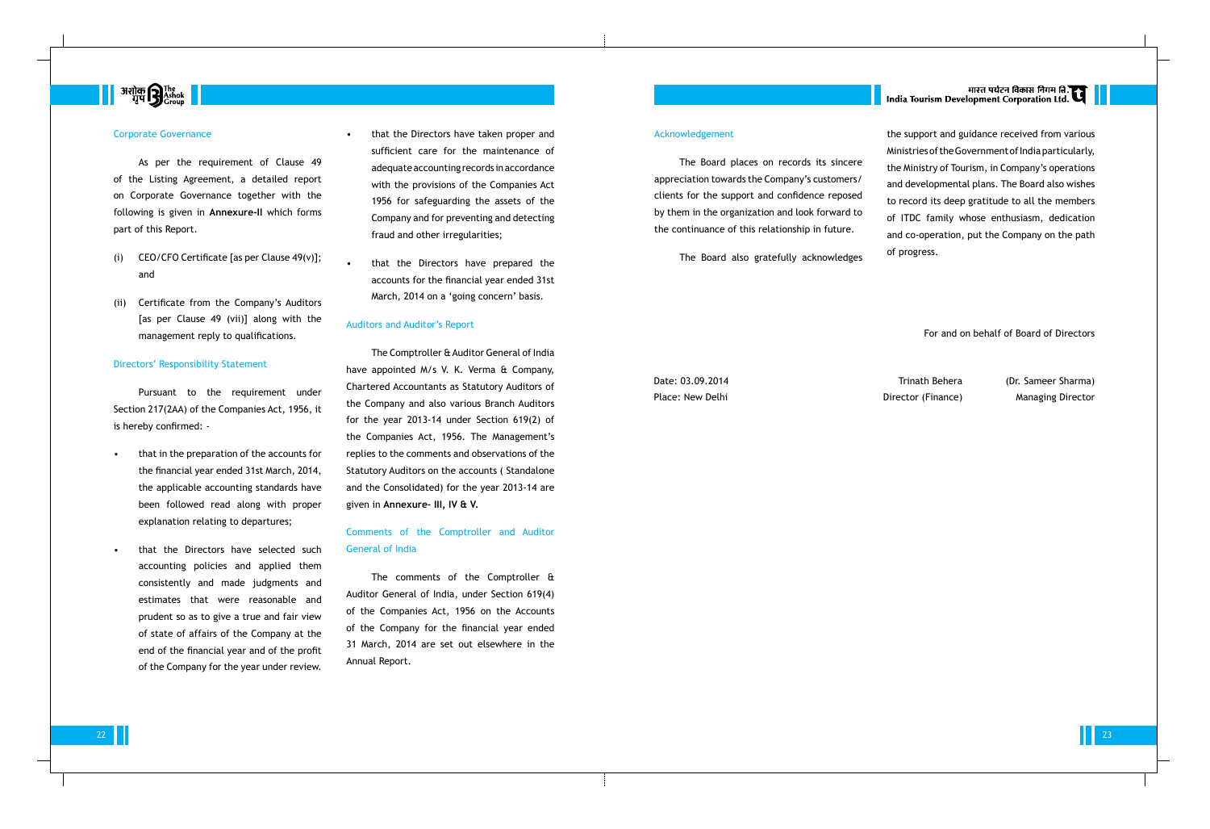# 

#### Corporate Governance

As per the requirement of Clause 49 of the Listing Agreement, a detailed report on Corporate Governance together with the following is given in **Annexure-II** which forms part of this Report.

- (i) CEO/CFO Certificate [as per Clause 49(v)]; and
- (ii) Certificate from the Company's Auditors [as per Clause 49 (vii)] along with the management reply to qualifications.

#### Directors' Responsibility Statement

Pursuant to the requirement under Section 217(2AA) of the Companies Act, 1956, it is hereby confirmed: -

- that in the preparation of the accounts for the financial year ended 31st March, 2014, the applicable accounting standards have been followed read along with proper explanation relating to departures;
- that the Directors have selected such accounting policies and applied them consistently and made judgments and estimates that were reasonable and prudent so as to give a true and fair view of state of affairs of the Company at the end of the financial year and of the profit of the Company for the year under review.
- that the Directors have taken proper and sufficient care for the maintenance of adequate accounting records in accordance with the provisions of the Companies Act 1956 for safeguarding the assets of the Company and for preventing and detecting fraud and other irregularities;
- that the Directors have prepared the accounts for the financial year ended 31st March, 2014 on a 'going concern' basis.

#### Acknowledgement

The Board places on records its sincere appreciation towards the Company's customers/ clients for the support and confidence reposed by them in the organization and look forward to the continuance of this relationship in future.

The Board also gratefully acknowledges

# भारत पर्यटन विकास निगम ति.<br>India Tourism Development Corporation Ltd.

Date: 03.09.2014 Trinath Behera (Dr. Sameer Sharma) Place: New Delhi **Director (Finance)** Managing Director (Finance)

 $22 \quad 23$ 

the support and guidance received from various Ministries of the Government of India particularly, the Ministry of Tourism, in Company's operations and developmental plans. The Board also wishes to record its deep gratitude to all the members of ITDC family whose enthusiasm, dedication and co-operation, put the Company on the path of progress.

#### Auditors and Auditor's Report

The Comptroller & Auditor General of India have appointed M/s V. K. Verma & Company, Chartered Accountants as Statutory Auditors of the Company and also various Branch Auditors for the year 2013-14 under Section 619(2) of the Companies Act, 1956. The Management's replies to the comments and observations of the Statutory Auditors on the accounts ( Standalone and the Consolidated) for the year 2013-14 are given in **Annexure- III, IV & V.**

### Comments of the Comptroller and Auditor General of India

The comments of the Comptroller & Auditor General of India, under Section 619(4) of the Companies Act, 1956 on the Accounts of the Company for the financial year ended 31 March, 2014 are set out elsewhere in the Annual Report.

For and on behalf of Board of Directors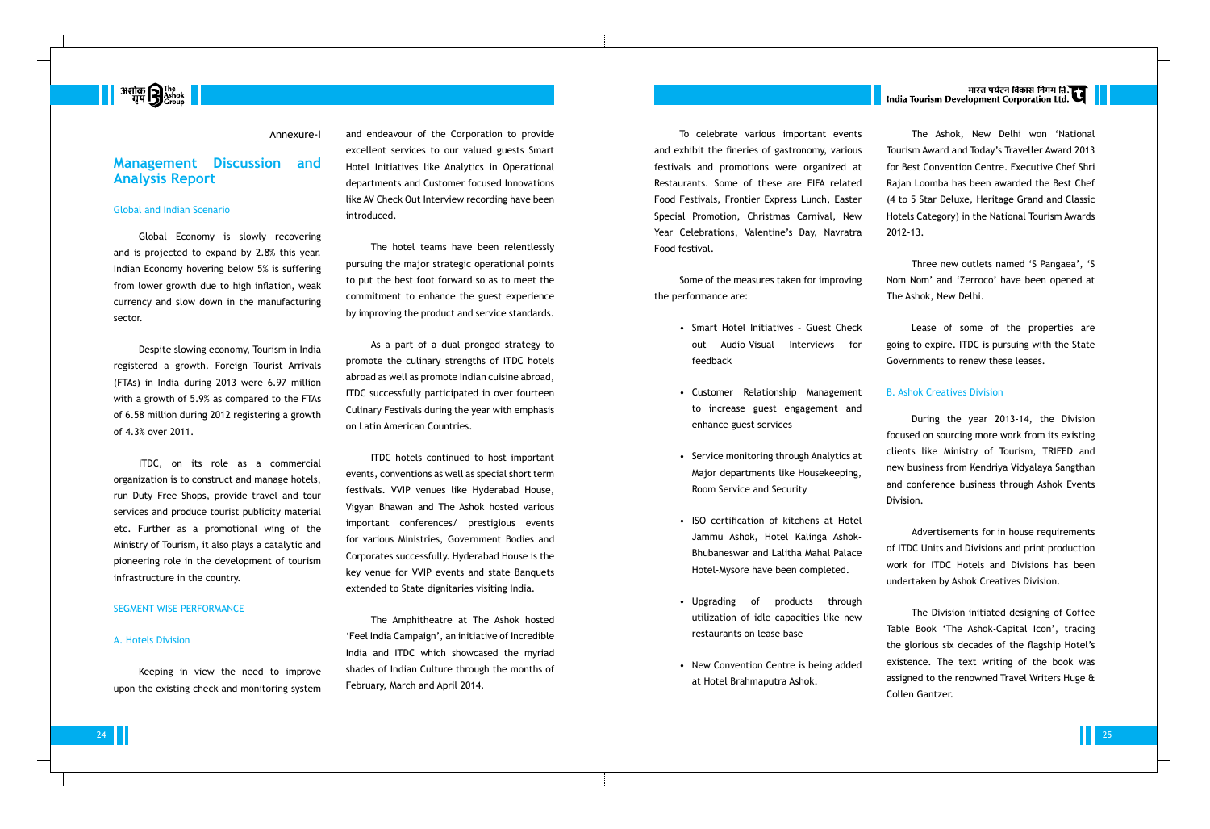

#### Annexure-I

### **Management Discussion and Analysis Report**

#### Global and Indian Scenario

Global Economy is slowly recovering and is projected to expand by 2.8% this year. Indian Economy hovering below 5% is suffering from lower growth due to high inflation, weak currency and slow down in the manufacturing sector.

Despite slowing economy, Tourism in India registered a growth. Foreign Tourist Arrivals (FTAs) in India during 2013 were 6.97 million with a growth of 5.9% as compared to the FTAs of 6.58 million during 2012 registering a growth of 4.3% over 2011.

ITDC, on its role as a commercial organization is to construct and manage hotels, run Duty Free Shops, provide travel and tour services and produce tourist publicity material etc. Further as a promotional wing of the Ministry of Tourism, it also plays a catalytic and pioneering role in the development of tourism infrastructure in the country.

#### SEGMENT WISE PERFORMANCE

#### A. Hotels Division

Keeping in view the need to improve upon the existing check and monitoring system and endeavour of the Corporation to provide excellent services to our valued guests Smart Hotel Initiatives like Analytics in Operational departments and Customer focused Innovations like AV Check Out Interview recording have been introduced.

The hotel teams have been relentlessly pursuing the major strategic operational points to put the best foot forward so as to meet the commitment to enhance the guest experience by improving the product and service standards.

As a part of a dual pronged strategy to promote the culinary strengths of ITDC hotels abroad as well as promote Indian cuisine abroad, ITDC successfully participated in over fourteen Culinary Festivals during the year with emphasis on Latin American Countries.

ITDC hotels continued to host important events, conventions as well as special short term festivals. VVIP venues like Hyderabad House, Vigyan Bhawan and The Ashok hosted various important conferences/ prestigious events for various Ministries, Government Bodies and Corporates successfully. Hyderabad House is the key venue for VVIP events and state Banquets extended to State dignitaries visiting India.

The Amphitheatre at The Ashok hosted 'Feel India Campaign', an initiative of Incredible India and ITDC which showcased the myriad shades of Indian Culture through the months of February, March and April 2014.

To celebrate various important events and exhibit the fineries of gastronomy, various festivals and promotions were organized at Restaurants. Some of these are FIFA related Food Festivals, Frontier Express Lunch, Easter Special Promotion, Christmas Carnival, New Year Celebrations, Valentine's Day, Navratra Food festival.

Some of the measures taken for improving the performance are:

- Smart Hotel Initiatives Guest Check out Audio-Visual Interviews for feedback
- Customer Relationship Management to increase guest engagement and enhance guest services
- Service monitoring through Analytics at Major departments like Housekeeping, Room Service and Security
- ISO certification of kitchens at Hotel Jammu Ashok, Hotel Kalinga Ashok-Bhubaneswar and Lalitha Mahal Palace Hotel-Mysore have been completed.
- Upgrading of products through utilization of idle capacities like new restaurants on lease base
- New Convention Centre is being added at Hotel Brahmaputra Ashok.

# |<br>| India Tourism Development Corporation Ltd.

The Ashok, New Delhi won 'National

Tourism Award and Today's Traveller Award 2013 for Best Convention Centre. Executive Chef Shri Rajan Loomba has been awarded the Best Chef (4 to 5 Star Deluxe, Heritage Grand and Classic Hotels Category) in the National Tourism Awards

2012-13.

Three new outlets named 'S Pangaea', 'S Nom Nom' and 'Zerroco' have been opened at The Ashok, New Delhi.

Lease of some of the properties are going to expire. ITDC is pursuing with the State Governments to renew these leases.

B. Ashok Creatives Division

During the year 2013-14, the Division focused on sourcing more work from its existing clients like Ministry of Tourism, TRIFED and new business from Kendriya Vidyalaya Sangthan and conference business through Ashok Events Division.

Advertisements for in house requirements of ITDC Units and Divisions and print production work for ITDC Hotels and Divisions has been undertaken by Ashok Creatives Division.

The Division initiated designing of Coffee Table Book 'The Ashok-Capital Icon', tracing the glorious six decades of the flagship Hotel's existence. The text writing of the book was assigned to the renowned Travel Writers Huge & Collen Gantzer.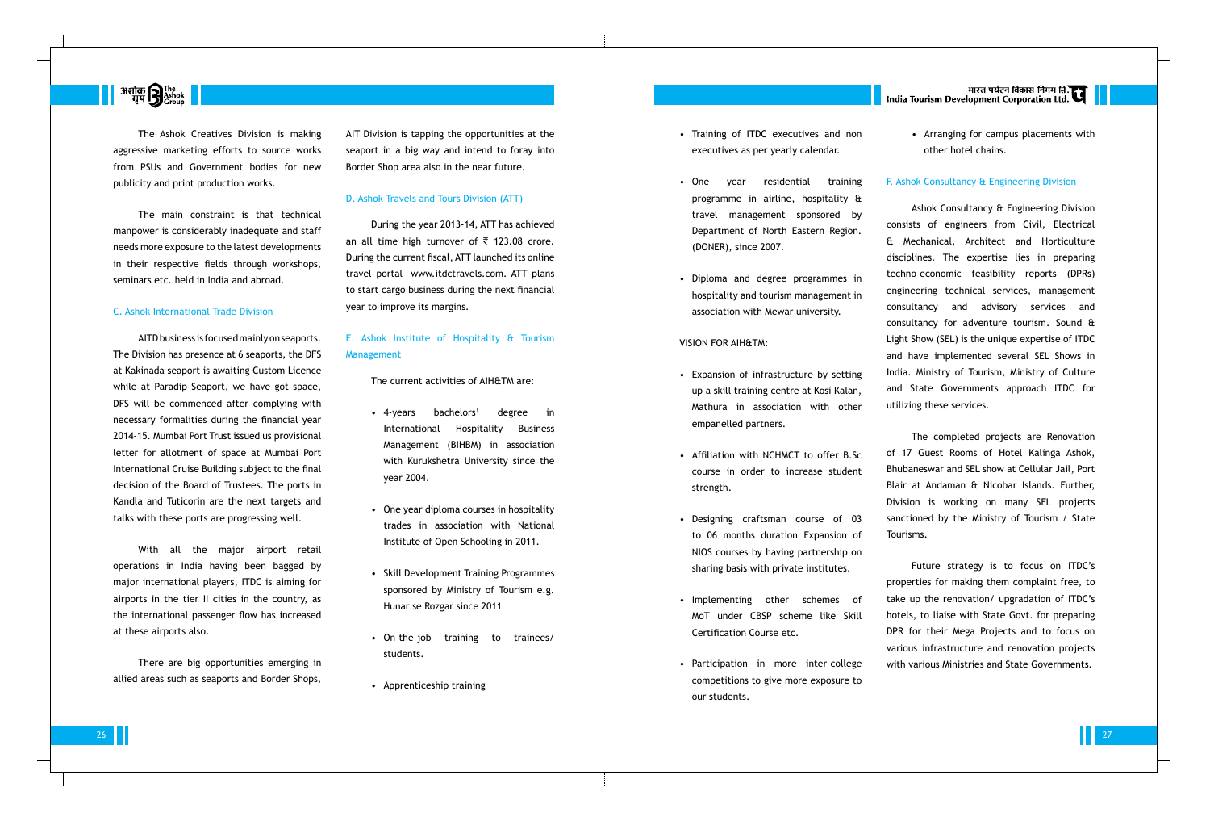# **Busing B** The The Transfer  $\blacksquare$

The Ashok Creatives Division is making aggressive marketing efforts to source works from PSUs and Government bodies for new publicity and print production works.

The main constraint is that technical manpower is considerably inadequate and staff needs more exposure to the latest developments in their respective fields through workshops, seminars etc. held in India and abroad.

#### C. Ashok International Trade Division

AITD business is focused mainly on seaports. The Division has presence at 6 seaports, the DFS at Kakinada seaport is awaiting Custom Licence while at Paradip Seaport, we have got space, DFS will be commenced after complying with necessary formalities during the financial year 2014-15. Mumbai Port Trust issued us provisional letter for allotment of space at Mumbai Port International Cruise Building subject to the final decision of the Board of Trustees. The ports in Kandla and Tuticorin are the next targets and talks with these ports are progressing well.

With all the major airport retail operations in India having been bagged by major international players, ITDC is aiming for airports in the tier II cities in the country, as the international passenger flow has increased at these airports also.

There are big opportunities emerging in allied areas such as seaports and Border Shops,

AIT Division is tapping the opportunities at the seaport in a big way and intend to foray into Border Shop area also in the near future.

#### D. Ashok Travels and Tours Division (ATT)

During the year 2013-14, ATT has achieved an all time high turnover of  $\bar{\tau}$  123.08 crore. During the current fiscal, ATT launched its online travel portal –www.itdctravels.com. ATT plans to start cargo business during the next financial year to improve its margins.

### E. Ashok Institute of Hospitality & Tourism Management

The current activities of AIH&TM are:

- 4-years bachelors' degree in International Hospitality Business Management (BIHBM) in association with Kurukshetra University since the year 2004.
- One year diploma courses in hospitality trades in association with National Institute of Open Schooling in 2011.
- Skill Development Training Programmes sponsored by Ministry of Tourism e.g. Hunar se Rozgar since 2011
- On-the-job training to trainees/ students.
- Apprenticeship training
- Training of ITDC executives and non executives as per yearly calendar.
- One year residential training programme in airline, hospitality & travel management sponsored by Department of North Eastern Region. (DONER), since 2007.
- Diploma and degree programmes in hospitality and tourism management in association with Mewar university.

#### VISION FOR AIH&TM:

- Expansion of infrastructure by setting up a skill training centre at Kosi Kalan, Mathura in association with other empanelled partners.
- Affiliation with NCHMCT to offer B.Sc course in order to increase student strength.
- Designing craftsman course of 03 to 06 months duration Expansion of NIOS courses by having partnership on sharing basis with private institutes.
- Implementing other schemes of MoT under CBSP scheme like Skill Certification Course etc.
- Participation in more inter-college competitions to give more exposure to our students.

|<br>| India Tourism Development Corporation Ltd.

• Arranging for campus placements with other hotel chains.

#### F. Ashok Consultancy & Engineering Division

Ashok Consultancy & Engineering Division consists of engineers from Civil, Electrical & Mechanical, Architect and Horticulture disciplines. The expertise lies in preparing techno-economic feasibility reports (DPRs) engineering technical services, management consultancy and advisory services and consultancy for adventure tourism. Sound & Light Show (SEL) is the unique expertise of ITDC and have implemented several SEL Shows in India. Ministry of Tourism, Ministry of Culture and State Governments approach ITDC for utilizing these services.

The completed projects are Renovation of 17 Guest Rooms of Hotel Kalinga Ashok, Bhubaneswar and SEL show at Cellular Jail, Port Blair at Andaman & Nicobar Islands. Further, Division is working on many SEL projects sanctioned by the Ministry of Tourism / State Tourisms.

Future strategy is to focus on ITDC's properties for making them complaint free, to take up the renovation/ upgradation of ITDC's hotels, to liaise with State Govt. for preparing DPR for their Mega Projects and to focus on various infrastructure and renovation projects with various Ministries and State Governments.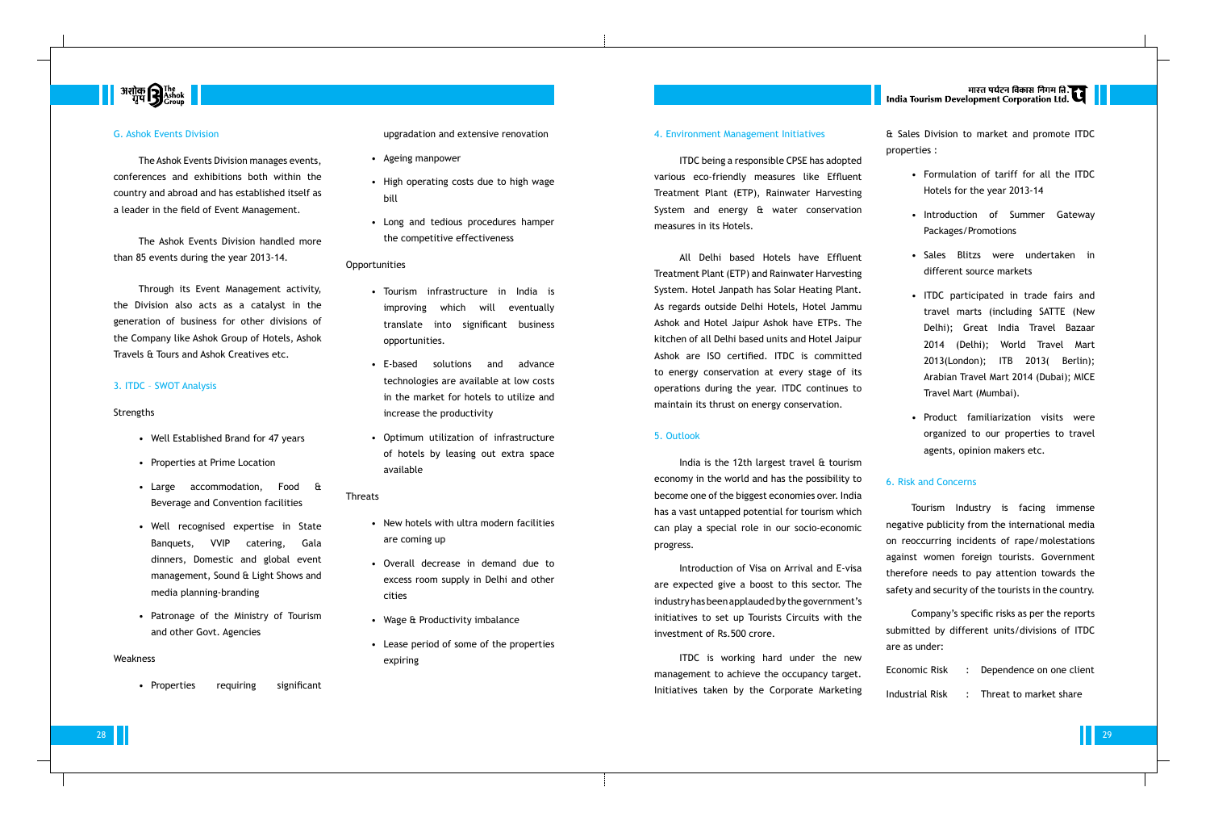# 

#### G. Ashok Events Division

The Ashok Events Division manages events, conferences and exhibitions both within the country and abroad and has established itself as a leader in the field of Event Management.

The Ashok Events Division handled more than 85 events during the year 2013-14.

Through its Event Management activity, the Division also acts as a catalyst in the generation of business for other divisions of the Company like Ashok Group of Hotels, Ashok Travels & Tours and Ashok Creatives etc.

#### 3. ITDC – SWOT Analysis

#### Strengths

- Well Established Brand for 47 years
- Properties at Prime Location
- Large accommodation, Food & Beverage and Convention facilities
- Well recognised expertise in State Banquets, VVIP catering, Gala dinners, Domestic and global event management, Sound & Light Shows and media planning-branding
- Patronage of the Ministry of Tourism and other Govt. Agencies

#### Weakness

• Properties requiring significant

#### upgradation and extensive renovation

- Ageing manpower
- High operating costs due to high wage bill
- Long and tedious procedures hamper the competitive effectiveness

#### **Opportunities**

- Tourism infrastructure in India is improving which will eventually translate into significant business opportunities.
- E-based solutions and advance technologies are available at low costs in the market for hotels to utilize and increase the productivity
- Optimum utilization of infrastructure of hotels by leasing out extra space available

#### Threats

- New hotels with ultra modern facilities are coming up
- Overall decrease in demand due to excess room supply in Delhi and other cities
- Wage & Productivity imbalance
- Lease period of some of the properties expiring

#### 4. Environment Management Initiatives

ITDC being a responsible CPSE has adopted various eco-friendly measures like Effluent Treatment Plant (ETP), Rainwater Harvesting System and energy & water conservation measures in its Hotels.

All Delhi based Hotels have Effluent Treatment Plant (ETP) and Rainwater Harvesting System. Hotel Janpath has Solar Heating Plant. As regards outside Delhi Hotels, Hotel Jammu Ashok and Hotel Jaipur Ashok have ETPs. The kitchen of all Delhi based units and Hotel Jaipur Ashok are ISO certified. ITDC is committed to energy conservation at every stage of its operations during the year. ITDC continues to maintain its thrust on energy conservation.

#### 5. Outlook

India is the 12th largest travel & tourism economy in the world and has the possibility to become one of the biggest economies over. India has a vast untapped potential for tourism which can play a special role in our socio-economic progress.

Introduction of Visa on Arrival and E-visa are expected give a boost to this sector. The industry has been applauded by the government's initiatives to set up Tourists Circuits with the investment of Rs.500 crore.

ITDC is working hard under the new management to achieve the occupancy target. Initiatives taken by the Corporate Marketing

# मारत पर्यटन विकास निगम ति.<br>India Tourism Development Corporation Ltd.

& Sales Division to market and promote ITDC properties :

- Formulation of tariff for all the ITDC Hotels for the year 2013-14
- Introduction of Summer Gateway Packages/Promotions
- Sales Blitzs were undertaken in different source markets
- ITDC participated in trade fairs and travel marts (including SATTE (New Delhi); Great India Travel Bazaar 2014 (Delhi); World Travel Mart 2013(London); ITB 2013( Berlin); Arabian Travel Mart 2014 (Dubai); MICE Travel Mart (Mumbai).
- Product familiarization visits were organized to our properties to travel agents, opinion makers etc.

### 6. Risk and Concerns

Tourism Industry is facing immense negative publicity from the international media on reoccurring incidents of rape/molestations against women foreign tourists. Government therefore needs to pay attention towards the safety and security of the tourists in the country.

Company's specific risks as per the reports submitted by different units/divisions of ITDC are as under:

|  | Economic Risk : Dependence on one client |
|--|------------------------------------------|
|  | Industrial Risk : Threat to market share |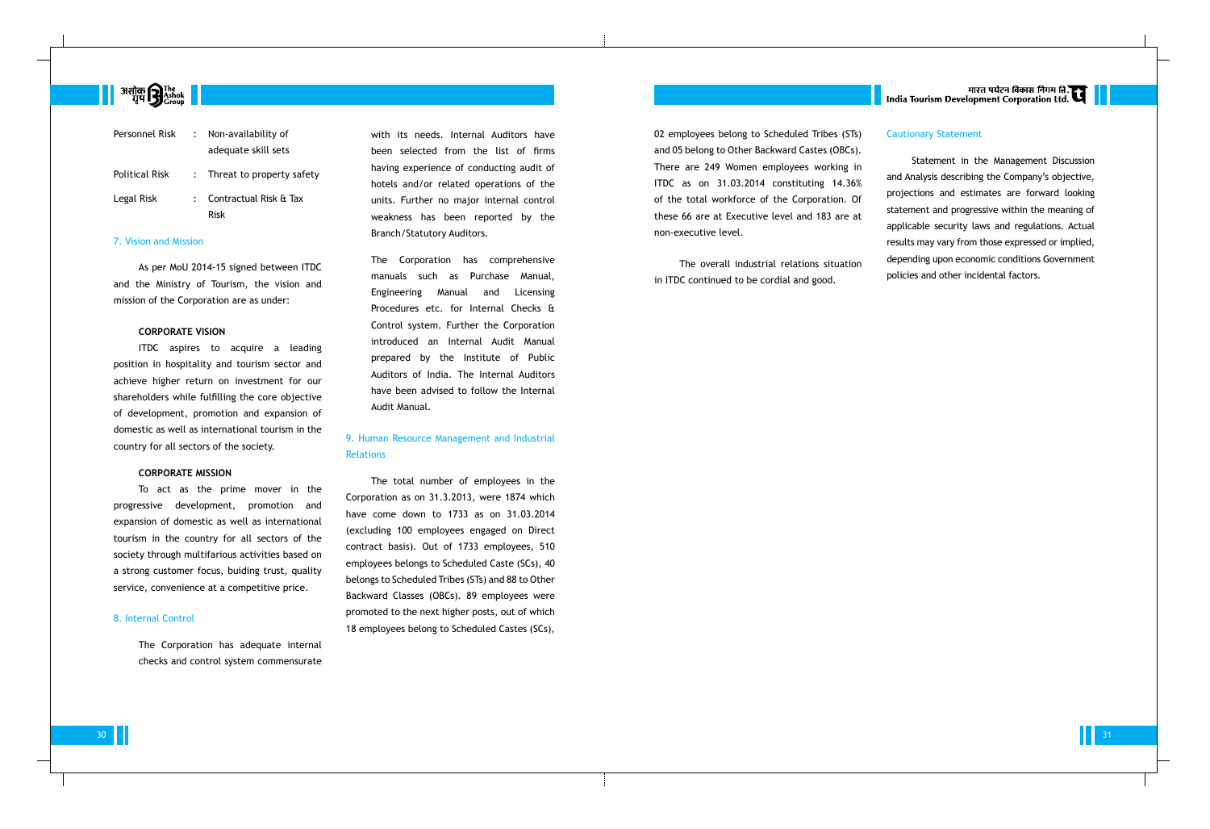# **अशोक सि** The The The Testion  $\blacksquare$

| Personnel Risk | Non-availability of            |
|----------------|--------------------------------|
|                | adequate skill sets            |
| Political Risk | : Threat to property safety    |
| Legal Risk     | Contractual Risk & Tax<br>Risk |
|                |                                |

#### 7. Vision and Mission

As per MoU 2014-15 signed between ITDC and the Ministry of Tourism, the vision and mission of the Corporation are as under:

#### **CORPORATE VISION**

ITDC aspires to acquire a leading position in hospitality and tourism sector and achieve higher return on investment for our shareholders while fulfilling the core objective of development, promotion and expansion of domestic as well as international tourism in the country for all sectors of the society.

#### **CORPORATE MISSION**

To act as the prime mover in the progressive development, promotion and expansion of domestic as well as international tourism in the country for all sectors of the society through multifarious activities based on a strong customer focus, buiding trust, quality service, convenience at a competitive price.

### 9. Human Resource Management and Industrial **Relations**

#### 8. Internal Control

The Corporation has adequate internal checks and control system commensurate with its needs. Internal Auditors have been selected from the list of firms having experience of conducting audit of hotels and/or related operations of the units. Further no major internal control weakness has been reported by the Branch/Statutory Auditors.

The Corporation has comprehensive manuals such as Purchase Manual, Engineering Manual and Licensing Procedures etc. for Internal Checks & Control system. Further the Corporation introduced an Internal Audit Manual prepared by the Institute of Public Auditors of India. The Internal Auditors have been advised to follow the Internal Audit Manual.

The total number of employees in the Corporation as on 31.3.2013, were 1874 which have come down to 1733 as on 31.03.2014 (excluding 100 employees engaged on Direct contract basis). Out of 1733 employees, 510 employees belongs to Scheduled Caste (SCs), 40 belongs to Scheduled Tribes (STs) and 88 to Other Backward Classes (OBCs). 89 employees were promoted to the next higher posts, out of which 18 employees belong to Scheduled Castes (SCs),

02 employees belong to Scheduled Tribes (STs) and 05 belong to Other Backward Castes (OBCs). There are 249 Women employees working in ITDC as on 31.03.2014 constituting 14.36% of the total workforce of the Corporation. Of these 66 are at Executive level and 183 are at non-executive level.

The overall industrial relations situation in ITDC continued to be cordial and good.

भारत पर्यटन विकास निगम ति.<br>India Tourism Development Corporation Ltd.

### Cautionary Statement

Statement in the Management Discussion and Analysis describing the Company's objective, projections and estimates are forward looking statement and progressive within the meaning of applicable security laws and regulations. Actual results may vary from those expressed or implied, depending upon economic conditions Government policies and other incidental factors.

 $30$  and  $11$  and  $31$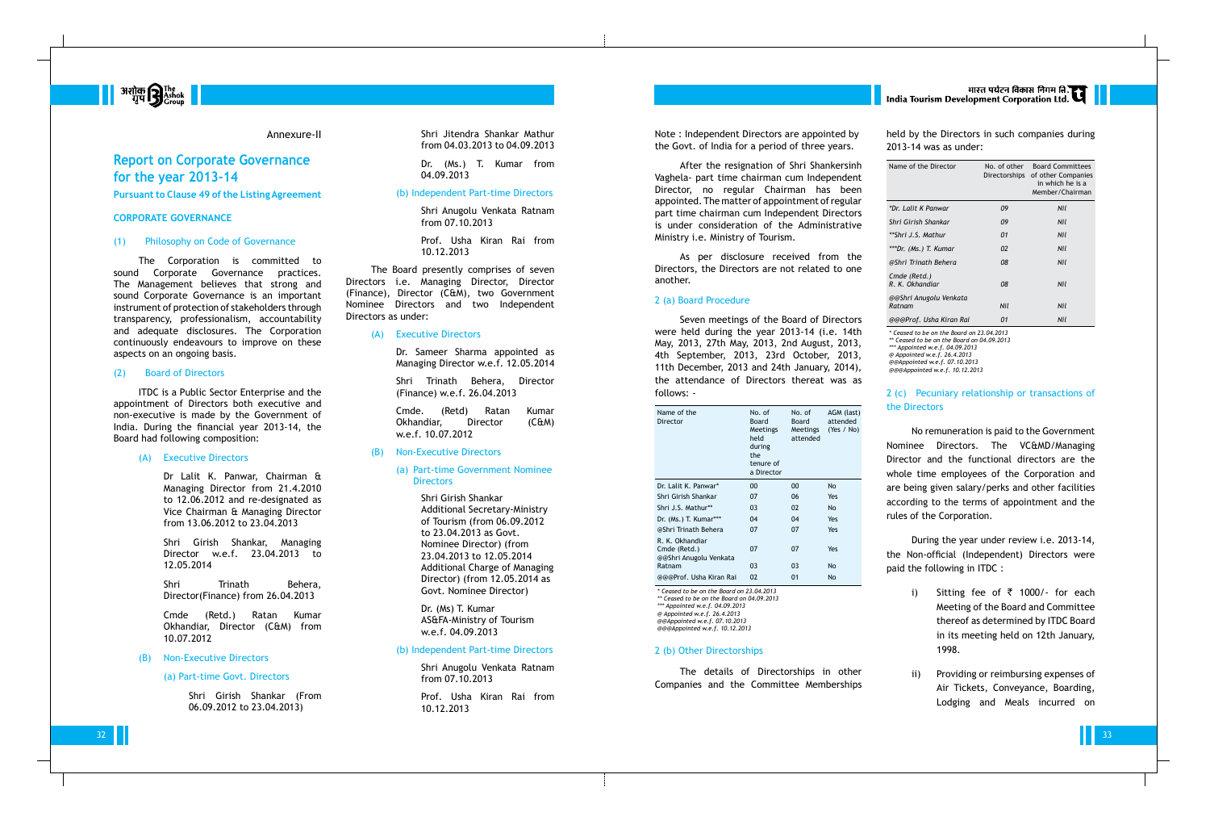held by the Directors in such companies during 2013-14 was as under:

| Name of the Director             | No. of other<br>Directorships | <b>Board Committees</b><br>of other Companies<br>in which he is a<br>Member/Chairman |
|----------------------------------|-------------------------------|--------------------------------------------------------------------------------------|
| *Dr. Lalit K Panwar              | 09                            | Nil                                                                                  |
| Shri Girish Shankar              | 09                            | Nil                                                                                  |
| **Shri J.S. Mathur               | 01                            | Nil                                                                                  |
| ***Dr. (Ms.) T. Kumar            | 02                            | Nil                                                                                  |
| @Shri Trinath Behera             | 08                            | Nil                                                                                  |
| Cmde (Retd.)<br>R. K. Okhandiar  | 08                            | Nil                                                                                  |
| @@Shri Anugolu Venkata<br>Ratnam | Nil                           | Nil                                                                                  |
| @@@Prof. Usha Kiran Rai          | 01                            | Nil                                                                                  |

*\* Ceased to be on the Board on 23.04.2013 \*\* Ceased to be on the Board on 04.09.2013*

*\*\*\* Appointed w.e.f. 04.09.2013*

*@ Appointed w.e.f. 26.4.2013*

*@@Appointed w.e.f. 07.10.2013* 

*@@@Appointed w.e.f. 10.12.2013*

### 2 (c) Pecuniary relationship or transactions of the Directors

- i) Sitting fee of  $\bar{\tau}$  1000/- for each Meeting of the Board and Committee thereof as determined by ITDC Board in its meeting held on 12th January, 1998.
- ii) Providing or reimbursing expenses of Air Tickets, Conveyance, Boarding, Lodging and Meals incurred on

No remuneration is paid to the Government Nominee Directors. The VC&MD/Managing Director and the functional directors are the whole time employees of the Corporation and are being given salary/perks and other facilities according to the terms of appointment and the rules of the Corporation.

During the year under review i.e. 2013-14, the Non-official (Independent) Directors were paid the following in ITDC :

Shri Trinath Behera, Director(Finance) from 26.04.2013



#### Annexure-II

### **Report on Corporate Governance for the year 2013-14 Pursuant to Clause 49 of the Listing Agreement**

#### **CORPORATE GOVERNANCE**

#### (1) Philosophy on Code of Governance

#### (a) Part-time Government Nominee **Directors**

The Corporation is committed to sound Corporate Governance practices. The Management believes that strong and sound Corporate Governance is an important instrument of protection of stakeholders through transparency, professionalism, accountability and adequate disclosures. The Corporation continuously endeavours to improve on these aspects on an ongoing basis.

#### (2) Board of Directors

ITDC is a Public Sector Enterprise and the appointment of Directors both executive and non-executive is made by the Government of India. During the financial year 2013-14, the Board had following composition:

#### (A) Executive Directors

Dr Lalit K. Panwar, Chairman & Managing Director from 21.4.2010 to 12.06.2012 and re-designated as Vice Chairman & Managing Director from 13.06.2012 to 23.04.2013

Shri Girish Shankar, Managing Director w.e.f. 23.04.2013 to 12.05.2014

Cmde (Retd.) Ratan Kumar Okhandiar, Director (C&M) from 10.07.2012

#### (B) Non-Executive Directors

#### (a) Part-time Govt. Directors

Shri Girish Shankar (From 06.09.2012 to 23.04.2013)

Shri Jitendra Shankar Mathur from 04.03.2013 to 04.09.2013

Dr. (Ms.) T. Kumar from 04.09.2013

#### (b) Independent Part-time Directors

Shri Anugolu Venkata Ratnam from 07.10.2013

Prof. Usha Kiran Rai from 10.12.2013

The Board presently comprises of seven Directors i.e. Managing Director, Director (Finance), Director (C&M), two Government Nominee Directors and two Independent Directors as under:

#### (A) Executive Directors

Dr. Sameer Sharma appointed as Managing Director w.e.f. 12.05.2014

Shri Trinath Behera, Director (Finance) w.e.f. 26.04.2013

Cmde. (Retd) Ratan Kumar Okhandiar, Director (C&M) w.e.f. 10.07.2012

#### (B) Non-Executive Directors

Shri Girish Shankar Additional Secretary-Ministry of Tourism (from 06.09.2012 to 23.04.2013 as Govt. Nominee Director) (from 23.04.2013 to 12.05.2014 Additional Charge of Managing Director) (from 12.05.2014 as Govt. Nominee Director)

Dr. (Ms) T. Kumar AS&FA-Ministry of Tourism w.e.f. 04.09.2013

### (b) Independent Part-time Directors

Shri Anugolu Venkata Ratnam from 07.10.2013

Prof. Usha Kiran Rai from 10.12.2013

Note : Independent Directors are appointed by the Govt. of India for a period of three years.

After the resignation of Shri Shankersinh Vaghela- part time chairman cum Independent Director, no regular Chairman has been appointed. The matter of appointment of regular part time chairman cum Independent Directors is under consideration of the Administrative Ministry i.e. Ministry of Tourism.

As per disclosure received from the Directors, the Directors are not related to one another.

#### 2 (a) Board Procedure

Seven meetings of the Board of Directors were held during the year 2013-14 (i.e. 14th May, 2013, 27th May, 2013, 2nd August, 2013, 4th September, 2013, 23rd October, 2013, 11th December, 2013 and 24th January, 2014), the attendance of Directors thereat was as follows: -

| Name of the<br>Director                                   | No. of<br>Board<br><b>Meetings</b><br>held<br>during<br>the<br>tenure of<br>a Director | No. of<br>Board<br>Meetings<br>attended | AGM (last)<br>attended<br>(Yes / No) |
|-----------------------------------------------------------|----------------------------------------------------------------------------------------|-----------------------------------------|--------------------------------------|
| Dr. Lalit K. Panwar*                                      | 00                                                                                     | 00                                      | No                                   |
| Shri Girish Shankar                                       | 07                                                                                     | 06                                      | Yes                                  |
| Shri J.S. Mathur**                                        | 03                                                                                     | 02                                      | <b>No</b>                            |
| Dr. (Ms.) T. Kumar***                                     | 04                                                                                     | 04                                      | Yes                                  |
| @Shri Trinath Behera                                      | 07                                                                                     | 07                                      | Yes                                  |
| R. K. Okhandiar<br>Cmde (Retd.)<br>@@Shri Anugolu Venkata | 07                                                                                     | 07                                      | Yes                                  |
| Ratnam                                                    | 03                                                                                     | 03                                      | No                                   |
| @@@Prof, Usha Kiran Rai                                   | 02                                                                                     | 01                                      | <b>No</b>                            |

*\* Ceased to be on the Board on 23.04.2013 \*\* Ceased to be on the Board on 04.09.2013 \*\*\* Appointed w.e.f. 04.09.2013 @ Appointed w.e.f. 26.4.2013 @@Appointed w.e.f. 07.10.2013 @@@Appointed w.e.f. 10.12.2013*

#### 2 (b) Other Directorships

The details of Directorships in other Companies and the Committee Memberships

# भारत पर्यटन विकास निगम ति.<br>India Tourism Development Corporation Ltd.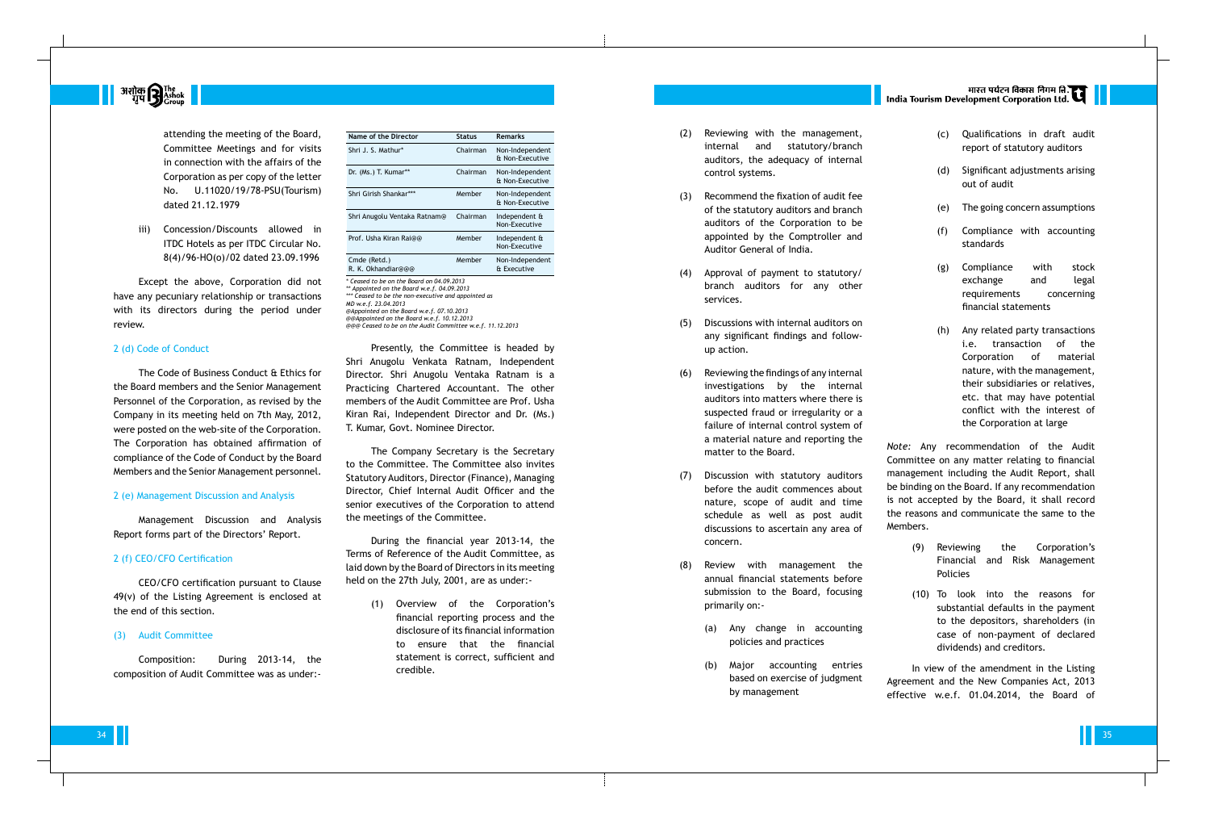| Name of the Director               | Status   | <b>Remarks</b>                     |
|------------------------------------|----------|------------------------------------|
| Shri J. S. Mathur*                 | Chairman | Non-Independent<br>& Non-Executive |
| Dr. (Ms.) T. Kumar**               | Chairman | Non-Independent<br>& Non-Executive |
| Shri Girish Shankar***             | Member   | Non-Independent<br>& Non-Executive |
| Shri Anugolu Ventaka Ratnam@       | Chairman | Independent &<br>Non-Executive     |
| Prof. Usha Kiran Rai@@             | Member   | Independent &<br>Non-Executive     |
| Cmde (Retd.)<br>R. K. Okhandiar@@@ | Member   | Non-Independent<br>& Executive     |
|                                    |          |                                    |

*\* Ceased to be on the Board on 04.09.2013 \*\* Appointed on the Board w.e.f. 04.09.2013 \*\*\* Ceased to be the non-executive and appointed as MD w.e.f. 23.04.2013 @Appointed on the Board w.e.f. 07.10.2013 @@Appointed on the Board w.e.f. 10.12.2013 @@@ Ceased to be on the Audit Committee w.e.f. 11.12.2013*

Presently, the Committee is headed by Shri Anugolu Venkata Ratnam, Independent Director. Shri Anugolu Ventaka Ratnam is a Practicing Chartered Accountant. The other members of the Audit Committee are Prof. Usha Kiran Rai, Independent Director and Dr. (Ms.) T. Kumar, Govt. Nominee Director.

The Company Secretary is the Secretary to the Committee. The Committee also invites Statutory Auditors, Director (Finance), Managing Director, Chief Internal Audit Officer and the senior executives of the Corporation to attend the meetings of the Committee.

During the financial year 2013-14, the Terms of Reference of the Audit Committee, as laid down by the Board of Directors in its meeting held on the 27th July, 2001, are as under:-

> (1) Overview of the Corporation's financial reporting process and the disclosure of its financial information to ensure that the financial statement is correct, sufficient and credible.

- (2) Reviewing with the management, internal and statutory/branch auditors, the adequacy of internal control systems.
- (3) Recommend the fixation of audit fee of the statutory auditors and branch auditors of the Corporation to be appointed by the Comptroller and Auditor General of India.
- (4) Approval of payment to statutory/ branch auditors for any other services.
- (5) Discussions with internal auditors on any significant findings and followup action.
- (6) Reviewing the findings of any internal investigations by the internal auditors into matters where there is suspected fraud or irregularity or a failure of internal control system of a material nature and reporting the matter to the Board.
- (7) Discussion with statutory auditors before the audit commences about nature, scope of audit and time schedule as well as post audit discussions to ascertain any area of concern.
- (8) Review with management the annual financial statements before submission to the Board, focusing primarily on:-
	- (a) Any change in accounting policies and practices
	- (b) Major accounting entries based on exercise of judgment by management
- (c) Qualifications in draft audit report of statutory auditors
- (d) Significant adjustments arising out of audit
- (e) The going concern assumptions
- (f) Compliance with accounting standards
- (g) Compliance with stock exchange and legal requirements concerning financial statements
- (h) Any related party transactions i.e. transaction of the Corporation of material nature, with the management, their subsidiaries or relatives, etc. that may have potential conflict with the interest of the Corporation at large

*Note:* Any recommendation of the Audit Committee on any matter relating to financial management including the Audit Report, shall be binding on the Board. If any recommendation is not accepted by the Board, it shall record the reasons and communicate the same to the Members.

- (9) Reviewing the Corporation's Financial and Risk Management Policies
- (10) To look into the reasons for substantial defaults in the payment to the depositors, shareholders (in case of non-payment of declared dividends) and creditors.

In view of the amendment in the Listing Agreement and the New Companies Act, 2013 effective w.e.f. 01.04.2014, the Board of



attending the meeting of the Board, Committee Meetings and for visits in connection with the affairs of the Corporation as per copy of the letter No. U.11020/19/78-PSU(Tourism) dated 21.12.1979

iii) Concession/Discounts allowed in ITDC Hotels as per ITDC Circular No. 8(4)/96-HO(o)/02 dated 23.09.1996

Except the above, Corporation did not have any pecuniary relationship or transactions with its directors during the period under review.

#### 2 (d) Code of Conduct

The Code of Business Conduct & Ethics for the Board members and the Senior Management Personnel of the Corporation, as revised by the Company in its meeting held on 7th May, 2012, were posted on the web-site of the Corporation. The Corporation has obtained affirmation of compliance of the Code of Conduct by the Board Members and the Senior Management personnel.

#### 2 (e) Management Discussion and Analysis

Management Discussion and Analysis Report forms part of the Directors' Report.

#### 2 (f) CEO/CFO Certification

CEO/CFO certification pursuant to Clause 49(v) of the Listing Agreement is enclosed at the end of this section.

#### (3) Audit Committee

Composition: During 2013-14, the composition of Audit Committee was as under:-

# |<br>| India Tourism Development Corporation Ltd.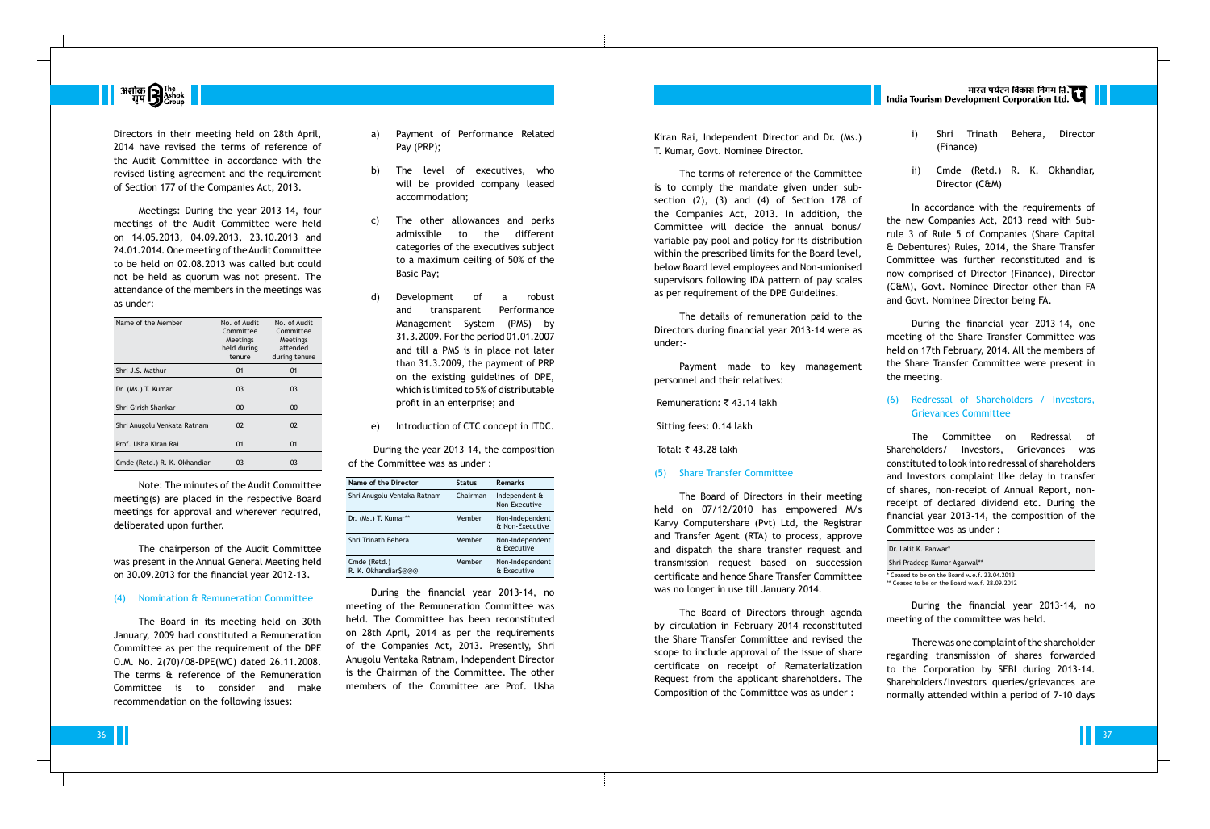

Directors in their meeting held on 28th April, 2014 have revised the terms of reference of the Audit Committee in accordance with the revised listing agreement and the requirement of Section 177 of the Companies Act, 2013.

Meetings: During the year 2013-14, four meetings of the Audit Committee were held on 14.05.2013, 04.09.2013, 23.10.2013 and 24.01.2014. One meeting of the Audit Committee to be held on 02.08.2013 was called but could not be held as quorum was not present. The attendance of the members in the meetings was as under:-

| No. of Audit<br>Committee<br><b>Meetings</b><br>held during<br>tenure | No. of Audit<br>Committee<br>Meetings<br>attended<br>during tenure |
|-----------------------------------------------------------------------|--------------------------------------------------------------------|
| 01                                                                    | 01                                                                 |
| 03                                                                    | 03                                                                 |
| 00                                                                    | 00                                                                 |
| 02                                                                    | 02                                                                 |
| 01                                                                    | 01                                                                 |
| 03                                                                    | 03                                                                 |
|                                                                       |                                                                    |

Note: The minutes of the Audit Committee meeting(s) are placed in the respective Board meetings for approval and wherever required, deliberated upon further.

The chairperson of the Audit Committee was present in the Annual General Meeting held on 30.09.2013 for the financial year 2012-13.

#### (4) Nomination & Remuneration Committee

The Board in its meeting held on 30th January, 2009 had constituted a Remuneration Committee as per the requirement of the DPE O.M. No. 2(70)/08-DPE(WC) dated 26.11.2008. The terms & reference of the Remuneration Committee is to consider and make recommendation on the following issues:

- a) Payment of Performance Related Pay (PRP);
- b) The level of executives, who will be provided company leased accommodation;
- c) The other allowances and perks admissible to the different categories of the executives subject to a maximum ceiling of 50% of the Basic Pay;
- d) Development of a robust and transparent Performance Management System (PMS) by 31.3.2009. For the period 01.01.2007 and till a PMS is in place not later than 31.3.2009, the payment of PRP on the existing guidelines of DPE, which is limited to 5% of distributable profit in an enterprise; and
- e) Introduction of CTC concept in ITDC.

During the year 2013-14, the composition of the Committee was as under :

| Name of the Director                 | <b>Status</b> | <b>Remarks</b>                     |
|--------------------------------------|---------------|------------------------------------|
| Shri Anugolu Ventaka Ratnam          | Chairman      | Independent &<br>Non-Executive     |
| Dr. (Ms.) T. Kumar**                 | Member        | Non-Independent<br>& Non-Executive |
| Shri Trinath Behera                  | Member        | Non-Independent<br>& Executive     |
| Cmde (Retd.)<br>R. K. Okhandiar\$@@@ | Member        | Non-Independent<br>& Executive     |

During the financial year 2013-14, no meeting of the Remuneration Committee was held. The Committee has been reconstituted on 28th April, 2014 as per the requirements of the Companies Act, 2013. Presently, Shri Anugolu Ventaka Ratnam, Independent Director is the Chairman of the Committee. The other members of the Committee are Prof. Usha

Kiran Rai, Independent Director and Dr. (Ms.) T. Kumar, Govt. Nominee Director.

The terms of reference of the Committee is to comply the mandate given under subsection (2), (3) and (4) of Section 178 of the Companies Act, 2013. In addition, the Committee will decide the annual bonus/ variable pay pool and policy for its distribution within the prescribed limits for the Board level, below Board level employees and Non-unionised supervisors following IDA pattern of pay scales as per requirement of the DPE Guidelines.

The details of remuneration paid to the Directors during financial year 2013-14 were as under:-

Payment made to key management personnel and their relatives:

Remuneration:  $\bar{\tau}$  43.14 lakh

Sitting fees: 0.14 lakh

Total: ₹43.28 lakh

(5) Share Transfer Committee

The Board of Directors in their meeting held on 07/12/2010 has empowered M/s Karvy Computershare (Pvt) Ltd, the Registrar and Transfer Agent (RTA) to process, approve and dispatch the share transfer request and transmission request based on succession certificate and hence Share Transfer Committee was no longer in use till January 2014.

The Board of Directors through agenda by circulation in February 2014 reconstituted the Share Transfer Committee and revised the scope to include approval of the issue of share certificate on receipt of Rematerialization Request from the applicant shareholders. The Composition of the Committee was as under :

- i) Shri Trinath Behera, Director (Finance)
- ii) Cmde (Retd.) R. K. Okhandiar, Director (C&M)

In accordance with the requirements of the new Companies Act, 2013 read with Subrule 3 of Rule 5 of Companies (Share Capital & Debentures) Rules, 2014, the Share Transfer Committee was further reconstituted and is now comprised of Director (Finance), Director (C&M), Govt. Nominee Director other than FA and Govt. Nominee Director being FA.

During the financial year 2013-14, one meeting of the Share Transfer Committee was held on 17th February, 2014. All the members of the Share Transfer Committee were present in the meeting.

### (6) Redressal of Shareholders / Investors, Grievances Committee

The Committee on Redressal of Shareholders/ Investors, Grievances was constituted to look into redressal of shareholders and Investors complaint like delay in transfer of shares, non-receipt of Annual Report, nonreceipt of declared dividend etc. During the financial year 2013-14, the composition of the Committee was as under :

| Dr. Lalit K. Panwar*                          |  |
|-----------------------------------------------|--|
| Shri Pradeep Kumar Agarwal**                  |  |
| * Ceased to be on the Board w.e.f. 23.04.2013 |  |

\*\* Ceased to be on the Board w.e.f. 28.09.2012

During the financial year 2013-14, no meeting of the committee was held.

There was one complaint of the shareholder regarding transmission of shares forwarded to the Corporation by SEBI during 2013-14. Shareholders/Investors queries/grievances are normally attended within a period of 7-10 days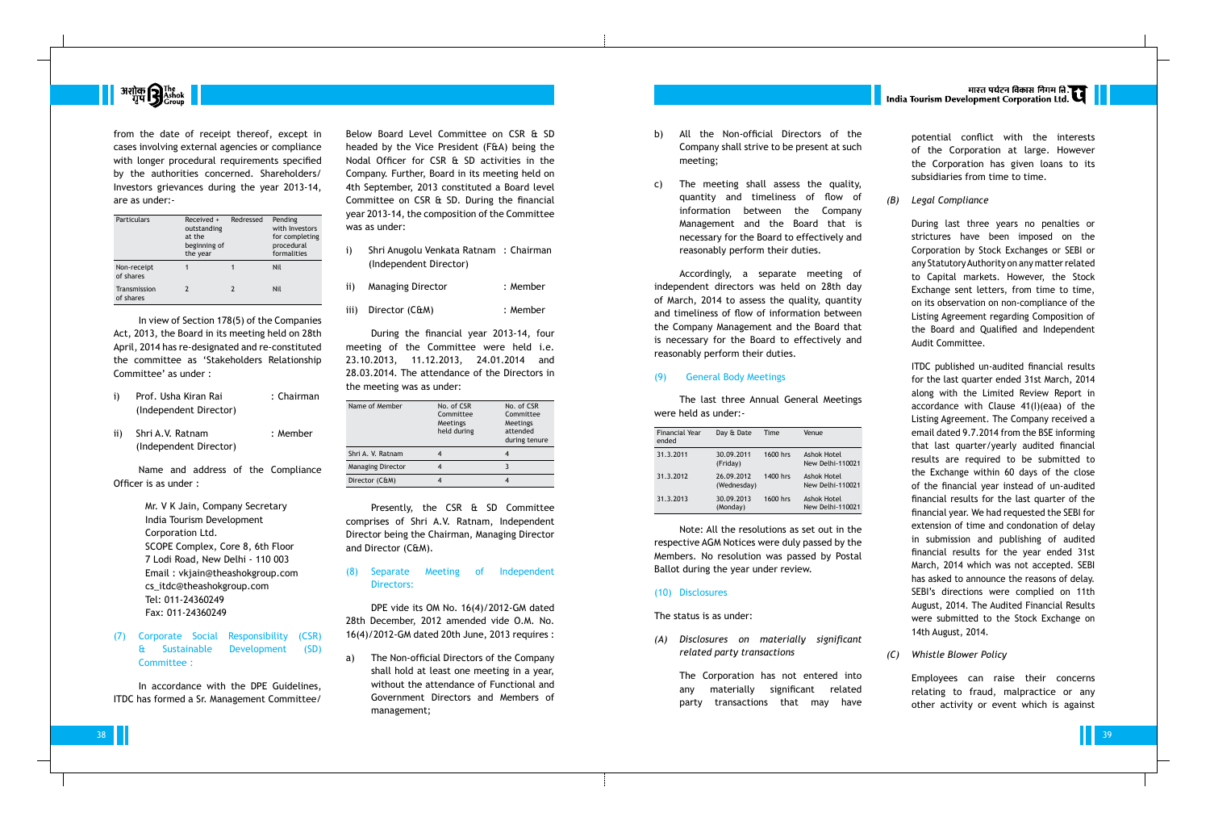

from the date of receipt thereof, except in cases involving external agencies or compliance with longer procedural requirements specified by the authorities concerned. Shareholders/ Investors grievances during the year 2013-14, are as under:-

| Particulars               | Received +<br>outstanding<br>at the<br>beginning of<br>the year | Redressed | Pending<br>with Investors<br>for completing<br>procedural<br>formalities |
|---------------------------|-----------------------------------------------------------------|-----------|--------------------------------------------------------------------------|
| Non-receipt<br>of shares  |                                                                 |           | Nil                                                                      |
| Transmission<br>of shares |                                                                 | 2         | Nil                                                                      |

- i) Prof. Usha Kiran Rai : Chairman (Independent Director)
- ii) Shri A.V. Ratnam : Member (Independent Director)

In view of Section 178(5) of the Companies Act, 2013, the Board in its meeting held on 28th April, 2014 has re-designated and re-constituted the committee as 'Stakeholders Relationship Committee' as under :

Name and address of the Compliance Officer is as under :

> Mr. V K Jain, Company Secretary India Tourism Development Corporation Ltd. SCOPE Complex, Core 8, 6th Floor 7 Lodi Road, New Delhi - 110 003 Email : vkjain@theashokgroup.com cs\_itdc@theashokgroup.com Tel: 011-24360249 Fax: 011-24360249

(7) Corporate Social Responsibility (CSR) & Sustainable Development (SD) Committee :

In accordance with the DPE Guidelines, ITDC has formed a Sr. Management Committee/ The Non-official Directors of the Company shall hold at least one meeting in a year, without the attendance of Functional and Government Directors and Members of management;

Below Board Level Committee on CSR & SD headed by the Vice President (F&A) being the Nodal Officer for CSR & SD activities in the Company. Further, Board in its meeting held on 4th September, 2013 constituted a Board level Committee on CSR & SD. During the financial year 2013-14, the composition of the Committee was as under:

- i) Shri Anugolu Venkata Ratnam : Chairman (Independent Director)
- ii) Managing Director : Member
- iii) Director (C&M) : Member

During the financial year 2013-14, four meeting of the Committee were held i.e. 23.10.2013, 11.12.2013, 24.01.2014 and 28.03.2014. The attendance of the Directors in the meeting was as under:

| Name of Member           | No. of CSR<br>Committee<br>Meetings<br>held during | No. of CSR<br>Committee<br>Meetings<br>attended<br>during tenure |
|--------------------------|----------------------------------------------------|------------------------------------------------------------------|
| Shri A. V. Ratnam        |                                                    |                                                                  |
| <b>Managing Director</b> |                                                    |                                                                  |
| Director (C&M)           |                                                    |                                                                  |

Presently, the CSR & SD Committee comprises of Shri A.V. Ratnam, Independent Director being the Chairman, Managing Director and Director (C&M).

#### (8) Separate Meeting of Independent Directors:

DPE vide its OM No. 16(4)/2012-GM dated 28th December, 2012 amended vide O.M. No. 16(4)/2012-GM dated 20th June, 2013 requires : potential conflict with the interests of the Corporation at large. However the Corporation has given loans to its subsidiaries from time to time.

*(B) Legal Compliance*

During last three years no penalties or strictures have been imposed on the Corporation by Stock Exchanges or SEBI or any Statutory Authority on any matter related to Capital markets. However, the Stock Exchange sent letters, from time to time, on its observation on non-compliance of the Listing Agreement regarding Composition of the Board and Qualified and Independent Audit Committee.

ITDC published un-audited financial results for the last quarter ended 31st March, 2014 along with the Limited Review Report in accordance with Clause 41(I)(eaa) of the Listing Agreement. The Company received a email dated 9.7.2014 from the BSE informing that last quarter/yearly audited financial results are required to be submitted to the Exchange within 60 days of the close of the financial year instead of un-audited financial results for the last quarter of the financial year. We had requested the SEBI for extension of time and condonation of delay in submission and publishing of audited financial results for the year ended 31st March, 2014 which was not accepted. SEBI has asked to announce the reasons of delay. SEBI's directions were complied on 11th August, 2014. The Audited Financial Results were submitted to the Stock Exchange on 14th August, 2014.

*(C) Whistle Blower Policy*

Employees can raise their concerns relating to fraud, malpractice or any other activity or event which is against

- b) All the Non-official Directors of the Company shall strive to be present at such meeting;
- c) The meeting shall assess the quality, quantity and timeliness of flow of information between the Company Management and the Board that is necessary for the Board to effectively and reasonably perform their duties.

Accordingly, a separate meeting of independent directors was held on 28th day of March, 2014 to assess the quality, quantity and timeliness of flow of information between the Company Management and the Board that is necessary for the Board to effectively and reasonably perform their duties.

#### (9) General Body Meetings

The last three Annual General Meetings were held as under:-

| <b>Financial Year</b><br>ended | Day & Date                | Time     | Venue                           |
|--------------------------------|---------------------------|----------|---------------------------------|
| 31.3.2011                      | 30.09.2011<br>(Friday)    | 1600 hrs | Ashok Hotel<br>New Delhi-110021 |
| 31.3.2012                      | 26.09.2012<br>(Wednesday) | 1400 hrs | Ashok Hotel<br>New Delhi-110021 |
| 31.3.2013                      | 30.09.2013<br>(Monday)    | 1600 hrs | Ashok Hotel<br>New Delhi-110021 |

Note: All the resolutions as set out in the respective AGM Notices were duly passed by the Members. No resolution was passed by Postal Ballot during the year under review.

#### (10) Disclosures

The status is as under:

*(A) Disclosures on materially significant related party transactions*

> The Corporation has not entered into any materially significant related party transactions that may have

# मारत पर्यटन विकास निगम ति.<br>| India Tourism Development Corporation Ltd.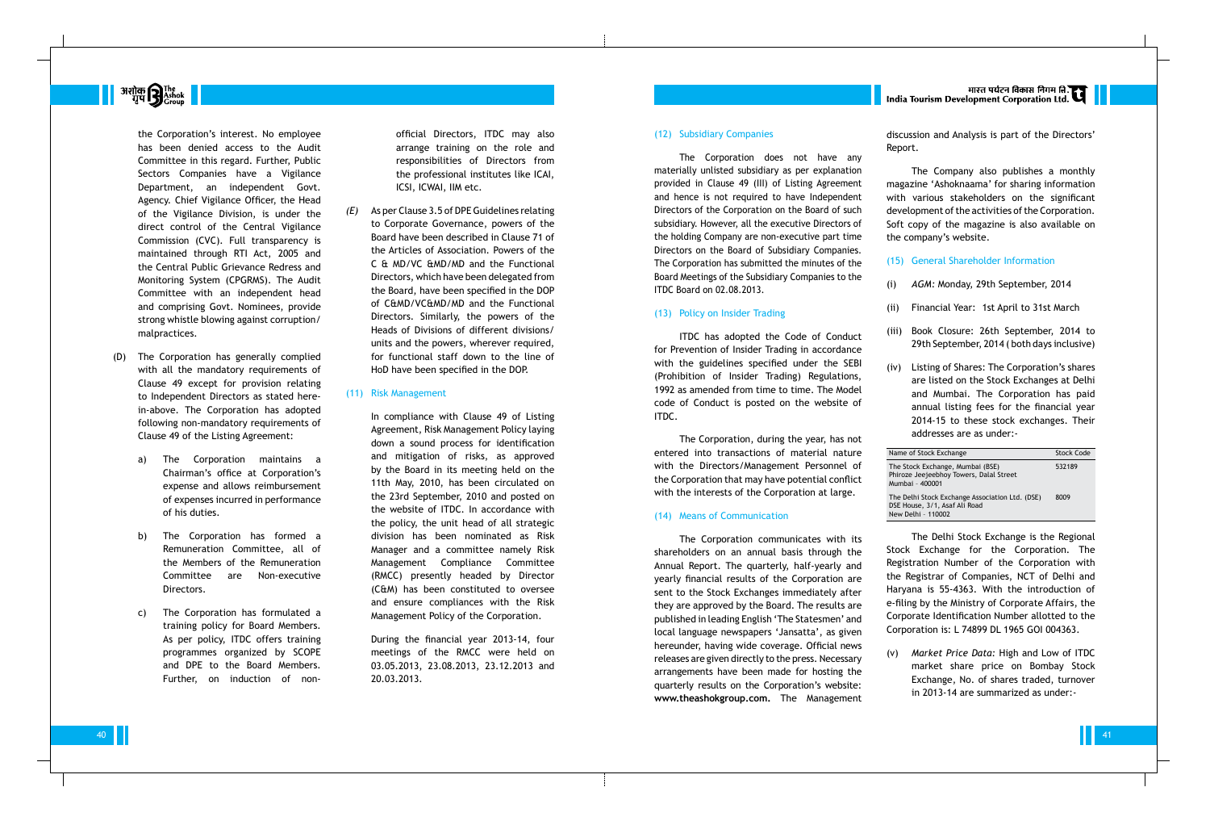#### (12) Subsidiary Companies

The Corporation does not have any materially unlisted subsidiary as per explanation provided in Clause 49 (III) of Listing Agreement and hence is not required to have Independent Directors of the Corporation on the Board of such subsidiary. However, all the executive Directors of the holding Company are non-executive part time Directors on the Board of Subsidiary Companies. The Corporation has submitted the minutes of the Board Meetings of the Subsidiary Companies to the ITDC Board on 02.08.2013.

#### (13) Policy on Insider Trading

ITDC has adopted the Code of Conduct for Prevention of Insider Trading in accordance with the guidelines specified under the SEBI (Prohibition of Insider Trading) Regulations, 1992 as amended from time to time. The Model code of Conduct is posted on the website of ITDC.

The Corporation, during the year, has not entered into transactions of material nature with the Directors/Management Personnel of the Corporation that may have potential conflict with the interests of the Corporation at large.

#### (14) Means of Communication

The Corporation communicates with its shareholders on an annual basis through the Annual Report. The quarterly, half-yearly and yearly financial results of the Corporation are sent to the Stock Exchanges immediately after they are approved by the Board. The results are published in leading English 'The Statesmen' and local language newspapers 'Jansatta', as given hereunder, having wide coverage. Official news releases are given directly to the press. Necessary arrangements have been made for hosting the quarterly results on the Corporation's website: **www.theashokgroup.com.** The Management

# भारत पर्यटन विकास निगम ति.<br>India Tourism Development Corporation Ltd.

discussion and Analysis is part of the Directors' Report.

The Company also publishes a monthly magazine 'Ashoknaama' for sharing information with various stakeholders on the significant development of the activities of the Corporation. Soft copy of the magazine is also available on the company's website.

- (15) General Shareholder Information
- (i) *AGM:* Monday, 29th September, 2014
- (ii) Financial Year: 1st April to 31st March
- (iii) Book Closure: 26th September, 2014 to 29th September, 2014 ( both days inclusive)
- (iv) Listing of Shares: The Corporation's shares are listed on the Stock Exchanges at Delhi and Mumbai. The Corporation has paid annual listing fees for the financial year 2014-15 to these stock exchanges. Their addresses are as under:-

| Name of Stock Exchange                                                                                 | <b>Stock Code</b> |
|--------------------------------------------------------------------------------------------------------|-------------------|
| The Stock Exchange, Mumbai (BSE)<br>Phiroze Jeejeebhoy Towers, Dalal Street<br>Mumbai - 400001         | 532189            |
| The Delhi Stock Exchange Association Ltd. (DSE)<br>DSE House, 3/1, Asaf Ali Road<br>New Delhi - 110002 | 8009              |

The Delhi Stock Exchange is the Regional Stock Exchange for the Corporation. The Registration Number of the Corporation with the Registrar of Companies, NCT of Delhi and Haryana is 55-4363. With the introduction of e-filing by the Ministry of Corporate Affairs, the Corporate Identification Number allotted to the Corporation is: L 74899 DL 1965 GOI 004363.

(v) *Market Price Data:* High and Low of ITDC market share price on Bombay Stock Exchange, No. of shares traded, turnover in 2013-14 are summarized as under:-



the Corporation's interest. No employee has been denied access to the Audit Committee in this regard. Further, Public Sectors Companies have a Vigilance Department, an independent Govt. Agency. Chief Vigilance Officer, the Head of the Vigilance Division, is under the direct control of the Central Vigilance Commission (CVC). Full transparency is maintained through RTI Act, 2005 and the Central Public Grievance Redress and Monitoring System (CPGRMS). The Audit Committee with an independent head and comprising Govt. Nominees, provide strong whistle blowing against corruption/ malpractices.

- (D) The Corporation has generally complied with all the mandatory requirements of Clause 49 except for provision relating to Independent Directors as stated herein-above. The Corporation has adopted following non-mandatory requirements of Clause 49 of the Listing Agreement:
	- a) The Corporation maintains a Chairman's office at Corporation's expense and allows reimbursement of expenses incurred in performance of his duties.
	- b) The Corporation has formed a Remuneration Committee, all of the Members of the Remuneration Committee are Non-executive Directors.
	- c) The Corporation has formulated a training policy for Board Members. As per policy, ITDC offers training programmes organized by SCOPE and DPE to the Board Members. Further, on induction of non-

official Directors, ITDC may also arrange training on the role and responsibilities of Directors from the professional institutes like ICAI, ICSI, ICWAI, IIM etc.

*(E)* As per Clause 3.5 of DPE Guidelines relating to Corporate Governance, powers of the Board have been described in Clause 71 of the Articles of Association. Powers of the C & MD/VC &MD/MD and the Functional Directors, which have been delegated from the Board, have been specified in the DOP of C&MD/VC&MD/MD and the Functional Directors. Similarly, the powers of the Heads of Divisions of different divisions/ units and the powers, wherever required, for functional staff down to the line of HoD have been specified in the DOP.

#### (11) Risk Management

In compliance with Clause 49 of Listing Agreement, Risk Management Policy laying down a sound process for identification and mitigation of risks, as approved by the Board in its meeting held on the 11th May, 2010, has been circulated on the 23rd September, 2010 and posted on the website of ITDC. In accordance with the policy, the unit head of all strategic division has been nominated as Risk Manager and a committee namely Risk Management Compliance Committee (RMCC) presently headed by Director (C&M) has been constituted to oversee and ensure compliances with the Risk Management Policy of the Corporation.

During the financial year 2013-14, four meetings of the RMCC were held on 03.05.2013, 23.08.2013, 23.12.2013 and 20.03.2013.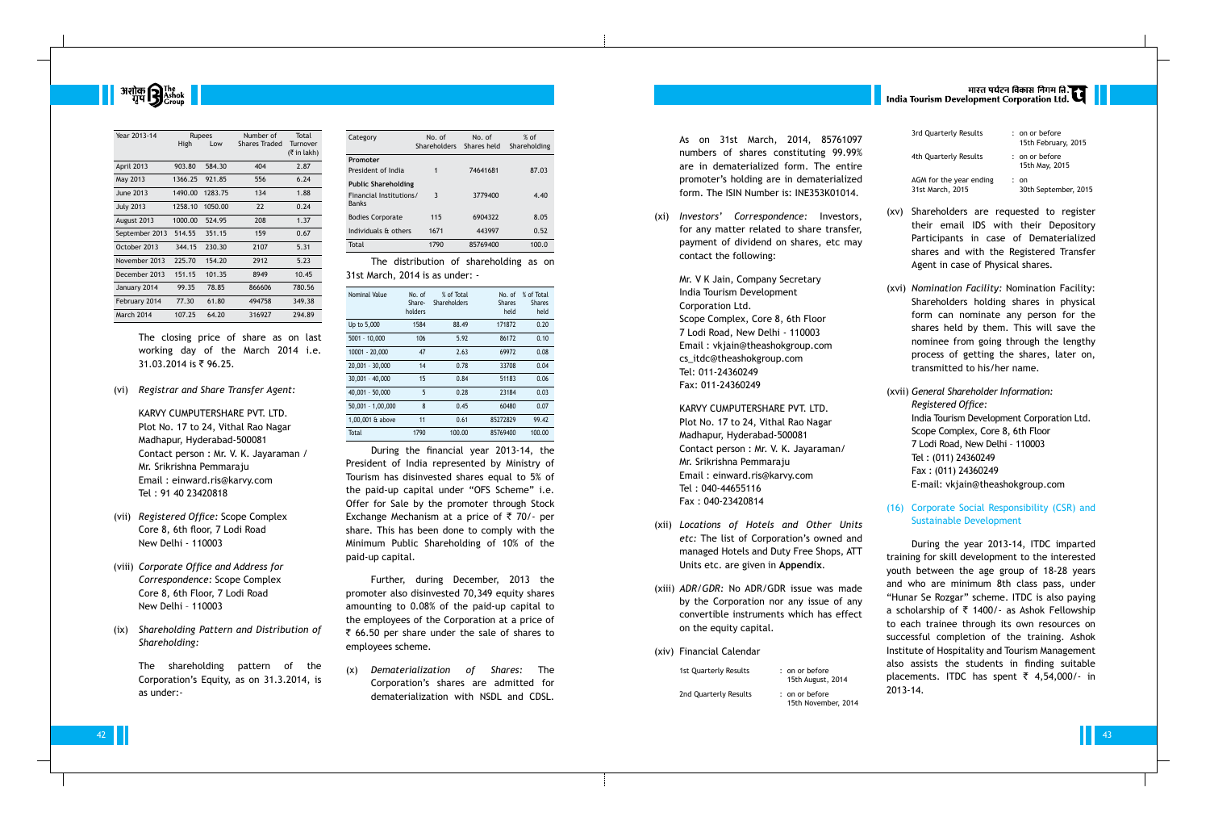# **अशोक सिर्** The Tashok

| Year 2013-14      | <b>Rupees</b> |         | Number of            | Total           |
|-------------------|---------------|---------|----------------------|-----------------|
|                   | High          | Low     | <b>Shares Traded</b> | <b>Turnover</b> |
|                   |               |         |                      | $($ ₹ in lakh)  |
| April 2013        | 903.80        | 584.30  | 404                  | 2.87            |
| May 2013          | 1366.25       | 921.85  | 556                  | 6.24            |
| June 2013         | 1490.00       | 1283.75 | 134                  | 1.88            |
| <b>July 2013</b>  | 1258.10       | 1050.00 | 22                   | 0.24            |
| August 2013       | 1000.00       | 524.95  | 208                  | 1.37            |
| September 2013    | 514.55        | 351.15  | 159                  | 0.67            |
| October 2013      | 344.15        | 230.30  | 2107                 | 5.31            |
| November 2013     | 225.70        | 154.20  | 2912                 | 5.23            |
| December 2013     | 151.15        | 101.35  | 8949                 | 10.45           |
| January 2014      | 99.35         | 78.85   | 866606               | 780.56          |
| February 2014     | 77.30         | 61.80   | 494758               | 349.38          |
| <b>March 2014</b> | 107.25        | 64.20   | 316927               | 294.89          |

The closing price of share as on last working day of the March 2014 i.e. 31.03.2014 is ₹ 96.25.

(vi) *Registrar and Share Transfer Agent:*

KARVY CUMPUTERSHARE PVT. LTD. Plot No. 17 to 24, Vithal Rao Nagar Madhapur, Hyderabad-500081 Contact person : Mr. V. K. Jayaraman / Mr. Srikrishna Pemmaraju Email : einward.ris@karvy.com Tel : 91 40 23420818

- (vii) *Registered Office:* Scope Complex Core 8, 6th floor, 7 Lodi Road New Delhi - 110003
- (viii) *Corporate Office and Address for Correspondence:* Scope Complex Core 8, 6th Floor, 7 Lodi Road New Delhi – 110003
- (ix) *Shareholding Pattern and Distribution of Shareholding:*

The shareholding pattern of the Corporation's Equity, as on 31.3.2014, is as under:-

| Category                                | No. of<br><b>Shareholders</b> | No. of<br>Shares held | $%$ of<br>Shareholding |
|-----------------------------------------|-------------------------------|-----------------------|------------------------|
| Promoter                                |                               |                       |                        |
| President of India                      | 1                             | 74641681              | 87.03                  |
| <b>Public Shareholding</b>              |                               |                       |                        |
| Financial Institutions/<br><b>Banks</b> | 3                             | 3779400               | 4.40                   |
| <b>Bodies Corporate</b>                 | 115                           | 6904322               | 8.05                   |
| Individuals & others                    | 1671                          | 443997                | 0.52                   |
| Total                                   | 1790                          | 85769400              | 100.0                  |

The distribution of shareholding as on 31st March, 2014 is as under: -

| Nominal Value       | No. of<br>Share-<br>holders | % of Total<br>Shareholders | No. of<br><b>Shares</b><br>held | % of Total<br><b>Shares</b><br>held |
|---------------------|-----------------------------|----------------------------|---------------------------------|-------------------------------------|
| Up to 5,000         | 1584                        | 88.49                      | 171872                          | 0.20                                |
| $5001 - 10,000$     | 106                         | 5.92                       | 86172                           | 0.10                                |
| 10001 - 20,000      | 47                          | 2.63                       | 69972                           | 0.08                                |
| $20.001 - 30.000$   | 14                          | 0.78                       | 33708                           | 0.04                                |
| $30.001 - 40.000$   | 15                          | 0.84                       | 51183                           | 0.06                                |
| $40,001 - 50,000$   | 5                           | 0.28                       | 23184                           | 0.03                                |
| $50,001 - 1,00,000$ | 8                           | 0.45                       | 60480                           | 0.07                                |
| 1,00,001 & above    | 11                          | 0.61                       | 85272829                        | 99.42                               |
| Total               | 1790                        | 100.00                     | 85769400                        | 100.00                              |

1st Quarterly Results : on or before 15th August, 2014 2nd Quarterly Results : on or before 15th November, 2014

# |<br>| India Tourism Development Corporation Ltd.

During the financial year 2013-14, the President of India represented by Ministry of Tourism has disinvested shares equal to 5% of the paid-up capital under "OFS Scheme" i.e. Offer for Sale by the promoter through Stock Exchange Mechanism at a price of  $\bar{\tau}$  70/- per share. This has been done to comply with the Minimum Public Shareholding of 10% of the paid-up capital.

Further, during December, 2013 the promoter also disinvested 70,349 equity shares amounting to 0.08% of the paid-up capital to the employees of the Corporation at a price of  $\bar{\tau}$  66.50 per share under the sale of shares to employees scheme.

(x) *Dematerialization of Shares:* The Corporation's shares are admitted for dematerialization with NSDL and CDSL.

As on 31st March, 2014, 85761097 numbers of shares constituting 99.99% are in dematerialized form. The entire promoter's holding are in dematerialized form. The ISIN Number is: INE353K01014.

(xi) *Investors' Correspondence:* Investors, for any matter related to share transfer, payment of dividend on shares, etc may contact the following:

> Mr. V K Jain, Company Secretary India Tourism Development Corporation Ltd. Scope Complex, Core 8, 6th Floor 7 Lodi Road, New Delhi - 110003 Email : vkjain@theashokgroup.com cs\_itdc@theashokgroup.com Tel: 011-24360249 Fax: 011-24360249

KARVY CUMPUTERSHARE PVT. LTD. Plot No. 17 to 24, Vithal Rao Nagar Madhapur, Hyderabad-500081 Contact person : Mr. V. K. Jayaraman/ Mr. Srikrishna Pemmaraju Email : einward.ris@karvy.com Tel : 040-44655116 Fax : 040-23420814

- (xii) *Locations of Hotels and Other Units etc:* The list of Corporation's owned and managed Hotels and Duty Free Shops, ATT Units etc. are given in **Appendix**.
- (xiii) *ADR/GDR:* No ADR/GDR issue was made by the Corporation nor any issue of any convertible instruments which has effect on the equity capital.
- (xiv) Financial Calendar

| 3rd Quarterly Results                       | : on or before<br>15th February, 2015 |
|---------------------------------------------|---------------------------------------|
| 4th Quarterly Results                       | : on or before<br>15th May, 2015      |
| AGM for the year ending<br>31st March, 2015 | : on<br>30th September, 2015          |

- (xv) Shareholders are requested to register their email IDS with their Depository Participants in case of Dematerialized shares and with the Registered Transfer Agent in case of Physical shares.
- (xvi) *Nomination Facility:* Nomination Facility: Shareholders holding shares in physical form can nominate any person for the shares held by them. This will save the nominee from going through the lengthy process of getting the shares, later on, transmitted to his/her name.
- (xvii) *General Shareholder Information: Registered Office:* India Tourism Development Corporation Ltd. Scope Complex, Core 8, 6th Floor 7 Lodi Road, New Delhi – 110003 Tel : (011) 24360249 Fax : (011) 24360249 E-mail: vkjain@theashokgroup.com
- (16) Corporate Social Responsibility (CSR) and Sustainable Development

During the year 2013-14, ITDC imparted training for skill development to the interested youth between the age group of 18-28 years and who are minimum 8th class pass, under "Hunar Se Rozgar" scheme. ITDC is also paying a scholarship of  $\bar{\tau}$  1400/- as Ashok Fellowship to each trainee through its own resources on successful completion of the training. Ashok Institute of Hospitality and Tourism Management also assists the students in finding suitable placements. ITDC has spent  $\overline{z}$  4,54,000/- in 2013-14.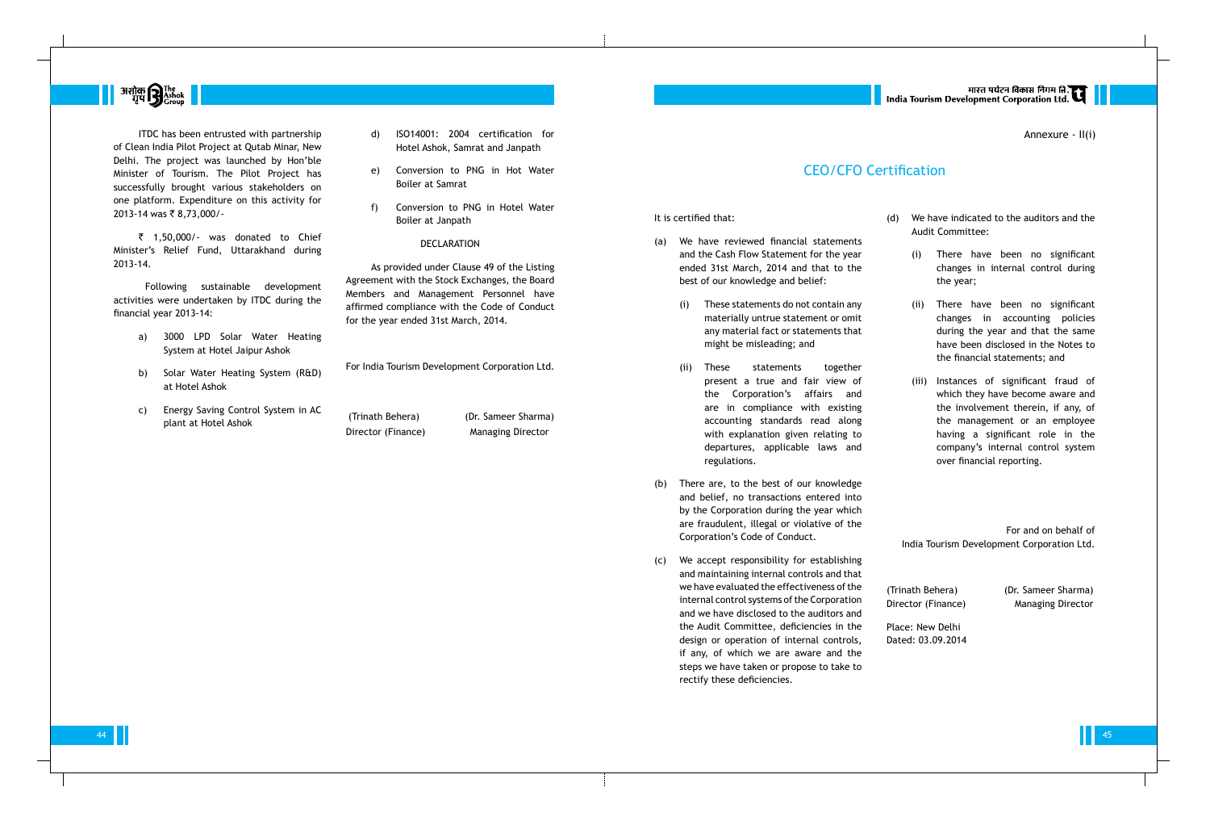It is certified that:

- (a) We have reviewed financial statements and the Cash Flow Statement for the year ended 31st March, 2014 and that to the best of our knowledge and belief:
	- (i) These statements do not contain any materially untrue statement or omit any material fact or statements that might be misleading; and
	- (ii) These statements together present a true and fair view of the Corporation's affairs and are in compliance with existing accounting standards read along with explanation given relating to departures, applicable laws and regulations.
- (b) There are, to the best of our knowledge and belief, no transactions entered into by the Corporation during the year which are fraudulent, illegal or violative of the Corporation's Code of Conduct.
- (c) We accept responsibility for establishing and maintaining internal controls and that we have evaluated the effectiveness of the internal control systems of the Corporation and we have disclosed to the auditors and the Audit Committee, deficiencies in the design or operation of internal controls, if any, of which we are aware and the steps we have taken or propose to take to rectify these deficiencies.

मारत पर्यटन विकास निगम ति.<br>India Tourism Development Corporation Ltd.



ITDC has been entrusted with partnership of Clean India Pilot Project at Qutab Minar, New Delhi. The project was launched by Hon'ble Minister of Tourism. The Pilot Project has successfully brought various stakeholders on one platform. Expenditure on this activity for 2013-14 was ₹ 8,73,000/-

 $\bar{z}$  1,50,000/- was donated to Chief Minister's Relief Fund, Uttarakhand during 2013-14.

- (d) We have indicated to the auditors and the Audit Committee:
	- (i) There have been no significant changes in internal control during the year;
	- (ii) There have been no significant changes in accounting policies during the year and that the same have been disclosed in the Notes to the financial statements; and
	- (iii) Instances of significant fraud of which they have become aware and the involvement therein, if any, of the management or an employee having a significant role in the company's internal control system over financial reporting.

For and on behalf of India Tourism Development Corporation Ltd.

(Trinath Behera) (Dr. Sameer Sharma) Director (Finance) Managing Director

Place: New Delhi Dated: 03.09.2014

44 **45 de abril de la componentación de la componentación de la componentación de la componentación de la compo** 

## CEO/CFO Certification

Following sustainable development activities were undertaken by ITDC during the financial year 2013-14:

- a) 3000 LPD Solar Water Heating System at Hotel Jaipur Ashok
- b) Solar Water Heating System (R&D) at Hotel Ashok
- c) Energy Saving Control System in AC plant at Hotel Ashok
- d) ISO14001: 2004 certification for Hotel Ashok, Samrat and Janpath
- e) Conversion to PNG in Hot Water Boiler at Samrat
- f) Conversion to PNG in Hotel Water Boiler at Janpath

#### DECLARATION

As provided under Clause 49 of the Listing Agreement with the Stock Exchanges, the Board Members and Management Personnel have affirmed compliance with the Code of Conduct for the year ended 31st March, 2014.

For India Tourism Development Corporation Ltd.

(Trinath Behera) (Dr. Sameer Sharma) Director (Finance) Managing Director

Annexure - II(i)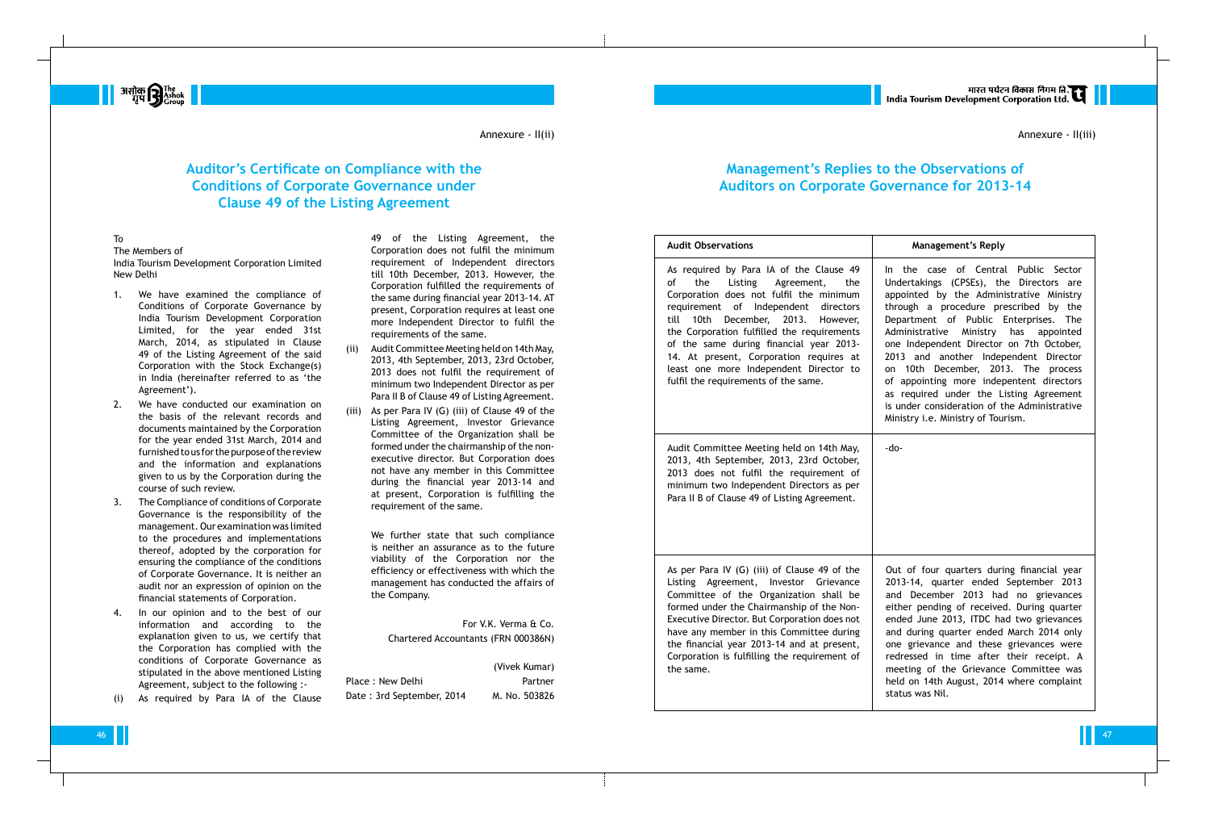#### To

The Members of India Tourism Development Corporation Limited New Delhi

- 1. We have examined the compliance of Conditions of Corporate Governance by India Tourism Development Corporation Limited, for the year ended 31st March, 2014, as stipulated in Clause 49 of the Listing Agreement of the said Corporation with the Stock Exchange(s) in India (hereinafter referred to as 'the Agreement').
- 2. We have conducted our examination on the basis of the relevant records and documents maintained by the Corporation for the year ended 31st March, 2014 and furnished to us for the purpose of the review and the information and explanations given to us by the Corporation during the course of such review.
- 3. The Compliance of conditions of Corporate Governance is the responsibility of the management. Our examination was limited to the procedures and implementations thereof, adopted by the corporation for ensuring the compliance of the conditions of Corporate Governance. It is neither an audit nor an expression of opinion on the financial statements of Corporation.
- In our opinion and to the best of our information and according to the explanation given to us, we certify that the Corporation has complied with the conditions of Corporate Governance as stipulated in the above mentioned Listing Agreement, subject to the following :-
- (i) As required by Para IA of the Clause

49 of the Listing Agreement, the Corporation does not fulfil the minimum requirement of Independent directors till 10th December, 2013. However, the Corporation fulfilled the requirements of the same during financial year 2013-14. AT present, Corporation requires at least one more Independent Director to fulfil the requirements of the same.

- (ii) Audit Committee Meeting held on 14th May, 2013, 4th September, 2013, 23rd October, 2013 does not fulfil the requirement of minimum two Independent Director as per Para II B of Clause 49 of Listing Agreement.
- (iii) As per Para IV (G) (iii) of Clause 49 of the Listing Agreement, Investor Grievance Committee of the Organization shall be formed under the chairmanship of the nonexecutive director. But Corporation does not have any member in this Committee during the financial year 2013-14 and at present, Corporation is fulfilling the requirement of the same.

As per Para IV  $(G)$  (iii) of Clause Listing Agreement, Invest Committee of the Organiza formed under the Chairmansh Executive Director. But Corpor have any member in this Con the financial year  $2013-14$  at Corporation is fulfilling the r the same.

We further state that such compliance is neither an assurance as to the future viability of the Corporation nor the efficiency or effectiveness with which the management has conducted the affairs of the Company.

For V.K. Verma & Co. Chartered Accountants (FRN 000386N)

|                           | (Vivek Kumar) |
|---------------------------|---------------|
| Place: New Delhi          | Partner       |
| Date: 3rd September, 2014 | M. No. 503826 |

## **Auditor's Certificate on Compliance with the Conditions of Corporate Governance under Clause 49 of the Listing Agreement**

**Havilon D** The The The The Scroup

## **Management's Replies to the Observations of Auditors on Corporate Governance for 2013-14**

#### **Audit Observations**

As required by Para IA of of the Listing Agree Corporation does not fulfil requirement of Independent till 10th December, 2013 the Corporation fulfilled the of the same during financi 14. At present, Corporation least one more Independen fulfil the requirements of the

Audit Committee Meeting hel 2013, 4th September, 2013, 2013 does not fulfil the  $r$ minimum two Independent D Para II B of Clause 49 of Listing

Annexure - II(iii)

|                                                                                                                                                                   | <b>Management's Reply</b>                                                                                                                                                                                                                                                                                                                                                                                                                                                                                                                                                   |
|-------------------------------------------------------------------------------------------------------------------------------------------------------------------|-----------------------------------------------------------------------------------------------------------------------------------------------------------------------------------------------------------------------------------------------------------------------------------------------------------------------------------------------------------------------------------------------------------------------------------------------------------------------------------------------------------------------------------------------------------------------------|
| the Clause 49<br>ement,<br>the<br>the minimum<br>ent directors<br>13.<br>However,<br>e requirements<br>ial year 2013-<br>n requires at<br>nt Director to<br>same. | In the case of Central Public Sector<br>Undertakings (CPSEs), the Directors are<br>appointed by the Administrative Ministry<br>through a procedure prescribed by the<br>Department of Public Enterprises.<br>The<br>Administrative<br>Ministry has<br>appointed<br>one Independent Director on 7th October,<br>2013 and another Independent Director<br>10th December, 2013. The process<br>on<br>of appointing more indepentent directors<br>as required under the Listing Agreement<br>is under consideration of the Administrative<br>Ministry i.e. Ministry of Tourism. |
| ld on 14th May,<br>23rd October,<br>equirement of<br>irectors as per<br>ng Agreement.                                                                             | -do-                                                                                                                                                                                                                                                                                                                                                                                                                                                                                                                                                                        |
| ause 49 of the<br>or Grievance<br>ation shall be<br>hip of the Non-<br>ration does not<br>nmittee during<br>nd at present,<br>equirement of                       | Out of four quarters during financial year<br>2013-14, quarter ended September 2013<br>and December 2013 had no grievances<br>either pending of received. During quarter<br>ended June 2013, ITDC had two grievances<br>and during quarter ended March 2014 only<br>one grievance and these grievances were<br>redressed in time after their receipt. A<br>meeting of the Grievance Committee was<br>held on 14th August, 2014 where complaint<br>status was Nil.                                                                                                           |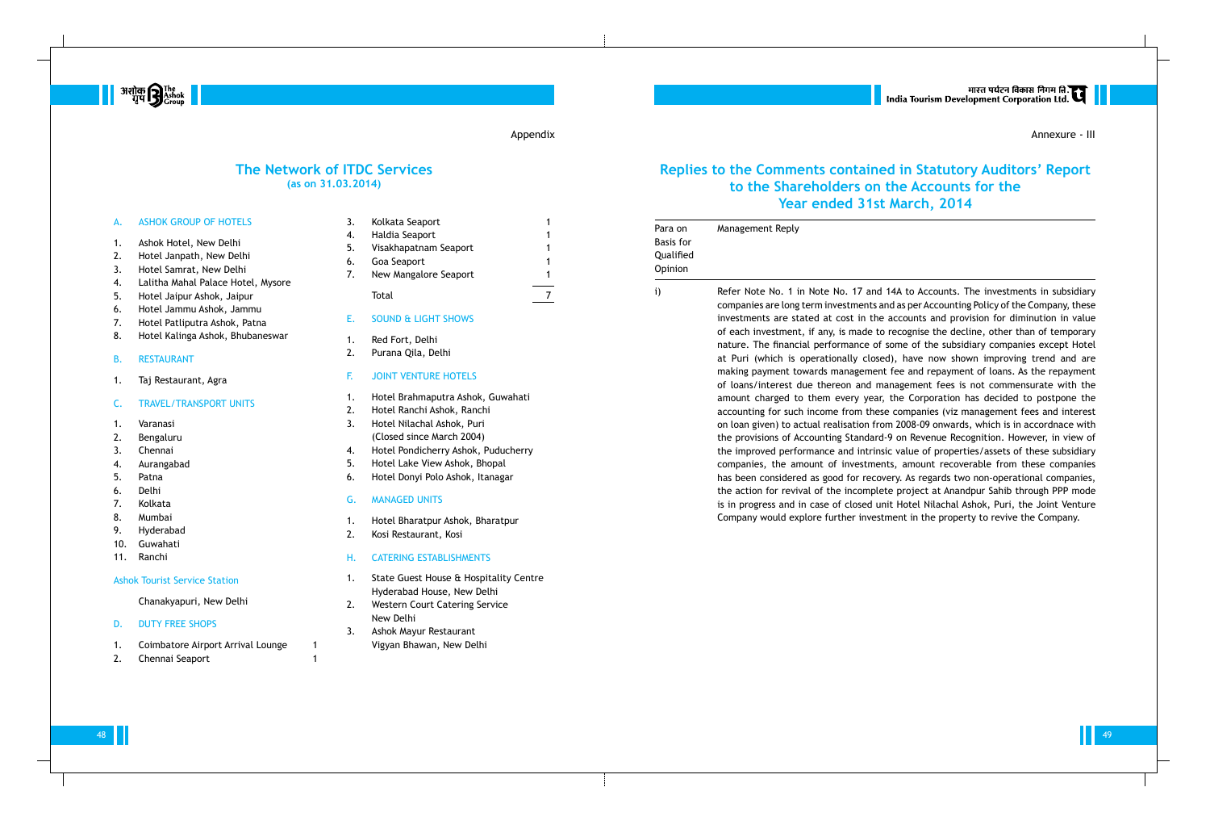D. DUTY FREE SHOPS

1. Coimbatore Airport Arrival Lounge 1 2. Chennai Seaport 1

| Α.  | <b>ASHOK GROUP OF HOTELS</b>         | 3. | Kolkata Seaport<br>1                                                 |  |
|-----|--------------------------------------|----|----------------------------------------------------------------------|--|
| 1.  | Ashok Hotel, New Delhi               | 4. | Haldia Seaport<br>1                                                  |  |
| 2.  | Hotel Janpath, New Delhi             | 5. | Visakhapatnam Seaport                                                |  |
| 3.  | Hotel Samrat, New Delhi              | 6. | Goa Seaport<br>1                                                     |  |
| 4.  | Lalitha Mahal Palace Hotel, Mysore   | 7. | New Mangalore Seaport<br>1                                           |  |
| 5.  | Hotel Jaipur Ashok, Jaipur           |    | $\overline{7}$<br>Total                                              |  |
| 6.  | Hotel Jammu Ashok, Jammu             |    |                                                                      |  |
| 7.  | Hotel Patliputra Ashok, Patna        | Ε. | <b>SOUND &amp; LIGHT SHOWS</b>                                       |  |
| 8.  | Hotel Kalinga Ashok, Bhubaneswar     |    |                                                                      |  |
|     |                                      | 1. | Red Fort, Delhi                                                      |  |
| В.  | <b>RESTAURANT</b>                    | 2. | Purana Qila, Delhi                                                   |  |
| 1.  | Taj Restaurant, Agra                 | F. | <b>JOINT VENTURE HOTELS</b>                                          |  |
| C.  | <b>TRAVEL/TRANSPORT UNITS</b>        | 1. | Hotel Brahmaputra Ashok, Guwahati                                    |  |
|     |                                      | 2. | Hotel Ranchi Ashok, Ranchi                                           |  |
| 1.  | Varanasi                             | 3. | Hotel Nilachal Ashok, Puri                                           |  |
| 2.  | Bengaluru                            |    | (Closed since March 2004)                                            |  |
| 3.  | Chennai                              | 4. | Hotel Pondicherry Ashok, Puducherry                                  |  |
| 4.  | Aurangabad                           | 5. | Hotel Lake View Ashok, Bhopal                                        |  |
| 5.  | Patna                                | 6. | Hotel Donyi Polo Ashok, Itanagar                                     |  |
| 6.  | <b>Delhi</b>                         |    |                                                                      |  |
| 7.  | Kolkata                              | G. | <b>MANAGED UNITS</b>                                                 |  |
| 8.  | Mumbai                               | 1. | Hotel Bharatpur Ashok, Bharatpur                                     |  |
| 9.  | Hyderabad                            | 2. | Kosi Restaurant, Kosi                                                |  |
| 10. | Guwahati                             |    |                                                                      |  |
| 11. | Ranchi                               | Н. | <b>CATERING ESTABLISHMENTS</b>                                       |  |
|     | <b>Ashok Tourist Service Station</b> | 1. | State Guest House & Hospitality Centre<br>Hyderabad House, New Delhi |  |
|     | Chanakyapuri, New Delhi              | 2. | Western Court Catering Service                                       |  |

- 2. Western Court Catering Service New Delhi
- 3. Ashok Mayur Restaurant Vigyan Bhawan, New Delhi

### **The Network of ITDC Services (as on 31.03.2014)**



#### Appendix

| Para on<br><b>Basis</b> for<br>Qualified<br>Opinion | Management Reply                                                                                                                                                                                                                                                                                                                                                                                        |
|-----------------------------------------------------|---------------------------------------------------------------------------------------------------------------------------------------------------------------------------------------------------------------------------------------------------------------------------------------------------------------------------------------------------------------------------------------------------------|
| i)                                                  | Refer Note No. 1 i<br>companies are long<br>investments are st<br>of each investment<br>nature. The financ<br>at Puri (which is<br>making payment to<br>of loans/interest o<br>amount charged to<br>accounting for sucl<br>on loan given) to a<br>the provisions of A<br>the improved perfo<br>companies, the ar<br>has been considere<br>the action for revi<br>is in progress and<br>Company would ex |
|                                                     |                                                                                                                                                                                                                                                                                                                                                                                                         |

## **Replies to the Comments contained in Statutory Auditors' Report to the Shareholders on the Accounts for the Year ended 31st March, 2014**

Annexure - III

in Note No. 17 and 14A to Accounts. The investments in subsidiary ng term investments and as per Accounting Policy of the Company, these stated at cost in the accounts and provision for diminution in value ent, if any, is made to recognise the decline, other than of temporary ncial performance of some of the subsidiary companies except Hotel is operationally closed), have now shown improving trend and are towards management fee and repayment of loans. As the repayment due thereon and management fees is not commensurate with the to them every year, the Corporation has decided to postpone the ach income from these companies (viz management fees and interest actual realisation from 2008-09 onwards, which is in accordnace with Accounting Standard-9 on Revenue Recognition. However, in view of rformance and intrinsic value of properties/assets of these subsidiary amount of investments, amount recoverable from these companies ered as good for recovery. As regards two non-operational companies, vival of the incomplete project at Anandpur Sahib through PPP mode d in case of closed unit Hotel Nilachal Ashok, Puri, the Joint Venture explore further investment in the property to revive the Company.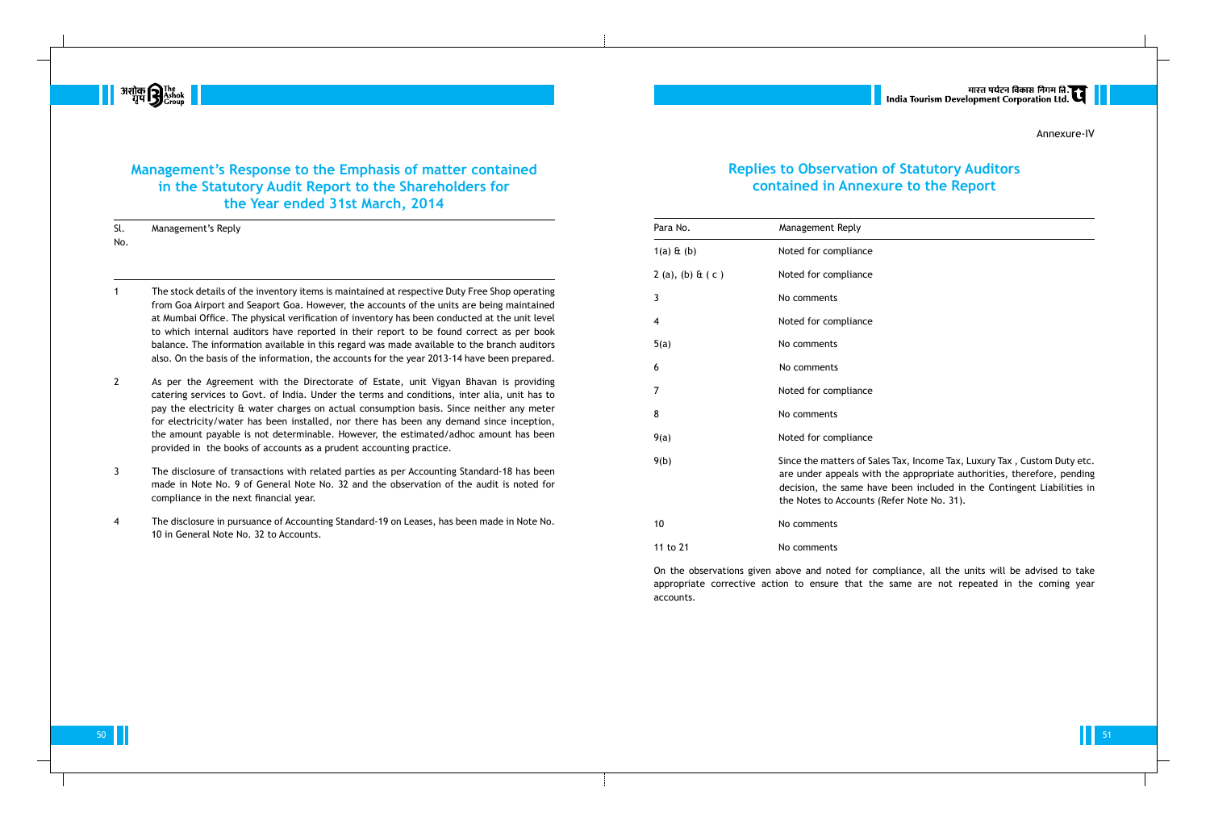On the observations given above and noted for compliance, all the units will be advised to take appropriate corrective action to ensure that the same are not repeated in the coming year accounts.

|<br>| India Tourism Development Corporation Ltd.

## **Replies to Observation of Statutory Auditors contained in Annexure to the Report**

- agement Reply
- d for compliance
- d for compliance
- omments
- ed for compliance
- omments
- comments
- ed for compliance
- omments:
- ed for compliance

e the matters of Sales Tax, Income Tax, Luxury Tax, Custom Duty etc. under appeals with the appropriate authorities, therefore, pending ision, the same have been included in the Contingent Liabilities in Notes to Accounts (Refer Note No. 31).

- omments
- omments:

50 THE ST PLAN CONTROL OF STATE OF STATE OF STATE OF STATE OF STATE OF STATE OF STATE OF STATE OF STATE OF STA





## **Management's Response to the Emphasis of matter contained in the Statutory Audit Report to the Shareholders for the Year ended 31st March, 2014**

Sl. Management's Reply No.

- 1 The stock details of the inventory items is maintained at respective Duty Free Shop operating from Goa Airport and Seaport Goa. However, the accounts of the units are being maintained at Mumbai Office. The physical verification of inventory has been conducted at the unit level to which internal auditors have reported in their report to be found correct as per book balance. The information available in this regard was made available to the branch auditors also. On the basis of the information, the accounts for the year 2013-14 have been prepared.
- 2 As per the Agreement with the Directorate of Estate, unit Vigyan Bhavan is providing catering services to Govt. of India. Under the terms and conditions, inter alia, unit has to pay the electricity & water charges on actual consumption basis. Since neither any meter for electricity/water has been installed, nor there has been any demand since inception, the amount payable is not determinable. However, the estimated/adhoc amount has been provided in the books of accounts as a prudent accounting practice.
- 3 The disclosure of transactions with related parties as per Accounting Standard-18 has been made in Note No. 9 of General Note No. 32 and the observation of the audit is noted for compliance in the next financial year.
- 4 The disclosure in pursuance of Accounting Standard-19 on Leases, has been made in Note No. 10 in General Note No. 32 to Accounts.

| Para No.           | Mana                          |
|--------------------|-------------------------------|
| $1(a)$ & $(b)$     | Note                          |
| $2(a), (b) \& (c)$ | Note                          |
| 3                  | No c                          |
| 4                  | Note                          |
| 5(a)               | No c                          |
| 6                  | No c                          |
| 7                  | Note                          |
| 8                  | No c                          |
| 9(a)               | Note                          |
| 9(b)               | Since<br>are<br>deci<br>the I |
| 10                 | No c                          |
| 11 to 21           | No c                          |
|                    |                               |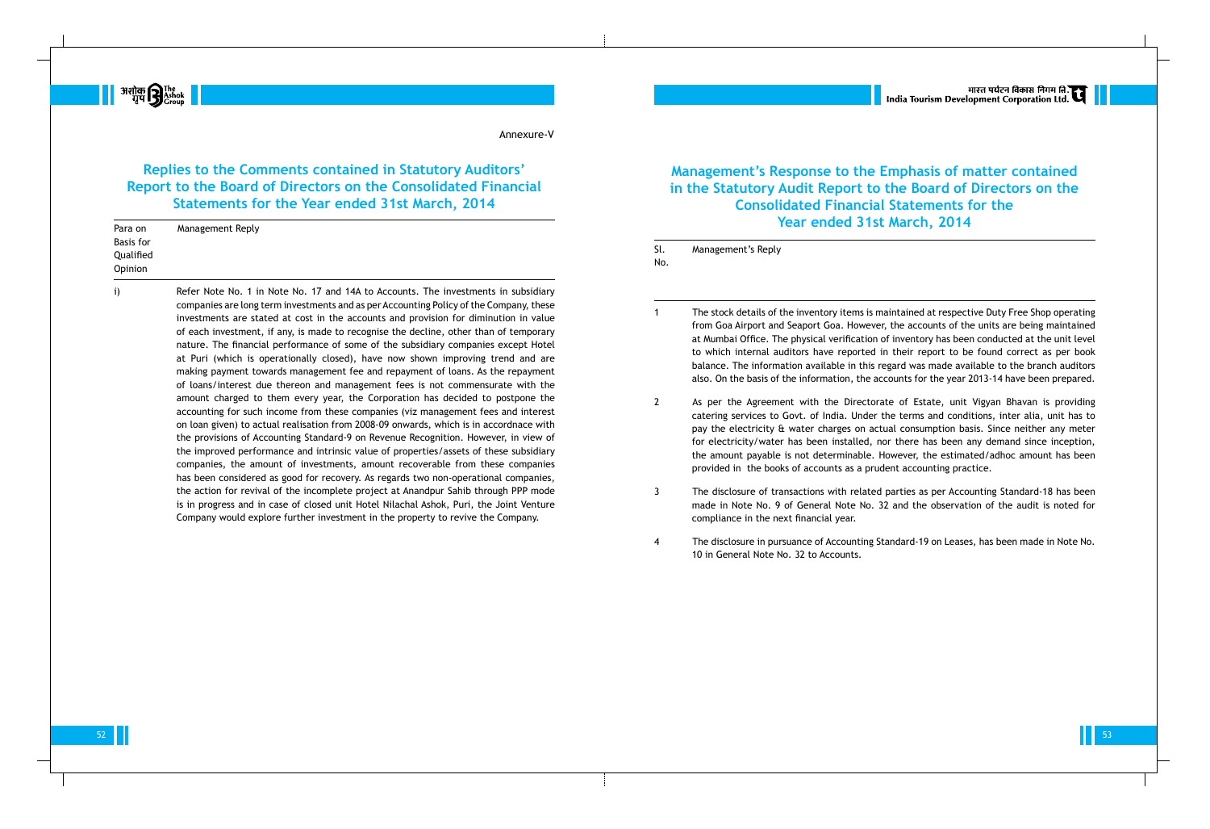## **Replies to the Comments contained in Statutory Auditors' Report to the Board of Directors on the Consolidated Financial Statements for the Year ended 31st March, 2014**

**H** अशोक **P** The The The Translation

#### Annexure-V

companies are long term investments and as per Accounting Policy of the Company, these investments are stated at cost in the accounts and provision for diminution in value of each investment, if any, is made to recognise the decline, other than of temporary nature. The financial performance of some of the subsidiary companies except Hotel at Puri (which is operationally closed), have now shown improving trend and are making payment towards management fee and repayment of loans. As the repayment of loans/interest due thereon and management fees is not commensurate with the amount charged to them every year, the Corporation has decided to postpone the accounting for such income from these companies (viz management fees and interest on loan given) to actual realisation from 2008-09 onwards, which is in accordnace with the provisions of Accounting Standard-9 on Revenue Recognition. However, in view of the improved performance and intrinsic value of properties/assets of these subsidiary companies, the amount of investments, amount recoverable from these companies has been considered as good for recovery. As regards two non-operational companies, the action for revival of the incomplete project at Anandpur Sahib through PPP mode is in progress and in case of closed unit Hotel Nilachal Ashok, Puri, the Joint Venture Company would explore further investment in the property to revive the Company.

| Para on                                  | Management Reply                                                                   |            |                  |
|------------------------------------------|------------------------------------------------------------------------------------|------------|------------------|
| <b>Basis for</b><br>Qualified<br>Opinion |                                                                                    | Sl.<br>No. | Management's Rep |
|                                          | Refer Note No. 1 in Note No. 17 and 14A to Accounts. The investments in subsidiary |            |                  |

**Management's Response to the Emphasis of matter contained in the Statutory Audit Report to the Board of Directors on the Consolidated Financial Statements for the Year ended 31st March, 2014**

Sl. Management's Reply

1 The stock details of the inventory items is maintained at respective Duty Free Shop operating from Goa Airport and Seaport Goa. However, the accounts of the units are being maintained at Mumbai Office. The physical verification of inventory has been conducted at the unit level to which internal auditors have reported in their report to be found correct as per book balance. The information available in this regard was made available to the branch auditors also. On the basis of the information, the accounts for the year 2013-14 have been prepared.

2 As per the Agreement with the Directorate of Estate, unit Vigyan Bhavan is providing catering services to Govt. of India. Under the terms and conditions, inter alia, unit has to pay the electricity & water charges on actual consumption basis. Since neither any meter for electricity/water has been installed, nor there has been any demand since inception, the amount payable is not determinable. However, the estimated/adhoc amount has been provided in the books of accounts as a prudent accounting practice.

3 The disclosure of transactions with related parties as per Accounting Standard-18 has been made in Note No. 9 of General Note No. 32 and the observation of the audit is noted for

- 
- 
- compliance in the next financial year.
- 10 in General Note No. 32 to Accounts.

4 The disclosure in pursuance of Accounting Standard-19 on Leases, has been made in Note No.

52 and the second contract of the second contract of the second contract of the second contract of the second contract of the second contract of the second contract of the second contract of the second contract of the seco

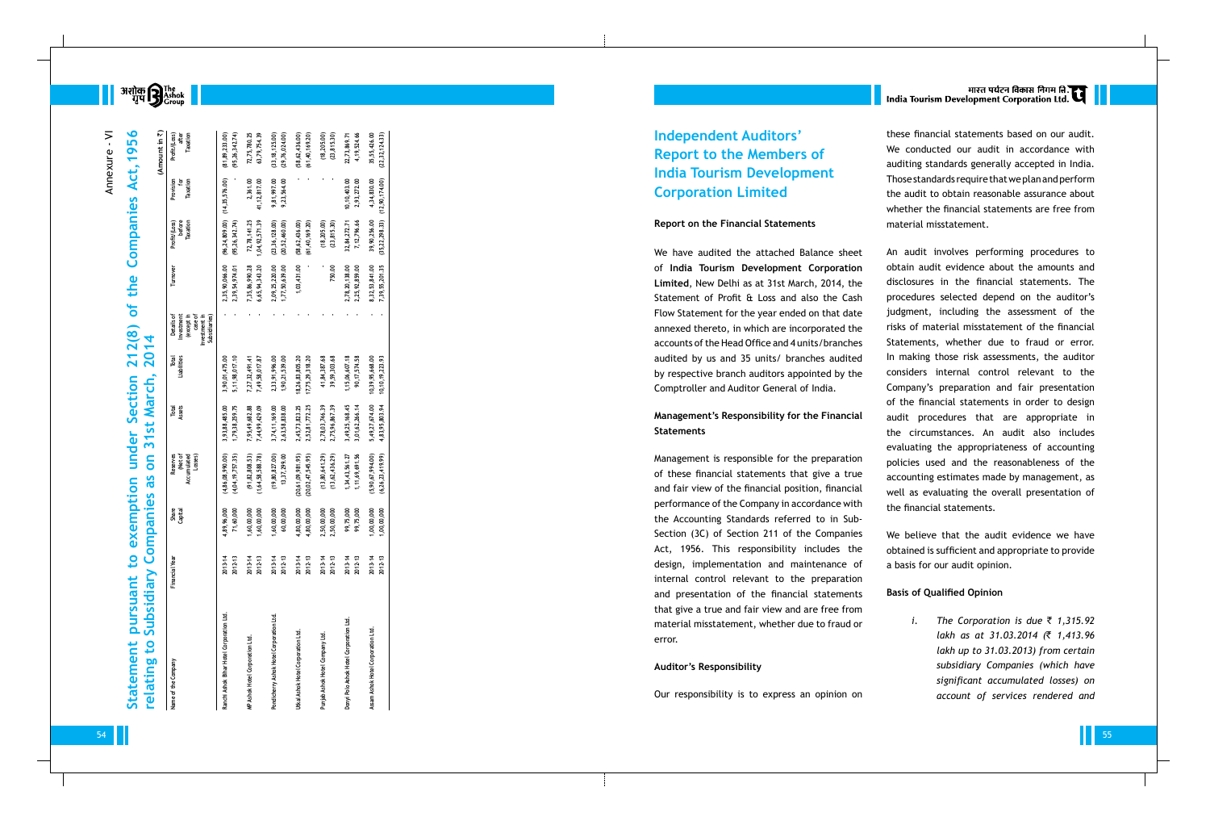**BEST** अशोक **सिंह**<br>बार्पण सिंह के अन्न का सिंह के बार का सिंह के बार का सिंह के बार से सिंह का सिंह के बार से सिंह का सिंह के बार<br>बार्ट के बार का सिंह के बार से सिंह का सिंह का सिंह का सिंह के बार से सिंह का सिंह का सिंह

#### **Report on the Financial Statements**

### **Management's Responsibility for the Financial Statements**

#### **Auditor's Responsibility**

# भारत पर्यटन विकास निगम ति.<br>India Tourism Development Corporation Ltd.

#### **Basis of Qualified Opinion**

| $\geq$   | 56                                |                                                               |                                                |                                             |                                          |                                                                                                            |                                          |                                     |                                                | <b>Independent Auditors'</b>                                                                         | these financial statements based on our audit.                                                   |                   |                                           |
|----------|-----------------------------------|---------------------------------------------------------------|------------------------------------------------|---------------------------------------------|------------------------------------------|------------------------------------------------------------------------------------------------------------|------------------------------------------|-------------------------------------|------------------------------------------------|------------------------------------------------------------------------------------------------------|--------------------------------------------------------------------------------------------------|-------------------|-------------------------------------------|
|          | $\overline{9}$                    | (Amount in $\vec{z}$ )<br>Profit/(Loss)<br>after<br>Taxation  | $(81, 89, 233.00)$<br>$(95, 26, 342.74)$       | 72,75,780.25<br>63,79,754.39                | $(33, 18, 125.00)$<br>$(29, 76, 024.00)$ | $(58, 62, 436.00)$<br>$(61, 40, 169.20)$                                                                   | $(18, 205, 00)$<br>$(23, 815, 30)$       | 22,73,869.71<br>4,19,524.66         | 35,55,426.00<br>(22, 32, 124.33)               | <b>Report to the Members of</b>                                                                      | We conducted our audit in accordance with                                                        |                   |                                           |
| Annexure |                                   |                                                               |                                                |                                             |                                          |                                                                                                            |                                          |                                     |                                                | <b>India Tourism Development</b>                                                                     | auditing standards generally accepted in India.                                                  |                   |                                           |
|          | Act,                              | Provision<br>for<br>Taxation                                  |                                                |                                             |                                          |                                                                                                            |                                          |                                     |                                                |                                                                                                      | Those standards require that we plan and perform                                                 |                   |                                           |
|          |                                   |                                                               | (14, 35, 576.00)                               | 2,361.00<br>41,12,817.00                    | 9,81,997.00<br>9,23,564.00               |                                                                                                            |                                          | $10, 10, 403.00$<br>$2, 93, 272.00$ | 4, 34, 830.00<br>(12, 90, 174.00)              | <b>Corporation Limited</b>                                                                           | the audit to obtain reasonable assurance about<br>whether the financial statements are free from |                   |                                           |
|          | Companies                         | fit/(Loss)<br>before<br>Taxation                              | $(96, 24, 809.00)$<br>$(95, 26, 342.74)$       | 72,78,141.25<br>,04,92,571.39               | $(23, 36, 128.00)$<br>$(20, 52, 460.00)$ | $(58, 62, 436.00)$<br>$(61, 40, 169.20)$                                                                   | $(18, 205, 00)$<br>$(23, 815, 30)$       | 32,84,272.71<br>7,12,796.66         | 39,90,256.00<br>(35,22,298.33)                 | <b>Report on the Financial Statements</b>                                                            | material misstatement.                                                                           |                   |                                           |
|          |                                   |                                                               |                                                |                                             |                                          |                                                                                                            |                                          |                                     |                                                | We have audited the attached Balance sheet                                                           | An audit involves performing procedures to                                                       |                   |                                           |
|          |                                   |                                                               |                                                |                                             |                                          |                                                                                                            |                                          |                                     |                                                | of India Tourism Development Corporation                                                             | obtain audit evidence about the amounts and                                                      |                   |                                           |
|          | the                               |                                                               | 2,35,90,066.00<br>2,39,54,974.01               |                                             |                                          | 1,03,431.00                                                                                                | 750.00                                   |                                     |                                                | Limited, New Delhi as at 31st March, 2014, the                                                       | disclosures in the financial statements. The                                                     |                   |                                           |
|          |                                   |                                                               |                                                | 7,35,86,990.28<br>6,65,94,343.20            | 2,09,25,220.00<br>1,77,50,639.00         |                                                                                                            |                                          | 2,78,20,138.00<br>2,25,92,859.00    | 8,32,53,841.00<br>7,39,55,201.35               | Statement of Profit & Loss and also the Cash                                                         | procedures selected depend on the auditor's                                                      |                   |                                           |
|          | of                                | ちせょちょう                                                        |                                                |                                             |                                          |                                                                                                            |                                          |                                     |                                                | Flow Statement for the year ended on that date                                                       | judgment, including the assessment of the                                                        |                   |                                           |
|          |                                   | Details<br>Investme<br>(except<br>case<br>Case<br>Subsidiarie |                                                |                                             |                                          |                                                                                                            |                                          |                                     |                                                | annexed thereto, in which are incorporated the                                                       | risks of material misstatement of the financial                                                  |                   |                                           |
|          |                                   |                                                               |                                                |                                             |                                          |                                                                                                            |                                          |                                     |                                                | accounts of the Head Office and 4 units/branches                                                     | Statements, whether due to fraud or error.                                                       |                   |                                           |
|          | 212(8)<br>2014                    |                                                               |                                                |                                             |                                          |                                                                                                            |                                          |                                     |                                                | audited by us and 35 units/ branches audited                                                         | In making those risk assessments, the auditor                                                    |                   |                                           |
|          |                                   | Total<br>Liabilities                                          | 3,90,01,475.00<br>5,11,98,017.10               | 7,27,32,491.41<br>7,49,58,017.87            | 2,33,91,996.00<br>1,90,21,539.00         | 18,26,83,805.20<br>17,75,29,318.20                                                                         | 41,84,387.68<br>39,59,303.68             | 1,15,06,607.18<br>90,17,574.58      | $10, 39, 95, 668.00$<br>$10, 10, 19, 223.93$   | by respective branch auditors appointed by the                                                       | considers internal control relevant to the                                                       |                   |                                           |
|          |                                   |                                                               |                                                |                                             |                                          |                                                                                                            |                                          |                                     |                                                | Comptroller and Auditor General of India.                                                            | Company's preparation and fair presentation                                                      |                   |                                           |
|          | Section<br>March,                 | Total<br>Assets                                               |                                                |                                             |                                          |                                                                                                            |                                          |                                     |                                                |                                                                                                      | of the financial statements in order to design                                                   |                   |                                           |
|          | 5t                                |                                                               | 3, 93, 88, 485.00<br>1, 79, 38, 259. 75        | 7, 95, 49, 682.88<br>7, 44, 99, 429.09      | 3,74,11,169.00<br>2,63,58,838.00         | 2, 45, 73, 823. 25<br>2, 52, 81, 772. 25                                                                   | 2,78,03,746.39<br>2,75,96,867.39         | 3,49,25,168.45<br>3,01,62,266.14    | 5,49,27,674.00<br>4,83,95,803.94               | Management's Responsibility for the Financial                                                        | audit procedures that are appropriate in                                                         |                   |                                           |
|          |                                   |                                                               |                                                |                                             |                                          |                                                                                                            |                                          |                                     |                                                |                                                                                                      |                                                                                                  | <b>Statements</b> | the circumstances. An audit also includes |
|          | under<br>ო                        |                                                               |                                                |                                             |                                          |                                                                                                            |                                          |                                     |                                                |                                                                                                      | evaluating the appropriateness of accounting                                                     |                   |                                           |
|          | $\overline{\mathbf{S}}$           | Reserves<br>(Net of<br>umulated<br>Losses)                    | $(4, 86, 08, 990.00)$<br>$(4, 04, 19, 757.35)$ | $(91, 82, 808.53)$<br>$(1, 64, 58, 588.78)$ | $(19, 80, 827.00)$<br>$13, 37, 299.00$   | $(20, 61, 09, 981, 95)$<br>$(20, 02, 47, 545, 95)$                                                         | $(13, 80, 641.29)$<br>$(13, 62, 436.29)$ | 1,34,43,561.27<br>1,11,69,691.56    | $(5, 90, 67, 994.00)$<br>$(6, 26, 23, 419.99)$ | Management is responsible for the preparation                                                        | policies used and the reasonableness of the                                                      |                   |                                           |
|          | Sp                                |                                                               |                                                |                                             |                                          |                                                                                                            |                                          |                                     |                                                | of these financial statements that give a true<br>and fair view of the financial position, financial | accounting estimates made by management, as                                                      |                   |                                           |
|          | mption<br><b>Section</b>          |                                                               |                                                |                                             |                                          |                                                                                                            |                                          |                                     |                                                | performance of the Company in accordance with                                                        | well as evaluating the overall presentation of                                                   |                   |                                           |
|          |                                   | Share<br>Capital                                              | .96,000<br>60,000                              |                                             |                                          |                                                                                                            |                                          | ,75,000<br>,75,000                  | .00,000<br>00,000                              | the Accounting Standards referred to in Sub-                                                         | the financial statements.                                                                        |                   |                                           |
|          | mpanies                           |                                                               | 4,89,7,                                        |                                             |                                          | $1.60$<br>$1.60$<br>$1.60$<br>$1.60$<br>$1.60$<br>$1.60$<br>$1.60$<br>$1.60$<br>$1.60$<br>$1.60$<br>$1.60$ |                                          |                                     |                                                | Section (3C) of Section 211 of the Companies                                                         | We believe that the audit evidence we have                                                       |                   |                                           |
|          | exe<br>$\bullet$                  |                                                               |                                                |                                             |                                          |                                                                                                            |                                          |                                     |                                                | Act, 1956. This responsibility includes the                                                          | obtained is sufficient and appropriate to provide                                                |                   |                                           |
|          | $\overline{\mathbf{c}}$           |                                                               |                                                |                                             |                                          |                                                                                                            |                                          |                                     |                                                | design, implementation and maintenance of                                                            | a basis for our audit opinion.                                                                   |                   |                                           |
|          |                                   |                                                               |                                                |                                             |                                          |                                                                                                            |                                          |                                     |                                                | internal control relevant to the preparation                                                         |                                                                                                  |                   |                                           |
|          | yidiary<br>pursuant<br>Subsidiary |                                                               |                                                |                                             |                                          |                                                                                                            |                                          |                                     |                                                | and presentation of the financial statements                                                         | <b>Basis of Qualified Opinion</b>                                                                |                   |                                           |
|          |                                   |                                                               |                                                |                                             |                                          |                                                                                                            |                                          |                                     |                                                | that give a true and fair view and are free from                                                     |                                                                                                  |                   |                                           |
|          |                                   |                                                               |                                                |                                             |                                          |                                                                                                            |                                          |                                     |                                                | material misstatement, whether due to fraud or                                                       | The Corporation is due $\overline{z}$ 1,315.92                                                   |                   |                                           |
|          |                                   |                                                               |                                                |                                             |                                          |                                                                                                            |                                          |                                     |                                                | error.                                                                                               | lakh as at 31.03.2014 (₹ 1,413.96                                                                |                   |                                           |
|          | $\mathbf{S}$                      |                                                               |                                                |                                             |                                          |                                                                                                            |                                          |                                     |                                                |                                                                                                      | lakh up to 31.03.2013) from certain                                                              |                   |                                           |
|          | ting                              |                                                               | 혼                                              |                                             |                                          |                                                                                                            |                                          |                                     | Hotel Corporation                              | <b>Auditor's Responsibility</b>                                                                      | subsidiary Companies (which have                                                                 |                   |                                           |
|          |                                   |                                                               |                                                |                                             |                                          |                                                                                                            |                                          |                                     |                                                |                                                                                                      | significant accumulated losses) on                                                               |                   |                                           |
|          | Statement<br>relat                | ৳<br>Name                                                     |                                                |                                             |                                          |                                                                                                            |                                          | Σ                                   |                                                | Our responsibility is to express an opinion on                                                       | account of services rendered and                                                                 |                   |                                           |
|          |                                   |                                                               |                                                |                                             |                                          |                                                                                                            |                                          |                                     |                                                |                                                                                                      | 55                                                                                               |                   |                                           |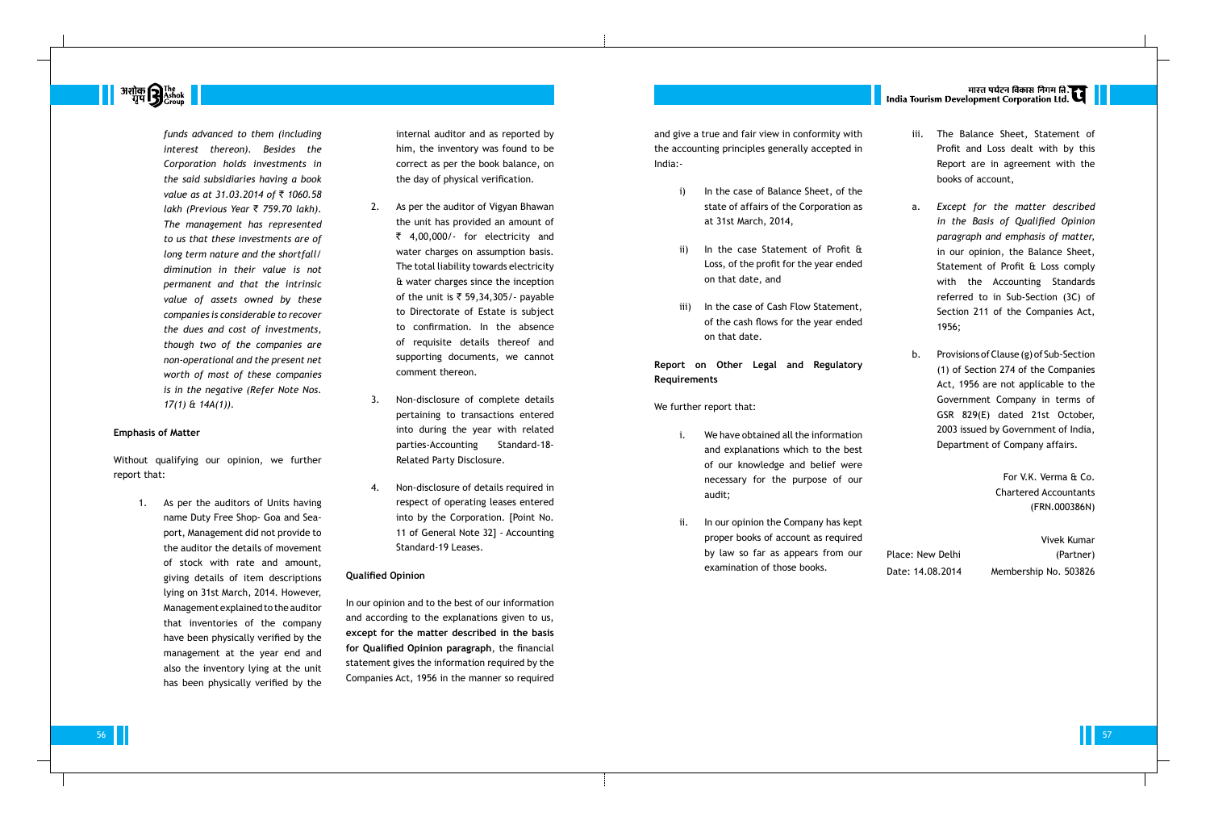**अशोक सिंही अधिकार है।**<br>अधिकारि<sub>Group</sub>

*funds advanced to them (including interest thereon). Besides the Corporation holds investments in the said subsidiaries having a book value as at 31.03.2014 of ₹ 1060.58 lakh (Previous Year* ` *759.70 lakh). The management has represented to us that these investments are of long term nature and the shortfall/ diminution in their value is not permanent and that the intrinsic value of assets owned by these companies is considerable to recover the dues and cost of investments, though two of the companies are non-operational and the present net worth of most of these companies is in the negative (Refer Note Nos. 17(1) & 14A(1)).*

#### **Emphasis of Matter**

Without qualifying our opinion, we further report that:

> 1. As per the auditors of Units having name Duty Free Shop- Goa and Seaport, Management did not provide to the auditor the details of movement of stock with rate and amount, giving details of item descriptions lying on 31st March, 2014. However, Management explained to the auditor that inventories of the company have been physically verified by the management at the year end and also the inventory lying at the unit has been physically verified by the

and give a true and fair view in the accounting principles gener India:-

internal auditor and as reported by him, the inventory was found to be correct as per the book balance, on the day of physical verification.

- i) In the case of Balan state of affairs of th at 31st March, 2014,
- ii) In the case Statem Loss, of the profit fo on that date, and
- iii) In the case of Cash of the cash flows for on that date.

### **Report on Other Legal a Requirements**

- i. We have obtained all and explanations wh of our knowledge necessary for the audit;
- ii. In our opinion the Company proper books of acc by law so far as appears from our examination of those books.

# |<br>| India Tourism Development Corporation Ltd.

- 2. As per the auditor of Vigyan Bhawan the unit has provided an amount of ₹ 4,00,000/- for electricity and water charges on assumption basis. The total liability towards electricity & water charges since the inception of the unit is  $\overline{\zeta}$  59,34,305/- payable to Directorate of Estate is subject to confirmation. In the absence of requisite details thereof and supporting documents, we cannot comment thereon.
- 3. Non-disclosure of complete details pertaining to transactions entered into during the year with related parties-Accounting Standard-18- Related Party Disclosure.
- 4. Non-disclosure of details required in respect of operating leases entered into by the Corporation. [Point No. 11 of General Note 32] - Accounting Standard-19 Leases.

| conformity with<br>rally accepted in                                                  | iii. | The Balance Sheet, Statement of<br>Profit and Loss dealt with by this<br>Report are in agreement with the<br>books of account,                                                                                           |
|---------------------------------------------------------------------------------------|------|--------------------------------------------------------------------------------------------------------------------------------------------------------------------------------------------------------------------------|
| ce Sheet, of the                                                                      |      |                                                                                                                                                                                                                          |
| e Corporation as<br>$\overline{\phantom{a}}$<br>nent of Profit &<br>or the year ended | a.   | Except for the matter described<br>in the Basis of Qualified Opinion<br>paragraph and emphasis of matter,<br>in our opinion, the Balance Sheet,<br>Statement of Profit & Loss comply<br>the Accounting Standards<br>with |
| Flow Statement,<br>r the year ended                                                   |      | referred to in Sub-Section (3C) of<br>Section 211 of the Companies Act,<br>1956;                                                                                                                                         |
| Regulatory<br>ınd                                                                     | b.   | Provisions of Clause (g) of Sub-Section<br>(1) of Section 274 of the Companies<br>Act, 1956 are not applicable to the<br>Government Company in terms of<br>GSR 829(E) dated 21st October,                                |
| I the information<br>hich to the best<br>and belief were                              |      | 2003 issued by Government of India,<br>Department of Company affairs.                                                                                                                                                    |
| purpose of our                                                                        |      | For V.K. Verma & Co.                                                                                                                                                                                                     |
|                                                                                       |      | <b>Chartered Accountants</b>                                                                                                                                                                                             |
|                                                                                       |      | (FRN.000386N)                                                                                                                                                                                                            |
| ompany has kept                                                                       |      |                                                                                                                                                                                                                          |
| ount as required                                                                      |      | Vivek Kumar                                                                                                                                                                                                              |

vek Kumar Place: New Delhi (Partner) Date: 14.08.2014 Membership No. 503826

56 THE STATE OF THE STATE OF THE STATE OF THE STATE OF THE STATE OF THE STATE OF THE STATE OF THE STATE OF THE

#### **Qualified Opinion**

In our opinion and to the best of our information and according to the explanations given to us, **except for the matter described in the basis for Qualified Opinion paragraph**, the financial statement gives the information required by the Companies Act, 1956 in the manner so required We further report that: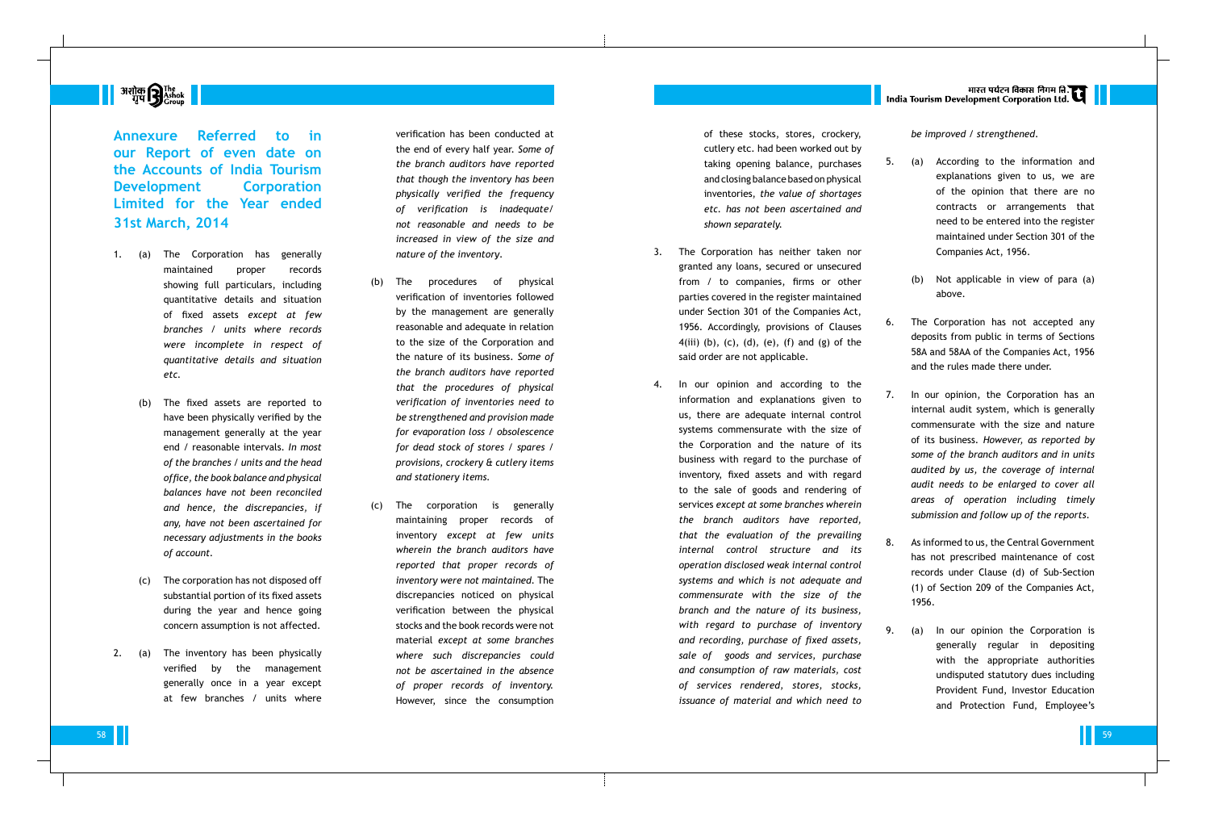# **|| अशोक सिर्गु** The Mashok ||<br>| ग्रुप सिंहो<sub>Group</sub>

**Annexure Referred to in our Report of even date on the Accounts of India Tourism Development Corporation Limited for the Year ended 31st March, 2014**

- 1. (a) The Corporation has generally maintained proper records showing full particulars, including quantitative details and situation of fixed assets *except at few branches / units where records were incomplete in respect of quantitative details and situation etc.*
	- The fixed assets are reported to have been physically verified by the management generally at the year end / reasonable intervals. *In most of the branches / units and the head office, the book balance and physical balances have not been reconciled and hence, the discrepancies, if any, have not been ascertained for necessary adjustments in the books of account.*
	- (c) The corporation has not disposed off substantial portion of its fixed assets during the year and hence going concern assumption is not affected.
- 2. (a) The inventory has been physically verified by the management generally once in a year except at few branches / units where

verification has been conducted at the end of every half year. *Some of the branch auditors have reported that though the inventory has been physically verified the frequency of verification is inadequate/ not reasonable and needs to be increased in view of the size and nature of the inventory* .

- (b) The procedures of physical verification of inventories followed by the management are generally reasonable and adequate in relation to the size of the Corporation and the nature of its business. *Some of the branch auditors have reported that the procedures of physical verification of inventories need to be strengthened and provision made for evaporation loss / obsolescence for dead stock of stores / spares / provisions, crockery & cutlery items and stationery items.*
- (c) The corporation is generally maintaining proper records of inventory *except at few units wherein the branch auditors have reported that proper records of inventory were not maintained.* The discrepancies noticed on physical verification between the physical stocks and the book records were not material *except at some branches where such discrepancies could not be ascertained in the absence of proper records of inventory.* However, since the consumption

of these stocks, stores, crockery, cutlery etc. had been worked out by taking opening balance, purchases and closing balance based on physical inventories, *the value of shortages etc. has not been ascertained and shown separately.*

- 3. The Corporation has neither taken nor granted any loans, secured or unsecured from / to companies, firms or other parties covered in the register maintained under Section 301 of the Companies Act, 1956. Accordingly, provisions of Clauses 4(iii) (b), (c), (d), (e), (f) and (g) of the said order are not applicable.
- 4. In our opinion and according to the information and explanations given to us, there are adequate internal control systems commensurate with the size of the Corporation and the nature of its business with regard to the purchase of inventory, fixed assets and with regard to the sale of goods and rendering of services *except at some branches wherein the branch auditors have reported, that the evaluation of the prevailing internal control structure and its operation disclosed weak internal control systems and which is not adequate and commensurate with the size of the branch and the nature of its business, with regard to purchase of inventory and recording, purchase of fixed assets, sale of goods and services, purchase and consumption of raw materials, cost of services rendered, stores, stocks, issuance of material and which need to*

# |<br>| India Tourism Development Corporation Ltd.

### *be improved / strengthened* .

- 5. (a) According to the information and explanations given to us, we are of the opinion that there are no contracts or arrangements that need to be entered into the register maintained under Section 301 of the Companies Act, 1956.
	- (b) Not applicable in view of para (a) above.
- 6. The Corporation has not accepted any deposits from public in terms of Sections 58A and 58AA of the Companies Act, 1956 and the rules made there under.
- 7. In our opinion, the Corporation has an internal audit system, which is generally commensurate with the size and nature of its business. *However, as reported by some of the branch auditors and in units audited by us, the coverage of internal audit needs to be enlarged to cover all areas of operation including timely submission and follow up of the reports* .
- 8. As informed to us, the Central Government has not prescribed maintenance of cost records under Clause (d) of Sub-Section (1) of Section 209 of the Companies Act, 1956.
- 9. (a) In our opinion the Corporation is generally regular in depositing with the appropriate authorities undisputed statutory dues including Provident Fund, Investor Education and Protection Fund, Employee's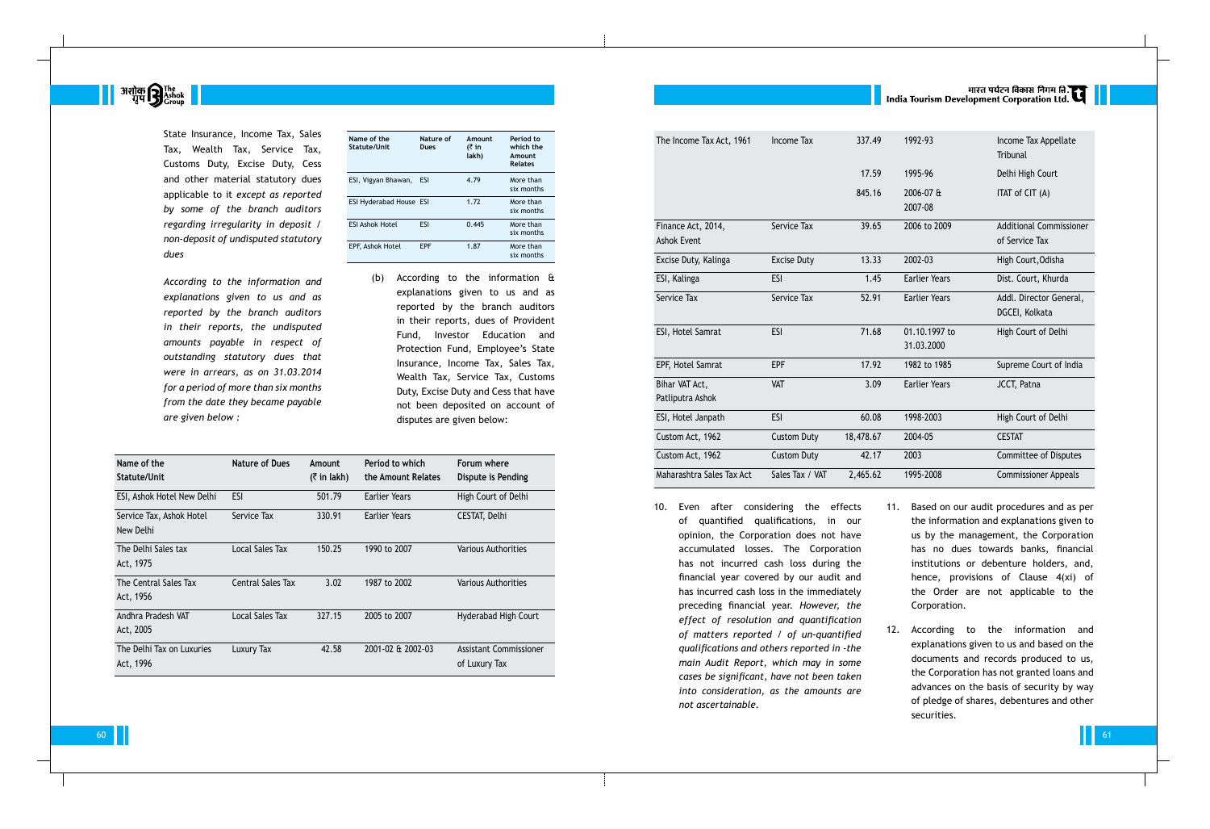**अशोक सिंह**<br>पुप**मु** Ashok

State Insurance, Income Tax, Sales Tax, Wealth Tax, Service Tax, Customs Duty, Excise Duty, Cess and other material statutory dues applicable to it *except as reported by some of the branch auditors regarding irregularity in deposit / non-deposit of undisputed statutory dues*

 *According to the information and explanations given to us and as reported by the branch auditors in their reports, the undisputed amounts payable in respect of outstanding statutory dues that were in arrears, as on 31.03.2014 for a period of more than six months from the date they became payable are given below :*

| Name of the<br>Statute/Unit    | Nature of<br>Dues | Amount<br>(₹ in<br>lakh) | Period to<br>which the<br>Amount<br><b>Relates</b> |
|--------------------------------|-------------------|--------------------------|----------------------------------------------------|
| ESI, Vigyan Bhawan,            | ESI               | 4.79                     | More than<br>six months                            |
| <b>ESI Hyderabad House ESI</b> |                   | 1.72                     | More than<br>six months                            |
| <b>ESI Ashok Hotel</b>         | <b>FSI</b>        | 0.445                    | More than<br>six months                            |
| EPF, Ashok Hotel               | <b>FPF</b>        | 1.87                     | More than<br>six months                            |

(b) According to the information & explanations given to us and as reported by the branch auditors in their reports, dues of Provident Fund, Investor Education and Protection Fund, Employee's State Insurance, Income Tax, Sales Tax, Wealth Tax, Service Tax, Customs Duty, Excise Duty and Cess that have not been deposited on account of disputes are given below:

| Name of the<br>Statute/Unit            | Nature of Dues           | Amount<br>$($ ₹ in lakh) | Period to which<br>the Amount Relates | Forum where<br>Dispute is Pending       |
|----------------------------------------|--------------------------|--------------------------|---------------------------------------|-----------------------------------------|
| ESI, Ashok Hotel New Delhi             | <b>ESI</b>               | 501.79                   | Earlier Years                         | High Court of Delhi                     |
| Service Tax, Ashok Hotel<br>New Delhi  | Service Tax              | 330.91                   | Earlier Years                         | CESTAT, Delhi                           |
| The Delhi Sales tax<br>Act, 1975       | Local Sales Tax          | 150.25                   | 1990 to 2007                          | Various Authorities                     |
| The Central Sales Tax<br>Act, 1956     | <b>Central Sales Tax</b> | 3.02                     | 1987 to 2002                          | <b>Various Authorities</b>              |
| Andhra Pradesh VAT<br>Act, 2005        | <b>Local Sales Tax</b>   | 327.15                   | 2005 to 2007                          | Hyderabad High Court                    |
| The Delhi Tax on Luxuries<br>Act, 1996 | Luxury Tax               | 42.58                    | 2001-02 & 2002-03                     | Assistant Commissioner<br>of Luxury Tax |

|                                          |                    |           | भारत पर्यटन विकास निगम लि. <b>उ</b> प<br>India Tourism Development Corporation Ltd. |                                                  |  |  |  |
|------------------------------------------|--------------------|-----------|-------------------------------------------------------------------------------------|--------------------------------------------------|--|--|--|
| The Income Tax Act, 1961                 | <b>Income Tax</b>  | 337.49    | 1992-93                                                                             | Income Tax Appellate<br><b>Tribunal</b>          |  |  |  |
|                                          |                    | 17.59     | 1995-96                                                                             | Delhi High Court                                 |  |  |  |
|                                          |                    | 845.16    | 2006-07 &<br>2007-08                                                                | ITAT of CIT (A)                                  |  |  |  |
| Finance Act, 2014,<br><b>Ashok Event</b> | Service Tax        | 39.65     | 2006 to 2009                                                                        | <b>Additional Commissioner</b><br>of Service Tax |  |  |  |
| Excise Duty, Kalinga                     | <b>Excise Duty</b> | 13.33     | 2002-03                                                                             | High Court, Odisha                               |  |  |  |
| ESI, Kalinga                             | <b>ESI</b>         | 1.45      | <b>Earlier Years</b>                                                                | Dist. Court, Khurda                              |  |  |  |
| Service Tax                              | Service Tax        | 52.91     | <b>Earlier Years</b>                                                                | Addl. Director General,<br>DGCEI, Kolkata        |  |  |  |
| ESI, Hotel Samrat                        | <b>ESI</b>         | 71.68     | 01.10.1997 to<br>31.03.2000                                                         | High Court of Delhi                              |  |  |  |
| EPF, Hotel Samrat                        | <b>EPF</b>         | 17.92     | 1982 to 1985                                                                        | Supreme Court of India                           |  |  |  |
| Bihar VAT Act,<br>Patliputra Ashok       | <b>VAT</b>         | 3.09      | <b>Earlier Years</b>                                                                | JCCT, Patna                                      |  |  |  |
| ESI, Hotel Janpath                       | <b>ESI</b>         | 60.08     | 1998-2003                                                                           | High Court of Delhi                              |  |  |  |
| Custom Act, 1962                         | <b>Custom Duty</b> | 18,478.67 | 2004-05                                                                             | <b>CESTAT</b>                                    |  |  |  |
| Custom Act, 1962                         | <b>Custom Duty</b> | 42.17     | 2003                                                                                | <b>Committee of Disputes</b>                     |  |  |  |
| Maharashtra Sales Tax Act                | Sales Tax / VAT    | 2,465.62  | 1995-2008                                                                           | <b>Commissioner Appeals</b>                      |  |  |  |

10. Even after considering the effects of quantified qualifications, in our opinion, the Corporation does not have accumulated losses. The Corporation has not incurred cash loss during the financial year covered by our audit and has incurred cash loss in the immediately preceding financial year. *However, the effect of resolution and quantification of matters reported / of un-quantified qualifications and others reported in -the main Audit Report, which may in some cases be significant, have not been taken into consideration, as the amounts are not ascertainable.*

- 11. Based on our audit procedures and as per the information and explanations given to us by the management, the Corporation has no dues towards banks, financial institutions or debenture holders, and, hence, provisions of Clause 4(xi) of the Order are not applicable to the Corporation.
- 12. According to the information and explanations given to us and based on the documents and records produced to us, the Corporation has not granted loans and advances on the basis of security by way of pledge of shares, debentures and other securities.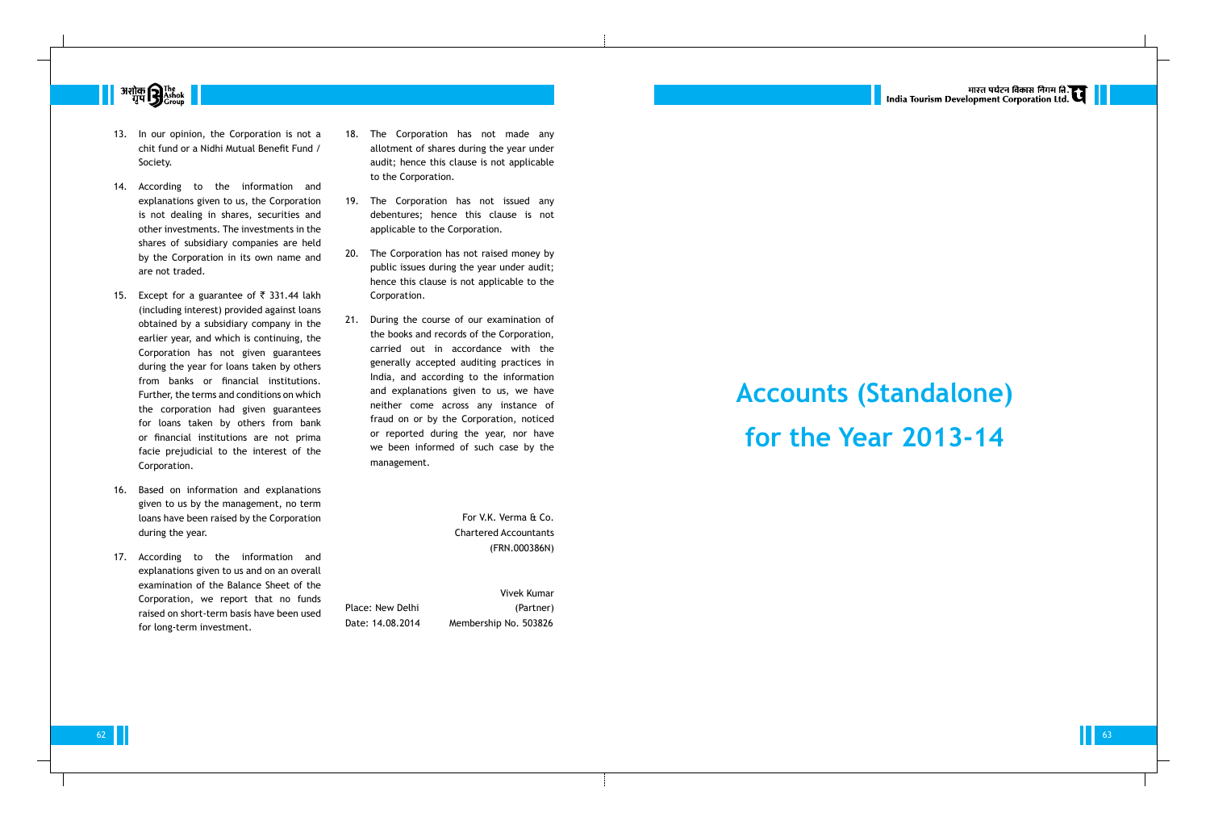

- 13. In our opinion, the Corporation is not a chit fund or a Nidhi Mutual Benefit Fund / Society.
- 14. According to the information and explanations given to us, the Corporation is not dealing in shares, securities and other investments. The investments in the shares of subsidiary companies are held by the Corporation in its own name and are not traded.
- 15. Except for a guarantee of  $\bar{\tau}$  331.44 lakh (including interest) provided against loans obtained by a subsidiary company in the earlier year, and which is continuing, the Corporation has not given guarantees during the year for loans taken by others from banks or financial institutions. Further, the terms and conditions on which the corporation had given guarantees for loans taken by others from bank or financial institutions are not prima facie prejudicial to the interest of the Corporation.
- 16. Based on information and explanations given to us by the management, no term loans have been raised by the Corporation during the year.
- 17. According to the information and explanations given to us and on an overall examination of the Balance Sheet of the Corporation, we report that no funds raised on short-term basis have been used for long-term investment.
- 18. The Corporation has not made any allotment of shares during the year under audit; hence this clause is not applicable to the Corporation.
- 19. The Corporation has not issued any debentures; hence this clause is not applicable to the Corporation.
- 20. The Corporation has not raised money by public issues during the year under audit; hence this clause is not applicable to the Corporation.
- 21. During the course of our examination of the books and records of the Corporation, carried out in accordance with the generally accepted auditing practices in India, and according to the information and explanations given to us, we have neither come across any instance of fraud on or by the Corporation, noticed or reported during the year, nor have we been informed of such case by the management.

For V.K. Verma & Co. Chartered Accountants (FRN.000386N)

Vivek Kumar Place: New Delhi (Partner) Date: 14.08.2014 Membership No. 503826



# **Accounts (Standalone) for the Year 2013-14**

 $\begin{array}{|c|c|c|c|c|}\hline \multicolumn{1}{|c|}{\bf 63} & \multicolumn{1}{|c|}{\bf 63} \\\hline \end{array}$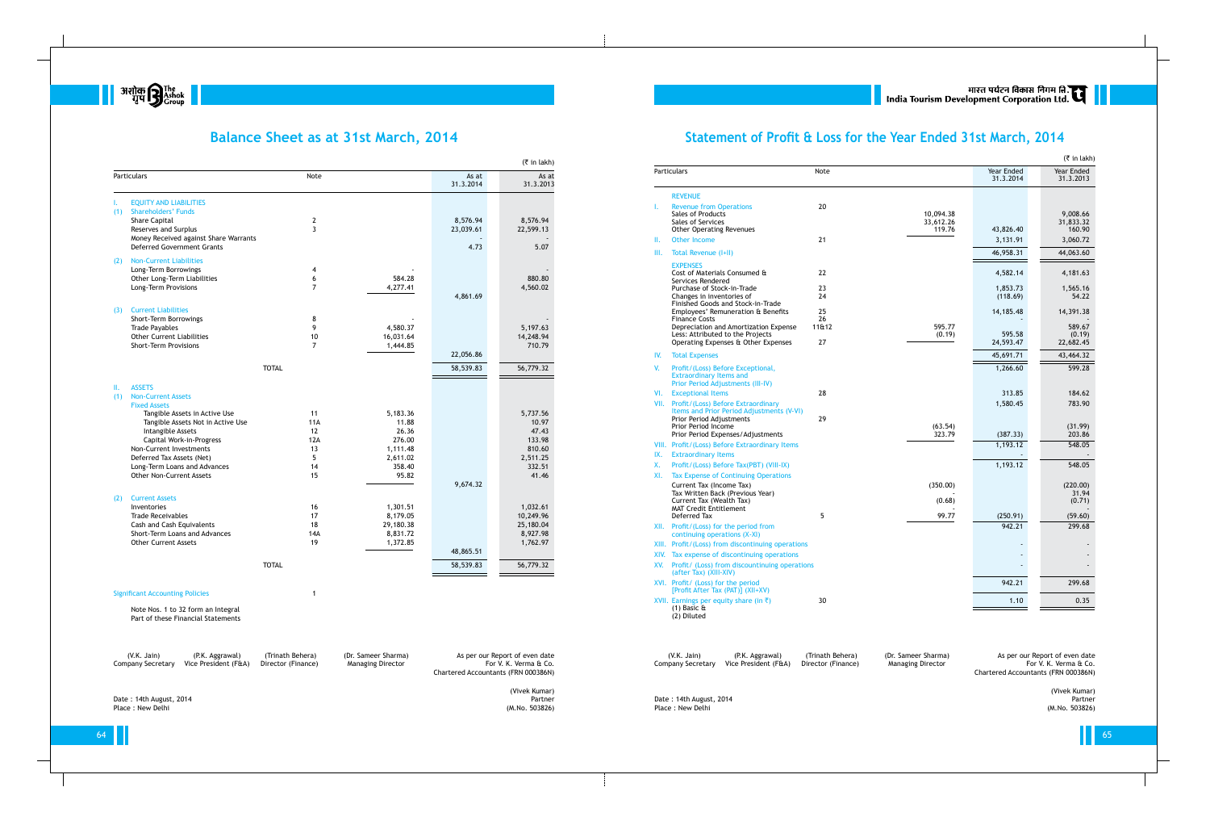

## **Balance Sheet as at 31st March, 2014**

| <b>EQUITY AND LIABILITIES</b><br>L.<br><b>Shareholders' Funds</b><br>(1)<br><b>Share Capital</b> |                     |                      | 31.3.2014 | 31.3.2013             |
|--------------------------------------------------------------------------------------------------|---------------------|----------------------|-----------|-----------------------|
|                                                                                                  |                     |                      |           |                       |
|                                                                                                  |                     |                      |           |                       |
|                                                                                                  |                     |                      | 8,576.94  |                       |
| Reserves and Surplus                                                                             | $\overline{2}$<br>3 |                      | 23,039.61 | 8,576.94<br>22,599.13 |
| Money Received against Share Warrants                                                            |                     |                      |           |                       |
| <b>Deferred Government Grants</b>                                                                |                     |                      | 4.73      | 5.07                  |
| <b>Non-Current Liabilities</b><br>(2)                                                            |                     |                      |           |                       |
| Long-Term Borrowings                                                                             | 4                   |                      |           |                       |
| Other Long-Term Liabilities                                                                      | 6                   | 584.28               |           | 880.80                |
| Long-Term Provisions                                                                             | $\overline{7}$      | 4,277.41             |           | 4,560.02              |
|                                                                                                  |                     |                      | 4,861.69  |                       |
| <b>Current Liabilities</b><br>(3)                                                                |                     |                      |           |                       |
| Short-Term Borrowings                                                                            | 8<br>9              | 4,580.37             |           | 5,197.63              |
| <b>Trade Payables</b><br><b>Other Current Liabilities</b>                                        | 10                  | 16,031.64            |           | 14,248.94             |
| <b>Short-Term Provisions</b>                                                                     | $\overline{7}$      | 1,444.85             |           | 710.79                |
|                                                                                                  |                     |                      | 22,056.86 |                       |
| <b>TOTAL</b>                                                                                     |                     |                      | 58,539.83 | 56,779.32             |
| <b>ASSETS</b><br>Ш.                                                                              |                     |                      |           |                       |
| <b>Non-Current Assets</b><br>(1)                                                                 |                     |                      |           |                       |
| <b>Fixed Assets</b>                                                                              |                     |                      |           |                       |
| Tangible Assets in Active Use                                                                    | 11                  | 5,183.36             |           | 5,737.56              |
| Tangible Assets Not in Active Use                                                                | 11A                 | 11.88                |           | 10.97                 |
| Intangible Assets                                                                                | 12                  | 26.36                |           | 47.43                 |
| Capital Work-in-Progress                                                                         | 12A                 | 276.00               |           | 133.98                |
| Non-Current Investments                                                                          | 13                  | 1,111.48             |           | 810.60                |
| Deferred Tax Assets (Net)                                                                        | 5                   | 2,611.02             |           | 2,511.25              |
| Long-Term Loans and Advances<br><b>Other Non-Current Assets</b>                                  | 14<br>15            | 358.40<br>95.82      |           | 332.51<br>41.46       |
|                                                                                                  |                     |                      | 9,674.32  |                       |
|                                                                                                  |                     |                      |           |                       |
| <b>Current Assets</b><br>(2)                                                                     |                     |                      |           |                       |
| Inventories<br><b>Trade Receivables</b>                                                          | 16<br>17            | 1,301.51<br>8,179.05 |           | 1,032.61<br>10,249.96 |
| Cash and Cash Equivalents                                                                        | 18                  | 29,180.38            |           | 25,180.04             |
| Short-Term Loans and Advances                                                                    | 14A                 | 8,831.72             |           | 8,927.98              |
| <b>Other Current Assets</b>                                                                      | 19                  | 1,372.85             |           | 1,762.97              |
|                                                                                                  |                     |                      | 48,865.51 |                       |
| <b>TOTAL</b>                                                                                     |                     |                      | 58,539.83 | 56,779.32             |
| <b>Significant Accounting Policies</b>                                                           |                     |                      |           |                       |

Note Nos. 1 to 32 form an Integral Part of these Financial Statements

Company Secretary Vice President (F&A) Director (Finance) Managing Director

## **Statement of Profit & Loss for the Year Ended 31st March, 2014**

(V.K. Jain) (P.K. Aggrawal) (Trinath Behera) (Dr. Sameer Sharma) As per our Report of even date Company Secretary Vice President (F&A) Director (Finance) Managing Director

|      | Particulars                                                                                                 | Note        |                                  | Year Ended<br>31.3.2014 | Year Ended<br>31.3.2013         |
|------|-------------------------------------------------------------------------------------------------------------|-------------|----------------------------------|-------------------------|---------------------------------|
|      | <b>REVENUE</b>                                                                                              |             |                                  |                         |                                 |
| ı.   | <b>Revenue from Operations</b><br>Sales of Products<br>Sales of Services<br><b>Other Operating Revenues</b> | 20          | 10,094.38<br>33,612.26<br>119.76 | 43,826.40               | 9,008.66<br>31,833.32<br>160.90 |
| Ш.   | <b>Other Income</b>                                                                                         | 21          |                                  | 3,131.91                | 3,060.72                        |
| III. | Total Revenue (I+II)                                                                                        |             |                                  | 46,958.31               | 44,063.60                       |
|      | <b>EXPENSES</b>                                                                                             |             |                                  |                         |                                 |
|      | Cost of Materials Consumed &<br>Services Rendered                                                           | 22          |                                  | 4,582.14                | 4,181.63                        |
|      | Purchase of Stock-in-Trade                                                                                  | 23          |                                  | 1,853.73                | 1,565.16                        |
|      | Changes in inventories of<br>Finished Goods and Stock-in-Trade                                              | 24          |                                  | (118.69)                | 54.22                           |
|      | Employees' Remuneration & Benefits                                                                          | 25          |                                  | 14,185.48               | 14,391.38                       |
|      | <b>Finance Costs</b><br>Depreciation and Amortization Expense                                               | 26<br>11&12 | 595.77                           |                         | 589.67                          |
|      | Less: Attributed to the Projects                                                                            |             | (0.19)                           | 595.58                  | (0.19)                          |
|      | Operating Expenses & Other Expenses                                                                         | 27          |                                  | 24,593.47               | 22,682.45                       |
| IV.  | <b>Total Expenses</b>                                                                                       |             |                                  | 45,691.71               | 43,464.32                       |
| V.   | Profit/(Loss) Before Exceptional,<br><b>Extraordinary Items and</b><br>Prior Period Adjustments (III-IV)    |             |                                  | 1,266.60                | 599.28                          |
| VI.  | <b>Exceptional Items</b>                                                                                    | 28          |                                  | 313.85                  | 184.62                          |
| VII. | Profit/(Loss) Before Extraordinary<br>Items and Prior Period Adjustments (V-VI)                             |             |                                  | 1,580.45                | 783.90                          |
|      | <b>Prior Period Adjustments</b><br>Prior Period Income<br>Prior Period Expenses/Adjustments                 | 29          | (63.54)<br>323.79                | (387.33)                | (31.99)<br>203.86               |
|      | VIII. Profit/(Loss) Before Extraordinary Items                                                              |             |                                  | 1,193.12                | 548.05                          |
| IX.  | <b>Extraordinary Items</b>                                                                                  |             |                                  |                         |                                 |
| Х.   | Profit/(Loss) Before Tax(PBT) (VIII-IX)                                                                     |             |                                  | 1,193.12                | 548.05                          |
| XI.  | <b>Tax Expense of Continuing Operations</b>                                                                 |             |                                  |                         |                                 |
|      | Current Tax (Income Tax)<br>Tax Written Back (Previous Year)                                                |             | (350.00)                         |                         | (220.00)<br>31.94               |
|      | Current Tax (Wealth Tax)                                                                                    |             | (0.68)                           |                         | (0.71)                          |
|      | <b>MAT Credit Entitlement</b><br>Deferred Tax                                                               | 5           | 99.77                            | (250.91)                | (59.60)                         |
| XII. | Profit/(Loss) for the period from<br>continuing operations (X-XI)                                           |             |                                  | 942.21                  | 299.68                          |
|      | XIII. Profit/(Loss) from discontinuing operations                                                           |             |                                  |                         |                                 |
|      | XIV. Tax expense of discontinuing operations                                                                |             |                                  |                         |                                 |
| XV.  | Profit/ (Loss) from discountinuing operations<br>(after Tax) (XIII-XIV)                                     |             |                                  |                         |                                 |
|      | XVI. Profit/ (Loss) for the period<br>[Profit After Tax (PAT)] (XII+XV)                                     |             |                                  | 942.21                  | 299.68                          |
|      | XVII. Earnings per equity share (in $\bar{z}$ )<br>(1) Basic $\hat{a}$<br>(2) Diluted                       | 30          |                                  | 1.10                    | 0.35                            |

(V.K. Jain) (P.K. Aggrawal) (Trinath Behera) (Dr. Sameer Sharma) As per our Report of even date Chartered Accountants (FRN 000386N)

(Vivek Kumar) Date : 14th August, 2014 Partner Place : New Delhi (M.No. 503826)

Chartered Accountants (FRN 000386N)

(Vivek Kumar)<br>Partner<br>(M.No. 503826)

Date : 14th August, 2014 Partner Place : New Delhi (M.No. 503826)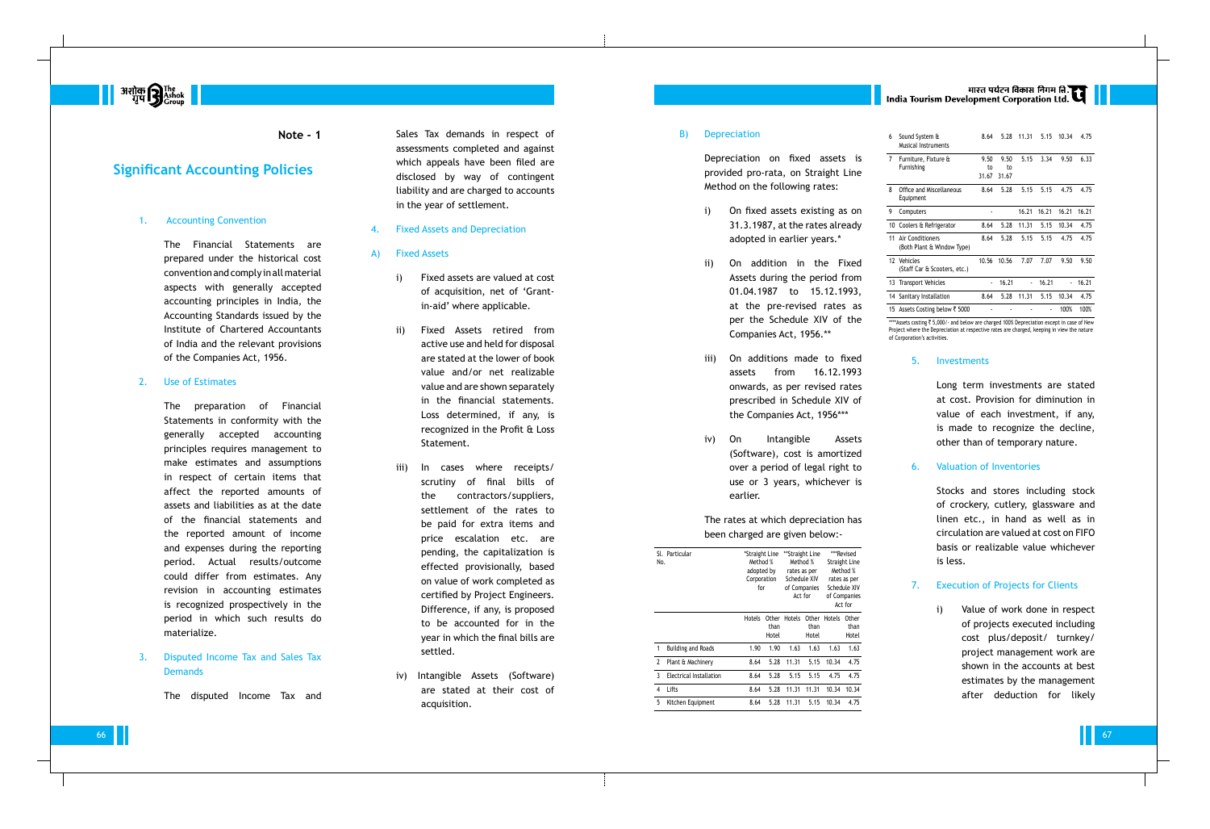The Financial Statements are prepared under the historical cost convention and comply in all material aspects with generally accepted accounting principles in India, the Accounting Standards issued by the Institute of Chartered Accountants of India and the relevant provisions of the Companies Act, 1956.

#### 2. Use of Estimates

### 3. Disputed Income Tax and Sales Tax **Demands**

**Note - 1** Sales Tax demands in respect of assessments completed and against which appeals have been filed are disclosed by way of contingent liability and are charged to accounts in the year of settlement.

The preparation of Financial Statements in conformity with the generally accepted accounting principles requires management to make estimates and assumptions in respect of certain items that affect the reported amounts of assets and liabilities as at the date of the financial statements and the reported amount of income and expenses during the reporting period. Actual results/outcome could differ from estimates. Any revision in accounting estimates is recognized prospectively in the period in which such results do materialize.

The disputed Income Tax and



### **Significant Accounting Policies**

#### **Accounting Convention**

- 4. Fixed Assets and Depreciation
- A) Fixed Assets
	- i) Fixed assets are valued at cost of acquisition, net of 'Grantin-aid' where applicable.
	- ii) Fixed Assets retired from active use and held for disposal are stated at the lower of book value and/or net realizable value and are shown separately in the financial statements. Loss determined, if any, is recognized in the Profit & Loss Statement.
	- iii) In cases where receipts/ scrutiny of final bills of the contractors/suppliers, settlement of the rates to be paid for extra items and price escalation etc. are pending, the capitalization is effected provisionally, based on value of work completed as certified by Project Engineers. Difference, if any, is proposed to be accounted for in the year in which the final bills are settled.
	- iv) Intangible Assets (Software) are stated at their cost of acquisition.

\*\*\*\*Assets costing ₹ 5,000/- and below are charged 100% Depreciation except in case of New Project where the Depreciation at respective rates are charged, keeping in view the nature of Corporation's activities.

#### B) Depreciation

Depreciation on fixed assets is provided pro-rata, on Straight Line Method on the following rates:

- i) On fixed assets existing as on 31.3.1987, at the rates already adopted in earlier years.\*
- ii) On addition in the Fixed Assets during the period from 01.04.1987 to 15.12.1993, at the pre-revised rates as per the Schedule XIV of the Companies Act, 1956.\*\*
- the Companies Act, 1956\*\*\*
- iv) On Intangible Assets over a period of legal right to earlier.

iii) On additions made to fixed assets from 16.12.1993 onwards, as per revised rates prescribed in Schedule XIV of

> (Software), cost is amortized use or 3 years, whichever is

# |<br>| India Tourism Development Corporation Ltd.

The rates at which depreciation has been charged are given below:-

| **Stra<br>*Straight Line<br>Sl. Particular<br>Method %<br>Mє<br>No.<br>adopted by<br>rate<br>Sche<br>Corporation<br>of Co<br>for<br>А |  |  |
|---------------------------------------------------------------------------------------------------------------------------------------|--|--|
|                                                                                                                                       |  |  |
|                                                                                                                                       |  |  |
|                                                                                                                                       |  |  |
|                                                                                                                                       |  |  |
|                                                                                                                                       |  |  |
|                                                                                                                                       |  |  |

|   | SI. Particular<br>No.     | *Straight Line<br>Method %<br>adopted by<br>Corporation<br>for |                        | **Straight Line<br>Method %<br>rates as per<br>Schedule XIV<br>of Companies<br>Act for |                               | ***Revised<br><b>Straight Line</b><br>Method %<br>rates as per<br>Schedule XIV<br>of Companies<br>Act for |                        |
|---|---------------------------|----------------------------------------------------------------|------------------------|----------------------------------------------------------------------------------------|-------------------------------|-----------------------------------------------------------------------------------------------------------|------------------------|
|   |                           | Hotels                                                         | Other<br>than<br>Hotel | Hotels                                                                                 | <b>Other</b><br>than<br>Hotel | Hotels                                                                                                    | Other<br>than<br>Hotel |
| 1 | <b>Building and Roads</b> | 1.90                                                           | 1.90                   | 1.63                                                                                   | 1.63                          | 1.63                                                                                                      | 1.63                   |
| 2 | Plant & Machinery         | 8.64                                                           | 5.28                   | 11.31                                                                                  | 5.15                          | 10.34                                                                                                     | 4.75                   |
| 3 | Electrical Installation   | 8.64                                                           | 5.28                   | 5.15                                                                                   | 5.15                          | 4.75                                                                                                      | 4.75                   |
| 4 | Lifts                     | 8.64                                                           | 5.28                   | 11.31                                                                                  | 11.31                         | 10.34                                                                                                     | 10.34                  |
| 5 | Kitchen Equipment         | 8.64                                                           | 5.28                   | 11.31                                                                                  | 5.15                          | 10.34                                                                                                     | 4.75                   |

| 6  | Sound System &<br>Musical Instruments          | 8.64           | 5.28  | 11.31                    | 5.15  | 10.34 | 4.75  |
|----|------------------------------------------------|----------------|-------|--------------------------|-------|-------|-------|
| 7  | Furniture, Fixture &                           | 9.50           | 9.50  | 5.15                     | 3.34  | 9.50  | 6.33  |
|    | Furnishing                                     | to             | to    |                          |       |       |       |
|    |                                                | 31.67          | 31.67 |                          |       |       |       |
| 8  | Office and Miscellaneous<br>Equipment          | 8.64           | 5.28  | 5.15                     | 5.15  | 4.75  | 4.75  |
| 9  | Computers                                      |                |       | 16.21                    | 16.21 | 16.21 | 16.21 |
| 10 | Coolers & Refrigerator                         | 8.64           | 5.28  | 11.31                    | 5.15  | 10.34 | 4.75  |
| 11 | Air Conditioners<br>(Both Plant & Window Type) | 8.64           | 5.28  | 5.15                     | 5.15  | 4.75  | 4.75  |
| 12 | Vehicles<br>(Staff Car & Scooters, etc.)       | 10.56          | 10.56 | 7.07                     | 7.07  | 9.50  | 9.50  |
| 13 | <b>Transport Vehicles</b>                      | $\blacksquare$ | 16.21 | $\overline{\phantom{a}}$ | 16.21 |       | 16.21 |
|    | 14 Sanitary Installation                       | 8.64           | 5.28  | 11.31                    | 5.15  | 10.34 | 4.75  |
|    | 15 Assets Costing below ₹ 5000                 |                |       |                          | ٠     | 100%  | 100%  |

#### 5. Investments

Long term investments are stated at cost. Provision for diminution in value of each investment, if any, is made to recognize the decline, other than of temporary nature.

#### 6. Valuation of Inventories

Stocks and stores including stock of crockery, cutlery, glassware and linen etc., in hand as well as in circulation are valued at cost on FIFO basis or realizable value whichever is less.

#### 7. Execution of Projects for Clients

i) Value of work done in respect of projects executed including cost plus/deposit/ turnkey/ project management work are shown in the accounts at best estimates by the management after deduction for likely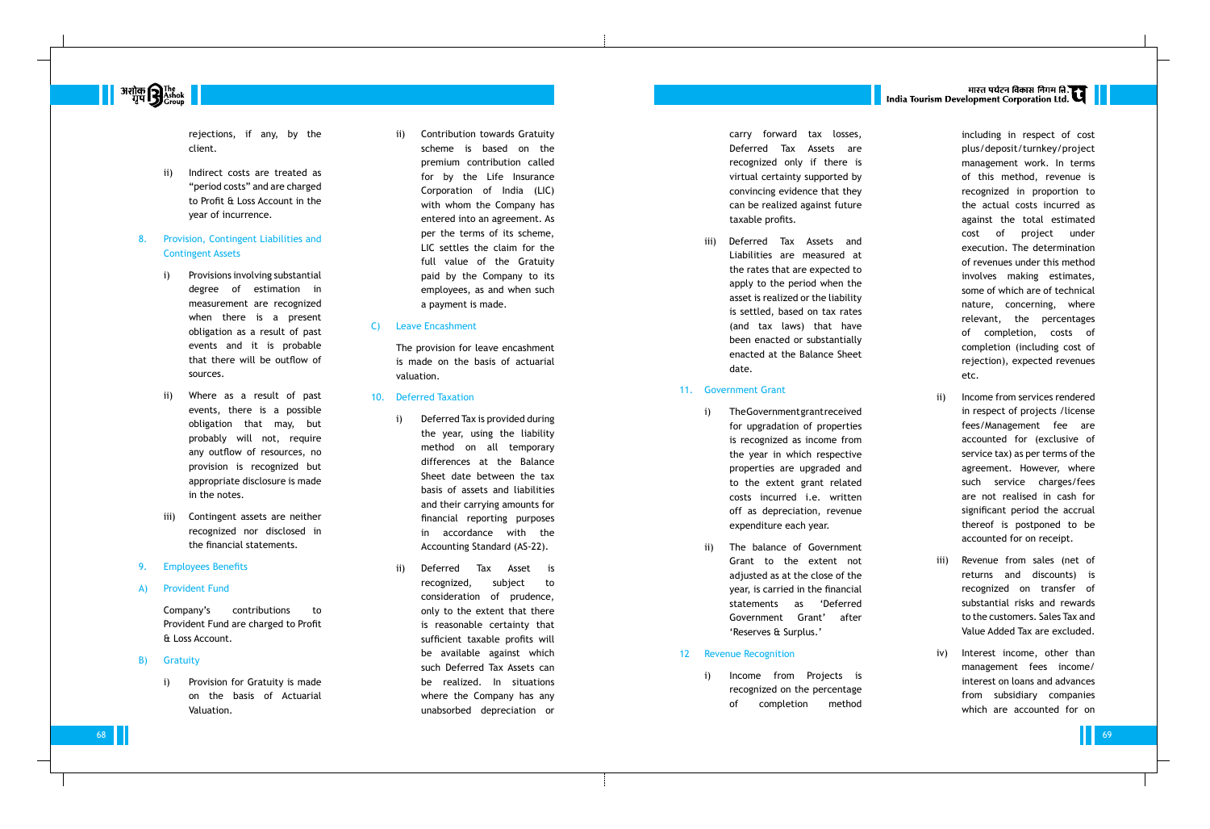**|| अशोक सिर्फ प्रा**<br>| गुप **सिर्फ प्रान्तर सिर्फ प्रान्तर सिर्फ प्रा** 

rejections, if any, by the client.

ii) Indirect costs are treated as "period costs" and are charged to Profit & Loss Account in the year of incurrence.

### 8. Provision, Contingent Liabilities and Contingent Assets

- i) Provisions involving substantial degree of estimation in measurement are recognized when there is a present obligation as a result of past events and it is probable that there will be outflow of sources.
- ii) Where as a result of past events, there is a possible obligation that may, but probably will not, require any outflow of resources, no provision is recognized but appropriate disclosure is made in the notes.
- iii) Contingent assets are neither recognized nor disclosed in the financial statements.
- 9. Employees Benefits
- A) Provident Fund

Company's contributions to Provident Fund are charged to Profit & Loss Account.

- B) Gratuity
	- i) Provision for Gratuity is made on the basis of Actuarial Valuation.

ii) Contribution towards Gratuity scheme is based on the premium contribution called for by the Life Insurance Corporation of India (LIC) with whom the Company has entered into an agreement. As per the terms of its scheme, LIC settles the claim for the full value of the Gratuity paid by the Company to its employees, as and when such a payment is made.

#### C) Leave Encashment

The provision for leave encashment is made on the basis of actuarial valuation.

- i) The Government grant received for upgradation of properties is recognized as income from the year in which respective properties are upgraded and to the extent grant related costs incurred i.e. written off as depreciation, revenue expenditure each year.
- The balance of Government year, is carried in the financial statements as 'Deferred 'Reserves & Surplus.'
- 10. Deferred Taxation
	- i) Deferred Tax is provided during the year, using the liability method on all temporary differences at the Balance Sheet date between the tax basis of assets and liabilities and their carrying amounts for financial reporting purposes in accordance with the Accounting Standard (AS-22).
	- ii) Deferred Tax Asset is recognized, subject to consideration of prudence, only to the extent that there is reasonable certainty that sufficient taxable profits will be available against which such Deferred Tax Assets can be realized. In situations where the Company has any unabsorbed depreciation or

carry forward tax losses, Deferred Tax Assets are recognized only if there is virtual certainty supported by convincing evidence that they can be realized against future taxable profits.

iii) Deferred Tax Assets and date.

Liabilities are measured at the rates that are expected to apply to the period when the asset is realized or the liability is settled, based on tax rates (and tax laws) that have been enacted or substantially enacted at the Balance Sheet

#### 11. Government Grant

Grant to the extent not adjusted as at the close of the Government Grant' after

#### 12 Revenue Recognition

i) Income from Projects is

68 јули продолжава представљена продолжава представљена продолжава представљена представљена представљена пред

# |<br>| India Tourism Development Corporation Ltd.

recognized on the percentage of completion method including in respect of cost plus/deposit/turnkey/project management work. In terms of this method, revenue is recognized in proportion to the actual costs incurred as against the total estimated cost of project under execution. The determination of revenues under this method involves making estimates, some of which are of technical nature, concerning, where relevant, the percentages of completion, costs of completion (including cost of rejection), expected revenues etc.

- ii) Income from services rendered in respect of projects /license fees/Management fee are accounted for (exclusive of service tax) as per terms of the agreement. However, where such service charges/fees are not realised in cash for significant period the accrual thereof is postponed to be accounted for on receipt.
- iii) Revenue from sales (net of returns and discounts) is recognized on transfer of substantial risks and rewards to the customers. Sales Tax and Value Added Tax are excluded.
- iv) Interest income, other than management fees income/ interest on loans and advances from subsidiary companies which are accounted for on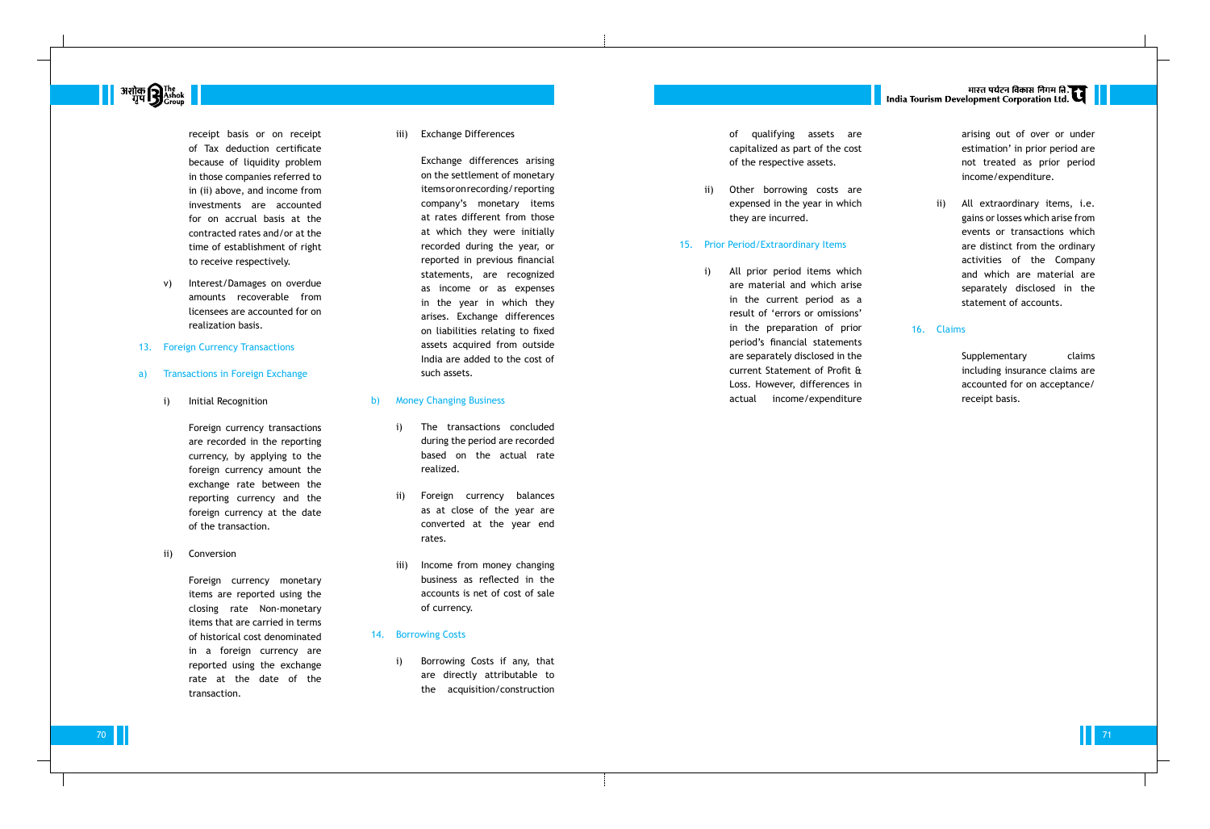

receipt basis or on receipt of Tax deduction certificate because of liquidity problem in those companies referred to in (ii) above, and income from investments are accounted for on accrual basis at the contracted rates and/or at the time of establishment of right to receive respectively.

- v) Interest/Damages on overdue amounts recoverable from licensees are accounted for on realization basis.
- 13. Foreign Currency Transactions
- a) Transactions in Foreign Exchange
	- i) Initial Recognition

Foreign currency transactions are recorded in the reporting currency, by applying to the foreign currency amount the exchange rate between the reporting currency and the foreign currency at the date of the transaction.

ii) Conversion

Foreign currency monetary items are reported using the closing rate Non-monetary items that are carried in terms of historical cost denominated in a foreign currency are reported using the exchange rate at the date of the transaction.

iii) Exchange Differences

Exchange differences arising on the settlement of monetary items or on recording/ reporting company's monetary items at rates different from those at which they were initially recorded during the year, or reported in previous financial statements, are recognized as income or as expenses in the year in which they arises. Exchange differences on liabilities relating to fixed assets acquired from outside India are added to the cost of such assets.

- b) Money Changing Business
	- i) The transactions concluded during the period are recorded based on the actual rate realized.
	- ii) Foreign currency balances as at close of the year are converted at the year end rates.
	- iii) Income from money changing business as reflected in the accounts is net of cost of sale of currency.
- 14. Borrowing Costs
	- i) Borrowing Costs if any, that are directly attributable to the acquisition/construction

of qualifying assets are of the respective assets.

capitalized as part of the cost

ii) Other borrowing costs are expensed in the year in which they are incurred.

#### 15. Prior Period/Extraordinary Items

i) All prior period items which are material and which arise period's financial statements are separately disclosed in the current Statement of Profit & actual income/expenditure

in the current period as a result of 'errors or omissions' in the preparation of prior Loss. However, differences in

# |<br>| India Tourism Development Corporation Ltd.

arising out of over or under estimation' in prior period are not treated as prior period income/expenditure.

ii) All extraordinary items, i.e. gains or losses which arise from events or transactions which are distinct from the ordinary activities of the Company and which are material are separately disclosed in the statement of accounts.

### 16. Claims

Supplementary claims including insurance claims are accounted for on acceptance/ receipt basis.

70 **11** 71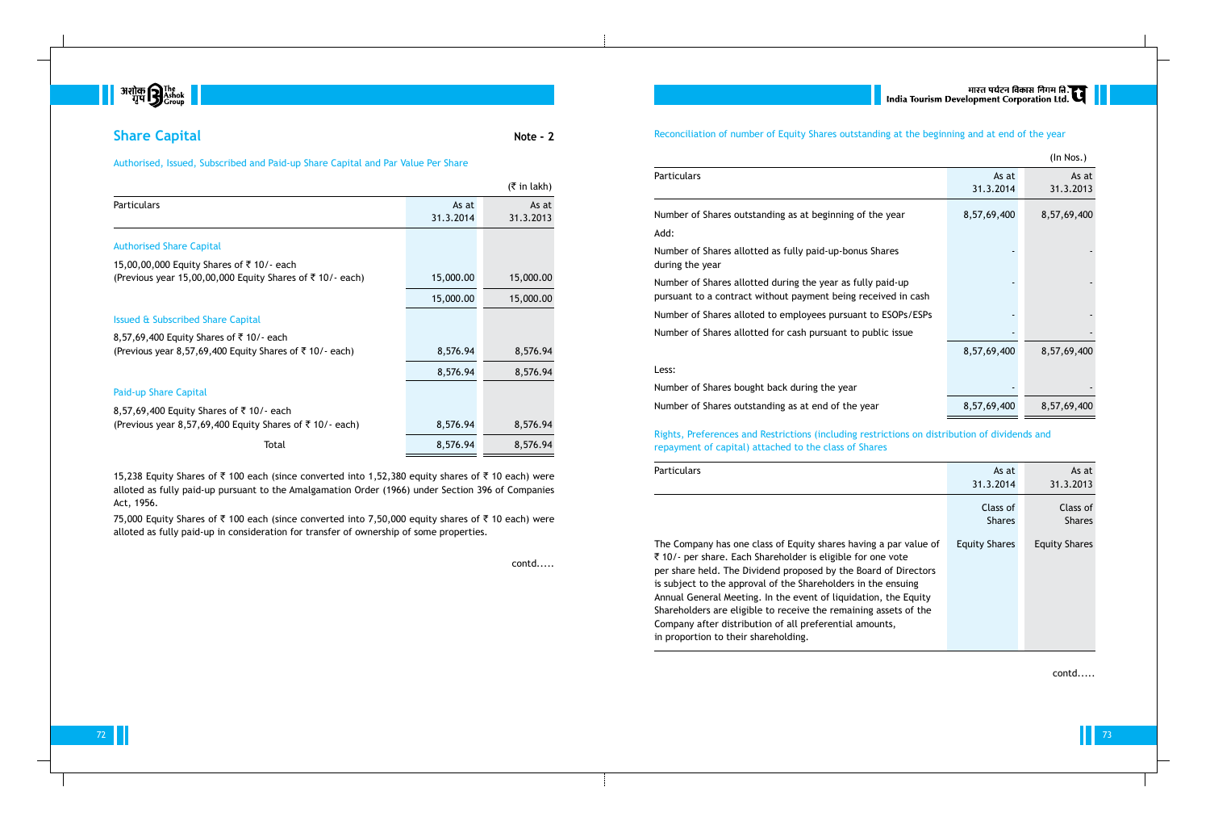

# **Share Capital Note - 2**

Authorised, Issued, Subscribed and Paid-up Share Capital and Par Value Per Share

|           | $(5 \in \mathsf{In} \, \mathsf{l}_k)$ |
|-----------|---------------------------------------|
| As at     | As at                                 |
| 31.3.2014 | 31.3.2013                             |
|           |                                       |
|           |                                       |
| 15,000.00 | 15,000.00                             |
| 15,000.00 | 15,000.00                             |
|           |                                       |
|           |                                       |
| 8,576.94  | 8,576.94                              |
| 8,576.94  | 8,576.94                              |
|           |                                       |
|           |                                       |
| 8,576.94  | 8,576.94                              |
| 8,576.94  | 8,576.94                              |
|           |                                       |

15,238 Equity Shares of ₹ 100 each (since converted into 1,52,380 equity shares of ₹ 10 each) were alloted as fully paid-up pursuant to the Amalgamation Order (1966) under Section 396 of Companies Act, 1956.

75,000 Equity Shares of ₹ 100 each (since converted into 7,50,000 equity shares of ₹ 10 each) were alloted as fully paid-up in consideration for transfer of ownership of some properties.

Number of Shares outstanding as Add:

Number of Shares allotted as full during the year

Number of Shares allotted during pursuant to a contract without pay

Number of Shares alloted to emp

Number of Shares allotted for cash

contd.....

## Reconciliation of number of Equity Shares outstanding at the beginning and at end of the year

Particulars

|                                                              |             | (In Nos.)   |
|--------------------------------------------------------------|-------------|-------------|
|                                                              | As at       | As at       |
|                                                              | 31.3.2014   | 31.3.2013   |
| at beginning of the year                                     | 8,57,69,400 | 8,57,69,400 |
| ly paid-up-bonus Shares                                      |             |             |
| g the year as fully paid-up<br>ayment being received in cash |             |             |
| bloyees pursuant to ESOPs/ESPs                               |             |             |
| sh pursuant to public issue                                  |             |             |
|                                                              | 8,57,69,400 | 8,57,69,400 |
| uring the year                                               |             |             |
| at end of the year                                           | 8,57,69,400 | 8,57,69,400 |

Less:

Number of Shares bought back du Number of Shares outstanding as

Rights, Preferences and Restrictions (including restrictions on distribution of dividends and repayment of capital) attached to the class of Shares

Particulars

The Company has one class of Equity Shares are shares in Fig. ₹ 10/- per share. Each Sharehold per share held. The Dividend pro is subject to the approval of the Annual General Meeting. In the  $\epsilon$ Shareholders are eligible to rece Company after distribution of all in proportion to their shareholdi

72 ППС процента в област на 1990 година в 1990 година в 1990 година в 1990 година в 1990 година в 1990 година<br>После 1990 година в 1990 година в 1990 година в 1990 година в 1990 година в 1990 година в 1990 година в 1990 г

|                                                                                                                                                                                                                                                | As at<br>31.3.2014        | As at<br>31.3.2013        |
|------------------------------------------------------------------------------------------------------------------------------------------------------------------------------------------------------------------------------------------------|---------------------------|---------------------------|
|                                                                                                                                                                                                                                                | Class of<br><b>Shares</b> | Class of<br><b>Shares</b> |
| quity shares having a par value of<br>der is eligible for one vote<br>pposed by the Board of Directors<br>Shareholders in the ensuing<br>event of liquidation, the Equity<br>ive the remaining assets of the<br>l preferential amounts,<br>ng. | <b>Equity Shares</b>      | <b>Equity Shares</b>      |

contd.....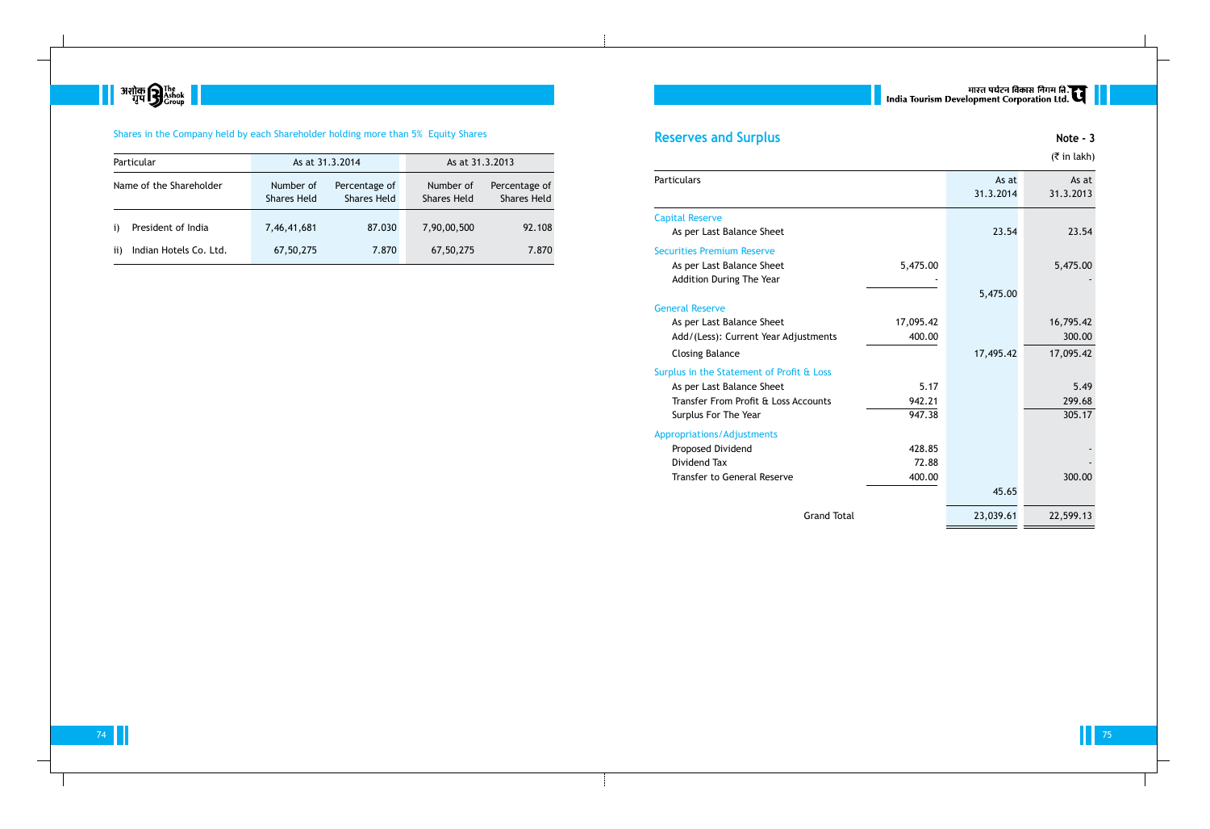

## Shares in the Company held by each Shareholder holding more than 5% Equity Shares

|               | Particular              | As at 31.3.2014                                                        |        | As at 31.3.2013                 |                                     |
|---------------|-------------------------|------------------------------------------------------------------------|--------|---------------------------------|-------------------------------------|
|               | Name of the Shareholder | Number of<br>Percentage of<br><b>Shares Held</b><br><b>Shares Held</b> |        | Number of<br><b>Shares Held</b> | Percentage of<br><b>Shares Held</b> |
| $\mathbf{i}$  | President of India      | 7,46,41,681                                                            | 87.030 | 7,90,00,500                     | 92.108                              |
| $\mathbf{ii}$ | Indian Hotels Co. Ltd.  | 67,50,275                                                              | 7.870  | 67,50,275                       | 7.870                               |

# **Reserves and Surplus Note - 3**

### Particulars

### Capital Reserve

### Securities Premium Reserve

### General Reserve

## Surplus in the Statement of Profit

|                                           |           |                    | $($ ₹ in lakh)     |
|-------------------------------------------|-----------|--------------------|--------------------|
| <b>Particulars</b>                        |           | As at<br>31.3.2014 | As at<br>31.3.2013 |
| <b>Capital Reserve</b>                    |           |                    |                    |
| As per Last Balance Sheet                 |           | 23.54              | 23.54              |
| <b>Securities Premium Reserve</b>         |           |                    |                    |
| As per Last Balance Sheet                 | 5,475.00  |                    | 5,475.00           |
| Addition During The Year                  |           |                    |                    |
|                                           |           | 5,475.00           |                    |
| <b>General Reserve</b>                    |           |                    |                    |
| As per Last Balance Sheet                 | 17,095.42 |                    | 16,795.42          |
| Add/(Less): Current Year Adjustments      | 400.00    |                    | 300.00             |
| <b>Closing Balance</b>                    |           | 17,495.42          | 17,095.42          |
| Surplus in the Statement of Profit & Loss |           |                    |                    |
| As per Last Balance Sheet                 | 5.17      |                    | 5.49               |
| Transfer From Profit & Loss Accounts      | 942.21    |                    | 299.68             |
| Surplus For The Year                      | 947.38    |                    | 305.17             |
| <b>Appropriations/Adjustments</b>         |           |                    |                    |
| Proposed Dividend                         | 428.85    |                    |                    |
| Dividend Tax                              | 72.88     |                    |                    |
| <b>Transfer to General Reserve</b>        | 400.00    |                    | 300.00             |
|                                           |           | 45.65              |                    |
| <b>Grand Total</b>                        |           | 23,039.61          | 22,599.13          |

74 ∎ Политика и от община в община в от община в община в от община в от община в от община в от община в откры<br>Политика в открыти политика в открыти по открыти по открыти по открыти по открыти по открыти по открыти по о

## Appropriations/Adjustments

# | सारत पर्यटन विकास निगम ति.<br>| India Tourism Development Corporation Ltd.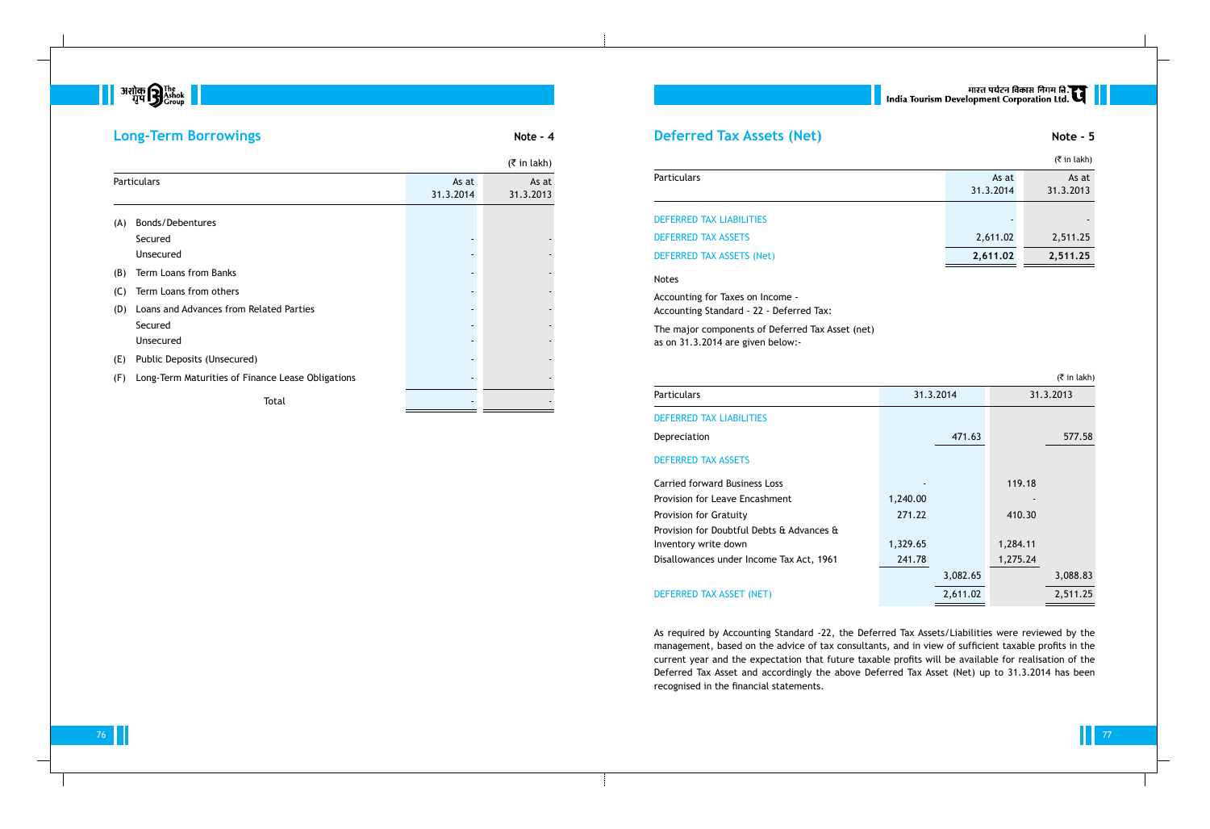# **अशोक सिर्फ प्र** अपने स्थान करने होता.<br>बाह्य स्थान करने होता होता होता है कि साथ करने होता है कि साथ करने होता है कि साथ करने होता है कि साथ करने हैं<br>बाह्य संस्कृतिक करने होता है कि साथ करने होता है कि साथ करने हैं कि सा

## **Long-Term Borrowings Note - 4**

|     |                                                   |                    | $($ ₹ in lakh)     |
|-----|---------------------------------------------------|--------------------|--------------------|
|     | Particulars                                       | As at<br>31.3.2014 | As at<br>31.3.2013 |
| (A) | <b>Bonds/Debentures</b>                           |                    |                    |
|     | Secured                                           |                    |                    |
|     | Unsecured                                         |                    |                    |
| (B) | Term Loans from Banks                             |                    |                    |
| (C) | Term Loans from others                            |                    |                    |
| (D) | Loans and Advances from Related Parties           |                    |                    |
|     | Secured                                           |                    |                    |
|     | Unsecured                                         |                    |                    |
| (E) | Public Deposits (Unsecured)                       |                    |                    |
| (F) | Long-Term Maturities of Finance Lease Obligations |                    |                    |
|     | Total                                             |                    |                    |

## **Deferred Tax Assets (Net) Note - 5**

## Particulars

|                            |                    | $(5 \in \mathsf{in} \, \mathsf{l}_k)$ |
|----------------------------|--------------------|---------------------------------------|
| <b>Particulars</b>         | As at<br>31.3.2014 | As at<br>31.3.2013                    |
| DEFERRED TAX LIABILITIES   |                    |                                       |
| <b>DEFERRED TAX ASSETS</b> | 2,611.02           | 2,511.25                              |
| DEFERRED TAX ASSETS (Net)  | 2,611.02           | 2,511.25                              |

## Notes

Accounting for Taxes on Income - Accounting Standard - 22 - Deferred Tax:

The major components of Deferred Tax Asset (net) as on 31.3.2014 are given below:-

## Particulars

|  | $(5$ in lakh) |
|--|---------------|

## DEFERRED TAX LIABILITIES

Depreciation

## DEFERRED TAX ASSETS

## DEFERRED TAX ASSET (NET)

| <b>Particulars</b>                        | 31.3.2014 |          |          | 31.3.2013 |
|-------------------------------------------|-----------|----------|----------|-----------|
| <b>DEFERRED TAX LIABILITIES</b>           |           |          |          |           |
| Depreciation                              |           | 471.63   |          | 577.58    |
| <b>DEFERRED TAX ASSETS</b>                |           |          |          |           |
| <b>Carried forward Business Loss</b>      |           |          | 119.18   |           |
| Provision for Leave Encashment            | 1,240.00  |          |          |           |
| <b>Provision for Gratuity</b>             | 271.22    |          | 410.30   |           |
| Provision for Doubtful Debts & Advances & |           |          |          |           |
| Inventory write down                      | 1,329.65  |          | 1,284.11 |           |
| Disallowances under Income Tax Act, 1961  | 241.78    |          | 1,275.24 |           |
|                                           |           | 3,082.65 |          | 3,088.83  |
| DEFERRED TAX ASSET (NET)                  |           | 2,611.02 |          | 2,511.25  |

As required by Accounting Standard -22, the Deferred Tax Assets/Liabilities were reviewed by the management, based on the advice of tax consultants, and in view of sufficient taxable profits in the current year and the expectation that future taxable profits will be available for realisation of the Deferred Tax Asset and accordingly the above Deferred Tax Asset (Net) up to 31.3.2014 has been recognised in the financial statements.

# मारत पर्यटन विकास निगम लि.<br>India Tourism Development Corporation Ltd.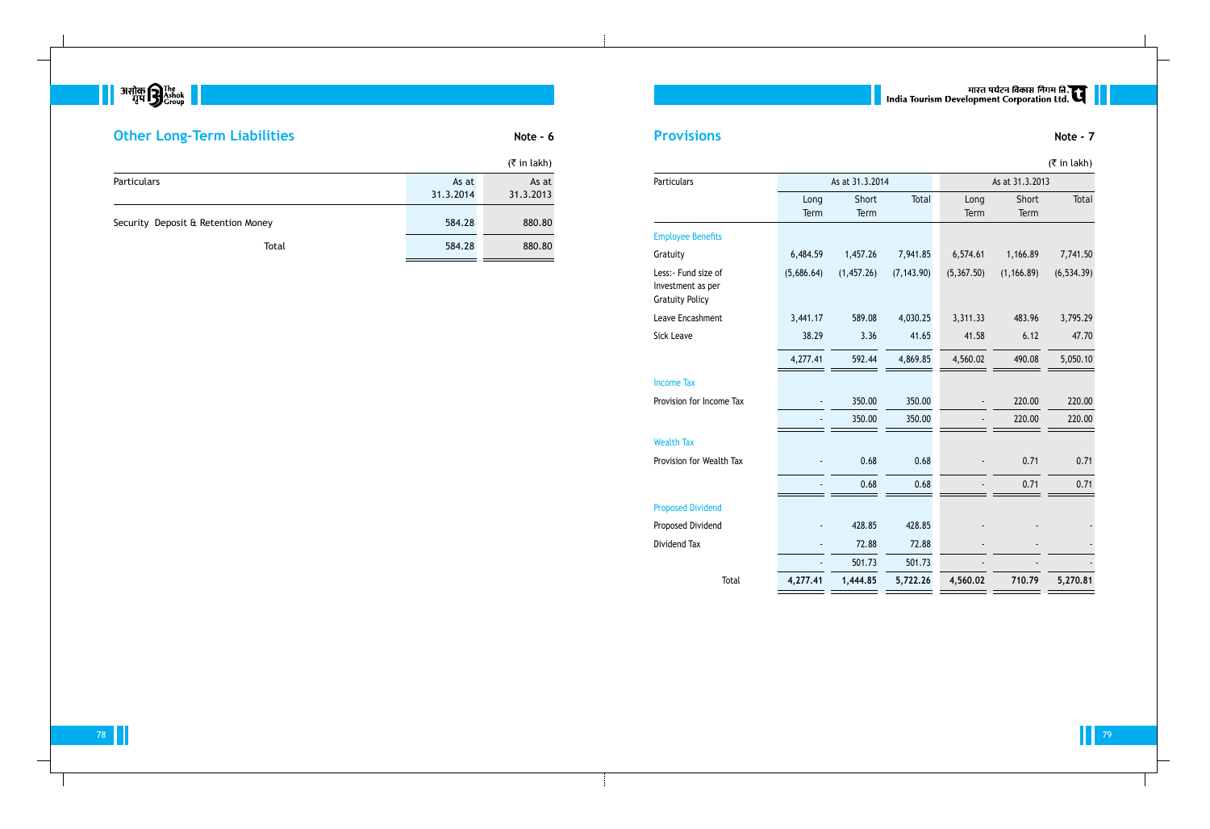

# **Other Long-Term Liabilities Note - 6** Note - 6

| Particulars                                                         |              | As at 31.3.2014 |             | As at 31.3.2013 |               |             |
|---------------------------------------------------------------------|--------------|-----------------|-------------|-----------------|---------------|-------------|
|                                                                     | Long<br>Term | Short<br>Term   | Total       | Long<br>Term    | Short<br>Term | Total       |
| <b>Employee Benefits</b>                                            |              |                 |             |                 |               |             |
| Gratuity                                                            | 6,484.59     | 1,457.26        | 7,941.85    | 6,574.61        | 1,166.89      | 7,741.50    |
| Less: - Fund size of<br>Investment as per<br><b>Gratuity Policy</b> | (5,686.64)   | (1,457.26)      | (7, 143.90) | (5, 367.50)     | (1, 166.89)   | (6, 534.39) |
| Leave Encashment                                                    | 3,441.17     | 589.08          | 4,030.25    | 3,311.33        | 483.96        | 3,795.29    |
| <b>Sick Leave</b>                                                   | 38.29        | 3.36            | 41.65       | 41.58           | 6.12          | 47.70       |
|                                                                     | 4,277.41     | 592.44          | 4,869.85    | 4,560.02        | 490.08        | 5,050.10    |
| <b>Income Tax</b>                                                   |              |                 |             |                 |               |             |
| Provision for Income Tax                                            |              | 350.00          | 350.00      |                 | 220.00        | 220.00      |
|                                                                     |              | 350.00          | 350.00      |                 | 220.00        | 220.00      |
| <b>Wealth Tax</b>                                                   |              |                 |             |                 |               |             |
| Provision for Wealth Tax                                            |              | 0.68            | 0.68        |                 | 0.71          | 0.71        |
|                                                                     |              | 0.68            | 0.68        |                 | 0.71          | 0.71        |
| <b>Proposed Dividend</b>                                            |              |                 |             |                 |               |             |
| Proposed Dividend                                                   |              | 428.85          | 428.85      |                 |               |             |
| Dividend Tax                                                        |              | 72.88           | 72.88       |                 |               |             |
|                                                                     |              | 501.73          | 501.73      |                 |               |             |
| <b>Total</b>                                                        | 4,277.41     | 1,444.85        | 5,722.26    | 4,560.02        | 710.79        | 5,270.81    |

## Propos

ти производите поставители на 1990 година в 1990 година и производите поставите по применени с применени с при<br>В 1990 година в 1990 година в 1990 година в 1990 година в 1990 година в 1990 година в 1990 година в 1990 годин

# ्यारत पर्यटन विकास निगम लि. ।<br>| India Tourism Development Corporation Ltd. ( स्टोर्ट कर्

 $($ ₹ in lakh)

|                                    |                    | $(\bar{\bar{\tau}}$ in lakh) |
|------------------------------------|--------------------|------------------------------|
| <b>Particulars</b>                 | As at<br>31.3.2014 | As at<br>31.3.2013           |
| Security Deposit & Retention Money | 584.28             | 880.80                       |
| Total                              | 584.28             | 880.80                       |

# **Provisions** Note - 7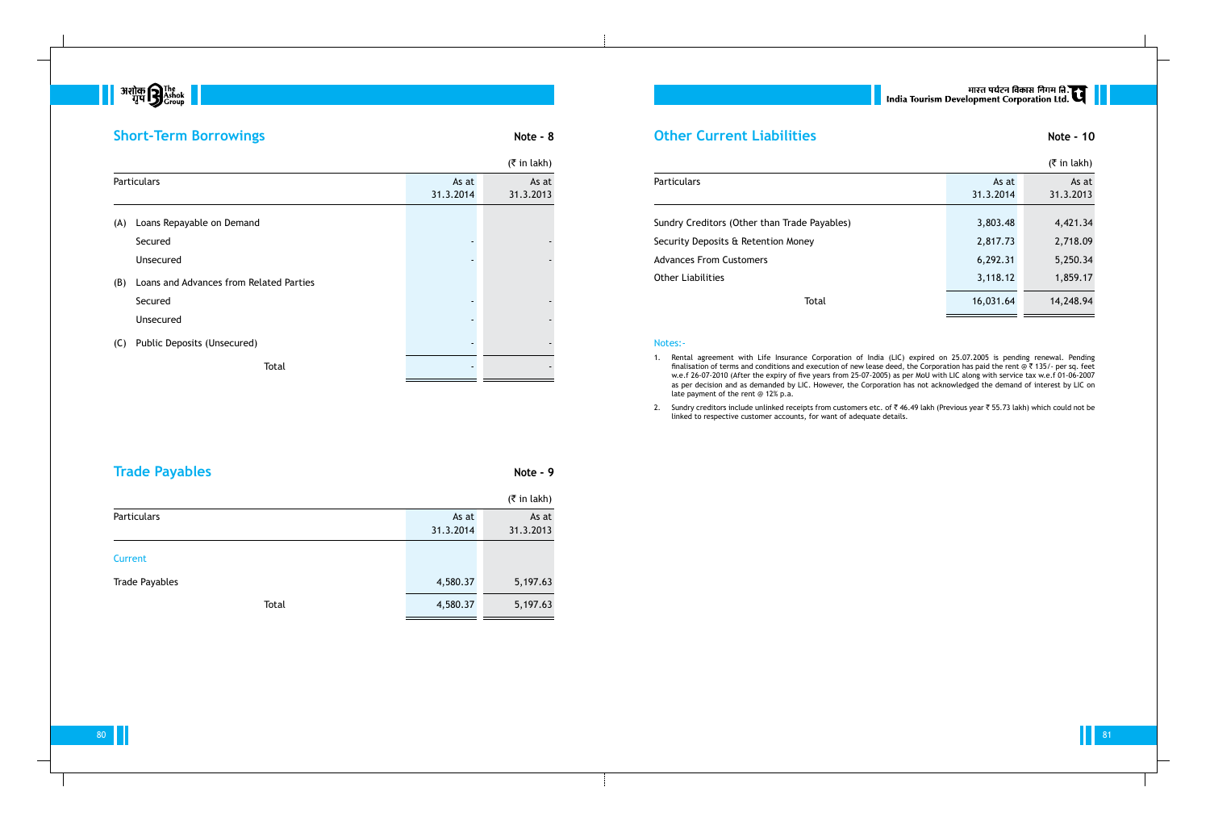# 

# **Short-Term Borrowings Note - 8**

|                                              |           | $(5 \in \mathsf{in} \, \mathsf{l}_k)$ |
|----------------------------------------------|-----------|---------------------------------------|
| <b>Particulars</b>                           | As at     | As at                                 |
|                                              | 31.3.2014 | 31.3.2013                             |
| Sundry Creditors (Other than Trade Payables) | 3,803.48  | 4,421.34                              |
|                                              |           |                                       |
| Security Deposits & Retention Money          | 2,817.73  | 2,718.09                              |
| <b>Advances From Customers</b>               | 6,292.31  | 5,250.34                              |
| <b>Other Liabilities</b>                     | 3,118.12  | 1,859.17                              |
| Total                                        | 16,031.64 | 14,248.94                             |
|                                              |           |                                       |

### Notes:-

1. Rental agreement with Life Insurance Corporation of India (LIC) expired on 25.07.2005 is pending renewal. Pending finalisation of terms and conditions and execution of new lease deed, the Corporation has paid the rent @  $*$  135/- per sq. feet w.e.f 26-07-2010 (After the expiry of five years from 25-07-2005) as per MoU with LIC along with service tax w.e.f 01-06-2007 as per decision and as demanded by LIC. However, the Corporation has not acknowledged the demand of interest by LIC on

2. Sundry creditors include unlinked receipts from customers etc. of  $\bar{z}$  46.49 lakh (Previous year  $\bar{z}$  55.73 lakh) which could not be

80 and the set of the set of the set of the set of the set of the set of the set of the set of the set of the set of the set of the set of the set of the set of the set of the set of the set of the set of the set of the se

- late payment of the rent @ 12% p.a.
- linked to respective customer accounts, for want of adequate details.

# **Trade Payables Note - 9**

|                       |           | $($ ₹ in lakh) |
|-----------------------|-----------|----------------|
| Particulars           | As at     | As at          |
|                       | 31.3.2014 | 31.3.2013      |
| Current               |           |                |
| <b>Trade Payables</b> | 4,580.37  | 5,197.63       |
| Total                 | 4,580.37  | 5,197.63       |

# || भारत पर्यटन विकास निगम लि.<br>| India Tourism Development Corporation Ltd.

|     |                                         |                    | $(5 \in \mathsf{in} \, \mathsf{l}_\mathsf{R}$ |
|-----|-----------------------------------------|--------------------|-----------------------------------------------|
|     | <b>Particulars</b>                      | As at<br>31.3.2014 | As at<br>31.3.2013                            |
| (A) | Loans Repayable on Demand               |                    |                                               |
|     | Secured                                 |                    |                                               |
|     | Unsecured                               |                    |                                               |
| (B) | Loans and Advances from Related Parties |                    |                                               |
|     | Secured                                 |                    |                                               |
|     | <b>Unsecured</b>                        |                    |                                               |
| (C) | Public Deposits (Unsecured)             |                    |                                               |
|     | Total                                   |                    |                                               |

## **Other Current Liabilities Note - 10**

### Particulars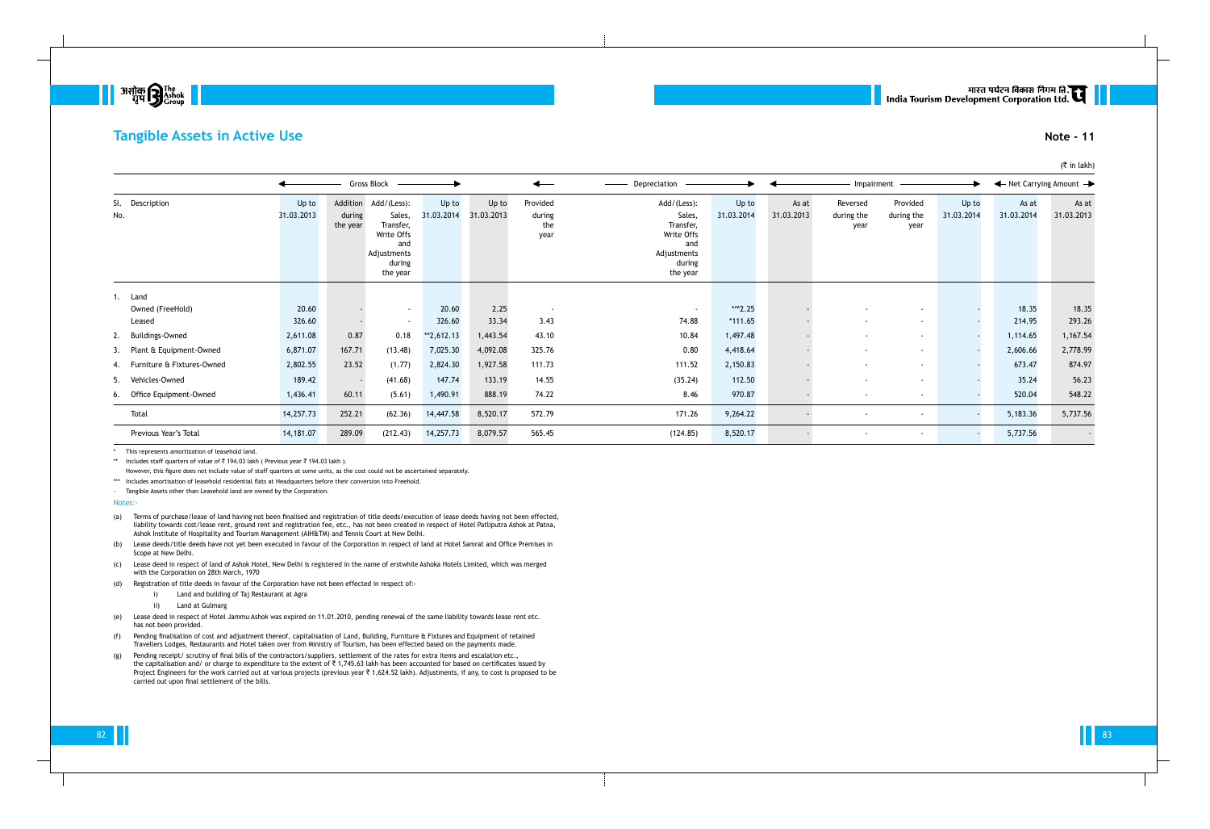

## **Tangible Assets in Active Use Note - 11**

|     |                                       |                     |                    | Gross Block –                                                                                         |                     |                     |                                   | Depreciation                                                                                 |                      |                     | Impairment                     |                                |                     | ← Net Carrying Amount → |                     |
|-----|---------------------------------------|---------------------|--------------------|-------------------------------------------------------------------------------------------------------|---------------------|---------------------|-----------------------------------|----------------------------------------------------------------------------------------------|----------------------|---------------------|--------------------------------|--------------------------------|---------------------|-------------------------|---------------------|
| No. | Sl. Description                       | Up to<br>31.03.2013 | during<br>the year | Addition Add/(Less):<br>Sales,<br>Transfer,<br>Write Offs<br>and<br>Adjustments<br>during<br>the year | Up to<br>31.03.2014 | Up to<br>31.03.2013 | Provided<br>during<br>the<br>year | Add/(Less):<br>Sales,<br>Transfer,<br>Write Offs<br>and<br>Adjustments<br>during<br>the year | Up to<br>31.03.2014  | As at<br>31.03.2013 | Reversed<br>during the<br>year | Provided<br>during the<br>year | Up to<br>31.03.2014 | As at<br>31.03.2014     | As at<br>31.03.2013 |
|     | 1. Land<br>Owned (FreeHold)<br>Leased | 20.60<br>326.60     |                    | $\sim$<br>$\sim$                                                                                      | 20.60<br>326.60     | 2.25<br>33.34       | $\sim$<br>3.43                    | $\sim$<br>74.88                                                                              | ***2.25<br>$*111.65$ |                     | $\sim$                         | $\sim$                         |                     | 18.35<br>214.95         | 18.35<br>293.26     |
|     | 2. Buildings-Owned                    | 2,611.08            | 0.87               | 0.18                                                                                                  | $*2,612.13$         | 1,443.54            | 43.10                             | 10.84                                                                                        | 1,497.48             |                     |                                | $\sim$                         |                     | 1,114.65                | 1,167.54            |
|     | 3. Plant & Equipment-Owned            | 6,871.07            | 167.71             | (13.48)                                                                                               | 7,025.30            | 4,092.08            | 325.76                            | 0.80                                                                                         | 4,418.64             |                     |                                | $\sim$                         |                     | 2,606.66                | 2,778.99            |
|     | 4. Furniture & Fixtures-Owned         | 2,802.55            | 23.52              | (1.77)                                                                                                | 2,824.30            | 1,927.58            | 111.73                            | 111.52                                                                                       | 2,150.83             |                     |                                | $\sim$                         |                     | 673.47                  | 874.97              |
|     | 5. Vehicles-Owned                     | 189.42              |                    | (41.68)                                                                                               | 147.74              | 133.19              | 14.55                             | (35.24)                                                                                      | 112.50               |                     |                                | $\sim$                         |                     | 35.24                   | 56.23               |
|     | 6. Office Equipment-Owned             | 1,436.41            | 60.11              | (5.61)                                                                                                | 1,490.91            | 888.19              | 74.22                             | 8.46                                                                                         | 970.87               |                     | $\sim$                         | $\sim$                         |                     | 520.04                  | 548.22              |
|     | Total                                 | 14,257.73           | 252.21             | (62.36)                                                                                               | 14,447.58           | 8,520.17            | 572.79                            | 171.26                                                                                       | 9,264.22             |                     |                                |                                |                     | 5,183.36                | 5,737.56            |
|     | Previous Year's Total                 | 14,181.07           | 289.09             | (212.43)                                                                                              | 14,257.73           | 8,079.57            | 565.45                            | (124.85)                                                                                     | 8,520.17             |                     |                                | $\sim$                         |                     | 5,737.56                | $\sim$              |

\* This represents amortization of leasehold land.

\*\* Includes staff quarters of value of  $\bar{\tau}$  194.03 lakh ( Previous year  $\bar{\tau}$  194.03 lakh ).

However, this figure does not include value of staff quarters at some units, as the cost could not be ascertained separately.

\*\*\* Includes amortisation of leasehold residential flats at Headquarters before their conversion into Freehold.

- Tangible Assets other than Leasehold land are owned by the Corporation.

Notes:-

(a) Terms of purchase/lease of land having not been finalised and registration of title deeds/execution of lease deeds having not been effected, liability towards cost/lease rent, ground rent and registration fee, etc., has not been created in respect of Hotel Patliputra Ashok at Patna, Ashok Institute of Hospitality and Tourism Management (AIH&TM) and Tennis Court at New Delhi.

(b) Lease deeds/title deeds have not yet been executed in favour of the Corporation in respect of land at Hotel Samrat and Office Premises in Scope at New Delhi.

(c) Lease deed in respect of land of Ashok Hotel, New Delhi is registered in the name of erstwhile Ashoka Hotels Limited, which was merged with the Corporation on 28th March, 1970

(d) Registration of title deeds in favour of the Corporation have not been effected in respect of:-

- i) Land and building of Taj Restaurant at Agra
- ii) Land at Gulmarg
- (e) Lease deed in respect of Hotel Jammu Ashok was expired on 11.01.2010, pending renewal of the same liability towards lease rent etc. has not been provided.
- (f) Pending finalisation of cost and adjustment thereof, capitalisation of Land, Building, Furniture & Fixtures and Equipment of retained Travellers Lodges, Restaurants and Hotel taken over from Ministry of Tourism, has been effected based on the payments made.
- (g) Pending receipt/ scrutiny of final bills of the contractors/suppliers, settlement of the rates for extra items and escalation etc., the capitalisation and/ or charge to expenditure to the extent of ₹ 1,745.63 lakh has been accounted for based on certificates issued by Project Engineers for the work carried out at various projects (previous year ₹ 1,624.52 lakh). Adjustments, if any, to cost is proposed to be carried out upon final settlement of the bills.

# मारत पर्यटन विकास निगम लि.<br>India Tourism Development Corporation Ltd.

## $($ ₹ in lakh)

82 and the second contract of the second contract of the second contract of the second contract of the second contract of the second contract of the second contract of the second contract of the second contract of the seco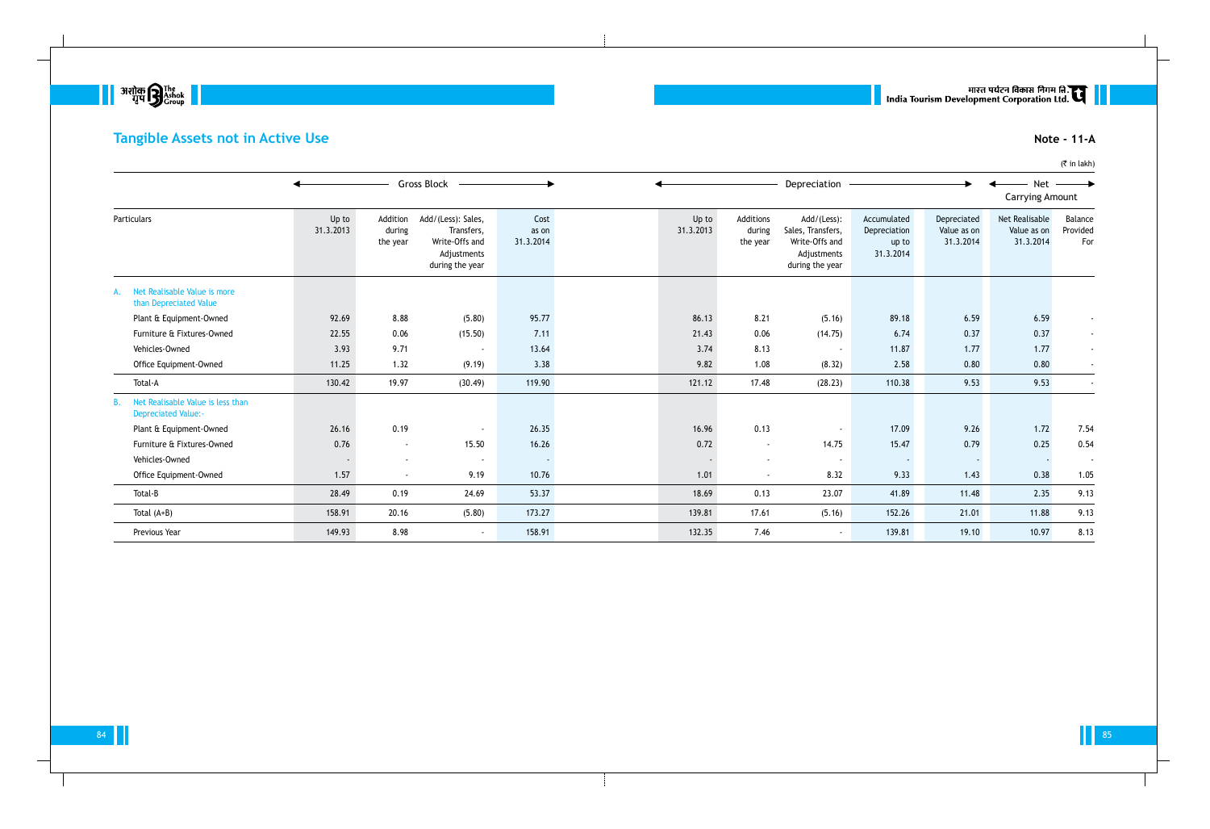

# **Tangible Assets not in Active Use Note - 11-A**

|                                                                       |                    |                                | <b>Gross Block</b>                                                                   |                            |                    |                                 | Depreciation                                                                         |                                                   |                                         | <b>Net</b><br><b>Carrying Amount</b>       |                            |
|-----------------------------------------------------------------------|--------------------|--------------------------------|--------------------------------------------------------------------------------------|----------------------------|--------------------|---------------------------------|--------------------------------------------------------------------------------------|---------------------------------------------------|-----------------------------------------|--------------------------------------------|----------------------------|
| Particulars                                                           | Up to<br>31.3.2013 | Addition<br>during<br>the year | Add/(Less): Sales,<br>Transfers,<br>Write-Offs and<br>Adjustments<br>during the year | Cost<br>as on<br>31.3.2014 | Up to<br>31.3.2013 | Additions<br>during<br>the year | Add/(Less):<br>Sales, Transfers,<br>Write-Offs and<br>Adjustments<br>during the year | Accumulated<br>Depreciation<br>up to<br>31.3.2014 | Depreciated<br>Value as on<br>31.3.2014 | Net Realisable<br>Value as on<br>31.3.2014 | Balance<br>Provided<br>For |
| Net Realisable Value is more<br>than Depreciated Value                |                    |                                |                                                                                      |                            |                    |                                 |                                                                                      |                                                   |                                         |                                            |                            |
| Plant & Equipment-Owned                                               | 92.69              | 8.88                           | (5.80)                                                                               | 95.77                      | 86.13              | 8.21                            | (5.16)                                                                               | 89.18                                             | 6.59                                    | 6.59                                       |                            |
| Furniture & Fixtures-Owned                                            | 22.55              | 0.06                           | (15.50)                                                                              | 7.11                       | 21.43              | 0.06                            | (14.75)                                                                              | 6.74                                              | 0.37                                    | 0.37                                       | $\blacksquare$             |
| Vehicles-Owned                                                        | 3.93               | 9.71                           | $\sim$                                                                               | 13.64                      | 3.74               | 8.13                            | $\sim$                                                                               | 11.87                                             | 1.77                                    | 1.77                                       | $\sim$                     |
| Office Equipment-Owned                                                | 11.25              | 1.32                           | (9.19)                                                                               | 3.38                       | 9.82               | 1.08                            | (8.32)                                                                               | 2.58                                              | 0.80                                    | 0.80                                       |                            |
| Total-A                                                               | 130.42             | 19.97                          | (30.49)                                                                              | 119.90                     | 121.12             | 17.48                           | (28.23)                                                                              | 110.38                                            | 9.53                                    | 9.53                                       |                            |
| Net Realisable Value is less than<br>В.<br><b>Depreciated Value:-</b> |                    |                                |                                                                                      |                            |                    |                                 |                                                                                      |                                                   |                                         |                                            |                            |
| Plant & Equipment-Owned                                               | 26.16              | 0.19                           |                                                                                      | 26.35                      | 16.96              | 0.13                            | $\blacksquare$                                                                       | 17.09                                             | 9.26                                    | 1.72                                       | 7.54                       |
| Furniture & Fixtures-Owned                                            | 0.76               | $\sim$                         | 15.50                                                                                | 16.26                      | 0.72               | $\overline{\phantom{a}}$        | 14.75                                                                                | 15.47                                             | 0.79                                    | 0.25                                       | 0.54                       |
| Vehicles-Owned                                                        |                    | $\overline{\phantom{a}}$       | $\sim$                                                                               |                            |                    |                                 | $\sim$                                                                               |                                                   |                                         |                                            |                            |
| Office Equipment-Owned                                                | 1.57               | $\sim$                         | 9.19                                                                                 | 10.76                      | 1.01               | $\sim$                          | 8.32                                                                                 | 9.33                                              | 1.43                                    | 0.38                                       | 1.05                       |
| Total-B                                                               | 28.49              | 0.19                           | 24.69                                                                                | 53.37                      | 18.69              | 0.13                            | 23.07                                                                                | 41.89                                             | 11.48                                   | 2.35                                       | 9.13                       |
| Total $(A+B)$                                                         | 158.91             | 20.16                          | (5.80)                                                                               | 173.27                     | 139.81             | 17.61                           | (5.16)                                                                               | 152.26                                            | 21.01                                   | 11.88                                      | 9.13                       |
| Previous Year                                                         | 149.93             | 8.98                           | $\sim$                                                                               | 158.91                     | 132.35             | 7.46                            | $\sim$                                                                               | 139.81                                            | 19.10                                   | 10.97                                      | 8.13                       |

# | | सारत पर्यटन विकास निगम लि.<br>| India Tourism Development Corporation Ltd.

 $(\bar{\bar{\tau}}$  in lakh)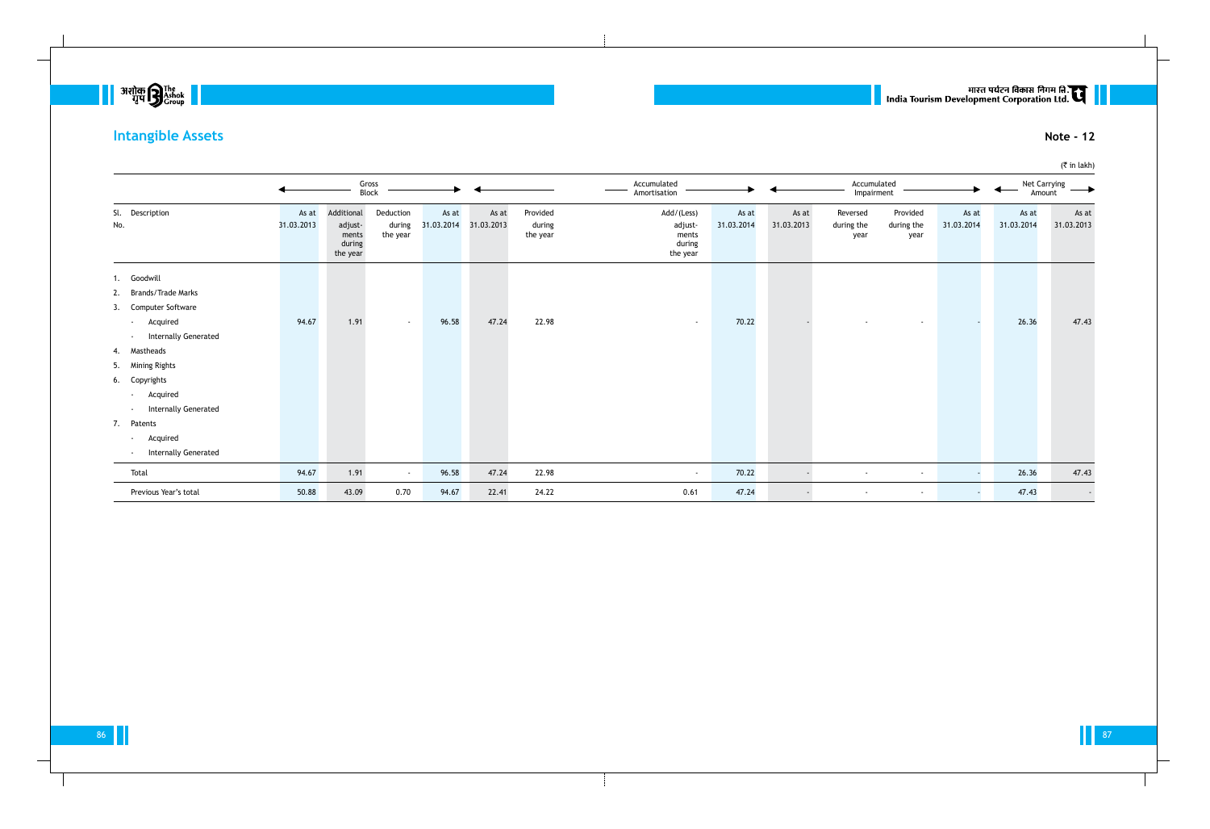

# **Intangible Assets Note - 12**

|                                                  |                     |                                                      | Gross<br>Block                  |                     |                     |                                | Accumulated<br>Amortisation                          |                     |                     | Accumulated<br>Impairment      |                                |                     | Amount              | Net Carrying        |
|--------------------------------------------------|---------------------|------------------------------------------------------|---------------------------------|---------------------|---------------------|--------------------------------|------------------------------------------------------|---------------------|---------------------|--------------------------------|--------------------------------|---------------------|---------------------|---------------------|
| Sl. Description<br>No.                           | As at<br>31.03.2013 | Additional<br>adjust-<br>ments<br>during<br>the year | Deduction<br>during<br>the year | As at<br>31.03.2014 | As at<br>31.03.2013 | Provided<br>during<br>the year | Add/(Less)<br>adjust-<br>ments<br>during<br>the year | As at<br>31.03.2014 | As at<br>31.03.2013 | Reversed<br>during the<br>year | Provided<br>during the<br>year | As at<br>31.03.2014 | As at<br>31.03.2014 | As at<br>31.03.2013 |
| 1. Goodwill                                      |                     |                                                      |                                 |                     |                     |                                |                                                      |                     |                     |                                |                                |                     |                     |                     |
| 2. Brands/Trade Marks<br>3. Computer Software    |                     |                                                      |                                 |                     |                     |                                |                                                      |                     |                     |                                |                                |                     |                     |                     |
| Acquired<br>$\sim 100$<br>- Internally Generated | 94.67               | 1.91                                                 | $\sim$                          | 96.58               | 47.24               | 22.98                          | $\sim$                                               | 70.22               |                     |                                |                                |                     | 26.36               | 47.43               |
| 4. Mastheads                                     |                     |                                                      |                                 |                     |                     |                                |                                                      |                     |                     |                                |                                |                     |                     |                     |
| 5. Mining Rights                                 |                     |                                                      |                                 |                     |                     |                                |                                                      |                     |                     |                                |                                |                     |                     |                     |
| 6. Copyrights                                    |                     |                                                      |                                 |                     |                     |                                |                                                      |                     |                     |                                |                                |                     |                     |                     |
| Acquired<br><b>Contract</b>                      |                     |                                                      |                                 |                     |                     |                                |                                                      |                     |                     |                                |                                |                     |                     |                     |
| - Internally Generated                           |                     |                                                      |                                 |                     |                     |                                |                                                      |                     |                     |                                |                                |                     |                     |                     |
| 7. Patents                                       |                     |                                                      |                                 |                     |                     |                                |                                                      |                     |                     |                                |                                |                     |                     |                     |
| Acquired<br>$\sim 100$                           |                     |                                                      |                                 |                     |                     |                                |                                                      |                     |                     |                                |                                |                     |                     |                     |
| - Internally Generated                           |                     |                                                      |                                 |                     |                     |                                |                                                      |                     |                     |                                |                                |                     |                     |                     |
| Total                                            | 94.67               | 1.91                                                 | $\sim$                          | 96.58               | 47.24               | 22.98                          | $\sim$                                               | 70.22               |                     | $\sim$                         | $\sim$                         | $\sim$              | 26.36               | 47.43               |
| Previous Year's total                            | 50.88               | 43.09                                                | 0.70                            | 94.67               | 22.41               | 24.22                          | 0.61                                                 | 47.24               |                     | $\sim$                         | $\overline{\phantom{a}}$       | $\sim$              | 47.43               | $\sim$              |

# | | सारत पर्यटन विकास निगम लि.<br>| India Tourism Development Corporation Ltd.

(₹ in lakh)

86 and the set of the set of the set of the set of the set of the set of the set of the set of the set of the set of the set of the set of the set of the set of the set of the set of the set of the set of the set of the se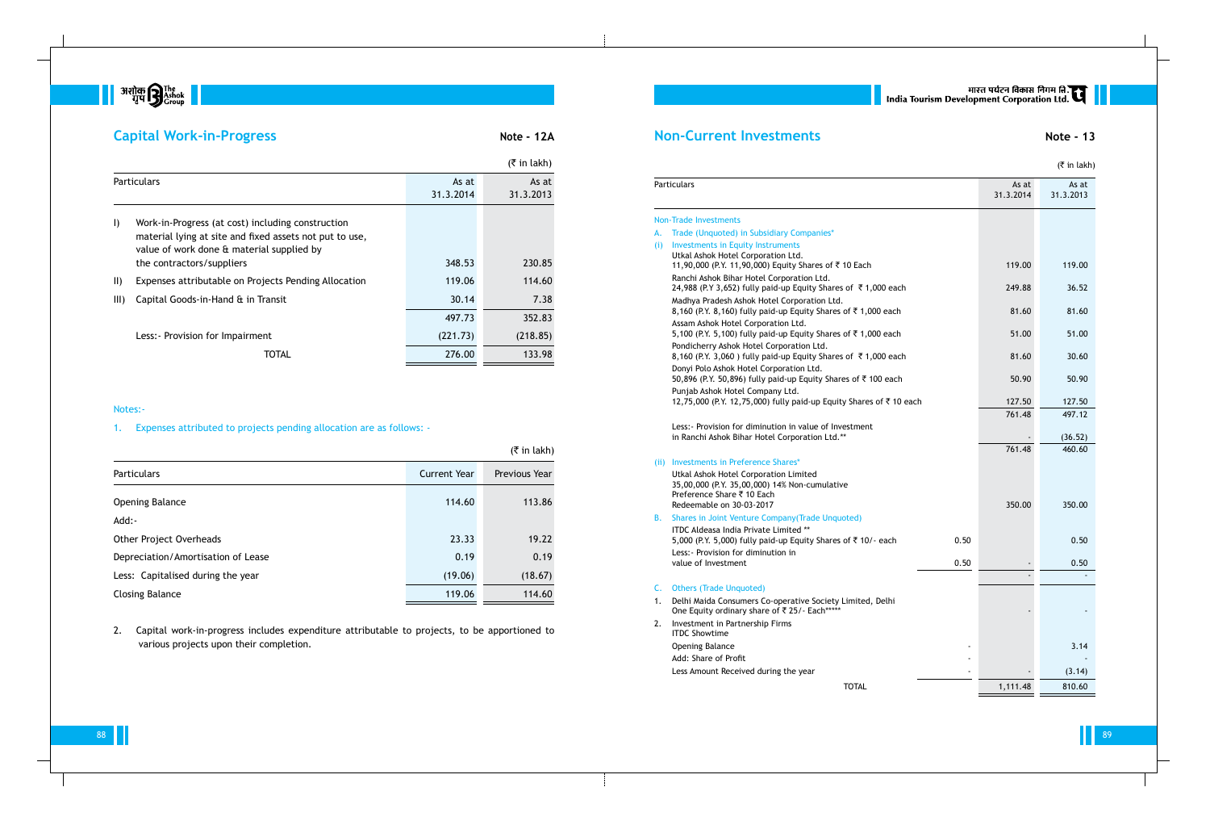

## **Capital Work-in-Progress Note - 12A**

## **Non-Current Investments Note - 13**

|  | $($ ₹ in lakh) |  |
|--|----------------|--|
|  |                |  |

#### Non-Trade Investments

- A. Trade (Unquoted) in Subsidiary Companies
- (i) Investments in Equity Instrument **Utkal Ashok Hotel Corporation Ltd** 11,90,000 (P.Y. 11,90,000) Equity Ranchi Ashok Bihar Hotel Corpora 24,988 (P.Y 3,652) fully paid-up E Madhya Pradesh Ashok Hotel Corp 8,160 (P.Y. 8,160) fully paid-up Ec Assam Ashok Hotel Corporation Lt 5,100 (P.Y. 5,100) fully paid-up Equity Shares 51.00 Pondicherry Ashok Hotel Corporat 8,160 (P.Y. 3,060 ) fully paid-up E Donyi Polo Ashok Hotel Corporati 50,896 (P.Y. 50,896) fully paid-up Punjab Ashok Hotel Company Ltd. 12,75,000 (P.Y. 12,75,000) fully pa

- 1. Delhi Maida Consumers Co-operative One Equity ordinary share of  $\bar{z}$  25
- 2. Investment in Partnership Firms ITDC Showtime

|      | Particulars                                                                                                                                      |      | As at<br>31.3.2014 | As at<br>31.3.2013 |
|------|--------------------------------------------------------------------------------------------------------------------------------------------------|------|--------------------|--------------------|
|      | <b>Non-Trade Investments</b>                                                                                                                     |      |                    |                    |
| А.   | Trade (Unquoted) in Subsidiary Companies*                                                                                                        |      |                    |                    |
| (i)  | <b>Investments in Equity Instruments</b><br>Utkal Ashok Hotel Corporation Ltd.<br>11,90,000 (P.Y. 11,90,000) Equity Shares of ₹10 Each           |      | 119.00             | 119.00             |
|      | Ranchi Ashok Bihar Hotel Corporation Ltd.<br>24,988 (P.Y 3,652) fully paid-up Equity Shares of ₹1,000 each                                       |      | 249.88             | 36.52              |
|      | Madhya Pradesh Ashok Hotel Corporation Ltd.<br>8,160 (P.Y. 8,160) fully paid-up Equity Shares of ₹1,000 each                                     |      | 81.60              | 81.60              |
|      | Assam Ashok Hotel Corporation Ltd.<br>5,100 (P.Y. 5,100) fully paid-up Equity Shares of ₹1,000 each                                              |      | 51.00              | 51.00              |
|      | Pondicherry Ashok Hotel Corporation Ltd.<br>8,160 (P.Y. 3,060) fully paid-up Equity Shares of ₹1,000 each                                        |      | 81.60              | 30.60              |
|      | Donyi Polo Ashok Hotel Corporation Ltd.<br>50,896 (P.Y. 50,896) fully paid-up Equity Shares of ₹100 each                                         |      | 50.90              | 50.90              |
|      | Punjab Ashok Hotel Company Ltd.<br>12,75,000 (P.Y. 12,75,000) fully paid-up Equity Shares of ₹10 each                                            |      | 127.50             | 127.50             |
|      | Less: - Provision for diminution in value of Investment<br>in Ranchi Ashok Bihar Hotel Corporation Ltd.**                                        |      | 761.48             | 497.12<br>(36.52)  |
|      |                                                                                                                                                  |      | 761.48             | 460.60             |
| (ii) | Investments in Preference Shares*                                                                                                                |      |                    |                    |
|      | Utkal Ashok Hotel Corporation Limited<br>35,00,000 (P.Y. 35,00,000) 14% Non-cumulative<br>Preference Share ₹ 10 Each<br>Redeemable on 30-03-2017 |      | 350.00             | 350.00             |
| В.   | Shares in Joint Venture Company (Trade Unquoted)                                                                                                 |      |                    |                    |
|      | ITDC Aldeasa India Private Limited **<br>5,000 (P.Y. 5,000) fully paid-up Equity Shares of ₹10/- each                                            | 0.50 |                    | 0.50               |
|      | Less: - Provision for diminution in<br>value of Investment                                                                                       | 0.50 |                    | 0.50               |
| C.   | <b>Others (Trade Unquoted)</b>                                                                                                                   |      |                    |                    |
| 1.   | Delhi Maida Consumers Co-operative Society Limited, Delhi<br>One Equity ordinary share of ₹ 25/- Each*****                                       |      |                    |                    |
| 2.   | Investment in Partnership Firms<br><b>ITDC Showtime</b>                                                                                          |      |                    |                    |
|      | <b>Opening Balance</b>                                                                                                                           |      |                    | 3.14               |
|      | Add: Share of Profit                                                                                                                             |      |                    |                    |
|      | Less Amount Received during the year                                                                                                             |      |                    | (3.14)             |
|      | <b>TOTAL</b>                                                                                                                                     |      | 1,111.48           | 810.60             |

### (ii) Investments in Preference Shares\*

- Utkal Ashok Hotel Corporation Lir 35,00,000 (P.Y. 35,00,000) 14% No Preference Share ₹ 10 Each Redeemable on 30-03-2017
- B. Shares in Joint Venture Company ITDC Aldeasa India Private Limite 5,000 (P.Y. 5,000) fully paid-up Equity Shares 5.000 Equity Shares of 100.500 Equity Shares of 0.500  $\pm$ Less:- Provision for diminution in value of Investment

### C. Others (Trade Unquoted)

|               |                                                                                                                                                                                        |                    | $(\bar{\bar{\zeta}})$ in lakh) |
|---------------|----------------------------------------------------------------------------------------------------------------------------------------------------------------------------------------|--------------------|--------------------------------|
|               | <b>Particulars</b>                                                                                                                                                                     | As at<br>31.3.2014 | As at<br>31.3.2013             |
| $\vert$       | Work-in-Progress (at cost) including construction<br>material lying at site and fixed assets not put to use,<br>value of work done & material supplied by<br>the contractors/suppliers | 348.53             | 230.85                         |
| $\vert \vert$ | Expenses attributable on Projects Pending Allocation                                                                                                                                   | 119.06             | 114.60                         |
| III)          | Capital Goods-in-Hand & in Transit                                                                                                                                                     | 30.14              | 7.38                           |
|               |                                                                                                                                                                                        | 497.73             | 352.83                         |
|               | Less: - Provision for Impairment                                                                                                                                                       | (221.73)           | (218.85)                       |
|               | TOTAL                                                                                                                                                                                  | 276.00             | 133.98                         |

#### Notes:-

1. Expenses attributed to projects pending allocation are as follows: -

|                                    |                     | $(5 \in \mathsf{In} \, \mathsf{l}_k)$ |
|------------------------------------|---------------------|---------------------------------------|
| <b>Particulars</b>                 | <b>Current Year</b> | Previous Year                         |
| <b>Opening Balance</b>             | 114.60              | 113.86                                |
| Add:-                              |                     |                                       |
| <b>Other Project Overheads</b>     | 23.33               | 19.22                                 |
| Depreciation/Amortisation of Lease | 0.19                | 0.19                                  |
| Less: Capitalised during the year  | (19.06)             | (18.67)                               |
| <b>Closing Balance</b>             | 119.06              | 114.60                                |

2. Capital work-in-progress includes expenditure attributable to projects, to be apportioned to various projects upon their completion.

# मारत पर्यटन विकास निगम लि.<br>India Tourism Development Corporation Ltd.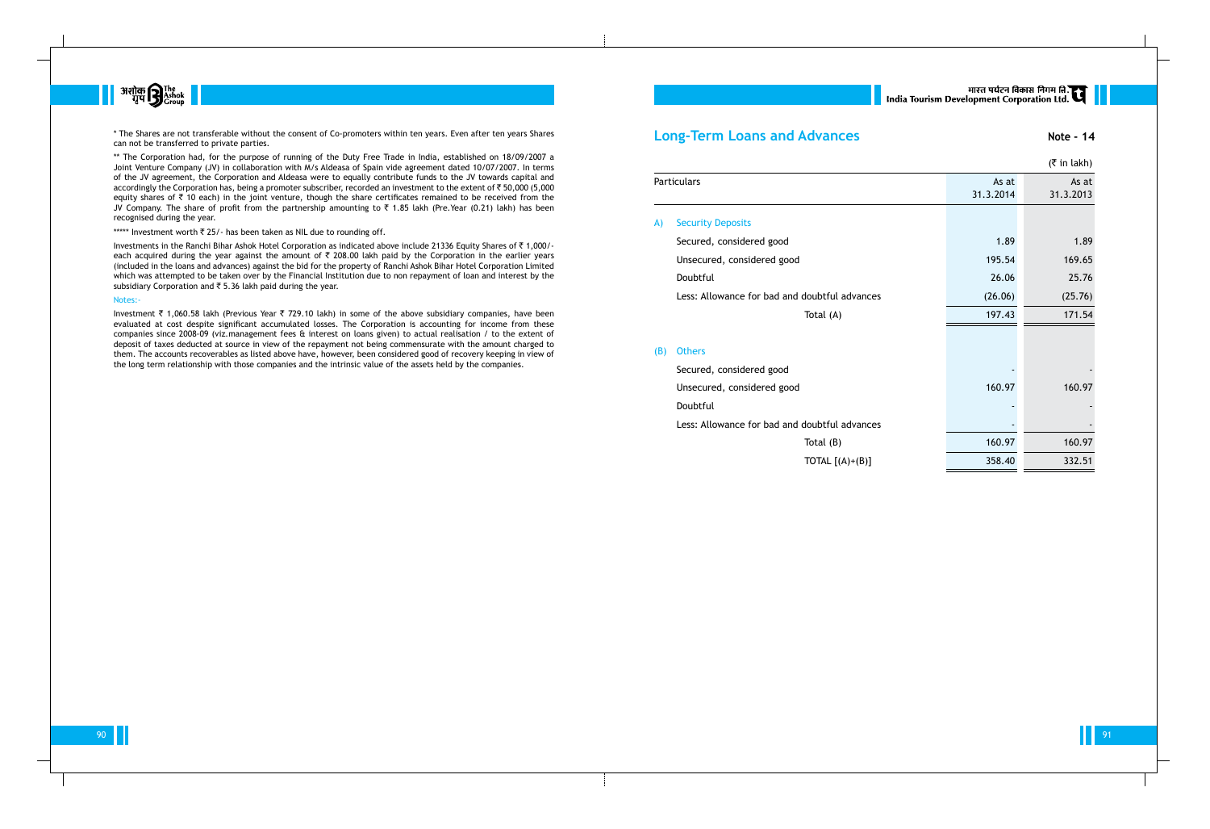

\* The Shares are not transferable without the consent of Co-promoters within ten years. Even after ten years Shares can not be transferred to private parties.

Investments in the Ranchi Bihar Ashok Hotel Corporation as indicated above include 21336 Equity Shares of ` 1,000/ each acquired during the year against the amount of  $\bar{\tau}$  208.00 lakh paid by the Corporation in the earlier years (included in the loans and advances) against the bid for the property of Ranchi Ashok Bihar Hotel Corporation Limited which was attempted to be taken over by the Financial Institution due to non repayment of loan and interest by the subsidiary Corporation and  $\overline{\xi}$  5.36 lakh paid during the year.

\*\* The Corporation had, for the purpose of running of the Duty Free Trade in India, established on 18/09/2007 a Joint Venture Company (JV) in collaboration with M/s Aldeasa of Spain vide agreement dated 10/07/2007. In terms of the JV agreement, the Corporation and Aldeasa were to equally contribute funds to the JV towards capital and accordingly the Corporation has, being a promoter subscriber, recorded an investment to the extent of  $\bar{\tau}$  50,000 (5,000 equity shares of  $\bar{\tau}$  10 each) in the joint venture, though the share certificates remained to be received from the JV Company. The share of profit from the partnership amounting to  $\bar{\tau}$  1.85 lakh (Pre.Year (0.21) lakh) has been recognised during the year.

\*\*\*\*\* Investment worth  $\bar{z}$  25/- has been taken as NIL due to rounding off.

Investment ₹ 1,060.58 lakh (Previous Year ₹ 729.10 lakh) in some of the above subsidiary companies, have been evaluated at cost despite significant accumulated losses. The Corporation is accounting for income from these companies since 2008-09 (viz.management fees & interest on loans given) to actual realisation / to the extent of deposit of taxes deducted at source in view of the repayment not being commensurate with the amount charged to them. The accounts recoverables as listed above have, however, been considered good of recovery keeping in view of the long term relationship with those companies and the intrinsic value of the assets held by the companies.

## **Long-Term Loans and**

- A) Security Deposits
	- Secured, considered good Unsecured, considered good Less: Allowance for bad an

#### Notes:-

90 91

|     | <b>Long-Term Loans and Advances</b>           |           | Note - 14      |
|-----|-----------------------------------------------|-----------|----------------|
|     |                                               |           | $($ ₹ in lakh) |
|     | <b>Particulars</b>                            | As at     | As at          |
|     |                                               | 31.3.2014 | 31.3.2013      |
| A)  | <b>Security Deposits</b>                      |           |                |
|     | Secured, considered good                      | 1.89      | 1.89           |
|     | Unsecured, considered good                    | 195.54    | 169.65         |
|     | Doubtful                                      | 26.06     | 25.76          |
|     | Less: Allowance for bad and doubtful advances | (26.06)   | (25.76)        |
|     | Total (A)                                     | 197.43    | 171.54         |
|     |                                               |           |                |
| (B) | <b>Others</b>                                 |           |                |
|     | Secured, considered good                      |           |                |
|     | Unsecured, considered good                    | 160.97    | 160.97         |
|     | Doubtful                                      |           |                |
|     | Less: Allowance for bad and doubtful advances |           |                |
|     | Total $(B)$                                   | 160.97    | 160.97         |
|     | TOTAL $[(A)+(B)]$                             | 358.40    | 332.51         |
|     |                                               |           |                |

## (B) Others

# |<br>| India Tourism Development Corporation Ltd.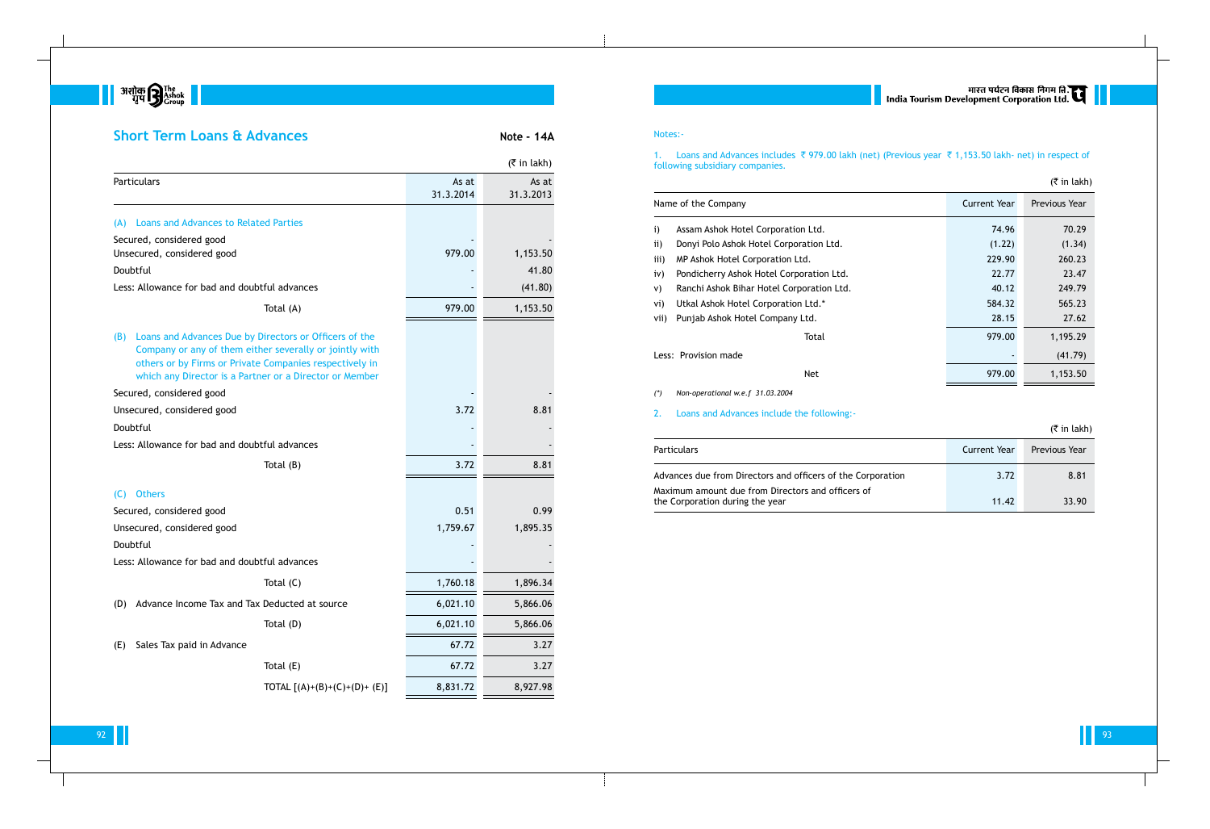

## **Short Term Loans & Advances Note - 14A**

|                                                                                                                                                                                                                                                |                               |                    | $($ ₹ in lakh)     |
|------------------------------------------------------------------------------------------------------------------------------------------------------------------------------------------------------------------------------------------------|-------------------------------|--------------------|--------------------|
| Particulars                                                                                                                                                                                                                                    |                               | As at<br>31.3.2014 | As at<br>31.3.2013 |
| <b>Loans and Advances to Related Parties</b><br>(A)                                                                                                                                                                                            |                               |                    |                    |
| Secured, considered good                                                                                                                                                                                                                       |                               |                    |                    |
| Unsecured, considered good                                                                                                                                                                                                                     |                               | 979.00             | 1,153.50           |
| Doubtful                                                                                                                                                                                                                                       |                               |                    | 41.80              |
| Less: Allowance for bad and doubtful advances                                                                                                                                                                                                  |                               |                    | (41.80)            |
|                                                                                                                                                                                                                                                | Total (A)                     | 979.00             | 1,153.50           |
| Loans and Advances Due by Directors or Officers of the<br>(B)<br>Company or any of them either severally or jointly with<br>others or by Firms or Private Companies respectively in<br>which any Director is a Partner or a Director or Member |                               |                    |                    |
| Secured, considered good                                                                                                                                                                                                                       |                               |                    |                    |
| Unsecured, considered good                                                                                                                                                                                                                     |                               | 3.72               | 8.81               |
| Doubtful                                                                                                                                                                                                                                       |                               |                    |                    |
| Less: Allowance for bad and doubtful advances                                                                                                                                                                                                  |                               |                    |                    |
|                                                                                                                                                                                                                                                | Total $(B)$                   | 3.72               | 8.81               |
| <b>Others</b><br>(C)                                                                                                                                                                                                                           |                               |                    |                    |
| Secured, considered good                                                                                                                                                                                                                       |                               | 0.51               | 0.99               |
| Unsecured, considered good                                                                                                                                                                                                                     |                               | 1,759.67           | 1,895.35           |
| Doubtful                                                                                                                                                                                                                                       |                               |                    |                    |
| Less: Allowance for bad and doubtful advances                                                                                                                                                                                                  |                               |                    |                    |
|                                                                                                                                                                                                                                                | Total $(C)$                   | 1,760.18           | 1,896.34           |
| Advance Income Tax and Tax Deducted at source<br>(D)                                                                                                                                                                                           |                               | 6,021.10           | 5,866.06           |
|                                                                                                                                                                                                                                                | Total (D)                     | 6,021.10           | 5,866.06           |
| Sales Tax paid in Advance<br>(E)                                                                                                                                                                                                               |                               | 67.72              | 3.27               |
|                                                                                                                                                                                                                                                | Total (E)                     | 67.72              | 3.27               |
|                                                                                                                                                                                                                                                | TOTAL $[(A)+(B)+(C)+(D)+(E)]$ | 8,831.72           | 8,927.98           |

## Notes:-

following subsidiary companies.

### Name of the Company

| i) | Assam Ashok Hotel Corporat |
|----|----------------------------|
|    |                            |

- ii) Donyi Polo Ashok Hotel Corpora
- iii) MP Ashok Hotel Corporation Ltd.
- iv) Pondicherry Ashok Hotel Corpor
- v) Ranchi Ashok Bihar Hotel Corpor
- vi) Utkal Ashok Hotel Corporation

## Less: Provision made

|                     |                                           |                     | $\cdots \cdots$ |
|---------------------|-------------------------------------------|---------------------|-----------------|
| Name of the Company |                                           | <b>Current Year</b> | Previous Year   |
| i)                  | Assam Ashok Hotel Corporation Ltd.        | 74.96               | 70.29           |
| $\mathbf{ii}$       | Donyi Polo Ashok Hotel Corporation Ltd.   | (1.22)              | (1.34)          |
| iii)                | MP Ashok Hotel Corporation Ltd.           | 229.90              | 260.23          |
| iv)                 | Pondicherry Ashok Hotel Corporation Ltd.  | 22.77               | 23.47           |
| V)                  | Ranchi Ashok Bihar Hotel Corporation Ltd. | 40.12               | 249.79          |
| Vİ)                 | Utkal Ashok Hotel Corporation Ltd.*       | 584.32              | 565.23          |
| Vii)                | Punjab Ashok Hotel Company Ltd.           | 28.15               | 27.62           |
|                     | Total                                     | 979.00              | 1,195.29        |
|                     | Less: Provision made                      |                     | (41.79)         |
|                     | <b>Net</b>                                | 979.00              | 1,153.50        |
|                     |                                           |                     |                 |

- *(\*) Non-operational w.e.f 31.03.2004*
- 2. Loans and Advances include the following:-

### Particulars

Advances due from Directors and of Maximum amount due from Directors the Corporation during the year

## 1. Loans and Advances includes ₹ 979.00 lakh (net) (Previous year ₹ 1,153.50 lakh- net) in respect of

|                             |                     | $(5 \in \mathsf{in} \, \mathsf{l}_\mathsf{R}$ |
|-----------------------------|---------------------|-----------------------------------------------|
|                             | <b>Current Year</b> | Previous Year                                 |
| officers of the Corporation | 3.72                | 8.81                                          |
| ors and officers of         | 11.42               | 33.90                                         |

### $(\bar{\bar{\tau}}$  in lakh)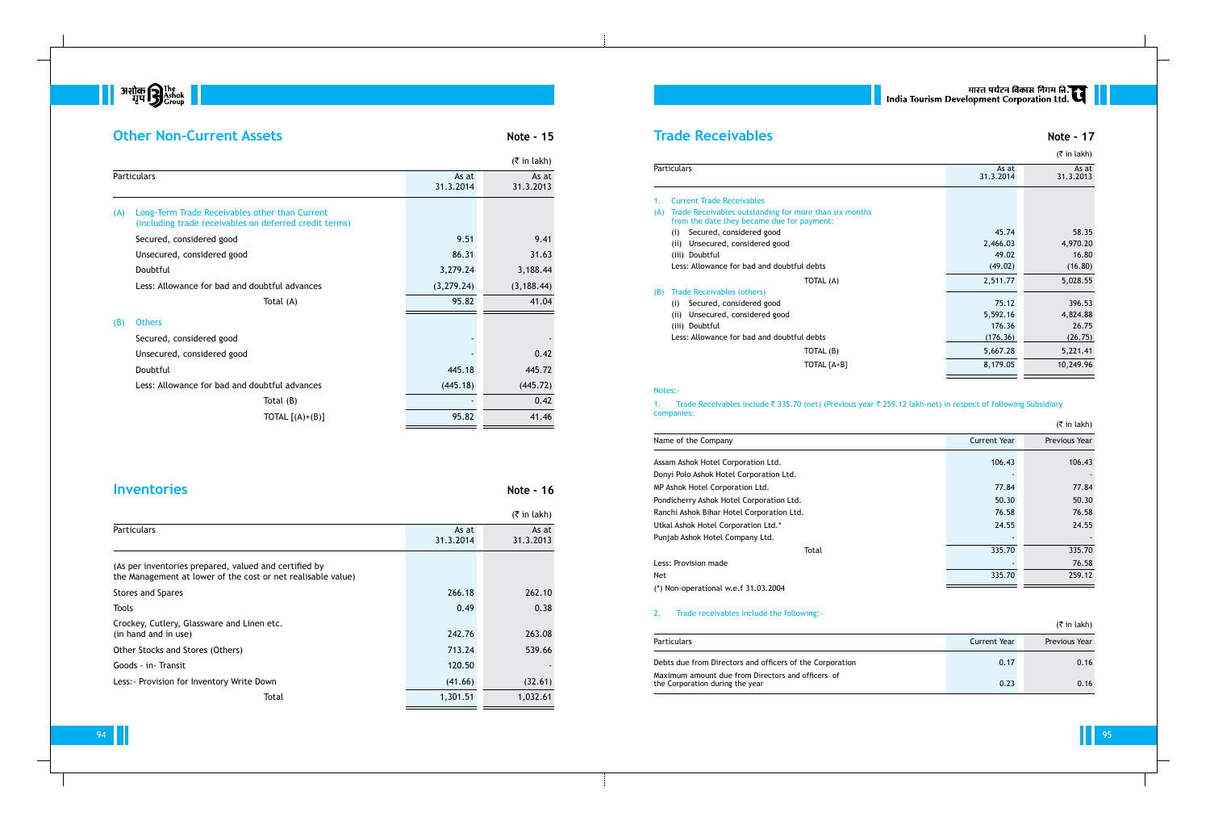

## **Other Non-Current Assets Note - 15**

|     |                                                                                                          |                    | $($ ₹ in lakh)     |
|-----|----------------------------------------------------------------------------------------------------------|--------------------|--------------------|
|     | <b>Particulars</b>                                                                                       | As at<br>31.3.2014 | As at<br>31.3.2013 |
| (A) | Long-Term Trade Receivables other than Current<br>(including trade receivables on deferred credit terms) |                    |                    |
|     | Secured, considered good                                                                                 | 9.51               | 9.41               |
|     | Unsecured, considered good                                                                               | 86.31              | 31.63              |
|     | Doubtful                                                                                                 | 3,279.24           | 3,188.44           |
|     | Less: Allowance for bad and doubtful advances                                                            | (3, 279.24)        | (3, 188.44)        |
|     | Total (A)                                                                                                | 95.82              | 41.04              |
| (B) | <b>Others</b>                                                                                            |                    |                    |
|     | Secured, considered good                                                                                 |                    |                    |
|     | Unsecured, considered good                                                                               |                    | 0.42               |
|     | Doubtful                                                                                                 | 445.18             | 445.72             |
|     | Less: Allowance for bad and doubtful advances                                                            | (445.18)           | (445.72)           |
|     | Total (B)                                                                                                |                    | 0.42               |
|     | TOTAL $[(A)+(B)]$                                                                                        | 95.82              | 41.46              |
|     |                                                                                                          |                    |                    |

## **Inventories** Note - 16

- 1. Current Trade Receivables (A) Trade Receivables outstanding for from the date they became due for
- (i) Secured, considered good (ii) Unsecured, considered good
- (iii) Doubtful
- Less: Allowance for bad and doubtf

|                                                                                                                       |                    | $(5 \in \mathsf{in} \, \mathsf{l}_k)$ |
|-----------------------------------------------------------------------------------------------------------------------|--------------------|---------------------------------------|
| <b>Particulars</b>                                                                                                    | As at<br>31.3.2014 | As at<br>31.3.2013                    |
| (As per inventories prepared, valued and certified by<br>the Management at lower of the cost or net realisable value) |                    |                                       |
| <b>Stores and Spares</b>                                                                                              | 266.18             | 262.10                                |
| <b>Tools</b>                                                                                                          | 0.49               | 0.38                                  |
| Crockey, Cutlery, Glassware and Linen etc.<br>(in hand and in use)                                                    | 242.76             | 263.08                                |
| Other Stocks and Stores (Others)                                                                                      | 713.24             | 539.66                                |
| Goods - in - Transit                                                                                                  | 120.50             |                                       |
| Less: - Provision for Inventory Write Down                                                                            | (41.66)            | (32.61)                               |
| Total                                                                                                                 | 1,301.51           | 1,032.61                              |

# **Trade Receivables Note - 17**

|     |                                                                                                      |                    | $(5 \in \mathsf{In} \, \mathsf{l}_k)$ |
|-----|------------------------------------------------------------------------------------------------------|--------------------|---------------------------------------|
|     | Particulars                                                                                          | As at<br>31.3.2014 | As at<br>31.3.2013                    |
| 1.  | <b>Current Trade Receivables</b>                                                                     |                    |                                       |
| (A) | Trade Receivables outstanding for more than six months<br>from the date they became due for payment: |                    |                                       |
|     | Secured, considered good<br>(i)                                                                      | 45.74              | 58.35                                 |
|     | Unsecured, considered good<br>(iii)                                                                  | 2,466.03           | 4,970.20                              |
|     | (iii) Doubtful                                                                                       | 49.02              | 16.80                                 |
|     | Less: Allowance for bad and doubtful debts                                                           | (49.02)            | (16.80)                               |
|     | TOTAL (A)                                                                                            | 2,511.77           | 5,028.55                              |
| (B) | Trade Receivables (others)                                                                           |                    |                                       |
|     | Secured, considered good<br>(i)                                                                      | 75.12              | 396.53                                |
|     | Unsecured, considered good<br>(iii)                                                                  | 5,592.16           | 4,824.88                              |
|     | Doubtful<br>(iii)                                                                                    | 176.36             | 26.75                                 |
|     | Less: Allowance for bad and doubtful debts                                                           | (176.36)           | (26.75)                               |
|     | TOTAL (B)                                                                                            | 5,667.28           | 5,221.41                              |
|     | TOTAL ${A+B}$                                                                                        | 8,179.05           | 10,249.96                             |
|     |                                                                                                      |                    |                                       |

#### 1. Trade Receivables include ₹ 335.70 (net) (Previous year ₹ 259.12 lakh-net) in respect of following Subsidiary

#### (B) Trade Receivables (others)

- (i) Secured, considered good
- (ii) Unsecured, considered good (iii) Doubtful
- Less: Allowance for bad and doubt

#### Notes:-

# companies:

#### Name of the Company

## Less: Provision made

|                                           |                     | $($ ₹ in lakh) |
|-------------------------------------------|---------------------|----------------|
| Name of the Company                       | <b>Current Year</b> | Previous Year  |
| Assam Ashok Hotel Corporation Ltd.        | 106.43              | 106.43         |
| Donyi Polo Ashok Hotel Corporation Ltd.   |                     |                |
| MP Ashok Hotel Corporation Ltd.           | 77.84               | 77.84          |
| Pondicherry Ashok Hotel Corporation Ltd.  | 50.30               | 50.30          |
| Ranchi Ashok Bihar Hotel Corporation Ltd. | 76.58               | 76.58          |
| Utkal Ashok Hotel Corporation Ltd.*       | 24.55               | 24.55          |
| Punjab Ashok Hotel Company Ltd.           |                     |                |
| Total                                     | 335.70              | 335.70         |
| Less: Provision made                      |                     | 76.58          |
| Net                                       | 335.70              | 259.12         |
| $\mathbf{1}$                              |                     |                |

(\*) Non-operational w.e.f 31.03.2004

#### 2. Trade receivables include the following:-

# || भारत पर्यटन विकास निगम लि.<br>| India Tourism Development Corporation Ltd.

|                                                                                      |              | $(5 \in \mathsf{in} \, \mathsf{l}_\mathsf{R}$ |
|--------------------------------------------------------------------------------------|--------------|-----------------------------------------------|
| Particulars                                                                          | Current Year | <b>Previous Year</b>                          |
| Debts due from Directors and officers of the Corporation                             | 0.17         | 0.16                                          |
| Maximum amount due from Directors and officers of<br>the Corporation during the year | 0.23         | 0.16                                          |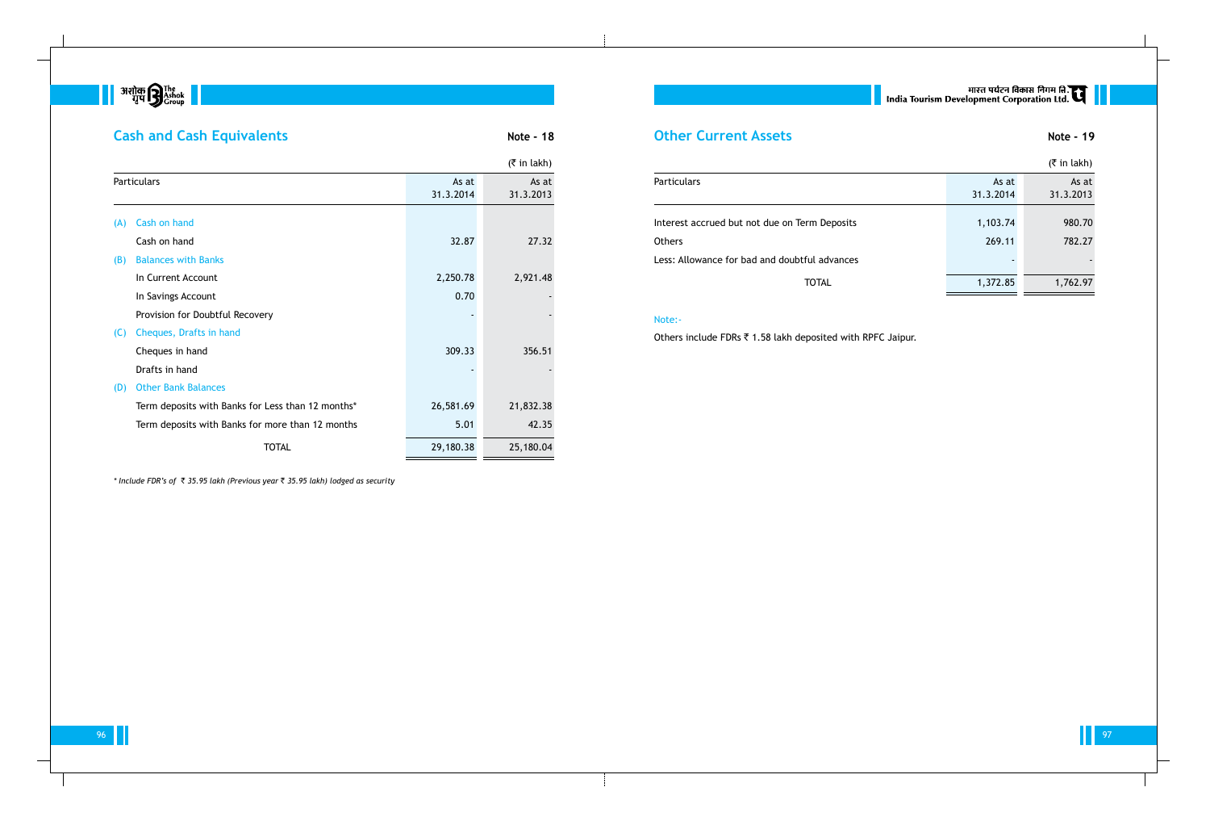

# **Cash and Cash Equivalents Note - 18**

|                                                                |                    | $(5 \in \mathsf{in} \, \mathsf{l}_k)$ |
|----------------------------------------------------------------|--------------------|---------------------------------------|
| <b>Particulars</b>                                             | As at<br>31.3.2014 | As at<br>31.3.2013                    |
| Interest accrued but not due on Term Deposits<br><b>Others</b> | 1,103.74<br>269.11 | 980.70<br>782.27                      |
| Less: Allowance for bad and doubtful advances                  |                    | $\overline{\phantom{a}}$              |
| <b>TOTAL</b>                                                   | 1,372.85           | 1,762.97                              |

## Note:-

Others include FDRs  $\bar{\tau}$  1.58 lakh deposited with RPFC Jaipur.

# ् । India Tourism Development Corporation Ltd. त्या

96 **17 Julie 1997 - Julie 1997 - Julie 1997 - Julie 1997 - Julie 1997 - Julie 1997** - Julie 1997 - Julie 1997 - Ju

|     |                                                   |                    | $($ ₹ in lakh)     |
|-----|---------------------------------------------------|--------------------|--------------------|
|     | Particulars                                       | As at<br>31.3.2014 | As at<br>31.3.2013 |
| (A) | Cash on hand                                      |                    |                    |
|     | Cash on hand                                      | 32.87              | 27.32              |
| (B) | <b>Balances with Banks</b>                        |                    |                    |
|     | In Current Account                                | 2,250.78           | 2,921.48           |
|     | In Savings Account                                | 0.70               |                    |
|     | Provision for Doubtful Recovery                   |                    |                    |
| (C) | Cheques, Drafts in hand                           |                    |                    |
|     | Cheques in hand                                   | 309.33             | 356.51             |
|     | Drafts in hand                                    |                    |                    |
| (D) | <b>Other Bank Balances</b>                        |                    |                    |
|     | Term deposits with Banks for Less than 12 months* | 26,581.69          | 21,832.38          |
|     | Term deposits with Banks for more than 12 months  | 5.01               | 42.35              |
|     | <b>TOTAL</b>                                      | 29,180.38          | 25,180.04          |

*\* Include FDR's of* ` *35.95 lakh (Previous year* ` *35.95 lakh) lodged as security*

## **Other Current Assets Note - 19**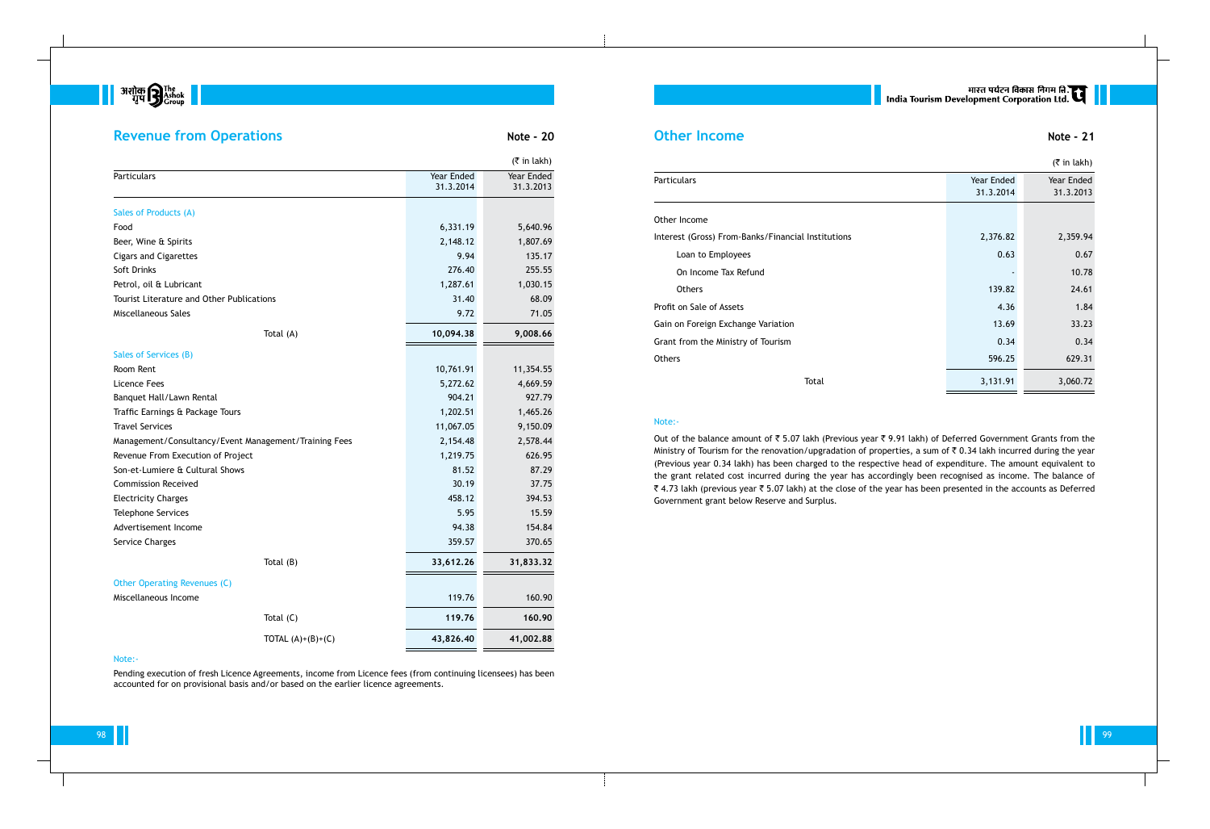

## **Revenue from Operations Note - 20**

|                                                       |            | $($ ₹ in lakh) |
|-------------------------------------------------------|------------|----------------|
| <b>Particulars</b>                                    | Year Ended | Year Ended     |
|                                                       | 31.3.2014  | 31.3.2013      |
| Sales of Products (A)                                 |            |                |
| Food                                                  | 6,331.19   | 5,640.96       |
| Beer, Wine & Spirits                                  | 2,148.12   | 1,807.69       |
| <b>Cigars and Cigarettes</b>                          | 9.94       | 135.17         |
| Soft Drinks                                           | 276.40     | 255.55         |
| Petrol, oil & Lubricant                               | 1,287.61   | 1,030.15       |
| <b>Tourist Literature and Other Publications</b>      | 31.40      | 68.09          |
| Miscellaneous Sales                                   | 9.72       | 71.05          |
| Total (A)                                             | 10,094.38  | 9,008.66       |
| Sales of Services (B)                                 |            |                |
| Room Rent                                             | 10,761.91  | 11,354.55      |
| <b>Licence Fees</b>                                   | 5,272.62   | 4,669.59       |
| Banquet Hall/Lawn Rental                              | 904.21     | 927.79         |
| Traffic Earnings & Package Tours                      | 1,202.51   | 1,465.26       |
| <b>Travel Services</b>                                | 11,067.05  | 9,150.09       |
| Management/Consultancy/Event Management/Training Fees | 2,154.48   | 2,578.44       |
| Revenue From Execution of Project                     | 1,219.75   | 626.95         |
| Son-et-Lumiere & Cultural Shows                       | 81.52      | 87.29          |
| <b>Commission Received</b>                            | 30.19      | 37.75          |
| <b>Electricity Charges</b>                            | 458.12     | 394.53         |
| <b>Telephone Services</b>                             | 5.95       | 15.59          |
| Advertisement Income                                  | 94.38      | 154.84         |
| Service Charges                                       | 359.57     | 370.65         |
| Total (B)                                             | 33,612.26  | 31,833.32      |
| Other Operating Revenues (C)                          |            |                |
| Miscellaneous Income                                  | 119.76     | 160.90         |
| Total $(C)$                                           | 119.76     | 160.90         |
| TOTAL $(A)+(B)+(C)$                                   | 43,826.40  | 41,002.88      |

## **Other Income Note - 21**

## Note:-

Out of the balance amount of  $\bar{\tau}$  5.07 lakh (Previous year  $\bar{\tau}$  9.91 lakh) of Deferred Government Grants from the Ministry of Tourism for the renovation/upgradation of properties, a sum of  $\bar{\tau}$  0.34 lakh incurred during the year (Previous year 0.34 lakh) has been charged to the respective head of expenditure. The amount equivalent to the grant related cost incurred during the year has accordingly been recognised as income. The balance of ₹ 4.73 lakh (previous year ₹ 5.07 lakh) at the close of the year has been presented in the accounts as Deferred Government grant below Reserve and Surplus.

Pending execution of fresh Licence Agreements, income from Licence fees (from continuing licensees) has been accounted for on provisional basis and/or based on the earlier licence agreements.

# ् ।<br>| India Tourism Development Corporation Ltd. C

|                                                    |            | $(5 \in \mathsf{in} \, \mathsf{l}_\mathsf{R}$ |
|----------------------------------------------------|------------|-----------------------------------------------|
| Particulars                                        | Year Ended | Year Ended                                    |
|                                                    | 31.3.2014  | 31.3.2013                                     |
| Other Income                                       |            |                                               |
| Interest (Gross) From-Banks/Financial Institutions | 2,376.82   | 2,359.94                                      |
| Loan to Employees                                  | 0.63       | 0.67                                          |
| On Income Tax Refund                               |            | 10.78                                         |
| <b>Others</b>                                      | 139.82     | 24.61                                         |
| Profit on Sale of Assets                           | 4.36       | 1.84                                          |
| Gain on Foreign Exchange Variation                 | 13.69      | 33.23                                         |
| Grant from the Ministry of Tourism                 | 0.34       | 0.34                                          |
| <b>Others</b>                                      | 596.25     | 629.31                                        |
| Total                                              | 3,131.91   | 3,060.72                                      |

### Note:-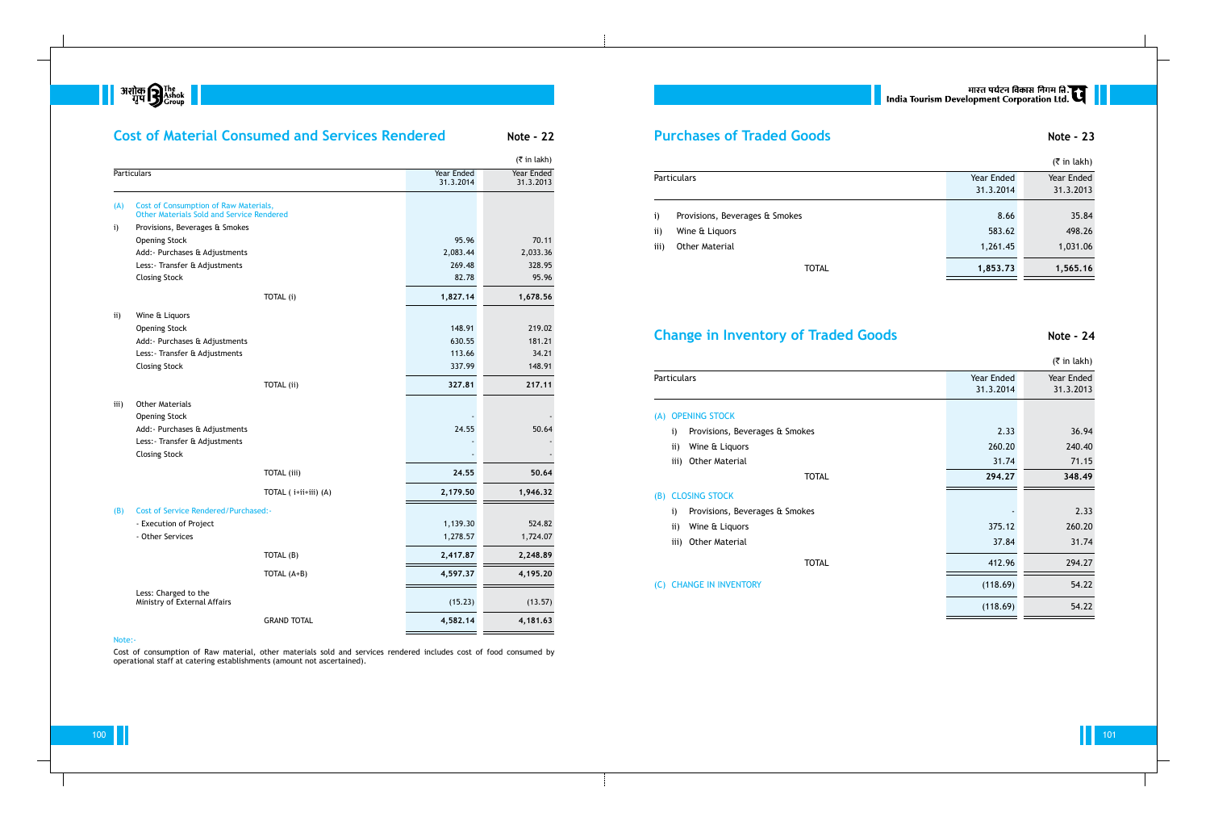**|| अशोक सिंहा**<br>| अशोक सिर्काट ||<br>| अशोक सिंहारण

|              |                                                                                           | <b>Cost of Material Consumed and Services Rendered</b> |                         | <b>Note - 22</b>        |
|--------------|-------------------------------------------------------------------------------------------|--------------------------------------------------------|-------------------------|-------------------------|
|              |                                                                                           |                                                        |                         | $($ ₹ in lakh)          |
|              | <b>Particulars</b>                                                                        |                                                        | Year Ended<br>31.3.2014 | Year Ended<br>31.3.2013 |
| (A)          | Cost of Consumption of Raw Materials,<br><b>Other Materials Sold and Service Rendered</b> |                                                        |                         |                         |
| $\mathbf{i}$ | Provisions, Beverages & Smokes                                                            |                                                        |                         |                         |
|              | <b>Opening Stock</b>                                                                      |                                                        | 95.96                   | 70.11                   |
|              | Add: - Purchases & Adjustments                                                            |                                                        | 2,083.44                | 2,033.36                |
|              | Less: - Transfer & Adjustments                                                            |                                                        | 269.48                  | 328.95                  |
|              | <b>Closing Stock</b>                                                                      |                                                        | 82.78                   | 95.96                   |
|              |                                                                                           | TOTAL (i)                                              | 1,827.14                | 1,678.56                |
| ii)          | Wine & Liquors                                                                            |                                                        |                         |                         |
|              | <b>Opening Stock</b>                                                                      |                                                        | 148.91                  | 219.02                  |
|              | Add: - Purchases & Adjustments                                                            |                                                        | 630.55                  | 181.21                  |
|              | Less: - Transfer & Adjustments                                                            |                                                        | 113.66                  | 34.21                   |
|              | <b>Closing Stock</b>                                                                      |                                                        | 337.99                  | 148.91                  |
|              |                                                                                           | <b>TOTAL</b> (ii)                                      | 327.81                  | 217.11                  |
| iii)         | <b>Other Materials</b>                                                                    |                                                        |                         |                         |
|              | <b>Opening Stock</b>                                                                      |                                                        |                         |                         |
|              | Add: Purchases & Adjustments                                                              |                                                        | 24.55                   | 50.64                   |
|              | Less: - Transfer & Adjustments                                                            |                                                        |                         |                         |
|              | <b>Closing Stock</b>                                                                      |                                                        |                         |                         |
|              |                                                                                           | <b>TOTAL</b> (iii)                                     | 24.55                   | 50.64                   |
|              |                                                                                           | TOTAL (i+ii+iii) (A)                                   | 2,179.50                | 1,946.32                |
| (B)          | <b>Cost of Service Rendered/Purchased:-</b>                                               |                                                        |                         |                         |
|              | - Execution of Project                                                                    |                                                        | 1,139.30                | 524.82                  |
|              | - Other Services                                                                          |                                                        | 1,278.57                | 1,724.07                |
|              |                                                                                           | TOTAL (B)                                              | 2,417.87                | 2,248.89                |
|              |                                                                                           | TOTAL (A+B)                                            | 4,597.37                | 4,195.20                |
|              | Less: Charged to the                                                                      |                                                        |                         |                         |
|              | Ministry of External Affairs                                                              |                                                        | (15.23)                 | (13.57)                 |

# **Purchases of Traded Goods Note - 23** (₹ in lakh) **Particulars** Year Ended Year Ended Year Ended Year Ended Year Ended 31.3.2014 31.3.2013 i) Provisions, Beverages & Smokes 8.66 35.84  $\,$  8.66  $\,$   $\,$  35.84  $\,$ ii) Wine & Liquors **683.62** 498.26 iii) Other Material 1,031.06 **1,853.73** 1,565.16

| $\mathbf{i}$ | Provisions, Beverages & Smok |  |  |  |
|--------------|------------------------------|--|--|--|
|--------------|------------------------------|--|--|--|

- 
- 

## **Change in Inventory of Traded Goods 6000 Mote - 24**

| Particulars |                                |
|-------------|--------------------------------|
|             | (A) OPENING STOCK              |
|             | i) Provisions, Beverages & Smo |
|             | ii) Wine & Liquors             |
|             | iii) Other Material            |
|             | (B) CLOSING STOCK              |
| i)          | Provisions, Beverages & Smo    |
|             | ii) Wine & Liquors             |
|             | iii) Other Material            |
|             |                                |
|             | (C) CHANGE IN INVENTORY        |

GRAND TOTAL **4,582.14 4,181.63**

# || भारत पर्यटन विकास निगम ति.<br>| India Tourism Development Corporation Ltd.

#### Note:-

Cost of consumption of Raw material, other materials sold and services rendered includes cost of food consumed by operational staff at catering establishments (amount not ascertained).

|     |                                                |                         | $($ ₹ in lakh)          |
|-----|------------------------------------------------|-------------------------|-------------------------|
|     | Particulars                                    | Year Ended<br>31.3.2014 | Year Ended<br>31.3.2013 |
| (A) | <b>OPENING STOCK</b>                           |                         |                         |
|     | Provisions, Beverages & Smokes<br>$\mathbf{i}$ | 2.33                    | 36.94                   |
|     | Wine & Liquors<br>$\mathbf{ii}$                | 260.20                  | 240.40                  |
|     | <b>Other Material</b><br>iii)                  | 31.74                   | 71.15                   |
|     | <b>TOTAL</b>                                   | 294.27                  | 348.49                  |
| (B) | <b>CLOSING STOCK</b>                           |                         |                         |
|     | Provisions, Beverages & Smokes<br>$\mathbf{i}$ |                         | 2.33                    |
|     | Wine & Liquors<br>$\mathbf{ii}$                | 375.12                  | 260.20                  |
|     | iii) Other Material                            | 37.84                   | 31.74                   |
|     | <b>TOTAL</b>                                   | 412.96                  | 294.27                  |
|     | (C) CHANGE IN INVENTORY                        | (118.69)                | 54.22                   |
|     |                                                | (118.69)                | 54.22                   |
|     |                                                |                         |                         |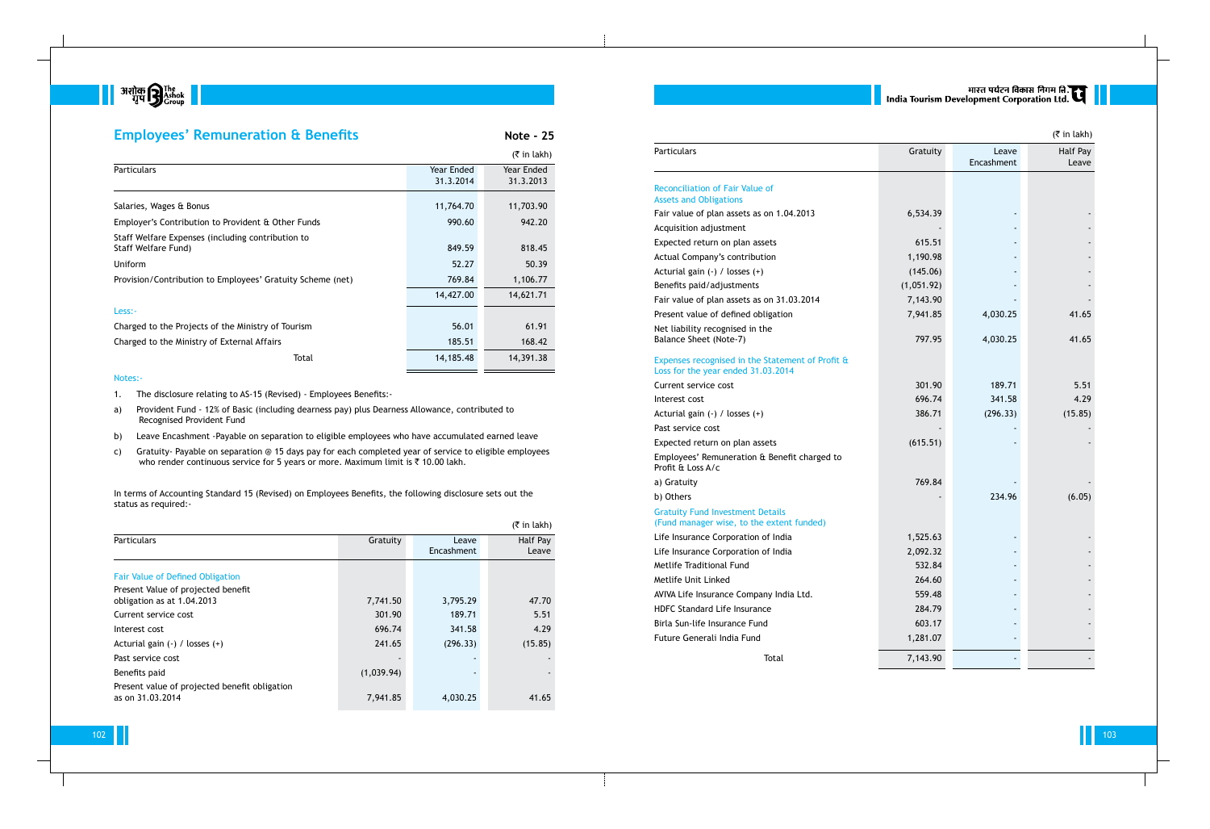

| <b>Employees' Remuneration &amp; Benefits</b>                            |                         | <b>Note - 25</b>        |
|--------------------------------------------------------------------------|-------------------------|-------------------------|
|                                                                          |                         | $($ ₹ in lakh)          |
| <b>Particulars</b>                                                       | Year Ended<br>31.3.2014 | Year Ended<br>31.3.2013 |
| Salaries, Wages & Bonus                                                  | 11,764.70               | 11,703.90               |
| Employer's Contribution to Provident & Other Funds                       | 990.60                  | 942.20                  |
| Staff Welfare Expenses (including contribution to<br>Staff Welfare Fund) | 849.59                  | 818.45                  |
| Uniform                                                                  | 52.27                   | 50.39                   |
| Provision/Contribution to Employees' Gratuity Scheme (net)               | 769.84                  | 1,106.77                |
|                                                                          | 14,427.00               | 14,621.71               |
| Less:-                                                                   |                         |                         |
| Charged to the Projects of the Ministry of Tourism                       | 56.01                   | 61.91                   |
| Charged to the Ministry of External Affairs                              | 185.51                  | 168.42                  |
| Total                                                                    | 14,185.48               | 14,391.38               |
| Notes:-                                                                  |                         |                         |

- a) Provident Fund 12% of Basic (including dearness pay) plus Dearness Allowance, contributed to Recognised Provident Fund
- b) Leave Encashment -Payable on separation to eligible employees who have accumulated earned leave
- c) Gratuity- Payable on separation @ 15 days pay for each completed year of service to eligible employees who render continuous service for 5 years or more. Maximum limit is  $\bar{\tau}$  10.00 lakh.

In terms of Accounting Standard 15 (Revised) on Employees Benefits, the following disclosure sets out the status as required:-

1. The disclosure relating to AS-15 (Revised) - Employees Benefits:-

#### Expenses recognised in the Statemer Loss for the year ended 31.03.2014

### Gratuity Fund Investment Details (Fund manager wise, to the extent  $f$

# ्यारत पर्यटन विकास निगम ति.<br>|-<br>| India Tourism Development Corporation Ltd.

|                                                                   |            |                     | $(5 \in \mathsf{In} \, \mathsf{l}_k)$ |
|-------------------------------------------------------------------|------------|---------------------|---------------------------------------|
| <b>Particulars</b>                                                | Gratuity   | Leave<br>Encashment | Half Pay<br>Leave                     |
| <b>Fair Value of Defined Obligation</b>                           |            |                     |                                       |
| Present Value of projected benefit<br>obligation as at 1.04.2013  | 7,741.50   | 3,795.29            | 47.70                                 |
| Current service cost                                              | 301.90     | 189.71              | 5.51                                  |
| Interest cost                                                     | 696.74     | 341.58              | 4.29                                  |
| Acturial gain $(-)$ / losses $(+)$                                | 241.65     | (296.33)            | (15.85)                               |
| Past service cost                                                 |            |                     |                                       |
| Benefits paid                                                     | (1,039.94) |                     |                                       |
| Present value of projected benefit obligation<br>as on 31.03.2014 | 7,941.85   | 4,030.25            | 41.65                                 |

#### Reconciliation of Fair Value of Assets and Obligations

|                                                                                        |            |                     | $($ ₹ in lakh)    |
|----------------------------------------------------------------------------------------|------------|---------------------|-------------------|
| <b>Particulars</b>                                                                     | Gratuity   | Leave<br>Encashment | Half Pay<br>Leave |
| <b>Reconciliation of Fair Value of</b><br><b>Assets and Obligations</b>                |            |                     |                   |
| Fair value of plan assets as on 1.04.2013                                              | 6,534.39   |                     |                   |
| Acquisition adjustment                                                                 |            |                     |                   |
| Expected return on plan assets                                                         | 615.51     |                     |                   |
| Actual Company's contribution                                                          | 1,190.98   |                     |                   |
| Acturial gain (-) / losses (+)                                                         | (145.06)   |                     |                   |
| Benefits paid/adjustments                                                              | (1,051.92) |                     |                   |
| Fair value of plan assets as on 31.03.2014                                             | 7,143.90   |                     |                   |
| Present value of defined obligation                                                    | 7,941.85   | 4,030.25            | 41.65             |
| Net liability recognised in the<br>Balance Sheet (Note-7)                              | 797.95     | 4,030.25            | 41.65             |
| Expenses recognised in the Statement of Profit &<br>Loss for the year ended 31.03.2014 |            |                     |                   |
| Current service cost                                                                   | 301.90     | 189.71              | 5.51              |
| Interest cost                                                                          | 696.74     | 341.58              | 4.29              |
| Acturial gain (-) / losses (+)                                                         | 386.71     | (296.33)            | (15.85)           |
| Past service cost                                                                      |            |                     |                   |
| Expected return on plan assets                                                         | (615.51)   |                     |                   |
| Employees' Remuneration & Benefit charged to<br>Profit & Loss A/c                      |            |                     |                   |
| a) Gratuity                                                                            | 769.84     |                     |                   |
| b) Others                                                                              |            | 234.96              | (6.05)            |
| <b>Gratuity Fund Investment Details</b><br>(Fund manager wise, to the extent funded)   |            |                     |                   |
| Life Insurance Corporation of India                                                    | 1,525.63   |                     |                   |
| Life Insurance Corporation of India                                                    | 2,092.32   |                     |                   |
| Metlife Traditional Fund                                                               | 532.84     |                     |                   |
| Metlife Unit Linked                                                                    | 264.60     |                     |                   |
| AVIVA Life Insurance Company India Ltd.                                                | 559.48     |                     |                   |
| <b>HDFC Standard Life Insurance</b>                                                    | 284.79     |                     |                   |
| Birla Sun-life Insurance Fund                                                          | 603.17     |                     |                   |
| Future Generali India Fund                                                             | 1,281.07   |                     |                   |
| Total                                                                                  | 7,143.90   |                     |                   |

a) Gratuity

b) Others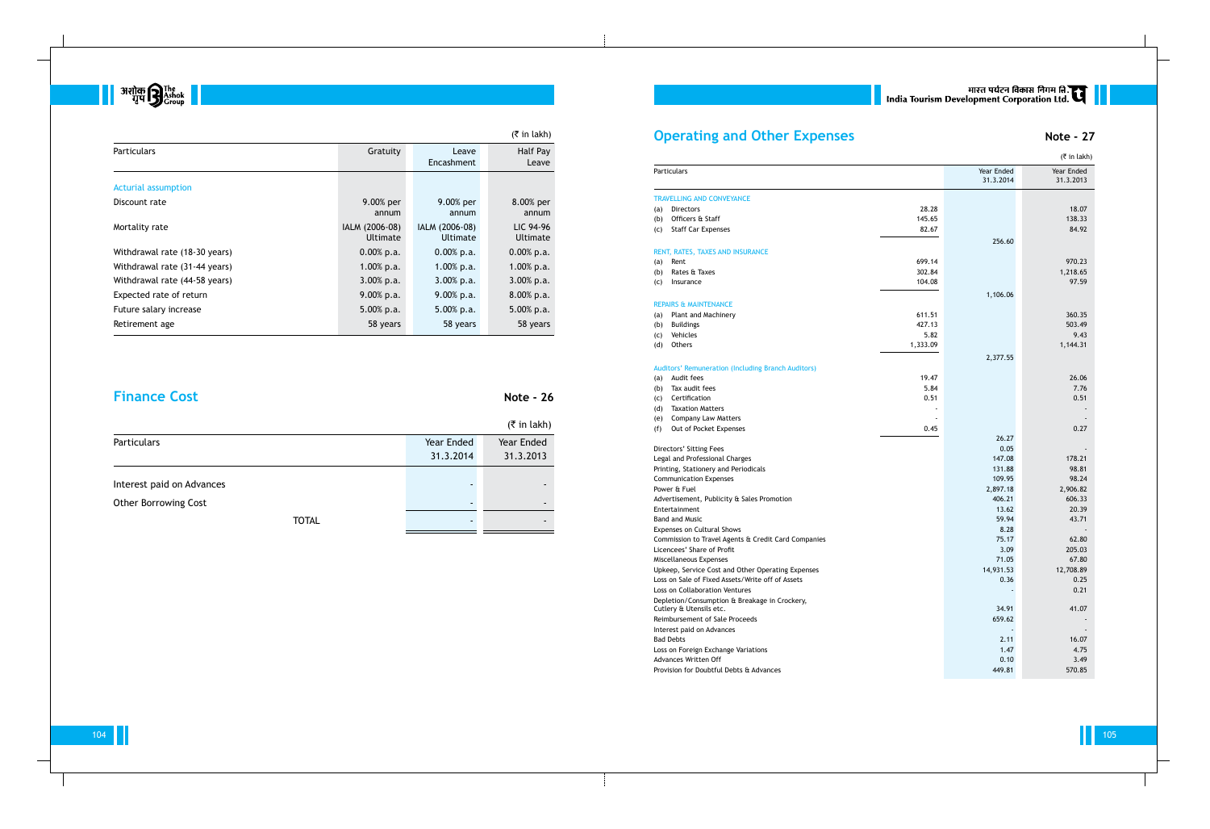|                             |            | $(\bar{\bar{\tau}}$ in lakh) |
|-----------------------------|------------|------------------------------|
| <b>Particulars</b>          | Year Ended | Year Ended                   |
|                             | 31.3.2014  | 31.3.2013                    |
|                             |            |                              |
| Interest paid on Advances   |            |                              |
| <b>Other Borrowing Cost</b> |            |                              |
| TOTAL                       |            |                              |

## **Operating and Other Expenses Note - 27**

- (a) Audit fees
- (b) Tax audit fees
- (c) Certification
- (d) Taxation Matters

- (e) Company Law Matters
- (f) Out of Pocket Expenses

#### Travelling and Conveyance

- (a) Directors
- (b) Officers  $\&$  Staff
- (c) Staff Car Expenses

#### RENT, RATES, TAXES AND INSURANCE

- 
- (b) Rates  $\&$  Taxes
- (c) Insurance

### REPAIRS & MAINTENANCE

- (a) Plant and Machinery
- (b) Buildings
- (c) Vehicles
- 

#### Auditors' Remuneration (Including Branch Auditors)



|                               |                            |                            | $($ ₹ in lakh)        |
|-------------------------------|----------------------------|----------------------------|-----------------------|
| <b>Particulars</b>            | Gratuity                   | Leave<br>Encashment        | Half Pay<br>Leave     |
| Acturial assumption           |                            |                            |                       |
| Discount rate                 | 9.00% per<br>annum         | 9.00% per<br>annum         | 8.00% per<br>annum    |
| Mortality rate                | IALM (2006-08)<br>Ultimate | IALM (2006-08)<br>Ultimate | LIC 94-96<br>Ultimate |
| Withdrawal rate (18-30 years) | $0.00\%$ p.a.              | $0.00\%$ p.a.              | $0.00\%$ p.a.         |
| Withdrawal rate (31-44 years) | $1.00\%$ p.a.              | 1.00% p.a.                 | $1.00\%$ p.a.         |
| Withdrawal rate (44-58 years) | $3.00\%$ p.a.              | $3.00\%$ p.a.              | $3.00\%$ p.a.         |
| Expected rate of return       | $9.00\%$ p.a.              | $9.00\%$ p.a.              | 8.00% p.a.            |
| Future salary increase        | $5.00\%$ p.a.              | 5.00% p.a.                 | 5.00% p.a.            |
| Retirement age                | 58 years                   | 58 years                   | 58 years              |

## **Finance Cost Note - 26**

|                  |                                                           |          |                         | $($ ₹ in lakh)          |
|------------------|-----------------------------------------------------------|----------|-------------------------|-------------------------|
| Particulars      |                                                           |          | Year Ended<br>31.3.2014 | Year Ended<br>31.3.2013 |
|                  | TRAVELLING AND CONVEYANCE                                 |          |                         |                         |
| (a)              | <b>Directors</b>                                          | 28.28    |                         | 18.07                   |
| (b)              | Officers & Staff                                          | 145.65   |                         | 138.33                  |
|                  | <b>Staff Car Expenses</b>                                 | 82.67    |                         | 84.92                   |
| (c)              |                                                           |          | 256.60                  |                         |
|                  | RENT, RATES, TAXES AND INSURANCE                          |          |                         |                         |
| (a)              | Rent                                                      | 699.14   |                         | 970.23                  |
| (b)              | Rates & Taxes                                             | 302.84   |                         | 1,218.65                |
| (c)              | Insurance                                                 | 104.08   |                         | 97.59                   |
|                  |                                                           |          | 1,106.06                |                         |
|                  | REPAIRS & MAINTENANCE                                     |          |                         |                         |
| (a)              | Plant and Machinery                                       | 611.51   |                         | 360.35                  |
| (b)              | <b>Buildings</b>                                          | 427.13   |                         | 503.49                  |
| (c)              | Vehicles                                                  | 5.82     |                         | 9.43                    |
| (d)              | Others                                                    | 1,333.09 |                         | 1,144.31                |
|                  |                                                           |          | 2,377.55                |                         |
|                  | <b>Auditors' Remuneration (Including Branch Auditors)</b> |          |                         |                         |
| (a)              | Audit fees                                                | 19.47    |                         | 26.06                   |
| (b)              | Tax audit fees                                            | 5.84     |                         | 7.76                    |
| (c)              | Certification                                             | 0.51     |                         | 0.51                    |
| (d)              | <b>Taxation Matters</b>                                   |          |                         |                         |
| (e)              | <b>Company Law Matters</b>                                |          |                         |                         |
| (f)              | Out of Pocket Expenses                                    | 0.45     |                         | 0.27                    |
|                  | Directors' Sitting Fees                                   |          | 26.27<br>0.05           |                         |
|                  | Legal and Professional Charges                            |          | 147.08                  | 178.21                  |
|                  | Printing, Stationery and Periodicals                      |          | 131.88                  | 98.81                   |
|                  | <b>Communication Expenses</b>                             |          | 109.95                  | 98.24                   |
|                  | Power & Fuel                                              |          | 2,897.18                | 2,906.82                |
|                  | Advertisement, Publicity & Sales Promotion                |          | 406.21                  | 606.33                  |
|                  | Entertainment                                             |          | 13.62                   | 20.39                   |
|                  | Band and Music                                            |          | 59.94                   | 43.71                   |
|                  | <b>Expenses on Cultural Shows</b>                         |          | 8.28                    |                         |
|                  | Commission to Travel Agents & Credit Card Companies       |          | 75.17                   | 62.80                   |
|                  | Licencees' Share of Profit                                |          | 3.09                    | 205.03                  |
|                  | Miscellaneous Expenses                                    |          | 71.05                   | 67.80                   |
|                  | Upkeep, Service Cost and Other Operating Expenses         |          | 14,931.53               | 12,708.89               |
|                  | Loss on Sale of Fixed Assets/Write off of Assets          |          | 0.36                    | 0.25                    |
|                  | <b>Loss on Collaboration Ventures</b>                     |          |                         | 0.21                    |
|                  | Depletion/Consumption & Breakage in Crockery,             |          |                         |                         |
|                  | Cutlery & Utensils etc.<br>Reimbursement of Sale Proceeds |          | 34.91                   | 41.07                   |
|                  | Interest paid on Advances                                 |          | 659.62                  |                         |
| <b>Bad Debts</b> |                                                           |          | 2.11                    |                         |
|                  | Loss on Foreign Exchange Variations                       |          | 1.47                    | 16.07<br>4.75           |
|                  | Advances Written Off                                      |          | 0.10                    |                         |
|                  | Provision for Doubtful Debts & Advances                   |          | 449.81                  | 3.49                    |
|                  |                                                           |          |                         | 570.85                  |

# || भारत पर्यटन विकास निगम ति.<br>| India Tourism Development Corporation Ltd.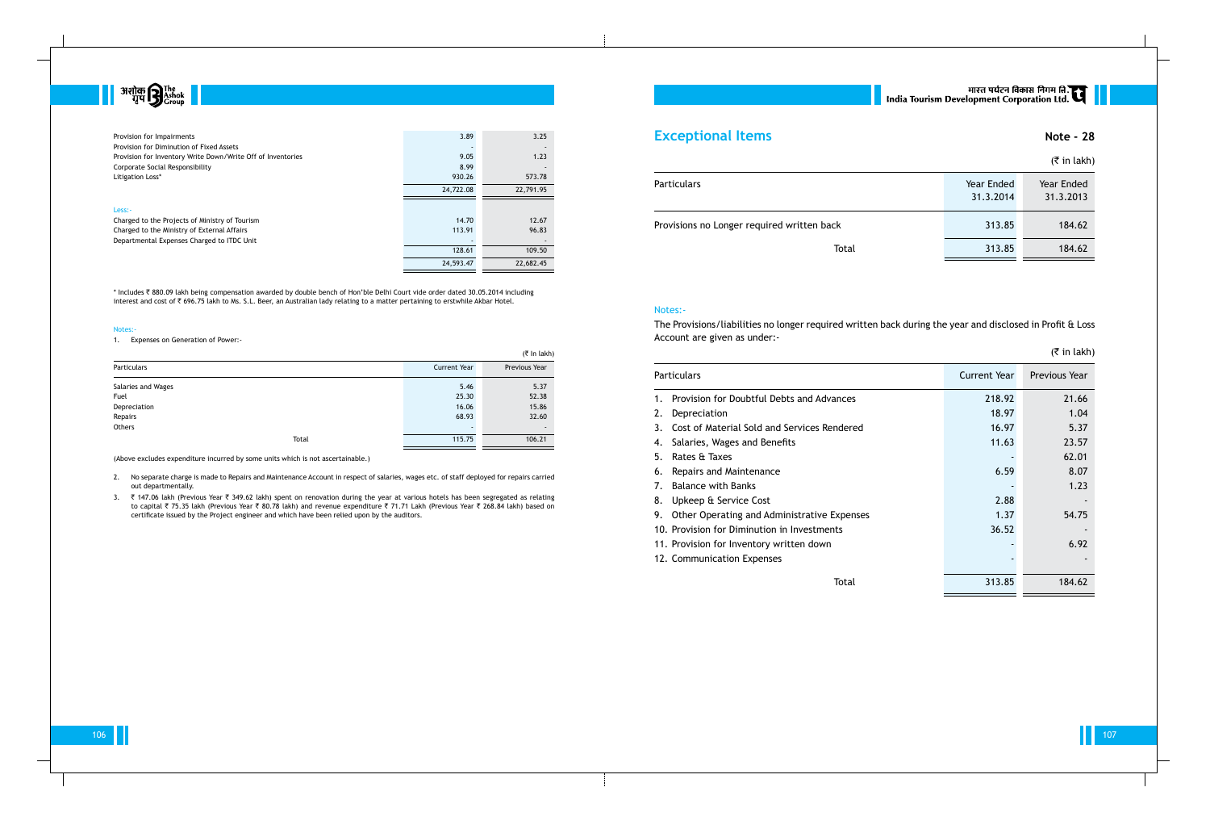

| Provision for Impairments<br>Provision for Diminution of Fixed Assets | 3.89      | 3.25      |
|-----------------------------------------------------------------------|-----------|-----------|
| Provision for Inventory Write Down/Write Off of Inventories           | 9.05      | 1.23      |
| Corporate Social Responsibility                                       | 8.99      |           |
| Litigation Loss*                                                      | 930.26    | 573.78    |
|                                                                       | 24,722.08 | 22,791.95 |
|                                                                       |           |           |
| Less:-                                                                |           |           |
| Charged to the Projects of Ministry of Tourism                        | 14.70     | 12.67     |
| Charged to the Ministry of External Affairs                           | 113.91    | 96.83     |
| Departmental Expenses Charged to ITDC Unit                            |           |           |
|                                                                       | 128.61    | 109.50    |
|                                                                       | 24,593.47 | 22,682.45 |
|                                                                       |           |           |

\* Includes ` 880.09 lakh being compensation awarded by double bench of Hon'ble Delhi Court vide order dated 30.05.2014 including interest and cost of ` 696.75 lakh to Ms. S.L. Beer, an Australian lady relating to a matter pertaining to erstwhile Akbar Hotel.

#### Notes:

1. Expenses on Generation of Power:-

3. ₹ 147.06 lakh (Previous Year ₹ 349.62 lakh) spent on renovation during the year at various hotels has been segregated as relating to capital ₹ 75.35 lakh (Previous Year ₹ 80.78 lakh) and revenue expenditure ₹ 71.71 Lakh (Previous Year ₹ 268.84 lakh) based on certificate issued by the Project engineer and which have been relied upon by the auditors.

## **Exceptional Items Note - 28**

|                    |       |                     | (₹ In lakh)    |
|--------------------|-------|---------------------|----------------|
| Particulars        |       | <b>Current Year</b> | Previous Year  |
| Salaries and Wages |       | 5.46                | 5.37           |
| Fuel               |       | 25.30               | 52.38          |
| Depreciation       |       | 16.06               | 15.86          |
| Repairs            |       | 68.93               | 32.60          |
| Others             |       |                     | $\blacksquare$ |
|                    | Total | 115.75              | 106.21         |

(Above excludes expenditure incurred by some units which is not ascertainable.)

2. No separate charge is made to Repairs and Maintenance Account in respect of salaries, wages etc. of staff deployed for repairs carried out departmentally.

|                                            |                         | $($ ₹ in lakh)          |
|--------------------------------------------|-------------------------|-------------------------|
| <b>Particulars</b>                         | Year Ended<br>31.3.2014 | Year Ended<br>31.3.2013 |
| Provisions no Longer required written back | 313.85                  | 184.62                  |
| Total                                      | 313.85                  | 184.62                  |

#### Notes:-

The Provisions/liabilities no longer required written back during the year and disclosed in Profit & Loss

Account are given as under:-

#### Particulars

- 1. Provision for Doubtful Debts
- 2. Depreciation
- 3. Cost of Material Sold and Ser
- 4. Salaries, Wages and Benefits
- 5. Rates & Taxes
- 6. Repairs and Maintenance
- 7. Balance with Banks
- 8. Upkeep & Service Cost
- 9. Other Operating and Adminis
- 10. Provision for Diminution in Ir
- 11. Provision for Inventory writte
- 12. Communication Expenses

# मारत पर्यटन विकास निगम लि.<br>India Tourism Development Corporation Ltd.

| <b>Particulars</b>                                | Current Year | Previous Year |
|---------------------------------------------------|--------------|---------------|
| Provision for Doubtful Debts and Advances<br>1.   | 218.92       | 21.66         |
| 2.<br>Depreciation                                | 18.97        | 1.04          |
| 3.<br>Cost of Material Sold and Services Rendered | 16.97        | 5.37          |
| Salaries, Wages and Benefits<br>4.                | 11.63        | 23.57         |
| 5.<br>Rates & Taxes                               |              | 62.01         |
| 6. Repairs and Maintenance                        | 6.59         | 8.07          |
| 7.<br><b>Balance with Banks</b>                   |              | 1.23          |
| 8. Upkeep & Service Cost                          | 2.88         |               |
| 9. Other Operating and Administrative Expenses    | 1.37         | 54.75         |
| 10. Provision for Diminution in Investments       | 36.52        |               |
| 11. Provision for Inventory written down          |              | 6.92          |
| 12. Communication Expenses                        |              |               |
| Total                                             | 313.85       | 184.62        |

## $($ ₹ in lakh)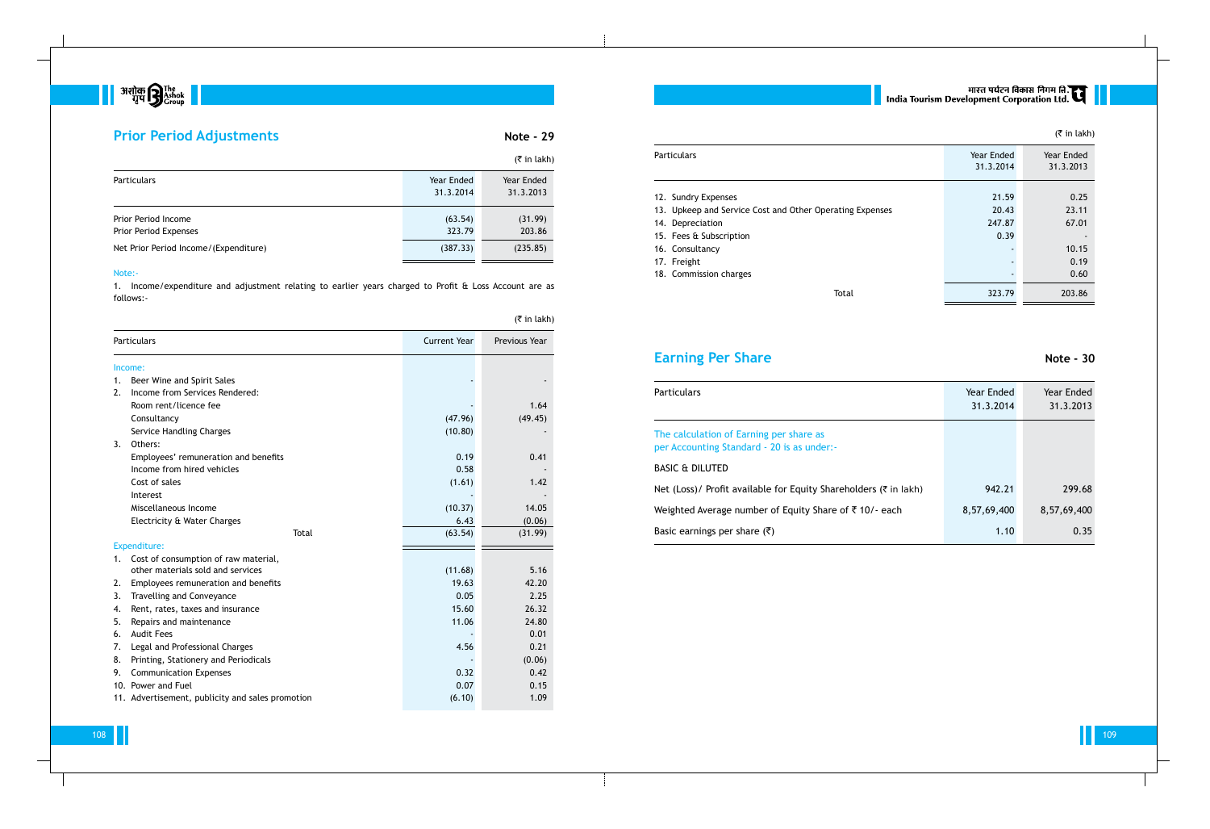

## **Prior Period Adjustments Note - 29**

|                                              |                         | $(5 \in \mathsf{in} \, \mathsf{l}_k)$ |
|----------------------------------------------|-------------------------|---------------------------------------|
| <b>Particulars</b>                           | Year Ended<br>31.3.2014 | Year Ended<br>31.3.2013               |
| Prior Period Income<br>Prior Period Expenses | (63.54)<br>323.79       | (31.99)<br>203.86                     |
| Net Prior Period Income/(Expenditure)        | (387.33)                | (235.85)                              |

#### Note:-

1. Income/expenditure and adjustment relating to earlier years charged to Profit & Loss Account are as follows:-

|    | $($ ₹ in lakh)                                   |                     |               |  |
|----|--------------------------------------------------|---------------------|---------------|--|
|    | <b>Particulars</b>                               | <b>Current Year</b> | Previous Year |  |
|    | Income:                                          |                     |               |  |
| 1. | Beer Wine and Spirit Sales                       |                     |               |  |
| 2. | Income from Services Rendered:                   |                     |               |  |
|    | Room rent/licence fee                            |                     | 1.64          |  |
|    | Consultancy                                      | (47.96)             | (49.45)       |  |
|    | Service Handling Charges                         | (10.80)             |               |  |
| 3. | Others:                                          |                     |               |  |
|    | Employees' remuneration and benefits             | 0.19                | 0.41          |  |
|    | Income from hired vehicles                       | 0.58                |               |  |
|    | Cost of sales                                    | (1.61)              | 1.42          |  |
|    | Interest                                         |                     |               |  |
|    | Miscellaneous Income                             | (10.37)             | 14.05         |  |
|    | Electricity & Water Charges                      | 6.43                | (0.06)        |  |
|    | <b>Total</b>                                     | (63.54)             | (31.99)       |  |
|    | <b>Expenditure:</b>                              |                     |               |  |
| 1. | Cost of consumption of raw material,             |                     |               |  |
|    | other materials sold and services                | (11.68)             | 5.16          |  |
| 2. | Employees remuneration and benefits              | 19.63               | 42.20         |  |
| 3. | <b>Travelling and Conveyance</b>                 | 0.05                | 2.25          |  |
| 4. | Rent, rates, taxes and insurance                 | 15.60               | 26.32         |  |
| 5. | Repairs and maintenance                          | 11.06               | 24.80         |  |
| 6. | <b>Audit Fees</b>                                |                     | 0.01          |  |
| 7. | Legal and Professional Charges                   | 4.56                | 0.21          |  |
| 8. | Printing, Stationery and Periodicals             |                     | (0.06)        |  |
| 9. | <b>Communication Expenses</b>                    | 0.32                | 0.42          |  |
|    | 10. Power and Fuel                               | 0.07                | 0.15          |  |
|    | 11. Advertisement, publicity and sales promotion | (6.10)              | 1.09          |  |

### Particulars

- 12. Sundry Expenses
- 13. Upkeep and Service Cost and Ot
- 14. Depreciation
- 15. Fees & Subscription
- 16. Consultancy
- 17. Freight
- 18. Commission charges

# **Earning Per Share Note - 30**

### Particulars

| <b>Particulars</b>                                       | Year Ended | Year Ended |
|----------------------------------------------------------|------------|------------|
|                                                          | 31.3.2014  | 31.3.2013  |
| 12. Sundry Expenses                                      | 21.59      | 0.25       |
| 13. Upkeep and Service Cost and Other Operating Expenses | 20.43      | 23.11      |
| 14. Depreciation                                         | 247.87     | 67.01      |
| 15. Fees & Subscription                                  | 0.39       |            |
| 16. Consultancy                                          |            | 10.15      |
| 17. Freight                                              |            | 0.19       |
| 18. Commission charges                                   |            | 0.60       |
| Total                                                    | 323.79     | 203.86     |
|                                                          |            |            |

| <b>Particulars</b>                                                                    | Year Ended<br>31.3.2014 | Year Ended<br>31.3.2013 |
|---------------------------------------------------------------------------------------|-------------------------|-------------------------|
| The calculation of Earning per share as<br>per Accounting Standard - 20 is as under:- |                         |                         |
| BASIC & DILUTED                                                                       |                         |                         |
| Net (Loss)/ Profit available for Equity Shareholders (₹ in lakh)                      | 942.21                  | 299.68                  |
| Weighted Average number of Equity Share of ₹10/- each                                 | 8,57,69,400             | 8,57,69,400             |
| Basic earnings per share $(\bar{\tau})$                                               | 1.10                    | 0.35                    |

# || भारत पर्यटन विकास निगम लि.<br>| India Tourism Development Corporation Ltd.

## (₹ in lakh)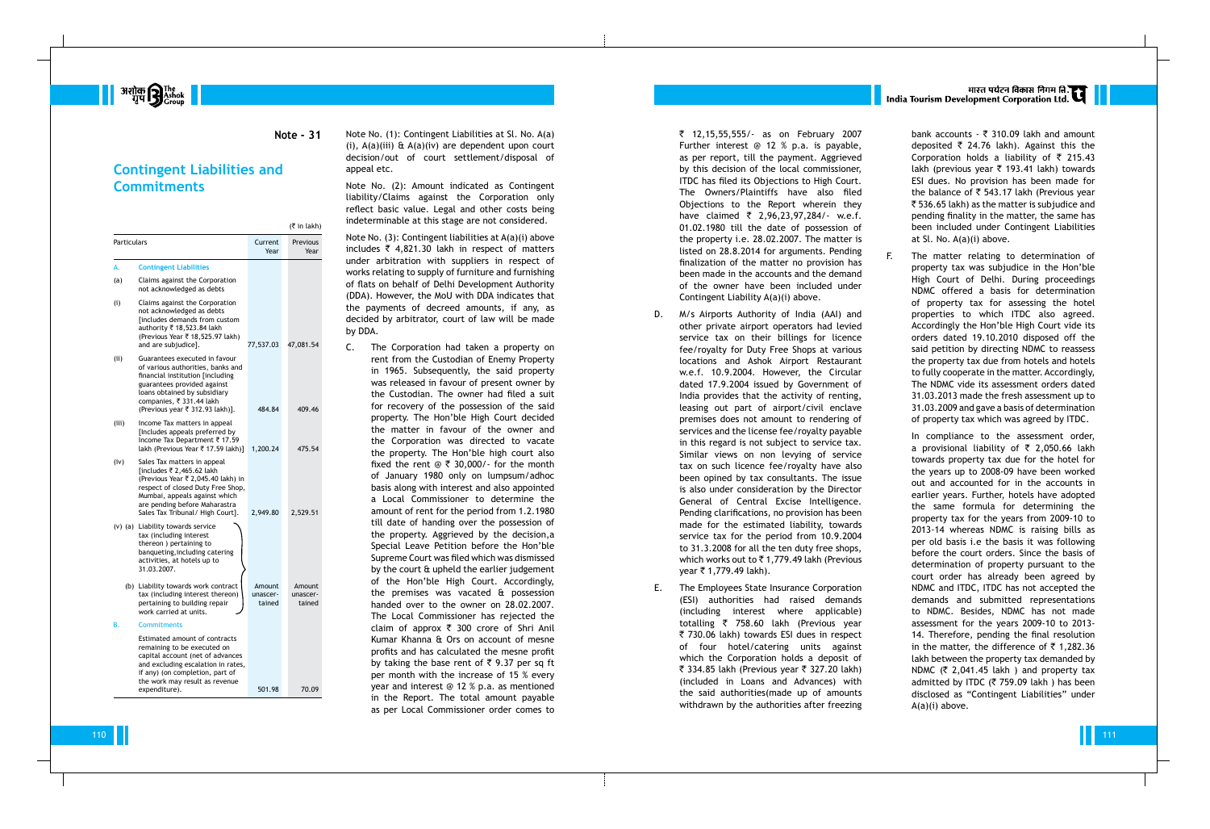|             |                                                                                                                                                                                                                                           |                              | (₹ in lakh)                  |
|-------------|-------------------------------------------------------------------------------------------------------------------------------------------------------------------------------------------------------------------------------------------|------------------------------|------------------------------|
| Particulars |                                                                                                                                                                                                                                           | Current<br>Year              | Previous<br>Year             |
| А.          | <b>Contingent Liabilities</b>                                                                                                                                                                                                             |                              |                              |
| (a)         | Claims against the Corporation<br>not acknowledged as debts                                                                                                                                                                               |                              |                              |
| (i)         | Claims against the Corporation<br>not acknowledged as debts<br>[includes demands from custom<br>authority ₹ 18,523.84 lakh<br>(Previous Year ₹ 18,525.97 lakh)<br>and are subjudice].                                                     | 77,537.03                    | 47,081.54                    |
| (iii)       | Guarantees executed in favour<br>of various authorities, banks and<br>financial institution [including<br>guarantees provided against<br>loans obtained by subsidiary<br>companies, ₹ 331.44 lakh<br>(Previous year ₹ 312.93 lakh)].      | 484.84                       | 409.46                       |
| (iii)       | Income Tax matters in appeal<br>[Includes appeals preferred by<br>Income Tax Department ₹ 17.59<br>lakh (Previous Year ₹ 17.59 lakh)]                                                                                                     | 1,200.24                     | 475.54                       |
| (iv)        | Sales Tax matters in appeal<br>[includes ₹ 2,465.62 lakh<br>(Previous Year ₹ 2,045.40 lakh) in<br>respect of closed Duty Free Shop,<br>Mumbai, appeals against which<br>are pending before Maharastra<br>Sales Tax Tribunal/ High Court]. | 2,949.80                     | 2,529.51                     |
|             | (v) (a) Liability towards service<br>tax (including interest<br>thereon) pertaining to<br>banqueting, including catering<br>activities, at hotels up to<br>31.03.2007.                                                                    |                              |                              |
|             | (b) Liability towards work contract<br>tax (including interest thereon)<br>pertaining to building repair<br>work carried at units.                                                                                                        | Amount<br>unascer-<br>tained | Amount<br>unascer-<br>tained |
| В.          | <b>Commitments</b>                                                                                                                                                                                                                        |                              |                              |
|             | <b>Estimated amount of contracts</b><br>remaining to be executed on<br>capital account (net of advances<br>and excluding escalation in rates,<br>if any) (on completion, part of<br>the work may result as revenue<br>expenditure).       | 501.98                       | 70.09                        |

Note No. (1): Contingent Liabilities at Sl. No. A(a) (i),  $A(a)(iii)$  &  $A(a)(iv)$  are dependent upon court decision/out of court settlement/disposal of appeal etc.

Note No. (2): Amount indicated as Contingent liability/Claims against the Corporation only reflect basic value. Legal and other costs being indeterminable at this stage are not considered.

Note No. (3): Contingent liabilities at A(a)(i) above includes  $\overline{\zeta}$  4,821.30 lakh in respect of matters under arbitration with suppliers in respect of works relating to supply of furniture and furnishing of flats on behalf of Delhi Development Authority (DDA). However, the MoU with DDA indicates that the payments of decreed amounts, if any, as decided by arbitrator, court of law will be made by DDA.

C. The Corporation had taken a property on rent from the Custodian of Enemy Property in 1965. Subsequently, the said property was released in favour of present owner by the Custodian. The owner had filed a suit for recovery of the possession of the said property. The Hon'ble High Court decided the matter in favour of the owner and the Corporation was directed to vacate the property. The Hon'ble high court also fixed the rent  $\mathfrak{D} \bar{\mathfrak{c}}$  30,000/- for the month of January 1980 only on lumpsum/adhoc basis along with interest and also appointed a Local Commissioner to determine the amount of rent for the period from 1.2.1980 till date of handing over the possession of the property. Aggrieved by the decision,a Special Leave Petition before the Hon'ble Supreme Court was filed which was dismissed by the court & upheld the earlier judgement of the Hon'ble High Court. Accordingly, the premises was vacated & possession handed over to the owner on 28.02.2007. The Local Commissioner has rejected the claim of approx ₹ 300 crore of Shri Anil Kumar Khanna & Ors on account of mesne profits and has calculated the mesne profit by taking the base rent of  $\bar{\tau}$  9.37 per sq ft per month with the increase of 15 % every year and interest @ 12 % p.a. as mentioned in the Report. The total amount payable as per Local Commissioner order comes to

The matter relating to determination of property tax was subjudice in the Hon'ble High Court of Delhi. During proceedings NDMC offered a basis for determination of property tax for assessing the hotel properties to which ITDC also agreed. Accordingly the Hon'ble High Court vide its orders dated 19.10.2010 disposed off the said petition by directing NDMC to reassess the property tax due from hotels and hotels to fully cooperate in the matter. Accordingly, The NDMC vide its assessment orders dated 31.03.2013 made the fresh assessment up to 31.03.2009 and gave a basis of determination of property tax which was agreed by ITDC.

` 12,15,55,555/- as on February 2007 Further interest @ 12 % p.a. is payable, as per report, till the payment. Aggrieved by this decision of the local commissioner, ITDC has filed its Objections to High Court. The Owners/Plaintiffs have also filed Objections to the Report wherein they have claimed ` 2,96,23,97,284/- w.e.f. 01.02.1980 till the date of possession of the property i.e. 28.02.2007. The matter is listed on 28.8.2014 for arguments. Pending finalization of the matter no provision has been made in the accounts and the demand of the owner have been included under Contingent Liability A(a)(i) above.

- D. M/s Airports Authority of India (AAI) and other private airport operators had levied service tax on their billings for licence fee/royalty for Duty Free Shops at various locations and Ashok Airport Restaurant w.e.f. 10.9.2004. However, the Circular dated 17.9.2004 issued by Government of India provides that the activity of renting, leasing out part of airport/civil enclave premises does not amount to rendering of services and the license fee/royalty payable in this regard is not subject to service tax. Similar views on non levying of service tax on such licence fee/royalty have also been opined by tax consultants. The issue is also under consideration by the Director General of Central Excise Intelligence. Pending clarifications, no provision has been made for the estimated liability, towards service tax for the period from 10.9.2004 to 31.3.2008 for all the ten duty free shops, which works out to ` 1,779.49 lakh (Previous year ` 1,779.49 lakh).
- E. The Employees State Insurance Corporation (ESI) authorities had raised demands (including interest where applicable) totalling ` 758.60 lakh (Previous year ` 730.06 lakh) towards ESI dues in respect of four hotel/catering units against which the Corporation holds a deposit of ₹ 334.85 lakh (Previous year ₹ 327.20 lakh) (included in Loans and Advances) with the said authorities(made up of amounts withdrawn by the authorities after freezing

# मारत पर्यटन विकास निगम ति.<br>India Tourism Development Corporation Ltd.

bank accounts - ` 310.09 lakh and amount deposited ` 24.76 lakh). Against this the Corporation holds a liability of  $\bar{\tau}$  215.43 lakh (previous year ` 193.41 lakh) towards ESI dues. No provision has been made for the balance of ` 543.17 lakh (Previous year  $\bar{\tau}$  536.65 lakh) as the matter is subjudice and pending finality in the matter, the same has been included under Contingent Liabilities at Sl. No. A(a)(i) above.

In compliance to the assessment order, a provisional liability of ` 2,050.66 lakh towards property tax due for the hotel for the years up to 2008-09 have been worked out and accounted for in the accounts in earlier years. Further, hotels have adopted the same formula for determining the property tax for the years from 2009-10 to 2013-14 whereas NDMC is raising bills as per old basis i.e the basis it was following before the court orders. Since the basis of determination of property pursuant to the court order has already been agreed by NDMC and ITDC, ITDC has not accepted the demands and submitted representations to NDMC. Besides, NDMC has not made assessment for the years 2009-10 to 2013- 14. Therefore, pending the final resolution in the matter, the difference of  $\bar{\tau}$  1,282.36 lakh between the property tax demanded by NDMC ( ` 2,041.45 lakh ) and property tax admitted by ITDC ( ` 759.09 lakh ) has been disclosed as "Contingent Liabilities" under A(a)(i) above.

**BESTAR START START START 1997**<br>*Bestal and Scroup* 

**Note - 31**

## **Contingent Liabilities and Commitments**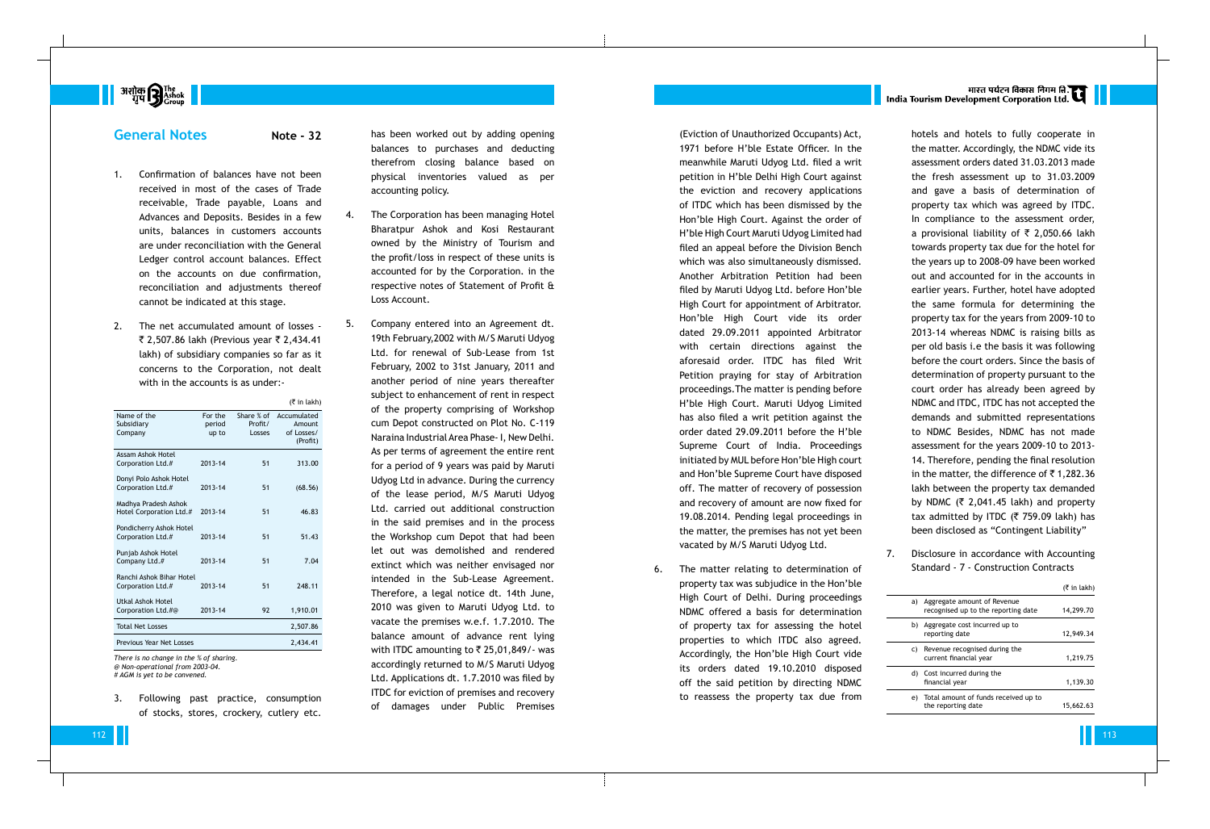

## **General Notes Note - 32**

- 1. Confirmation of balances have not been received in most of the cases of Trade receivable, Trade payable, Loans and Advances and Deposits. Besides in a few units, balances in customers accounts are under reconciliation with the General Ledger control account balances. Effect on the accounts on due confirmation, reconciliation and adjustments thereof cannot be indicated at this stage.
- 2. The net accumulated amount of losses ₹ 2,507.86 lakh (Previous year ₹ 2,434.41 lakh) of subsidiary companies so far as it concerns to the Corporation, not dealt with in the accounts is as under:-

|                                                 |                            |                                 | $($ ₹ in lakh)                                  |
|-------------------------------------------------|----------------------------|---------------------------------|-------------------------------------------------|
| Name of the<br>Subsidiary<br>Company            | For the<br>period<br>up to | Share % of<br>Profit/<br>Losses | Accumulated<br>Amount<br>of Losses/<br>(Profit) |
| Assam Ashok Hotel<br>Corporation Ltd.#          | 2013-14                    | 51                              | 313.00                                          |
| Donyi Polo Ashok Hotel<br>Corporation Ltd.#     | 2013-14                    | 51                              | (68.56)                                         |
| Madhya Pradesh Ashok<br>Hotel Corporation Ltd.# | 2013-14                    | 51                              | 46.83                                           |
| Pondicherry Ashok Hotel<br>Corporation Ltd.#    | 2013-14                    | 51                              | 51.43                                           |
| Punjab Ashok Hotel<br>Company Ltd.#             | 2013-14                    | 51                              | 7.04                                            |
| Ranchi Ashok Bihar Hotel<br>Corporation Ltd.#   | 2013-14                    | 51                              | 248.11                                          |
| Utkal Ashok Hotel<br>Corporation Ltd.#@         | 2013-14                    | 92                              | 1,910.01                                        |
| <b>Total Net Losses</b>                         |                            |                                 | 2,507.86                                        |
| Previous Year Net Losses                        |                            |                                 | 2,434.41                                        |
|                                                 |                            |                                 |                                                 |

*There is no change in the % of sharing. @ Non-operational from 2003-04. # AGM is yet to be convened.*

3. Following past practice, consumption of stocks, stores, crockery, cutlery etc.

has been worked out by adding opening balances to purchases and deducting therefrom closing balance based on physical inventories valued as per accounting policy.

- 4. The Corporation has been managing Hotel Bharatpur Ashok and Kosi Restaurant owned by the Ministry of Tourism and the profit/loss in respect of these units is accounted for by the Corporation. in the respective notes of Statement of Profit & Loss Account.
- 5. Company entered into an Agreement dt. 19th February,2002 with M/S Maruti Udyog Ltd. for renewal of Sub-Lease from 1st February, 2002 to 31st January, 2011 and another period of nine years thereafter subject to enhancement of rent in respect of the property comprising of Workshop cum Depot constructed on Plot No. C-119 Naraina Industrial Area Phase- I, New Delhi. As per terms of agreement the entire rent for a period of 9 years was paid by Maruti Udyog Ltd in advance. During the currency of the lease period, M/S Maruti Udyog Ltd. carried out additional construction in the said premises and in the process the Workshop cum Depot that had been let out was demolished and rendered extinct which was neither envisaged nor intended in the Sub-Lease Agreement. Therefore, a legal notice dt. 14th June, 2010 was given to Maruti Udyog Ltd. to vacate the premises w.e.f. 1.7.2010. The balance amount of advance rent lying with ITDC amounting to ` 25,01,849/- was accordingly returned to M/S Maruti Udyog Ltd. Applications dt. 1.7.2010 was filed by ITDC for eviction of premises and recovery of damages under Public Premises

(Eviction of Unauthorized Occupants) Act, 1971 before H'ble Estate Officer. In the meanwhile Maruti Udyog Ltd. filed a writ petition in H'ble Delhi High Court against the eviction and recovery applications of ITDC which has been dismissed by the Hon'ble High Court. Against the order of H'ble High Court Maruti Udyog Limited had filed an appeal before the Division Bench which was also simultaneously dismissed. Another Arbitration Petition had been filed by Maruti Udyog Ltd. before Hon'ble High Court for appointment of Arbitrator. Hon'ble High Court vide its order dated 29.09.2011 appointed Arbitrator with certain directions against the aforesaid order. ITDC has filed Writ Petition praying for stay of Arbitration proceedings.The matter is pending before H'ble High Court. Maruti Udyog Limited has also filed a writ petition against the order dated 29.09.2011 before the H'ble Supreme Court of India. Proceedings initiated by MUL before Hon'ble High court and Hon'ble Supreme Court have disposed off. The matter of recovery of possession and recovery of amount are now fixed for 19.08.2014. Pending legal proceedings in the matter, the premises has not yet been vacated by M/S Maruti Udyog Ltd.

6. The matter relating to determination of property tax was subjudice in the Hon'ble High Court of Delhi. During proceedings NDMC offered a basis for determination of property tax for assessing the hotel properties to which ITDC also agreed. Accordingly, the Hon'ble High Court vide its orders dated 19.10.2010 disposed off the said petition by directing NDMC to reassess the property tax due from

# भारत पर्यटन विकास निगम ति.<br>India Tourism Development Corporation Ltd.

 $\overline{\phantom{a}}$ 

hotels and hotels to fully cooperate in the matter. Accordingly, the NDMC vide its assessment orders dated 31.03.2013 made the fresh assessment up to 31.03.2009 and gave a basis of determination of property tax which was agreed by ITDC. In compliance to the assessment order, a provisional liability of  $\bar{\bar{\tau}}$  2,050.66 lakh towards property tax due for the hotel for the years up to 2008-09 have been worked out and accounted for in the accounts in earlier years. Further, hotel have adopted the same formula for determining the property tax for the years from 2009-10 to 2013-14 whereas NDMC is raising bills as per old basis i.e the basis it was following before the court orders. Since the basis of determination of property pursuant to the court order has already been agreed by NDMC and ITDC, ITDC has not accepted the demands and submitted representations to NDMC Besides, NDMC has not made assessment for the years 2009-10 to 2013- 14. Therefore, pending the final resolution in the matter, the difference of  $\bar{\tau}$  1,282.36 lakh between the property tax demanded by NDMC ( $\bar{\tau}$  2,041.45 lakh) and property tax admitted by ITDC ( ` 759.09 lakh) has been disclosed as "Contingent Liability"

7. Disclosure in accordance with Accounting Standard - 7 - Construction Contracts

|    |                                                                       | $(5 \in \mathsf{in} \, \mathsf{l}_k)$ |
|----|-----------------------------------------------------------------------|---------------------------------------|
|    | a) Aggregate amount of Revenue<br>recognised up to the reporting date | 14,299.70                             |
|    | b) Aggregate cost incurred up to<br>reporting date                    | 12,949.34                             |
|    | c) Revenue recognised during the<br>current financial year            | 1,219.75                              |
|    | d) Cost incurred during the<br>financial year                         | 1,139.30                              |
| e) | Total amount of funds received up to<br>the reporting date            | 15.662.63                             |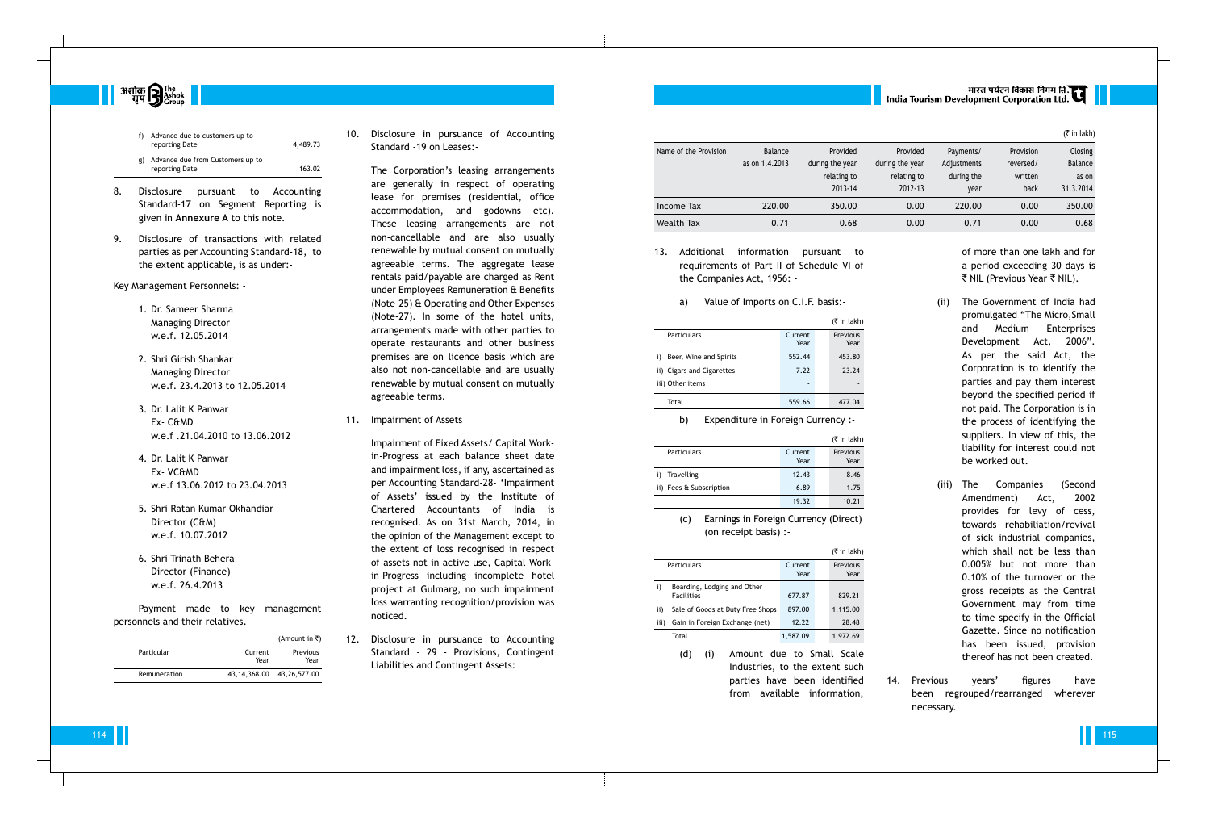

|    | Advance due to customers up to<br>reporting Date   | 4,489.73 |
|----|----------------------------------------------------|----------|
| g) | Advance due from Customers up to<br>reporting Date | 163.02   |

- 8. Disclosure pursuant to Accounting Standard-17 on Segment Reporting is given in **Annexure A** to this note.
- 9. Disclosure of transactions with related parties as per Accounting Standard-18, to the extent applicable, is as under:-

Key Management Personnels: -

- 1. Dr. Sameer Sharma Managing Director w.e.f. 12.05.2014
- 2. Shri Girish Shankar Managing Director w.e.f. 23.4.2013 to 12.05.2014
- 3. Dr. Lalit K Panwar Ex- C&MD w.e.f .21.04.2010 to 13.06.2012
- 4. Dr. Lalit K Panwar Ex- VC&MD w.e.f 13.06.2012 to 23.04.2013
- 5. Shri Ratan Kumar Okhandiar Director (C&M) w.e.f. 10.07.2012
- 6. Shri Trinath Behera Director (Finance) w.e.f. 26.4.2013

Payment made to key management personnels and their relatives.

|              |                 | (Amount in ₹)                   |
|--------------|-----------------|---------------------------------|
| Particular   | Current<br>Year | Previous<br>Year                |
| Remuneration |                 | 43, 14, 368. 00 43, 26, 577. 00 |

10. Disclosure in pursuance of Accounting Standard -19 on Leases:-

> The Corporation's leasing arrangements are generally in respect of operating lease for premises (residential, office accommodation, and godowns etc). These leasing arrangements are not non-cancellable and are also usually renewable by mutual consent on mutually agreeable terms. The aggregate lease rentals paid/payable are charged as Rent under Employees Remuneration & Benefits (Note-25) & Operating and Other Expenses (Note-27). In some of the hotel units, arrangements made with other parties to operate restaurants and other business premises are on licence basis which are also not non-cancellable and are usually renewable by mutual consent on mutually agreeable terms.

of more than one lakh and for a period exceeding 30 days is ₹ NIL (Previous Year ₹ NIL).

11. Impairment of Assets

Impairment of Fixed Assets/ Capital Workin-Progress at each balance sheet date and impairment loss, if any, ascertained as per Accounting Standard-28- 'Impairment of Assets' issued by the Institute of Chartered Accountants of India is recognised. As on 31st March, 2014, in the opinion of the Management except to the extent of loss recognised in respect of assets not in active use, Capital Workin-Progress including incomplete hotel project at Gulmarg, no such impairment loss warranting recognition/provision was noticed.

12. Disclosure in pursuance to Accounting Standard - 29 - Provisions, Contingent Liabilities and Contingent Assets:

13. Additional information pursuant to requirements of Part II of Schedule VI of the Companies Act, 1956: -

a) Value of Imports on C.I.F. basis:-

|                              |                 | $(5 \in \mathsf{in} \, \mathsf{l}_k)$ |
|------------------------------|-----------------|---------------------------------------|
| <b>Particulars</b>           | Current<br>Year | Previous<br>Year                      |
| Beer, Wine and Spirits<br>i) | 552.44          | 453.80                                |
| ii) Cigars and Cigarettes    | 7.22            | 23.24                                 |
| iii) Other items             |                 |                                       |
| Total                        | 559.66          | 477.04                                |

b) Expenditure in Foreign Currency :-

|                                              |                 | $(5 \in \mathsf{in} \, \mathsf{l}_k)$ |
|----------------------------------------------|-----------------|---------------------------------------|
| Particulars                                  | Current<br>Year | Previous<br>Year                      |
| Travelling                                   | 12.43           | 8.46                                  |
| ii) Fees & Subscription                      | 6.89            | 1.75                                  |
|                                              | 19.32           | 10.21                                 |
| Earnings in Foreign Currency (Direct)<br>(C) |                 |                                       |

(on receipt basis) :-

|                                                                                                                                         |                                |                                  |                             |                 |       | $(5$ in lakh) |
|-----------------------------------------------------------------------------------------------------------------------------------------|--------------------------------|----------------------------------|-----------------------------|-----------------|-------|---------------|
|                                                                                                                                         | Particulars                    |                                  |                             | Current<br>Year |       | Previous      |
|                                                                                                                                         |                                |                                  |                             |                 |       | Year          |
| i)                                                                                                                                      |                                |                                  | Boarding, Lodging and Other |                 |       |               |
|                                                                                                                                         | <b>Facilities</b>              |                                  |                             | 677.87          |       | 829.21        |
| ii)                                                                                                                                     |                                | Sale of Goods at Duty Free Shops |                             |                 |       | 1,115.00      |
| iii)                                                                                                                                    | Gain in Foreign Exchange (net) |                                  | 12.22                       |                 | 28.48 |               |
|                                                                                                                                         | Total                          |                                  |                             | 1,587.09        |       | 1,972.69      |
| Amount due to Small Scale<br>(d)<br>(i)<br>Industries, to the extent such<br>parties have been identified<br>from available information |                                |                                  |                             |                 |       |               |

from available information,

- (ii) The Government of India had promulgated "The Micro,Small and Medium Enterprises Development Act, 2006". As per the said Act, the Corporation is to identify the parties and pay them interest beyond the specified period if not paid. The Corporation is in the process of identifying the suppliers. In view of this, the liability for interest could not be worked out.
- (iii) The Companies (Second Amendment) Act, 2002 provides for levy of cess, towards rehabiliation/revival of sick industrial companies, which shall not be less than 0.005% but not more than 0.10% of the turnover or the gross receipts as the Central Government may from time to time specify in the Official Gazette. Since no notification has been issued, provision thereof has not been created.
- 14. Previous years' figures have been regrouped/rearranged wherever necessary.

# | भारत पर्यटन विकास निगम ति.<br>| India Tourism Development Corporation Ltd.

|                       |                                  |                             |                             |                          |                        | $(5 \in \mathsf{In} \, \mathsf{l}_\mathsf{R}$ |
|-----------------------|----------------------------------|-----------------------------|-----------------------------|--------------------------|------------------------|-----------------------------------------------|
| Name of the Provision | <b>Balance</b><br>as on 1.4.2013 | Provided<br>during the year | Provided<br>during the year | Payments/<br>Adjustments | Provision<br>reversed/ | <b>Closing</b><br>Balance                     |
|                       |                                  | relating to<br>2013-14      | relating to<br>2012-13      | during the<br>year       | written<br>back        | as on<br>31.3.2014                            |
| Income Tax            | 220.00                           | 350.00                      | 0.00                        | 220.00                   | 0.00                   | 350.00                                        |
| Wealth Tax            | 0.71                             | 0.68                        | 0.00                        | 0.71                     | 0.00                   | 0.68                                          |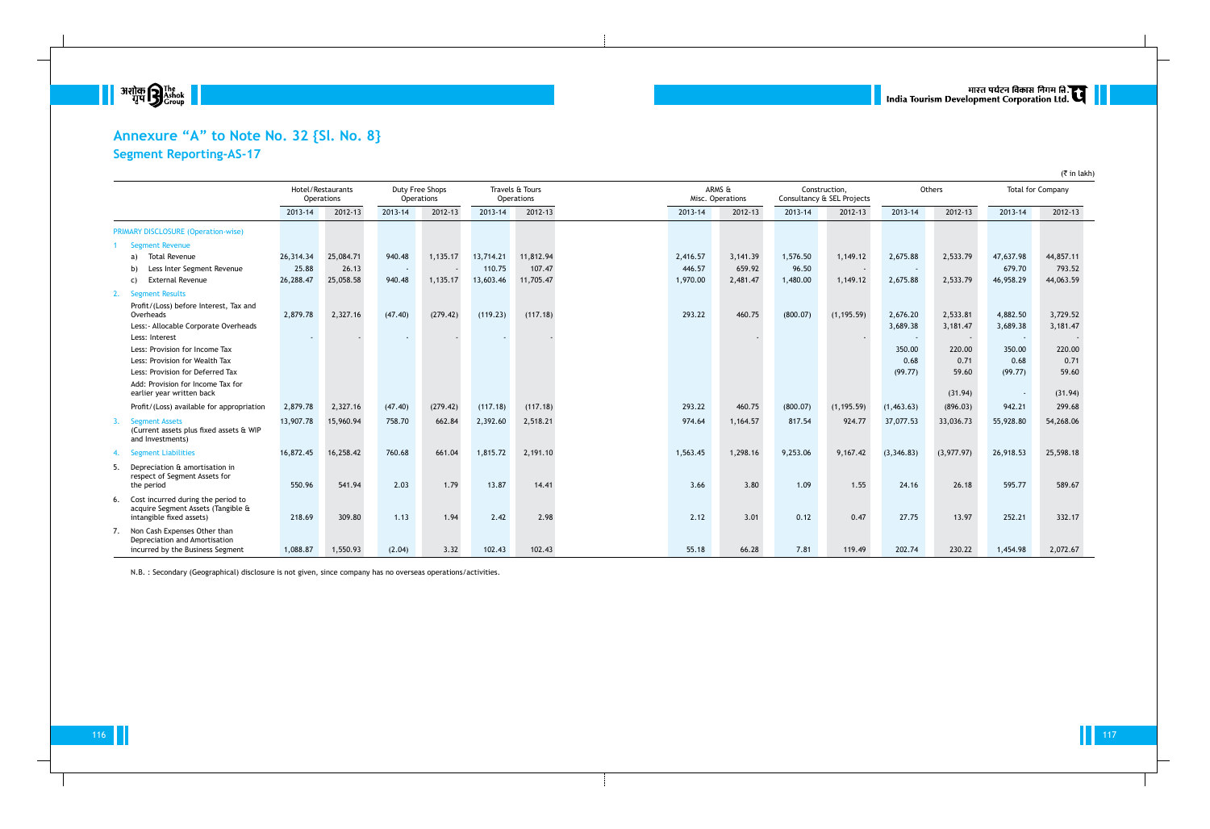

# **Annexure "A" to Note No. 32 {Sl. No. 8} Segment Reporting-AS-17**

|     |                                                                                                      |           | Hotel/Restaurants<br>Operations |                          | Duty Free Shops<br>Operations |           | Travels & Tours<br>Operations |          | ARMS &<br>Misc. Operations |          | Construction.<br>Consultancy & SEL Projects |                          | Others     |                          | <b>Total for Company</b> |
|-----|------------------------------------------------------------------------------------------------------|-----------|---------------------------------|--------------------------|-------------------------------|-----------|-------------------------------|----------|----------------------------|----------|---------------------------------------------|--------------------------|------------|--------------------------|--------------------------|
|     |                                                                                                      | 2013-14   | 2012-13                         | 2013-14                  | 2012-13                       | 2013-14   | 2012-13                       | 2013-14  | 2012-13                    | 2013-14  | 2012-13                                     | 2013-14                  | 2012-13    | 2013-14                  | 2012-13                  |
|     | <b>PRIMARY DISCLOSURE (Operation-wise)</b>                                                           |           |                                 |                          |                               |           |                               |          |                            |          |                                             |                          |            |                          |                          |
|     | <b>Segment Revenue</b>                                                                               |           |                                 |                          |                               |           |                               |          |                            |          |                                             |                          |            |                          |                          |
|     | <b>Total Revenue</b><br>a)                                                                           | 26,314.34 | 25,084.71                       | 940.48                   | 1,135.17                      | 13,714.21 | 11,812.94                     | 2,416.57 | 3,141.39                   | 1,576.50 | 1,149.12                                    | 2,675.88                 | 2,533.79   | 47,637.98                | 44,857.11                |
|     | Less Inter Segment Revenue<br>b)                                                                     | 25.88     | 26.13                           | $\overline{\phantom{a}}$ |                               | 110.75    | 107.47                        | 446.57   | 659.92                     | 96.50    |                                             | $\overline{\phantom{a}}$ |            | 679.70                   | 793.52                   |
|     | <b>External Revenue</b><br>C)                                                                        | 26,288.47 | 25,058.58                       | 940.48                   | 1,135.17                      | 13,603.46 | 11,705.47                     | 1,970.00 | 2,481.47                   | 1,480.00 | 1,149.12                                    | 2,675.88                 | 2,533.79   | 46,958.29                | 44,063.59                |
| 2.  | <b>Segment Results</b>                                                                               |           |                                 |                          |                               |           |                               |          |                            |          |                                             |                          |            |                          |                          |
|     | Profit/(Loss) before Interest, Tax and<br>Overheads                                                  | 2,879.78  | 2,327.16                        | (47.40)                  | (279.42)                      | (119.23)  | (117.18)                      | 293.22   | 460.75                     | (800.07) | (1, 195.59)                                 | 2,676.20                 | 2,533.81   | 4,882.50                 | 3,729.52                 |
|     | Less: - Allocable Corporate Overheads                                                                |           |                                 |                          |                               |           |                               |          |                            |          |                                             | 3,689.38                 | 3,181.47   | 3,689.38                 | 3,181.47                 |
|     | Less: Interest                                                                                       |           |                                 | $\sim$                   |                               |           |                               |          | $\overline{\phantom{a}}$   |          |                                             | $\overline{\phantom{a}}$ |            | $\overline{\phantom{a}}$ |                          |
|     | Less: Provision for Income Tax                                                                       |           |                                 |                          |                               |           |                               |          |                            |          |                                             | 350.00                   | 220.00     | 350.00                   | 220.00                   |
|     | Less: Provision for Wealth Tax                                                                       |           |                                 |                          |                               |           |                               |          |                            |          |                                             | 0.68                     | 0.71       | 0.68                     | 0.71                     |
|     | Less: Provision for Deferred Tax                                                                     |           |                                 |                          |                               |           |                               |          |                            |          |                                             | (99.77)                  | 59.60      | (99.77)                  | 59.60                    |
|     | Add: Provision for Income Tax for<br>earlier year written back                                       |           |                                 |                          |                               |           |                               |          |                            |          |                                             |                          | (31.94)    |                          | (31.94)                  |
|     | Profit/(Loss) available for appropriation                                                            | 2,879.78  | 2,327.16                        | (47.40)                  | (279.42)                      | (117.18)  | (117.18)                      | 293.22   | 460.75                     | (800.07) | (1, 195.59)                                 | (1,463.63)               | (896.03)   | 942.21                   | 299.68                   |
|     | <b>Segment Assets</b><br>(Current assets plus fixed assets & WIP<br>and Investments)                 | 13,907.78 | 15,960.94                       | 758.70                   | 662.84                        | 2,392.60  | 2,518.21                      | 974.64   | 1,164.57                   | 817.54   | 924.77                                      | 37,077.53                | 33,036.73  | 55,928.80                | 54,268.06                |
|     | <b>Segment Liabilities</b>                                                                           | 16,872.45 | 16,258.42                       | 760.68                   | 661.04                        | 1,815.72  | 2,191.10                      | 1,563.45 | 1,298.16                   | 9,253.06 | 9,167.42                                    | (3,346.83)               | (3,977.97) | 26,918.53                | 25,598.18                |
| -5. | Depreciation & amortisation in<br>respect of Segment Assets for<br>the period                        | 550.96    | 541.94                          | 2.03                     | 1.79                          | 13.87     | 14.41                         | 3.66     | 3.80                       | 1.09     | 1.55                                        | 24.16                    | 26.18      | 595.77                   | 589.67                   |
| 6.  | Cost incurred during the period to<br>acquire Segment Assets (Tangible &<br>intangible fixed assets) | 218.69    | 309.80                          | 1.13                     | 1.94                          | 2.42      | 2.98                          | 2.12     | 3.01                       | 0.12     | 0.47                                        | 27.75                    | 13.97      | 252.21                   | 332.17                   |
| 7.  | Non Cash Expenses Other than<br>Depreciation and Amortisation<br>incurred by the Business Segment    | 1,088.87  | 1,550.93                        | (2.04)                   | 3.32                          | 102.43    | 102.43                        | 55.18    | 66.28                      | 7.81     | 119.49                                      | 202.74                   | 230.22     | 1,454.98                 | 2,072.67                 |

N.B. : Secondary (Geographical) disclosure is not given, since company has no overseas operations/activities.

# ् ।<br>| India Tourism Development Corporation Ltd. स्टार्न ||

 $($ ₹ in lakh)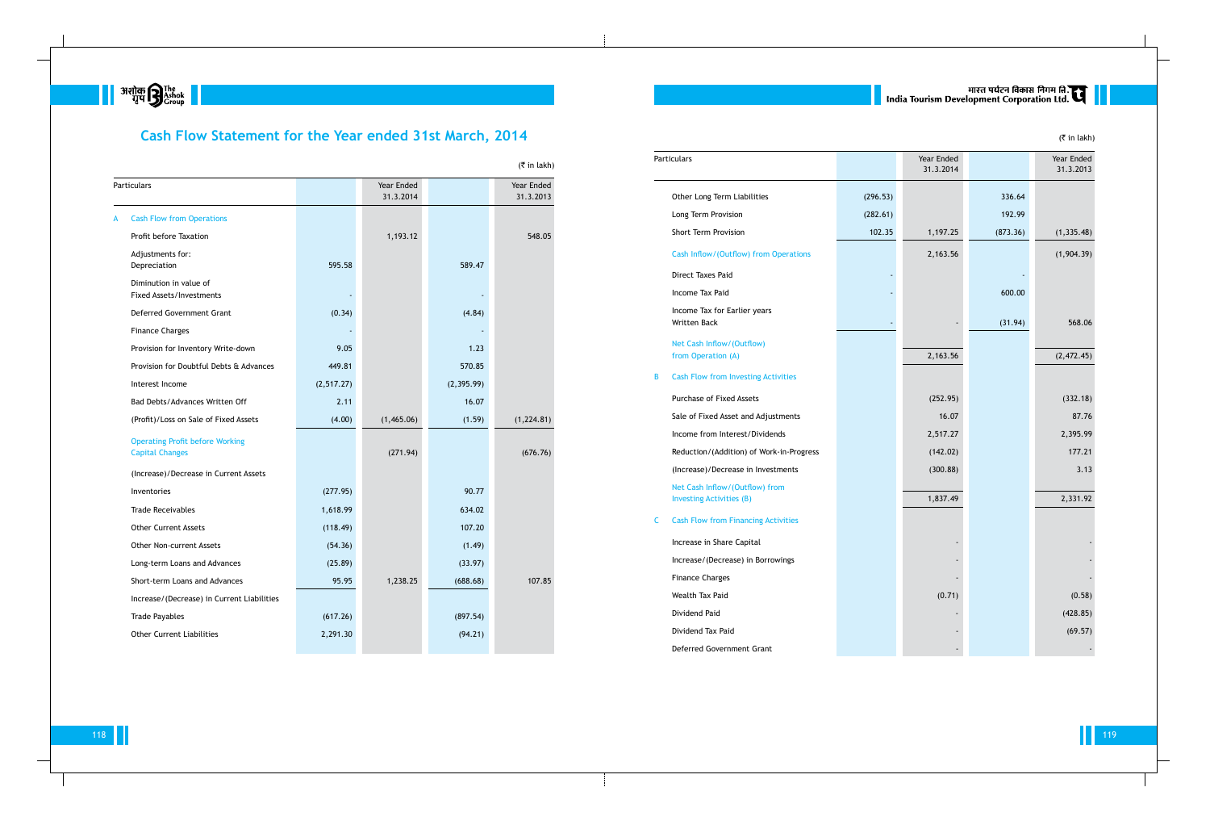

# **Cash Flow Statement for the Year ended 31st March, 2014**

|   |                                                                  |            |                         |             | $(5 \in \mathbb{R})$ in lakh) |
|---|------------------------------------------------------------------|------------|-------------------------|-------------|-------------------------------|
|   | Particulars                                                      |            | Year Ended<br>31.3.2014 |             | Year Ended<br>31.3.2013       |
| A | <b>Cash Flow from Operations</b>                                 |            |                         |             |                               |
|   | Profit before Taxation                                           |            | 1,193.12                |             | 548.05                        |
|   | Adjustments for:<br>Depreciation                                 | 595.58     |                         | 589.47      |                               |
|   | Diminution in value of<br><b>Fixed Assets/Investments</b>        |            |                         |             |                               |
|   | Deferred Government Grant                                        | (0.34)     |                         | (4.84)      |                               |
|   | <b>Finance Charges</b>                                           |            |                         |             |                               |
|   | Provision for Inventory Write-down                               | 9.05       |                         | 1.23        |                               |
|   | Provision for Doubtful Debts & Advances                          | 449.81     |                         | 570.85      |                               |
|   | Interest Income                                                  | (2,517.27) |                         | (2, 395.99) |                               |
|   | Bad Debts/Advances Written Off                                   | 2.11       |                         | 16.07       |                               |
|   | (Profit)/Loss on Sale of Fixed Assets                            | (4.00)     | (1,465.06)              | (1.59)      | (1, 224.81)                   |
|   | <b>Operating Profit before Working</b><br><b>Capital Changes</b> |            | (271.94)                |             | (676.76)                      |
|   | (Increase)/Decrease in Current Assets                            |            |                         |             |                               |
|   | Inventories                                                      | (277.95)   |                         | 90.77       |                               |
|   | <b>Trade Receivables</b>                                         | 1,618.99   |                         | 634.02      |                               |
|   | <b>Other Current Assets</b>                                      | (118.49)   |                         | 107.20      |                               |
|   | Other Non-current Assets                                         | (54.36)    |                         | (1.49)      |                               |
|   | Long-term Loans and Advances                                     | (25.89)    |                         | (33.97)     |                               |
|   | Short-term Loans and Advances                                    | 95.95      | 1,238.25                | (688.68)    | 107.85                        |
|   | Increase/(Decrease) in Current Liabilities                       |            |                         |             |                               |
|   | <b>Trade Payables</b>                                            | (617.26)   |                         | (897.54)    |                               |
|   | <b>Other Current Liabilities</b>                                 | 2,291.30   |                         | (94.21)     |                               |
|   |                                                                  |            |                         |             |                               |

|   | Particulars                                                       |          | Year Ended<br>31.3.2014 |          | Year Ended<br>31.3.2013 |
|---|-------------------------------------------------------------------|----------|-------------------------|----------|-------------------------|
|   | Other Long Term Liabilities                                       | (296.53) |                         | 336.64   |                         |
|   | Long Term Provision                                               | (282.61) |                         | 192.99   |                         |
|   | Short Term Provision                                              | 102.35   | 1,197.25                | (873.36) | (1, 335.48)             |
|   | Cash Inflow/(Outflow) from Operations                             |          | 2,163.56                |          | (1,904.39)              |
|   | Direct Taxes Paid                                                 |          |                         |          |                         |
|   | Income Tax Paid                                                   |          |                         | 600.00   |                         |
|   | Income Tax for Earlier years<br><b>Written Back</b>               |          |                         | (31.94)  | 568.06                  |
|   | Net Cash Inflow/(Outflow)<br>from Operation (A)                   |          | 2,163.56                |          | (2,472.45)              |
| B | <b>Cash Flow from Investing Activities</b>                        |          |                         |          |                         |
|   | <b>Purchase of Fixed Assets</b>                                   |          | (252.95)                |          | (332.18)                |
|   | Sale of Fixed Asset and Adjustments                               |          | 16.07                   |          | 87.76                   |
|   | Income from Interest/Dividends                                    |          | 2,517.27                |          | 2,395.99                |
|   | Reduction/(Addition) of Work-in-Progress                          |          | (142.02)                |          | 177.21                  |
|   | (Increase)/Decrease in Investments                                |          | (300.88)                |          | 3.13                    |
|   | Net Cash Inflow/(Outflow) from<br><b>Investing Activities (B)</b> |          | 1,837.49                |          | 2,331.92                |
| C | <b>Cash Flow from Financing Activities</b>                        |          |                         |          |                         |
|   | Increase in Share Capital                                         |          |                         |          |                         |
|   | Increase/(Decrease) in Borrowings                                 |          |                         |          |                         |
|   | <b>Finance Charges</b>                                            |          |                         |          |                         |
|   | Wealth Tax Paid                                                   |          | (0.71)                  |          | (0.58)                  |
|   | Dividend Paid                                                     |          |                         |          | (428.85)                |
|   | Dividend Tax Paid                                                 |          |                         |          | (69.57)                 |
|   | Deferred Government Grant                                         |          |                         |          |                         |

|   | Particulars                                                       |
|---|-------------------------------------------------------------------|
|   | Other Long Term Liabilities                                       |
|   | Long Term Provision                                               |
|   | <b>Short Term Provision</b>                                       |
|   | Cash Inflow/(Outflow) from Operati                                |
|   | Direct Taxes Paid                                                 |
|   | Income Tax Paid                                                   |
|   | Income Tax for Earlier years<br>Written Back                      |
|   | Net Cash Inflow/(Outflow)<br>from Operation (A)                   |
| В | <b>Cash Flow from Investing Activities</b>                        |
|   | Purchase of Fixed Assets                                          |
|   | Sale of Fixed Asset and Adjustment:                               |
|   | Income from Interest/Dividends                                    |
|   | Reduction/(Addition) of Work-in-Pro                               |
|   | (Increase)/Decrease in Investments                                |
|   | Net Cash Inflow/(Outflow) from<br><b>Investing Activities (B)</b> |
| С | <b>Cash Flow from Financing Activities</b>                        |
|   | Increase in Share Capital                                         |
|   | Increase/(Decrease) in Borrowings                                 |
|   | <b>Finance Charges</b>                                            |
|   | Wealth Tax Paid                                                   |
|   | Dividend Paid                                                     |
|   | Dividend Tax Paid                                                 |

# ्यारत पर्यटन विकास निगम लि.<br>| India Tourism Development Corporation Ltd.

(₹ in lakh)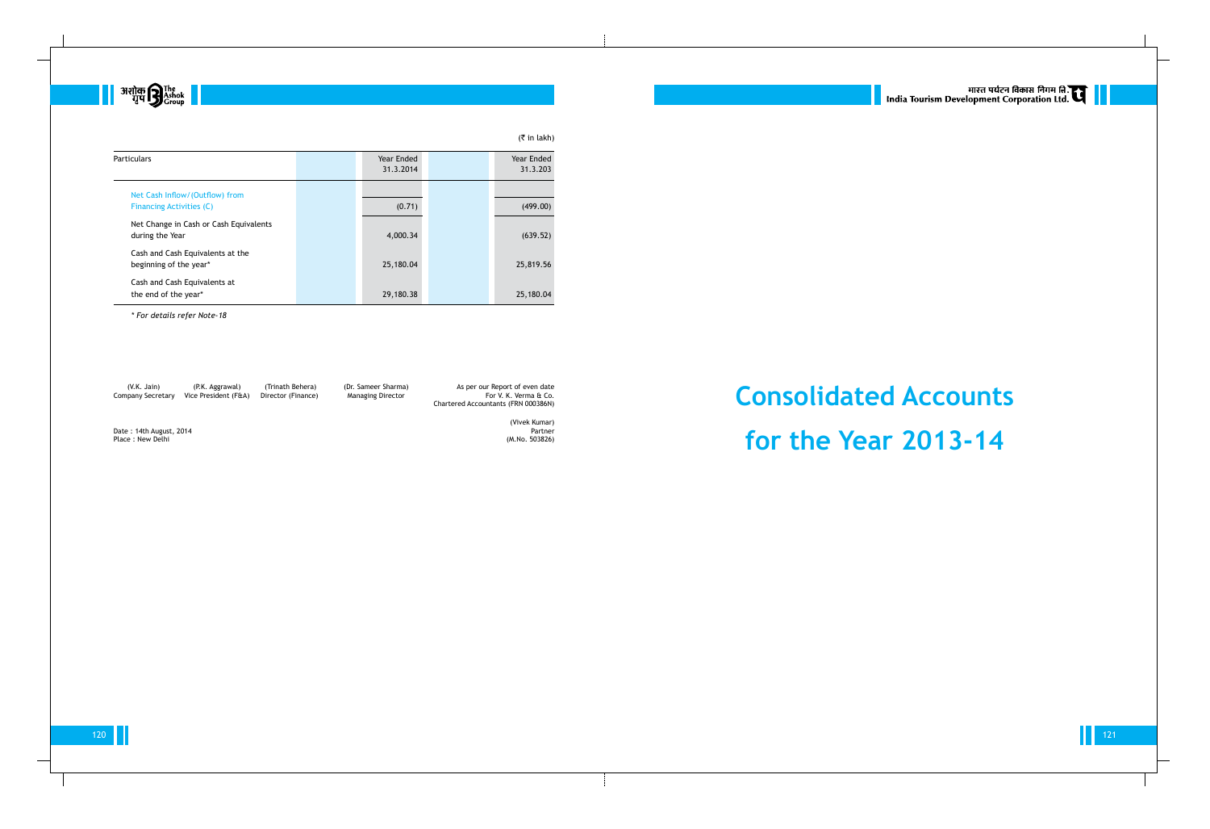

|                                                            |                         | $($ ₹ in lakh)         |
|------------------------------------------------------------|-------------------------|------------------------|
| <b>Particulars</b>                                         | Year Ended<br>31.3.2014 | Year Ended<br>31.3.203 |
| Net Cash Inflow/(Outflow) from                             |                         |                        |
| <b>Financing Activities (C)</b>                            | (0.71)                  | (499.00)               |
| Net Change in Cash or Cash Equivalents<br>during the Year  | 4,000.34                | (639.52)               |
| Cash and Cash Equivalents at the<br>beginning of the year* | 25,180.04               | 25,819.56              |
| Cash and Cash Equivalents at<br>the end of the year*       | 29,180.38               | 25,180.04              |

*\* For details refer Note-18*

Company Secretary Vice President (F&A) Director (Finance)

# **Consolidated Accounts for the Year 2013-14**



(V.K. Jain) (P.K. Aggrawal) (Trinath Behera) (Dr. Sameer Sharma) As per our Report of even date Chartered Accountants (FRN 000386N)

Date : 14th August, 2014 **Partner**<br>Place : New Delhi (M.No. 503826) Place : New Delhi

(Vivek Kumar)

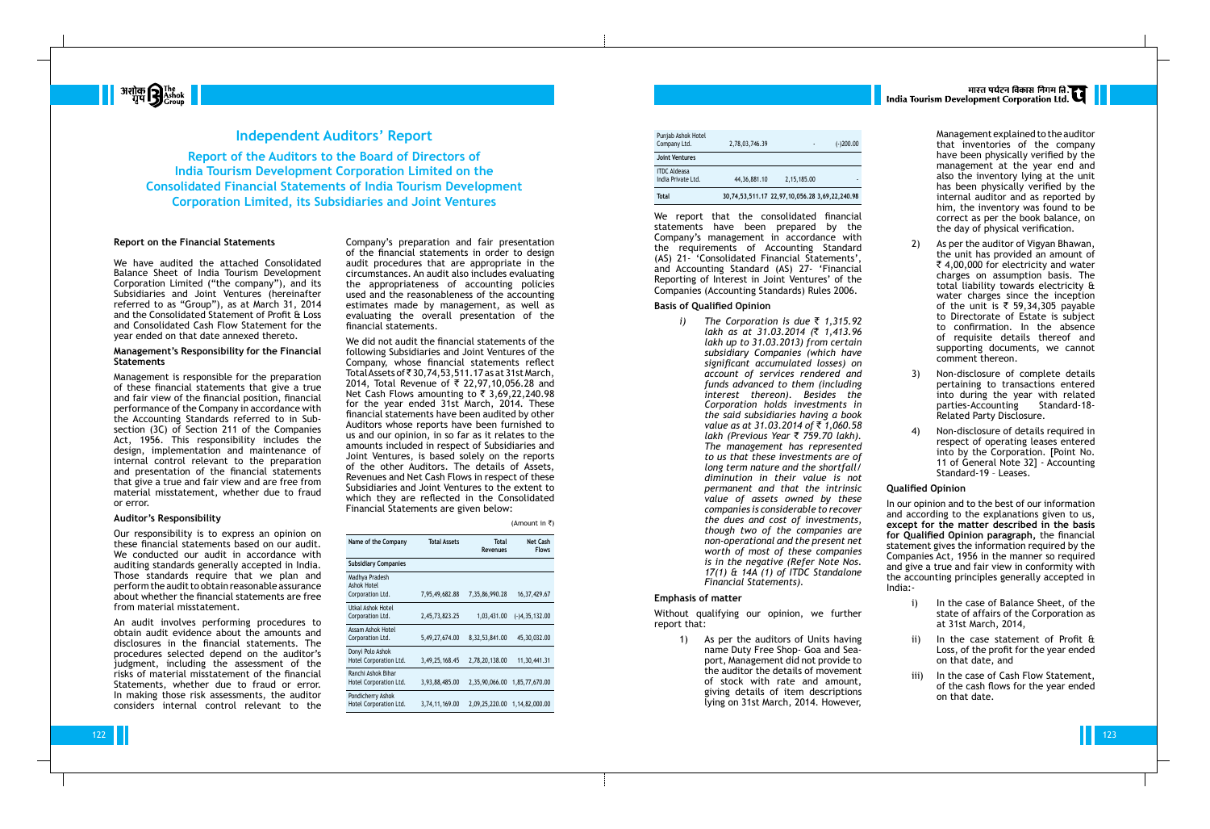

| <b>Total</b>                              | 30,74,53,511.17 22,97,10,056.28 3,69,22,240.98 |             |             |
|-------------------------------------------|------------------------------------------------|-------------|-------------|
| <b>ITDC Aldeasa</b><br>India Private Ltd. | 44, 36, 881. 10                                | 2,15,185.00 |             |
| <b>Joint Ventures</b>                     |                                                |             |             |
| Punjab Ashok Hotel<br>Company Ltd.        | 2,78,03,746.39                                 | ٠           | $(-)200.00$ |
|                                           |                                                |             |             |

We report that the consolidated financial statements have been prepared by the Company's management in accordance with the requirements of Accounting Standard (AS) 21- 'Consolidated Financial Statements', and Accounting Standard (AS) 27- 'Financial Reporting of Interest in Joint Ventures' of the Companies (Accounting Standards) Rules 2006.

### **Basis of Qualified Opinion**

*i) The Corporation is due* ` *1,315.92 lakh as at 31.03.2014 (*` *1,413.96 lakh up to 31.03.2013) from certain subsidiary Companies (which have significant accumulated losses) on account of services rendered and funds advanced to them (including interest thereon). Besides the Corporation holds investments in the said subsidiaries having a book value as at 31.03.2014 of* ` *1,060.58 lakh (Previous Year* ` *759.70 lakh). The management has represented to us that these investments are of long term nature and the shortfall/ diminution in their value is not permanent and that the intrinsic value of assets owned by these companies is considerable to recover the dues and cost of investments, though two of the companies are non-operational and the present net worth of most of these companies is in the negative (Refer Note Nos. 17(1) & 14A (1) of ITDC Standalone Financial Statements).*

#### **Emphasis of matter**

Without qualifying our opinion, we further report that:

> 1) As per the auditors of Units having name Duty Free Shop- Goa and Seaport, Management did not provide to the auditor the details of movement of stock with rate and amount, giving details of item descriptions lying on 31st March, 2014. However,

# मारत पर्यटन विकास निगम ति.<br>India Tourism Development Corporation Ltd.



## **Independent Auditors' Report**

**Report of the Auditors to the Board of Directors of India Tourism Development Corporation Limited on the Consolidated Financial Statements of India Tourism Development Corporation Limited, its Subsidiaries and Joint Ventures**

> Company's preparation and fair presentation of the financial statements in order to design audit procedures that are appropriate in the circumstances. An audit also includes evaluating the appropriateness of accounting policies used and the reasonableness of the accounting estimates made by management, as well as evaluating the overall presentation of the financial statements.

> We did not audit the financial statements of the following Subsidiaries and Joint Ventures of the Company, whose financial statements reflect Total Assets of  $\bar{z}$  30.74,53,511.17 as at 31st March, 2014, Total Revenue of ₹ 22,97,10,056.28 and Net Cash Flows amounting to  $\bar{\tau}$  3,69,22,240.98 for the year ended 31st March, 2014. These financial statements have been audited by other Auditors whose reports have been furnished to us and our opinion, in so far as it relates to the amounts included in respect of Subsidiaries and Joint Ventures, is based solely on the reports of the other Auditors. The details of Assets, Revenues and Net Cash Flows in respect of these Subsidiaries and Joint Ventures to the extent to which they are reflected in the Consolidated Financial Statements are given below:

> > (Amount in  $\bar{z}$ )

| Name of the Company                               | <b>Total Assets</b> | Total<br>Revenues | Net Cash<br><b>Flows</b> |
|---------------------------------------------------|---------------------|-------------------|--------------------------|
| <b>Subsidiary Companies</b>                       |                     |                   |                          |
| Madhya Pradesh<br>Ashok Hotel<br>Corporation Ltd. | 7,95,49,682.88      | 7,35,86,990.28    | 16, 37, 429.67           |
| Utkal Ashok Hotel<br>Corporation Ltd.             | 2,45,73,823.25      | 1,03,431.00       | $(-)4, 35, 132.00$       |
| Assam Ashok Hotel<br>Corporation Ltd.             | 5,49,27,674.00      | 8, 32, 53, 841.00 | 45,30,032.00             |
| Donyi Polo Ashok<br>Hotel Corporation Ltd.        | 3,49,25,168.45      | 2,78,20,138.00    | 11,30,441.31             |
| Ranchi Ashok Bihar<br>Hotel Corporation Ltd.      | 3,93,88,485.00      | 2,35,90,066.00    | 1,85,77,670.00           |
| Pondicherry Ashok<br>Hotel Corporation Ltd.       | 3,74,11,169.00      | 2,09,25,220.00    | 1,14,82,000.00           |

- i) In the case of Balance Sheet, of the state of affairs of the Corporation as at 31st March, 2014,
- ii) In the case statement of Profit & Loss, of the profit for the year ended on that date, and
- iii) In the case of Cash Flow Statement, of the cash flows for the year ended on that date.

#### **Report on the Financial Statements**

We have audited the attached Consolidated Balance Sheet of India Tourism Development Corporation Limited ("the company"), and its Subsidiaries and Joint Ventures (hereinafter referred to as "Group"), as at March 31, 2014 and the Consolidated Statement of Profit & Loss and Consolidated Cash Flow Statement for the year ended on that date annexed thereto.

#### **Management's Responsibility for the Financial Statements**

Management is responsible for the preparation of these financial statements that give a true and fair view of the financial position, financial performance of the Company in accordance with the Accounting Standards referred to in Subsection (3C) of Section 211 of the Companies Act, 1956. This responsibility includes the design, implementation and maintenance of internal control relevant to the preparation and presentation of the financial statements that give a true and fair view and are free from material misstatement, whether due to fraud or error.

#### **Auditor's Responsibility**

Our responsibility is to express an opinion on these financial statements based on our audit. We conducted our audit in accordance with auditing standards generally accepted in India. Those standards require that we plan and perform the audit to obtain reasonable assurance about whether the financial statements are free from material misstatement.

An audit involves performing procedures to obtain audit evidence about the amounts and disclosures in the financial statements. The procedures selected depend on the auditor's judgment, including the assessment of the risks of material misstatement of the financial Statements, whether due to fraud or error. In making those risk assessments, the auditor considers internal control relevant to the

Management explained to the auditor that inventories of the company have been physically verified by the management at the year end and also the inventory lying at the unit has been physically verified by the internal auditor and as reported by him, the inventory was found to be correct as per the book balance, on the day of physical verification.

- 2) As per the auditor of Vigyan Bhawan, the unit has provided an amount of  $\bar{\tau}$  4,00,000 for electricity and water charges on assumption basis. The total liability towards electricity & water charges since the inception of the unit is  $\overline{\zeta}$  59,34,305 payable to Directorate of Estate is subject to confirmation. In the absence of requisite details thereof and supporting documents, we cannot comment thereon.
- 3) Non-disclosure of complete details pertaining to transactions entered into during the year with related parties-Accounting Standard-18- Related Party Disclosure.
- 4) Non-disclosure of details required in respect of operating leases entered into by the Corporation. [Point No. 11 of General Note 32] - Accounting Standard-19 – Leases.

## **Qualified Opinion**

In our opinion and to the best of our information and according to the explanations given to us, **except for the matter described in the basis for Qualified Opinion paragraph,** the financial statement gives the information required by the Companies Act, 1956 in the manner so required and give a true and fair view in conformity with the accounting principles generally accepted in India:-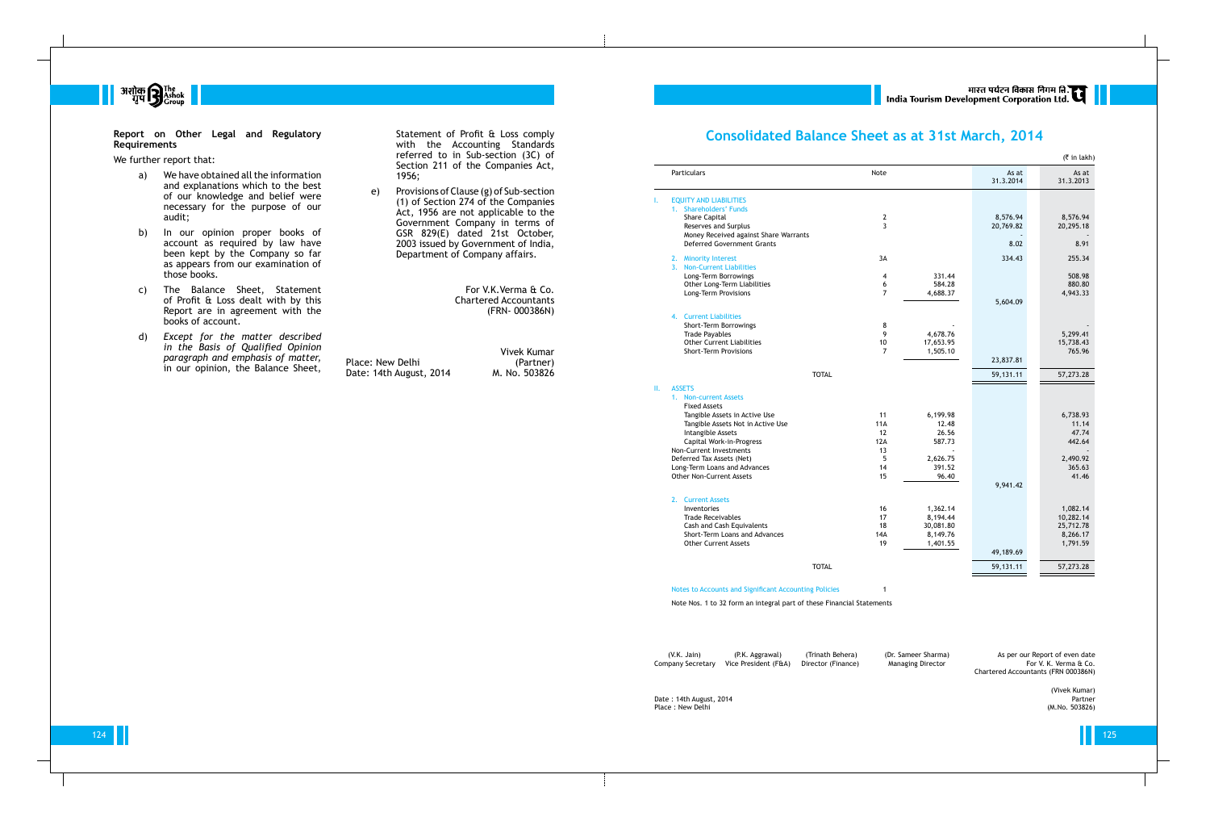124 125

भारत पर्यटन विकास निगम ति.<br>India Tourism Development Corporation Ltd.



#### **Report on Other Legal and Regulatory Requirements**

We further report that:

- a) We have obtained all the information and explanations which to the best of our knowledge and belief were necessary for the purpose of our audit;
- b) In our opinion proper books of account as required by law have been kept by the Company so far as appears from our examination of those books.
- c) The Balance Sheet, Statement of Profit & Loss dealt with by this Report are in agreement with the books of account.
- d) *Except for the matter described in the Basis of Qualified Opinion paragraph and emphasis of matter,* in our opinion, the Balance Sheet,

Vivek Kumar Place: New Delhi (Partner)<br>Date: 14th August, 2014 M. No. 503826

- I. EQUITY AND LIABILITIES 1. Shareholders' Funds Share Capital Reserves and Surplus Money Received against Share Warra Deferred Government Grants
	- 2. Minority Interest **Non-Current Liabilities** Long-Term Borrowings Other Long-Term Liabilities Long-Term Provisions
	- 4. Current Liabilities Short-Term Borrowings Trade Payables Other Current Liabilities Short-Term Provisions

Statement of Profit & Loss comply with the Accounting Standards referred to in Sub-section (3C) of Section 211 of the Companies Act, 1956;

e) Provisions of Clause (g) of Sub-section (1) of Section 274 of the Companies Act, 1956 are not applicable to the Government Company in terms of GSR 829(E) dated 21st October, 2003 issued by Government of India, Department of Company affairs.

Date: 14th August, 2014

For V.K.Verma & Co. Chartered Accountants (FRN- 000386N)

## **Consolidated Balance Sheet as at 31st March, 2014**

| <b>Particulars</b><br>Note<br>As at<br>31.3.2014<br><b>EQUITY AND LIABILITIES</b><br>I.<br>1. Shareholders' Funds<br>$\overline{2}$<br><b>Share Capital</b><br>8,576.94<br>3<br>Reserves and Surplus<br>20,769.82<br>Money Received against Share Warrants<br><b>Deferred Government Grants</b><br>8.02<br>3A<br>334.43<br>2. Minority Interest<br>3. Non-Current Liabilities<br>331.44<br>Long-Term Borrowings<br>$\overline{4}$<br>Other Long-Term Liabilities<br>6<br>584.28<br>Long-Term Provisions<br>$\overline{7}$<br>4,688.37<br>5,604.09<br>4. Current Liabilities<br>Short-Term Borrowings<br>8<br>9<br>4,678.76<br><b>Trade Payables</b><br><b>Other Current Liabilities</b><br>17,653.95<br>10<br><b>Short-Term Provisions</b><br>$\overline{7}$<br>1,505.10<br>23,837.81<br><b>TOTAL</b><br>59,131.11<br><b>ASSETS</b><br>1. Non-current Assets<br><b>Fixed Assets</b><br>Tangible Assets in Active Use<br>11<br>6,199.98 | As at<br>31.3.2013<br>8,576.94<br>20,295.18 |
|----------------------------------------------------------------------------------------------------------------------------------------------------------------------------------------------------------------------------------------------------------------------------------------------------------------------------------------------------------------------------------------------------------------------------------------------------------------------------------------------------------------------------------------------------------------------------------------------------------------------------------------------------------------------------------------------------------------------------------------------------------------------------------------------------------------------------------------------------------------------------------------------------------------------------------------|---------------------------------------------|
|                                                                                                                                                                                                                                                                                                                                                                                                                                                                                                                                                                                                                                                                                                                                                                                                                                                                                                                                        |                                             |
|                                                                                                                                                                                                                                                                                                                                                                                                                                                                                                                                                                                                                                                                                                                                                                                                                                                                                                                                        |                                             |
|                                                                                                                                                                                                                                                                                                                                                                                                                                                                                                                                                                                                                                                                                                                                                                                                                                                                                                                                        |                                             |
|                                                                                                                                                                                                                                                                                                                                                                                                                                                                                                                                                                                                                                                                                                                                                                                                                                                                                                                                        |                                             |
|                                                                                                                                                                                                                                                                                                                                                                                                                                                                                                                                                                                                                                                                                                                                                                                                                                                                                                                                        |                                             |
|                                                                                                                                                                                                                                                                                                                                                                                                                                                                                                                                                                                                                                                                                                                                                                                                                                                                                                                                        | 8.91                                        |
|                                                                                                                                                                                                                                                                                                                                                                                                                                                                                                                                                                                                                                                                                                                                                                                                                                                                                                                                        | 255.34                                      |
|                                                                                                                                                                                                                                                                                                                                                                                                                                                                                                                                                                                                                                                                                                                                                                                                                                                                                                                                        |                                             |
|                                                                                                                                                                                                                                                                                                                                                                                                                                                                                                                                                                                                                                                                                                                                                                                                                                                                                                                                        | 508.98                                      |
|                                                                                                                                                                                                                                                                                                                                                                                                                                                                                                                                                                                                                                                                                                                                                                                                                                                                                                                                        | 880.80                                      |
|                                                                                                                                                                                                                                                                                                                                                                                                                                                                                                                                                                                                                                                                                                                                                                                                                                                                                                                                        | 4,943.33                                    |
|                                                                                                                                                                                                                                                                                                                                                                                                                                                                                                                                                                                                                                                                                                                                                                                                                                                                                                                                        |                                             |
|                                                                                                                                                                                                                                                                                                                                                                                                                                                                                                                                                                                                                                                                                                                                                                                                                                                                                                                                        |                                             |
|                                                                                                                                                                                                                                                                                                                                                                                                                                                                                                                                                                                                                                                                                                                                                                                                                                                                                                                                        | 5,299.41                                    |
|                                                                                                                                                                                                                                                                                                                                                                                                                                                                                                                                                                                                                                                                                                                                                                                                                                                                                                                                        | 15,738.43                                   |
|                                                                                                                                                                                                                                                                                                                                                                                                                                                                                                                                                                                                                                                                                                                                                                                                                                                                                                                                        | 765.96                                      |
|                                                                                                                                                                                                                                                                                                                                                                                                                                                                                                                                                                                                                                                                                                                                                                                                                                                                                                                                        |                                             |
| Ш.                                                                                                                                                                                                                                                                                                                                                                                                                                                                                                                                                                                                                                                                                                                                                                                                                                                                                                                                     | 57,273.28                                   |
|                                                                                                                                                                                                                                                                                                                                                                                                                                                                                                                                                                                                                                                                                                                                                                                                                                                                                                                                        |                                             |
|                                                                                                                                                                                                                                                                                                                                                                                                                                                                                                                                                                                                                                                                                                                                                                                                                                                                                                                                        |                                             |
|                                                                                                                                                                                                                                                                                                                                                                                                                                                                                                                                                                                                                                                                                                                                                                                                                                                                                                                                        |                                             |
| Tangible Assets Not in Active Use<br>11A<br>12.48                                                                                                                                                                                                                                                                                                                                                                                                                                                                                                                                                                                                                                                                                                                                                                                                                                                                                      | 6,738.93<br>11.14                           |
| 26.56<br>Intangible Assets<br>12                                                                                                                                                                                                                                                                                                                                                                                                                                                                                                                                                                                                                                                                                                                                                                                                                                                                                                       | 47.74                                       |
| 12A<br>587.73<br>Capital Work-in-Progress                                                                                                                                                                                                                                                                                                                                                                                                                                                                                                                                                                                                                                                                                                                                                                                                                                                                                              | 442.64                                      |
| Non-Current Investments<br>13                                                                                                                                                                                                                                                                                                                                                                                                                                                                                                                                                                                                                                                                                                                                                                                                                                                                                                          |                                             |
| Deferred Tax Assets (Net)<br>5<br>2,626.75                                                                                                                                                                                                                                                                                                                                                                                                                                                                                                                                                                                                                                                                                                                                                                                                                                                                                             | 2,490.92                                    |
| Long-Term Loans and Advances<br>14<br>391.52<br><b>Other Non-Current Assets</b><br>15<br>96.40                                                                                                                                                                                                                                                                                                                                                                                                                                                                                                                                                                                                                                                                                                                                                                                                                                         | 365.63<br>41.46                             |
| 9,941.42                                                                                                                                                                                                                                                                                                                                                                                                                                                                                                                                                                                                                                                                                                                                                                                                                                                                                                                               |                                             |
|                                                                                                                                                                                                                                                                                                                                                                                                                                                                                                                                                                                                                                                                                                                                                                                                                                                                                                                                        |                                             |
| 2. Current Assets<br>Inventories<br>1,362.14<br>16                                                                                                                                                                                                                                                                                                                                                                                                                                                                                                                                                                                                                                                                                                                                                                                                                                                                                     | 1,082.14                                    |
| <b>Trade Receivables</b><br>17<br>8,194.44                                                                                                                                                                                                                                                                                                                                                                                                                                                                                                                                                                                                                                                                                                                                                                                                                                                                                             | 10,282.14                                   |
| 18<br>Cash and Cash Equivalents<br>30,081.80                                                                                                                                                                                                                                                                                                                                                                                                                                                                                                                                                                                                                                                                                                                                                                                                                                                                                           | 25,712.78                                   |
| Short-Term Loans and Advances<br>8,149.76<br>14A                                                                                                                                                                                                                                                                                                                                                                                                                                                                                                                                                                                                                                                                                                                                                                                                                                                                                       | 8,266.17                                    |
| <b>Other Current Assets</b><br>19<br>1,401.55                                                                                                                                                                                                                                                                                                                                                                                                                                                                                                                                                                                                                                                                                                                                                                                                                                                                                          | 1,791.59                                    |
| 49,189.69                                                                                                                                                                                                                                                                                                                                                                                                                                                                                                                                                                                                                                                                                                                                                                                                                                                                                                                              |                                             |
| <b>TOTAL</b><br>59,131.11<br>57,273.28                                                                                                                                                                                                                                                                                                                                                                                                                                                                                                                                                                                                                                                                                                                                                                                                                                                                                                 |                                             |

II. ASSETS

## 2. Current Assets

#### Notes to Accounts and Significant Accounting Policies 1

Note Nos. 1 to 32 form an integral part of these Financial Statements

(V.K. Jain) (P.K. Aggrawal) (Trinath Behera) (Dr. Sameer Sharma) As per our Report of even date<br>Company Secretary Vice President (F&A) Director (Finance) Managing Director (Prov. K. Verma & Co. Vice President (F&A) Director (Finance)

Date : 14th August, 2014 **Partner**<br>Place : New Delhi (M.No. 503826) Place : New Delhi

Chartered Accountants (FRN 000386N)

(Vivek Kumar)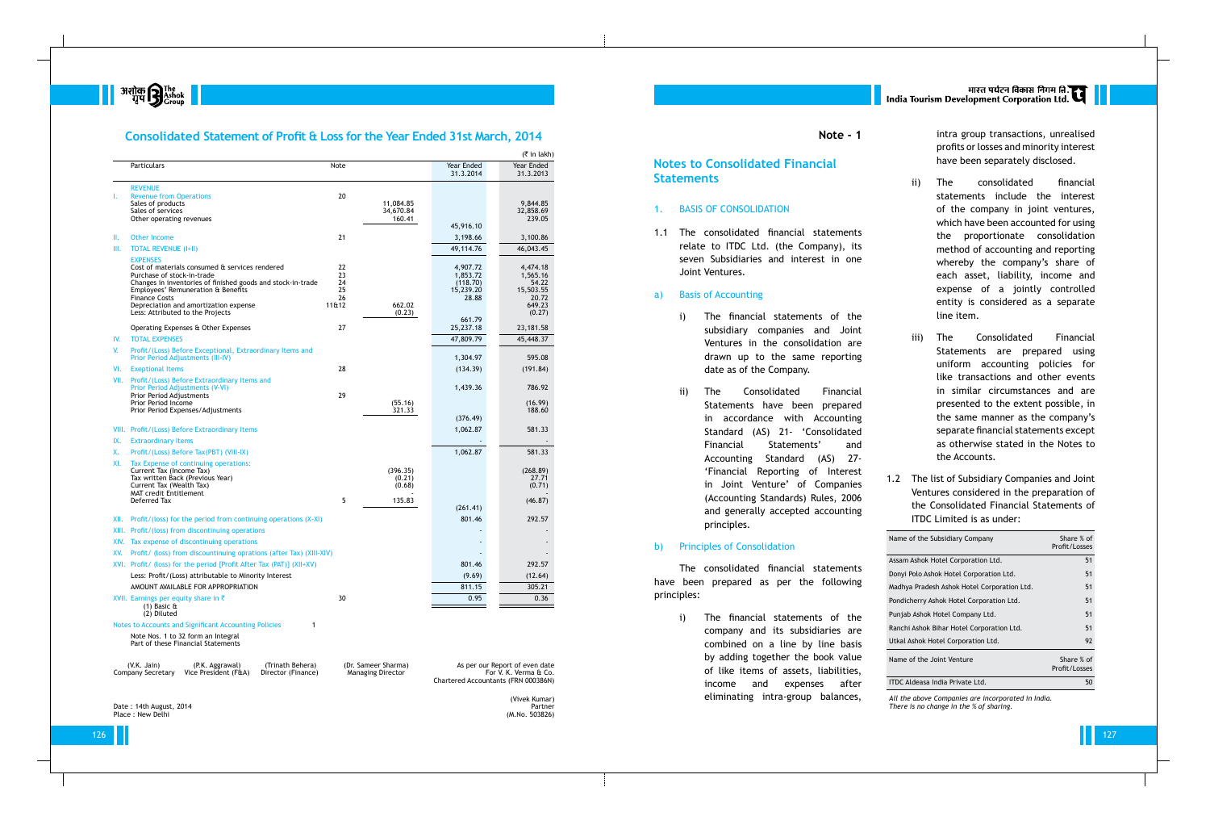

## **Consolidated Statement of Profit & Loss for the Year Ended 31st March, 2014**

### 1. BASIS OF CONSOLIDATION

1.1 The consolidated financial statements relate to ITDC Ltd. (the Company), its seven Subsidiaries and interest in one Joint Ventures.

### a) Basis of Accounting

|      |                                                                                                |          |                          |                                     | (₹ in lakh)                    |
|------|------------------------------------------------------------------------------------------------|----------|--------------------------|-------------------------------------|--------------------------------|
|      | Particulars                                                                                    | Note     |                          | Year Ended<br>31.3.2014             | Year Ended<br>31.3.2013        |
|      | <b>REVENUE</b>                                                                                 |          |                          |                                     |                                |
| ı.   | <b>Revenue from Operations</b>                                                                 | 20       |                          |                                     |                                |
|      | Sales of products                                                                              |          | 11,084.85                |                                     | 9.844.85                       |
|      | Sales of services<br>Other operating revenues                                                  |          | 34,670.84<br>160.41      |                                     | 32,858.69<br>239.05            |
|      |                                                                                                |          |                          | 45,916.10                           |                                |
| Ш.   | <b>Other Income</b>                                                                            | 21       |                          | 3,198.66                            | 3,100.86                       |
| Ш.   | <b>TOTAL REVENUE (I+II)</b>                                                                    |          |                          | 49,114.76                           | 46,043.45                      |
|      | <b>EXPENSES</b>                                                                                |          |                          |                                     |                                |
|      | Cost of materials consumed & services rendered                                                 | 22       |                          | 4,907.72                            | 4,474.18                       |
|      | Purchase of stock-in-trade<br>Changes in inventories of finished goods and stock-in-trade      | 23<br>24 |                          | 1,853.72<br>(118.70)                | 1,565.16<br>54.22              |
|      | Employees' Remuneration & Benefits                                                             | 25       |                          | 15,239.20                           | 15,503.55                      |
|      | <b>Finance Costs</b>                                                                           | 26       |                          | 28.88                               | 20.72                          |
|      | Depreciation and amortization expense<br>Less: Attributed to the Projects                      | 11&12    | 662.02<br>(0.23)         |                                     | 649.23<br>(0.27)               |
|      |                                                                                                |          |                          | 661.79                              |                                |
|      | Operating Expenses & Other Expenses                                                            | 27       |                          | 25,237.18                           | 23, 181. 58                    |
| IV.  | <b>TOTAL EXPENSES</b>                                                                          |          |                          | 47,809.79                           | 45,448.37                      |
| V.   | Profit/(Loss) Before Exceptional, Extraordinary Items and<br>Prior Period Adjustments (III-IV) |          |                          | 1,304.97                            | 595.08                         |
| VI.  | <b>Exeptional Items</b>                                                                        | 28       |                          | (134.39)                            | (191.84)                       |
| VII. | Profit/(Loss) Before Extraordinary Items and<br>Prior Period Adjustments (V-VI)                |          |                          | 1,439.36                            | 786.92                         |
|      | Prior Period Adjustments                                                                       | 29       |                          |                                     |                                |
|      | Prior Period Income                                                                            |          | (55.16)                  |                                     | (16.99)                        |
|      | Prior Period Expenses/Adjustments                                                              |          | 321.33                   | (376.49)                            | 188.60                         |
|      | VIII. Profit/(Loss) Before Extraordinary Items                                                 |          |                          | 1,062.87                            | 581.33                         |
| IX.  | <b>Extraordinary Items</b>                                                                     |          |                          |                                     |                                |
| X.   | Profit/(Loss) Before Tax(PBT) (VIII-IX)                                                        |          |                          | 1,062.87                            | 581.33                         |
| XI.  | Tax Expense of continuing operations:                                                          |          |                          |                                     |                                |
|      | Current Tax (Income Tax)                                                                       |          | (396.35)                 |                                     | (268.89)                       |
|      | Tax written Back (Previous Year)<br>Current Tax (Wealth Tax)                                   |          | (0.21)<br>(0.68)         |                                     | 27.71<br>(0.71)                |
|      | <b>MAT credit Entitlement</b>                                                                  |          |                          |                                     |                                |
|      | Deferred Tax                                                                                   | 5        | 135.83                   | (261.41)                            | (46.87)                        |
|      |                                                                                                |          |                          |                                     |                                |
| XII. | Profit/(loss) for the period from continuing operations (X-XI)                                 |          |                          | 801.46                              | 292.57                         |
|      | XIII. Profit/(loss) from discontinuing operations                                              |          |                          |                                     |                                |
|      | XIV. Tax expense of discontinuing operations                                                   |          |                          |                                     |                                |
|      | XV. Profit/ (loss) from discountinuing oprations (after Tax) (XIII-XIV)                        |          |                          |                                     |                                |
|      | XVI. Profit/ (loss) for the period [Profit After Tax (PAT)] (XII+XV)                           |          |                          | 801.46                              | 292.57                         |
|      | Less: Profit/(Loss) attributable to Minority Interest                                          |          |                          | (9.69)                              | (12.64)                        |
|      | AMOUNT AVAILABLE FOR APPROPRIATION                                                             |          |                          | 811.15                              | 305.21                         |
|      | XVII. Earnings per equity share in $\bar{\tau}$<br>$(1)$ Basic $\hat{a}$                       | 30       |                          | 0.95                                | 0.36                           |
|      | (2) Diluted                                                                                    |          |                          |                                     |                                |
|      | Notes to Accounts and Significant Accounting Policies                                          | 1        |                          |                                     |                                |
|      | Note Nos. 1 to 32 form an Integral<br>Part of these Financial Statements                       |          |                          |                                     |                                |
|      | $(V.K.$ Jain)<br>(P.K. Aggrawal)<br>(Trinath Behera)                                           |          | (Dr. Sameer Sharma)      |                                     | As per our Report of even date |
|      | Company Secretary<br>Vice President (F&A)<br>Director (Finance)                                |          | <b>Managing Director</b> |                                     | For V. K. Verma & Co.          |
|      |                                                                                                |          |                          | Chartered Accountants (FRN 000386N) |                                |
|      |                                                                                                |          |                          |                                     | (Vivek Kumar)                  |
|      | Date: 14th August, 2014                                                                        |          |                          |                                     | Partner                        |
|      | Place: New Delhi                                                                               |          |                          |                                     | (M.No. 503826)                 |

- i) The financial statements of the subsidiary companies and Joint Ventures in the consolidation are drawn up to the same reporting date as of the Company.
- ii) The Consolidated Financial Statements have been prepared in accordance with Accounting Standard (AS) 21- 'Consolidated Financial Statements' and Accounting Standard (AS) 27- 'Financial Reporting of Interest in Joint Venture' of Companies (Accounting Standards) Rules, 2006 and generally accepted accounting principles.

## b) Principles of Consolidation

The consolidated financial statements have been prepared as per the following principles:

> i) The financial statements of the company and its subsidiaries are combined on a line by line basis by adding together the book value of like items of assets, liabilities, income and expenses after eliminating intra-group balances,

मारत पर्यटन विकास निगम ति.<br>India Tourism Development Corporation Ltd.

**Note - 1**

## **Notes to Consolidated Financial Statements**

intra group transactions, unrealised profits or losses and minority interest have been separately disclosed.

- ii) The consolidated financial statements include the interest of the company in joint ventures, which have been accounted for using the proportionate consolidation method of accounting and reporting whereby the company's share of each asset, liability, income and expense of a jointly controlled entity is considered as a separate line item.
- iii) The Consolidated Financial Statements are prepared using uniform accounting policies for like transactions and other events in similar circumstances and are presented to the extent possible, in the same manner as the company's separate financial statements except as otherwise stated in the Notes to the Accounts.
- 1.2 The list of Subsidiary Companies and Joint Ventures considered in the preparation of the Consolidated Financial Statements of ITDC Limited is as under:

| Name of the Subsidiary Company              | Share % of<br>Profit/Losses |
|---------------------------------------------|-----------------------------|
| Assam Ashok Hotel Corporation Ltd.          | 51                          |
| Donyi Polo Ashok Hotel Corporation Ltd.     | 51                          |
| Madhya Pradesh Ashok Hotel Corporation Ltd. | 51                          |
| Pondicherry Ashok Hotel Corporation Ltd.    | 51                          |
| Punjab Ashok Hotel Company Ltd.             | 51                          |
| Ranchi Ashok Bihar Hotel Corporation Ltd.   | 51                          |
| Utkal Ashok Hotel Corporation Ltd.          | 92                          |
| Name of the Joint Venture                   | Share % of<br>Profit/Losses |
| <b>ITDC Aldeasa India Private Ltd.</b>      | 50                          |

*All the above Companies are incorporated in India. There is no change in the % of sharing.*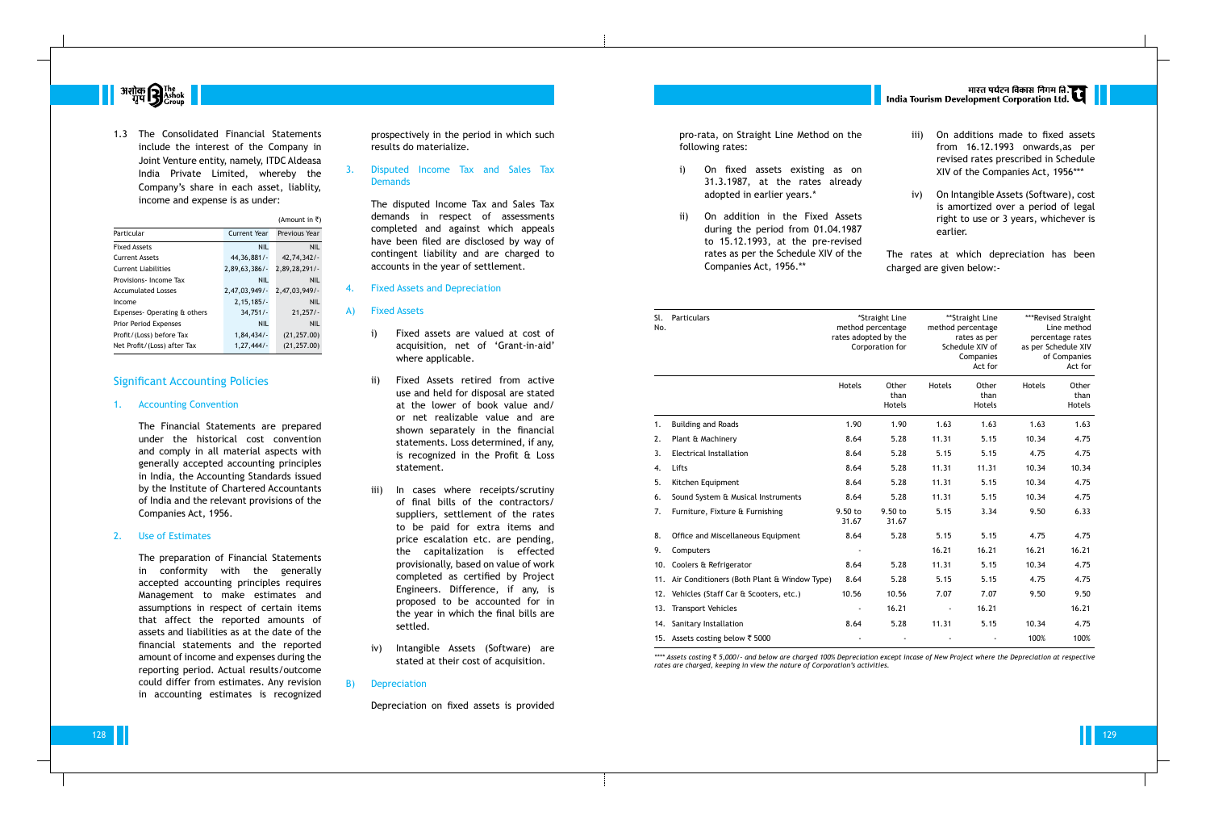

1.3 The Consolidated Financial Statements include the interest of the Company in Joint Venture entity, namely, ITDC Aldeasa India Private Limited, whereby the Company's share in each asset, liablity, income and expense is as under:

|                              |                  | (Amount in ₹) |
|------------------------------|------------------|---------------|
| Particular                   | Current Year     | Previous Year |
| <b>Fixed Assets</b>          | <b>NIL</b>       | <b>NIL</b>    |
| <b>Current Assets</b>        | 44,36,881/       | 42,74,342/    |
| <b>Current Liabilities</b>   | $2,89,63,386/$ - | 2,89,28,291/- |
| Provisions-Income Tax        | <b>NIL</b>       | <b>NIL</b>    |
| <b>Accumulated Losses</b>    | 2,47,03,949/     | 2,47,03,949/- |
| Income                       | 2,15,185/        | <b>NIL</b>    |
| Expenses-Operating & others  | $34,751/-$       | 21,257/       |
| <b>Prior Period Expenses</b> | <b>NIL</b>       | <b>NIL</b>    |
| Profit/(Loss) before Tax     | 1,84,434/        | (21, 257.00)  |
| Net Profit/(Loss) after Tax  | 1, 27, 444/      | (21, 257.00)  |

## Significant Accounting Policies

### 1. Accounting Convention

## 3. Disputed Income Tax and Sales Tax **Demands**

The Financial Statements are prepared under the historical cost convention and comply in all material aspects with generally accepted accounting principles in India, the Accounting Standards issued by the Institute of Chartered Accountants of India and the relevant provisions of the Companies Act, 1956.

#### 2. Use of Estimates

The preparation of Financial Statements in conformity with the generally accepted accounting principles requires Management to make estimates and assumptions in respect of certain items that affect the reported amounts of assets and liabilities as at the date of the financial statements and the reported amount of income and expenses during the reporting period. Actual results/outcome could differ from estimates. Any revision in accounting estimates is recognized pro-rata, on Straight Line following rates:

- i) On fixed assets e 31.3.1987, at the adopted in earlier ye
- ii) On addition in the during the period fr to 15.12.1993, at t rates as per the Sche Companies Act, 1956.\*\*

- 1. Building and Roads
- 2. Plant & Machinery
- 3. Electrical Installation
- 
- 5. Kitchen Equipment
- 6. Sound System & Musical Instrumen
- 7. Furniture, Fixture & Furnishing
- 8. Office and Miscellaneous Equipmer
- 9. Computers
- 10. Coolers & Refrigerator
- 11. Air Conditioners (Both Plant & Win
- 12. Vehicles (Staff Car & Scooters, etc.)
- 13. Transport Vehicles
- 14. Sanitary Installation
- 15. Assets costing below  $\bar{z}$  5000

prospectively in the period in which such results do materialize.

The disputed Income Tax and Sales Tax demands in respect of assessments completed and against which appeals have been filed are disclosed by way of contingent liability and are charged to accounts in the year of settlement.

### 4. Fixed Assets and Depreciation

#### A) Fixed Assets

- i) Fixed assets are valued at cost of acquisition, net of 'Grant-in-aid' where applicable.
- ii) Fixed Assets retired from active use and held for disposal are stated at the lower of book value and/ or net realizable value and are shown separately in the financial statements. Loss determined, if any, is recognized in the Profit & Loss statement.
- iii) In cases where receipts/scrutiny of final bills of the contractors/ suppliers, settlement of the rates to be paid for extra items and price escalation etc. are pending, the capitalization is effected provisionally, based on value of work completed as certified by Project Engineers. Difference, if any, is proposed to be accounted for in the year in which the final bills are settled.
- iv) Intangible Assets (Software) are stated at their cost of acquisition.

### B) Depreciation

Depreciation on fixed assets is provided

|                                                              |      | अगस्त पर्यटन विकास निगम लि. ह्या   <br>  India Tourism Development Corporation Ltd.                                               |
|--------------------------------------------------------------|------|-----------------------------------------------------------------------------------------------------------------------------------|
| Method on the                                                | iii) | On additions made to fixed assets<br>from 16.12.1993 onwards, as per                                                              |
| existing as on<br>rates already                              |      | revised rates prescribed in Schedule<br>XIV of the Companies Act, 1956***                                                         |
| ars.*<br>e Fixed Assets<br>rom 01.04.1987<br>the pre-revised | iv)  | On Intangible Assets (Software), cost<br>is amortized over a period of legal<br>right to use or 3 years, whichever is<br>earlier. |
| edule XIV of the<br><sup>**</sup>                            |      | The rates at which depreciation has been<br>charged are given below:-                                                             |

| Sl.<br>No. | <b>Particulars</b>                              | *Straight Line<br>**Straight Line<br>method percentage<br>method percentage<br>rates adopted by the<br>rates as per<br>Corporation for<br>Schedule XIV of<br>Companies<br>Act for |                         |                |                         | ***Revised Straight<br>Line method<br>percentage rates<br>as per Schedule XIV<br>of Companies<br>Act for |                         |
|------------|-------------------------------------------------|-----------------------------------------------------------------------------------------------------------------------------------------------------------------------------------|-------------------------|----------------|-------------------------|----------------------------------------------------------------------------------------------------------|-------------------------|
|            |                                                 | Hotels                                                                                                                                                                            | Other<br>than<br>Hotels | Hotels         | Other<br>than<br>Hotels | <b>Hotels</b>                                                                                            | Other<br>than<br>Hotels |
| 1.         | <b>Building and Roads</b>                       | 1.90                                                                                                                                                                              | 1.90                    | 1.63           | 1.63                    | 1.63                                                                                                     | 1.63                    |
| 2.         | Plant & Machinery                               | 8.64                                                                                                                                                                              | 5.28                    | 11.31          | 5.15                    | 10.34                                                                                                    | 4.75                    |
| 3.         | <b>Electrical Installation</b>                  | 8.64                                                                                                                                                                              | 5.28                    | 5.15           | 5.15                    | 4.75                                                                                                     | 4.75                    |
| 4.         | Lifts                                           | 8.64                                                                                                                                                                              | 5.28                    | 11.31          | 11.31                   | 10.34                                                                                                    | 10.34                   |
| 5.         | Kitchen Equipment                               | 8.64                                                                                                                                                                              | 5.28                    | 11.31          | 5.15                    | 10.34                                                                                                    | 4.75                    |
| 6.         | Sound System & Musical Instruments              | 8.64                                                                                                                                                                              | 5.28                    | 11.31          | 5.15                    | 10.34                                                                                                    | 4.75                    |
| 7.         | Furniture, Fixture & Furnishing                 | 9.50 to<br>31.67                                                                                                                                                                  | 9.50 to<br>31.67        | 5.15           | 3.34                    | 9.50                                                                                                     | 6.33                    |
| 8.         | Office and Miscellaneous Equipment              | 8.64                                                                                                                                                                              | 5.28                    | 5.15           | 5.15                    | 4.75                                                                                                     | 4.75                    |
| 9.         | Computers                                       |                                                                                                                                                                                   |                         | 16.21          | 16.21                   | 16.21                                                                                                    | 16.21                   |
| 10.        | Coolers & Refrigerator                          | 8.64                                                                                                                                                                              | 5.28                    | 11.31          | 5.15                    | 10.34                                                                                                    | 4.75                    |
|            | 11. Air Conditioners (Both Plant & Window Type) | 8.64                                                                                                                                                                              | 5.28                    | 5.15           | 5.15                    | 4.75                                                                                                     | 4.75                    |
|            | 12. Vehicles (Staff Car & Scooters, etc.)       | 10.56                                                                                                                                                                             | 10.56                   | 7.07           | 7.07                    | 9.50                                                                                                     | 9.50                    |
|            | 13. Transport Vehicles                          |                                                                                                                                                                                   | 16.21                   | $\blacksquare$ | 16.21                   |                                                                                                          | 16.21                   |
|            | 14. Sanitary Installation                       | 8.64                                                                                                                                                                              | 5.28                    | 11.31          | 5.15                    | 10.34                                                                                                    | 4.75                    |
|            | 15. Assets costing below ₹ 5000                 |                                                                                                                                                                                   |                         |                |                         | 100%                                                                                                     | 100%                    |
|            |                                                 |                                                                                                                                                                                   |                         |                |                         |                                                                                                          |                         |

*\*\*\*\* Assets costing* ` *5,000/- and below are charged 100% Depreciation except incase of New Project where the Depreciation at respective rates are charged, keeping in view the nature of Corporation's activities.*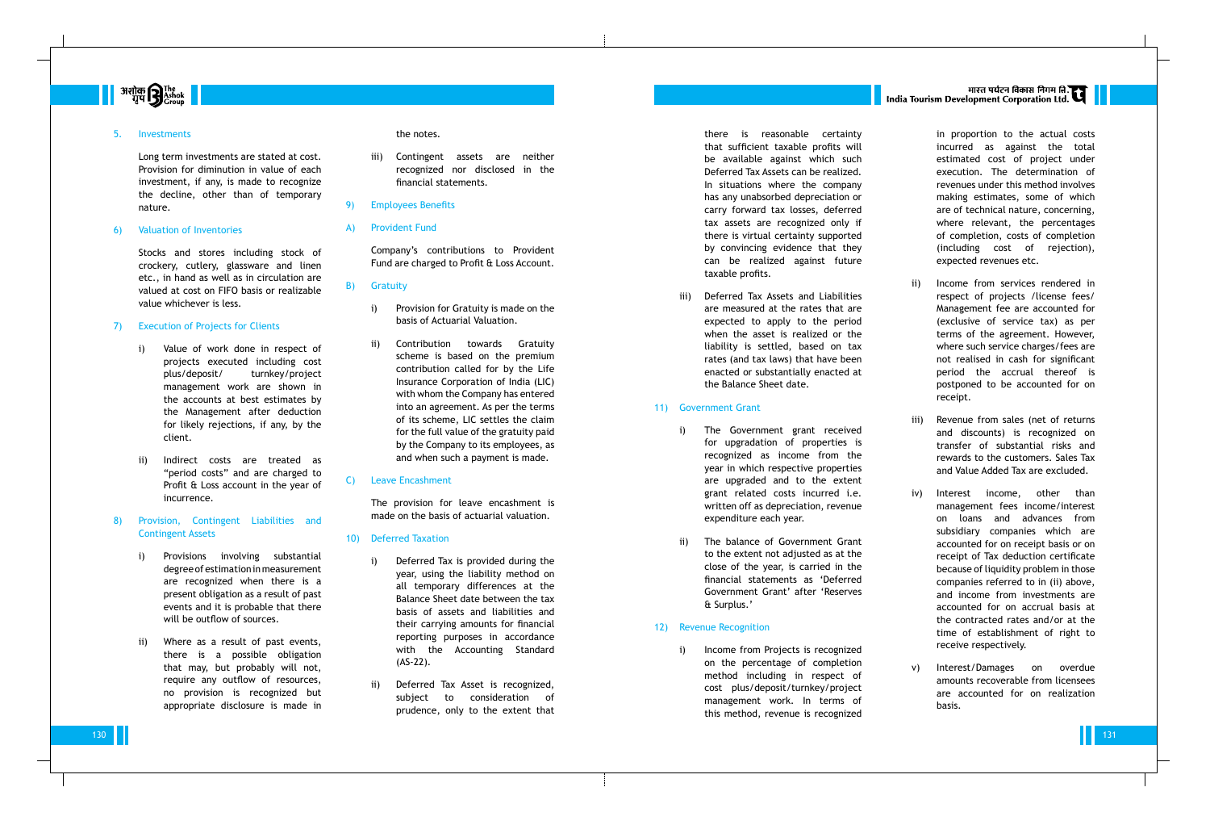

#### 5. Investments

Long term investments are stated at cost. Provision for diminution in value of each investment, if any, is made to recognize the decline, other than of temporary nature.

#### 6) Valuation of Inventories

Stocks and stores including stock of crockery, cutlery, glassware and linen etc., in hand as well as in circulation are valued at cost on FIFO basis or realizable value whichever is less.

### 7) Execution of Projects for Clients

- i) Value of work done in respect of projects executed including cost plus/deposit/ turnkey/project management work are shown in the accounts at best estimates by the Management after deduction for likely rejections, if any, by the client.
- ii) Indirect costs are treated as "period costs" and are charged to Profit & Loss account in the year of incurrence.
- 8) Provision, Contingent Liabilities and Contingent Assets
	- i) Provisions involving substantial degree of estimation in measurement are recognized when there is a present obligation as a result of past events and it is probable that there will be outflow of sources.
	- ii) Where as a result of past events, there is a possible obligation that may, but probably will not, require any outflow of resources, no provision is recognized but appropriate disclosure is made in

#### the notes.

- iii) Contingent assets are neither recognized nor disclosed in the financial statements.
- 9) Employees Benefits

#### A) Provident Fund

Company's contributions to Provident Fund are charged to Profit & Loss Account.

### B) Gratuity

- i) Provision for Gratuity is made on the basis of Actuarial Valuation.
- ii) Contribution towards Gratuity scheme is based on the premium contribution called for by the Life Insurance Corporation of India (LIC) with whom the Company has entered into an agreement. As per the terms of its scheme, LIC settles the claim for the full value of the gratuity paid by the Company to its employees, as and when such a payment is made.

i) Income from Projects is recognized on the percentage of completion method including in respect of cost plus/deposit/turnkey/project management work. In terms of this method, revenue is recognized

# मारत पर्यटन विकास निगम ति.<br>India Tourism Development Corporation Ltd.

### C) Leave Encashment

The provision for leave encashment is made on the basis of actuarial valuation.

#### 10) Deferred Taxation

- i) Deferred Tax is provided during the year, using the liability method on all temporary differences at the Balance Sheet date between the tax basis of assets and liabilities and their carrying amounts for financial reporting purposes in accordance with the Accounting Standard (AS-22).
- ii) Deferred Tax Asset is recognized, subject to consideration of prudence, only to the extent that

there is reasonable certainty that sufficient taxable profits will be available against which such Deferred Tax Assets can be realized. In situations where the company has any unabsorbed depreciation or carry forward tax losses, deferred tax assets are recognized only if there is virtual certainty supported by convincing evidence that they can be realized against future taxable profits.

iii) Deferred Tax Assets and Liabilities are measured at the rates that are expected to apply to the period when the asset is realized or the liability is settled, based on tax rates (and tax laws) that have been enacted or substantially enacted at the Balance Sheet date.

### 11) Government Grant

- i) The Government grant received for upgradation of properties is recognized as income from the year in which respective properties are upgraded and to the extent grant related costs incurred i.e. written off as depreciation, revenue expenditure each year.
- ii) The balance of Government Grant to the extent not adjusted as at the close of the year, is carried in the financial statements as 'Deferred Government Grant' after 'Reserves & Surplus.'

### 12) Revenue Recognition

in proportion to the actual costs incurred as against the total estimated cost of project under execution. The determination of revenues under this method involves making estimates, some of which are of technical nature, concerning, where relevant, the percentages of completion, costs of completion (including cost of rejection), expected revenues etc.

- ii) Income from services rendered in respect of projects /license fees/ Management fee are accounted for (exclusive of service tax) as per terms of the agreement. However, where such service charges/fees are not realised in cash for significant period the accrual thereof is postponed to be accounted for on receipt.
- iii) Revenue from sales (net of returns and discounts) is recognized on transfer of substantial risks and rewards to the customers. Sales Tax and Value Added Tax are excluded.
- iv) Interest income, other than management fees income/interest on loans and advances from subsidiary companies which are accounted for on receipt basis or on receipt of Tax deduction certificate because of liquidity problem in those companies referred to in (ii) above, and income from investments are accounted for on accrual basis at the contracted rates and/or at the time of establishment of right to receive respectively.
- v) Interest/Damages on overdue amounts recoverable from licensees are accounted for on realization basis.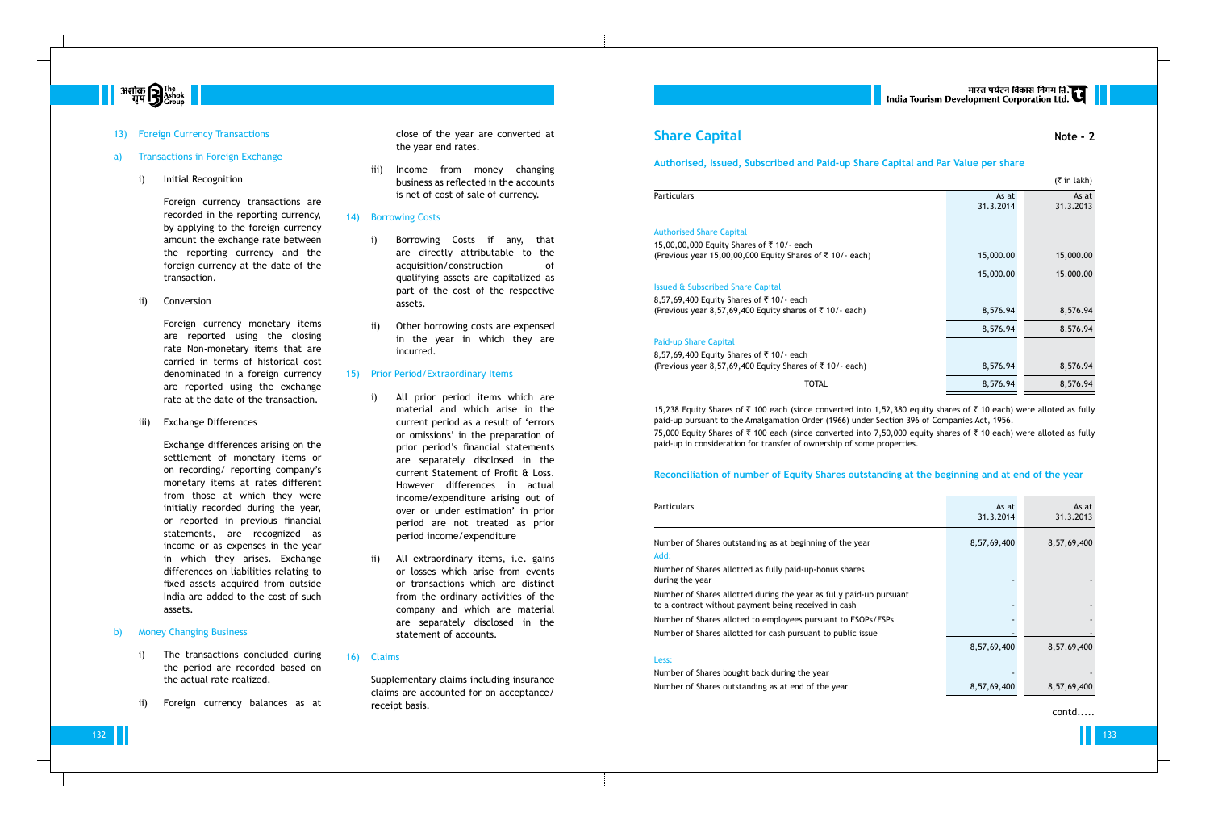

13) Foreign Currency Transactions

#### a) Transactions in Foreign Exchange

i) Initial Recognition

Foreign currency transactions are recorded in the reporting currency, by applying to the foreign currency amount the exchange rate between the reporting currency and the foreign currency at the date of the transaction.

ii) Conversion

Foreign currency monetary items are reported using the closing rate Non-monetary items that are carried in terms of historical cost denominated in a foreign currency are reported using the exchange rate at the date of the transaction.

iii) Exchange Differences

Exchange differences arising on the settlement of monetary items or on recording/ reporting company's monetary items at rates different from those at which they were initially recorded during the year, or reported in previous financial statements, are recognized as income or as expenses in the year in which they arises. Exchange differences on liabilities relating to fixed assets acquired from outside India are added to the cost of such assets.

#### b) Money Changing Business

- i) The transactions concluded during the period are recorded based on the actual rate realized.
- ii) Foreign currency balances as at

close of the year are converted at the year end rates.

iii) Income from money changing business as reflected in the accounts is net of cost of sale of currency.

### 14) Borrowing Costs

- i) Borrowing Costs if any, that are directly attributable to the acquisition/construction of qualifying assets are capitalized as part of the cost of the respective assets.
- ii) Other borrowing costs are expensed in the year in which they are incurred.

15,238 Equity Shares of ₹ 100 each (since converted into 1,52,380 equity shares of ₹ 10 each) were alloted as fully paid-up pursuant to the Amalgamation Order (1966) under Section 396 of Companies Act, 1956.

75,000 Equity Shares of ₹ 100 each (since converted into 7,50,000 equity shares of ₹ 10 each) were alloted as fully

#### 15) Prior Period/Extraordinary Items

- i) All prior period items which are material and which arise in the current period as a result of 'errors or omissions' in the preparation of prior period's financial statements are separately disclosed in the current Statement of Profit & Loss. However differences in actual income/expenditure arising out of over or under estimation' in prior period are not treated as prior period income/expenditure
- ii) All extraordinary items, i.e. gains or losses which arise from events or transactions which are distinct from the ordinary activities of the company and which are material are separately disclosed in the statement of accounts.

## 16) Claims

Supplementary claims including insurance claims are accounted for on acceptance/ receipt basis.

## **Share Capital Note - 2**

## **Authorised, Issued, Subscribed and Paid-up Share Capital and Par Value per share**

#### Authorised Share Capital

#### Issued & Subscribed Share Capital

|                                                                                                                    |                    | $(5 \in \mathsf{In} \, \mathsf{l}_\mathsf{R}$ |
|--------------------------------------------------------------------------------------------------------------------|--------------------|-----------------------------------------------|
| Particulars                                                                                                        | As at<br>31.3.2014 | As at<br>31.3.2013                            |
| <b>Authorised Share Capital</b>                                                                                    |                    |                                               |
| 15,00,00,000 Equity Shares of ₹10/- each<br>(Previous year 15,00,00,000 Equity Shares of $\overline{5}$ 10/- each) | 15,000.00          | 15,000.00                                     |
|                                                                                                                    | 15,000.00          | 15,000.00                                     |
| <b>Issued &amp; Subscribed Share Capital</b>                                                                       |                    |                                               |
| 8,57,69,400 Equity Shares of ₹10/- each                                                                            |                    |                                               |
| (Previous year 8,57,69,400 Equity shares of $\overline{5}$ 10/- each)                                              | 8,576.94           | 8,576.94                                      |
|                                                                                                                    | 8,576.94           | 8,576.94                                      |
| Paid-up Share Capital                                                                                              |                    |                                               |
| 8,57,69,400 Equity Shares of ₹10/- each<br>(Previous year 8,57,69,400 Equity Shares of ₹10/- each)                 | 8,576.94           | 8,576.94                                      |
| <b>TOTAL</b>                                                                                                       | 8,576.94           | 8,576.94                                      |

#### Paid-up Share Capital

paid-up in consideration for transfer of ownership of some properties.

### **Reconciliation of number of Equity Shares outstanding at the beginning and at end of the year**

| Particulars                                                                                                                 | As at<br>31.3.2014 | As at<br>31.3.2013 |
|-----------------------------------------------------------------------------------------------------------------------------|--------------------|--------------------|
| Number of Shares outstanding as at beginning of the year<br>:Add                                                            | 8,57,69,400        | 8,57,69,400        |
| Number of Shares allotted as fully paid-up-bonus shares<br>during the vear                                                  |                    |                    |
| Number of Shares allotted during the year as fully paid-up pursuant<br>to a contract without payment being received in cash |                    |                    |
| Number of Shares alloted to employees pursuant to ESOPs/ESPs                                                                |                    |                    |
| Number of Shares allotted for cash pursuant to public issue                                                                 |                    |                    |
|                                                                                                                             | 8,57,69,400        | 8,57,69,400        |
| Less:                                                                                                                       |                    |                    |
| Number of Shares bought back during the year                                                                                |                    |                    |
| Number of Shares outstanding as at end of the year                                                                          | 8,57,69,400        | 8,57,69,400        |

#### Less:

contd.....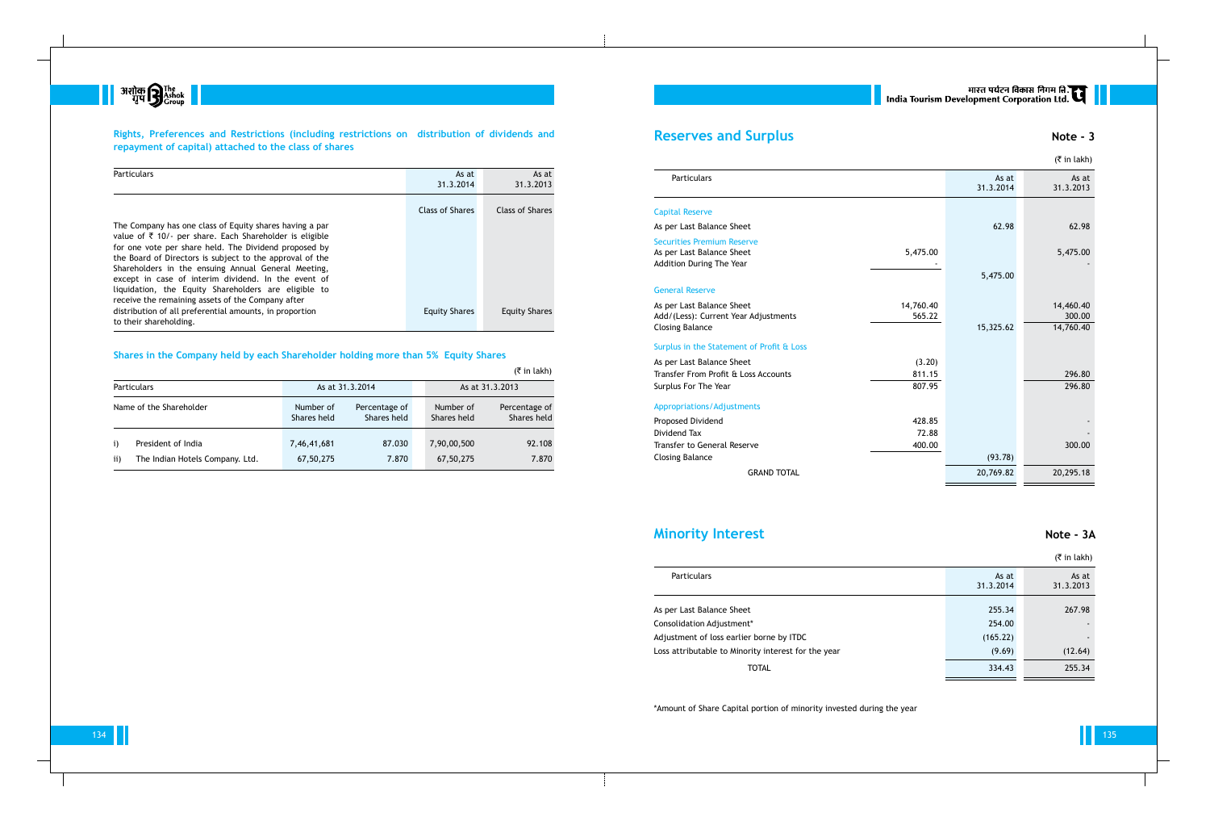

## **Rights, Preferences and Restrictions (including restrictions on distribution of dividends and repayment of capital) attached to the class of shares**

| Particulars                                                                                                                                                                                                                                                                                                                                                                                                                                                                   | As at<br>31.3.2014     | As at<br>31.3.2013   |
|-------------------------------------------------------------------------------------------------------------------------------------------------------------------------------------------------------------------------------------------------------------------------------------------------------------------------------------------------------------------------------------------------------------------------------------------------------------------------------|------------------------|----------------------|
|                                                                                                                                                                                                                                                                                                                                                                                                                                                                               | <b>Class of Shares</b> | Class of Shares      |
| The Company has one class of Equity shares having a par<br>value of $\bar{\tau}$ 10/- per share. Each Shareholder is eligible<br>for one vote per share held. The Dividend proposed by<br>the Board of Directors is subject to the approval of the<br>Shareholders in the ensuing Annual General Meeting,<br>except in case of interim dividend. In the event of<br>liquidation, the Equity Shareholders are eligible to<br>receive the remaining assets of the Company after |                        |                      |
| distribution of all preferential amounts, in proportion<br>to their shareholding.                                                                                                                                                                                                                                                                                                                                                                                             | <b>Equity Shares</b>   | <b>Equity Shares</b> |

### **Shares in the Company held by each Shareholder holding more than 5% Equity Shares**

|                     |                                                          |                          |                              |                          | $(5 \in \mathsf{in} \, \mathsf{l}_k)$ |
|---------------------|----------------------------------------------------------|--------------------------|------------------------------|--------------------------|---------------------------------------|
|                     | <b>Particulars</b><br>As at 31.3.2014<br>As at 31.3.2013 |                          |                              |                          |                                       |
|                     | Name of the Shareholder                                  | Number of<br>Shares held | Percentage of<br>Shares held | Number of<br>Shares held | Percentage of<br>Shares held          |
| $\mathbf{i}$<br>ii) | President of India<br>The Indian Hotels Company. Ltd.    | 7,46,41,681<br>67,50,275 | 87.030<br>7.870              | 7,90,00,500<br>67,50,275 | 92.108<br>7.870                       |

## **Reserves and Surplus Note - 3**

#### Capital Reserve

|                                                                                                   |                     |                    | (₹ in lakh)                      |
|---------------------------------------------------------------------------------------------------|---------------------|--------------------|----------------------------------|
| Particulars                                                                                       |                     | As at<br>31.3.2014 | As at<br>31.3.2013               |
| <b>Capital Reserve</b>                                                                            |                     |                    |                                  |
| As per Last Balance Sheet                                                                         |                     | 62.98              | 62.98                            |
| <b>Securities Premium Reserve</b><br>As per Last Balance Sheet<br><b>Addition During The Year</b> | 5,475.00            |                    | 5,475.00                         |
|                                                                                                   |                     | 5,475.00           |                                  |
| <b>General Reserve</b>                                                                            |                     |                    |                                  |
| As per Last Balance Sheet<br>Add/(Less): Current Year Adjustments<br><b>Closing Balance</b>       | 14,760.40<br>565.22 | 15,325.62          | 14,460.40<br>300.00<br>14,760.40 |
|                                                                                                   |                     |                    |                                  |
| Surplus in the Statement of Profit & Loss                                                         |                     |                    |                                  |
| As per Last Balance Sheet                                                                         | (3.20)              |                    |                                  |
| Transfer From Profit & Loss Accounts                                                              | 811.15              |                    | 296.80                           |
| Surplus For The Year                                                                              | 807.95              |                    | 296.80                           |
| <b>Appropriations/Adjustments</b>                                                                 |                     |                    |                                  |
| Proposed Dividend                                                                                 | 428.85              |                    |                                  |
| Dividend Tax                                                                                      | 72.88               |                    |                                  |
| Transfer to General Reserve                                                                       | 400.00              |                    | 300.00                           |
| <b>Closing Balance</b>                                                                            |                     | (93.78)            |                                  |
| <b>GRAND TOTAL</b>                                                                                |                     | 20,769.82          | 20,295.18                        |
|                                                                                                   |                     |                    |                                  |

#### $($ ₹ in lakh)

#### General Reserve

#### Surplus in the Statement of Profit & Los

#### Appropriations/Adjustments

## **Minority Interest Note - 3A**

| <b>Particulars</b>                                  | As at<br>31.3.2014 | As at<br>31.3.2013 |
|-----------------------------------------------------|--------------------|--------------------|
| As per Last Balance Sheet                           | 255.34             | 267.98             |
| Consolidation Adjustment*                           | 254.00             |                    |
| Adjustment of loss earlier borne by ITDC            | (165.22)           |                    |
| Loss attributable to Minority interest for the year | (9.69)             | (12.64)            |
| TOTAL                                               | 334.43             | 255.34             |

\*Amount of Share Capital portion of minority invested during the year

# || सारत पर्यटन विकास निगम लि.<br>| India Tourism Development Corporation Ltd.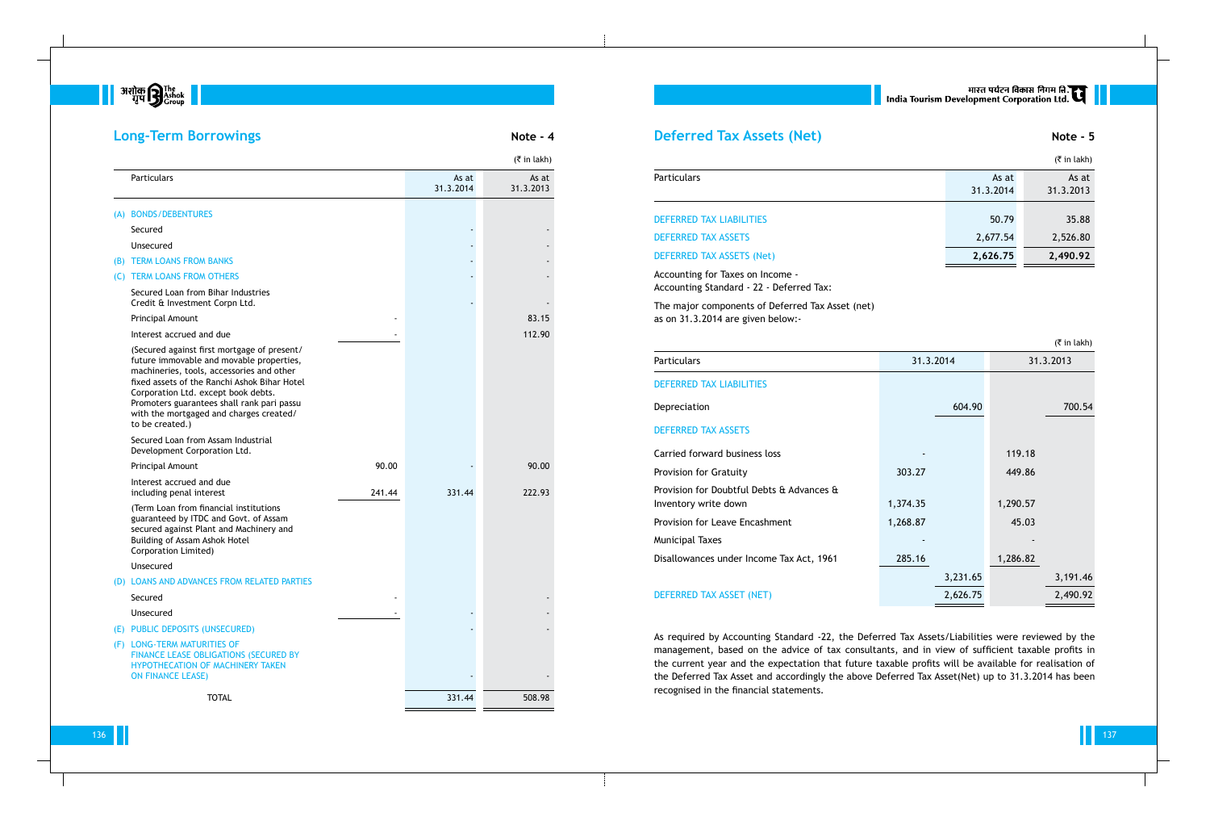

## **Long-Term Borrowings Note - 4**

|                                                                                                                                                                                                                                                                                                                                         |        |                    | $(3\overline{5})$ in lakh) |
|-----------------------------------------------------------------------------------------------------------------------------------------------------------------------------------------------------------------------------------------------------------------------------------------------------------------------------------------|--------|--------------------|----------------------------|
| Particulars                                                                                                                                                                                                                                                                                                                             |        | As at<br>31.3.2014 | As at<br>31.3.2013         |
| (A) BONDS/DEBENTURES                                                                                                                                                                                                                                                                                                                    |        |                    |                            |
| Secured                                                                                                                                                                                                                                                                                                                                 |        |                    |                            |
| Unsecured                                                                                                                                                                                                                                                                                                                               |        |                    |                            |
| (B) TERM LOANS FROM BANKS                                                                                                                                                                                                                                                                                                               |        |                    |                            |
| (C) TERM LOANS FROM OTHERS                                                                                                                                                                                                                                                                                                              |        |                    |                            |
| Secured Loan from Bihar Industries<br>Credit & Investment Corpn Ltd.                                                                                                                                                                                                                                                                    |        |                    |                            |
| Principal Amount                                                                                                                                                                                                                                                                                                                        |        |                    | 83.15                      |
| Interest accrued and due                                                                                                                                                                                                                                                                                                                |        |                    | 112.90                     |
| (Secured against first mortgage of present/<br>future immovable and movable properties,<br>machineries, tools, accessories and other<br>fixed assets of the Ranchi Ashok Bihar Hotel<br>Corporation Ltd. except book debts.<br>Promoters guarantees shall rank pari passu<br>with the mortgaged and charges created/<br>to be created.) |        |                    |                            |
| Secured Loan from Assam Industrial<br>Development Corporation Ltd.                                                                                                                                                                                                                                                                      |        |                    |                            |
| Principal Amount                                                                                                                                                                                                                                                                                                                        | 90.00  |                    | 90.00                      |
| Interest accrued and due<br>including penal interest                                                                                                                                                                                                                                                                                    | 241.44 | 331.44             | 222.93                     |
| (Term Loan from financial institutions<br>guaranteed by ITDC and Govt. of Assam<br>secured against Plant and Machinery and<br>Building of Assam Ashok Hotel<br>Corporation Limited)                                                                                                                                                     |        |                    |                            |
| Unsecured                                                                                                                                                                                                                                                                                                                               |        |                    |                            |
| (D) LOANS AND ADVANCES FROM RELATED PARTIES                                                                                                                                                                                                                                                                                             |        |                    |                            |
| Secured                                                                                                                                                                                                                                                                                                                                 |        |                    |                            |
| Unsecured                                                                                                                                                                                                                                                                                                                               |        |                    |                            |
| (E) PUBLIC DEPOSITS (UNSECURED)                                                                                                                                                                                                                                                                                                         |        |                    |                            |
| (F) LONG-TERM MATURITIES OF<br><b>FINANCE LEASE OBLIGATIONS (SECURED BY</b><br>HYPOTHECATION OF MACHINERY TAKEN<br><b>ON FINANCE LEASE)</b>                                                                                                                                                                                             |        |                    |                            |
| <b>TOTAL</b>                                                                                                                                                                                                                                                                                                                            |        | 331.44             | 508.98                     |

## **Deferred Tax Assets (Net) Note - 5**

#### Particulars

## DEFERRED TAX LIABILITIES DEFERRED TAX ASSETS **DEFERRED TAX ASSETS (Net)**

|                                 |                    | $(5 \in \mathsf{in} \, \mathsf{l}_k)$ |
|---------------------------------|--------------------|---------------------------------------|
| <b>Particulars</b>              | As at<br>31.3.2014 | As at<br>31.3.2013                    |
| <b>DEFERRED TAX LIABILITIES</b> | 50.79              | 35.88                                 |
| <b>DEFERRED TAX ASSETS</b>      | 2,677.54           | 2,526.80                              |
| DEFERRED TAX ASSETS (Net)       | 2,626.75           | 2,490.92                              |

Accounting for Taxes on Income - Accounting Standard - 22 - Deferred Tax:

The major components of Deferred Tax Asset (net) as on 31.3.2014 are given below:-

#### Particulars

DEFERRED TAX LIABILITIES

Depreciation

## DEFERRED TAX ASSETS

Carried forward business loss Provision for Gratuity Provision for Doubtful Debts & Ad Inventory write down Provision for Leave Encashment **Municipal Taxes** 

Disallowances under Income Tax

## DEFERRED TAX ASSET (NET)

|                                                       |           |          |          | $($ ₹ in lakh) |
|-------------------------------------------------------|-----------|----------|----------|----------------|
|                                                       | 31.3.2014 |          |          | 31.3.2013      |
|                                                       |           |          |          |                |
|                                                       |           | 604.90   |          | 700.54         |
|                                                       |           |          |          |                |
|                                                       |           |          | 119.18   |                |
|                                                       | 303.27    |          | 449.86   |                |
| dvances $\bm{\mathop{\mathrm{t\mathop{\mathsf{t}}}}}$ |           |          |          |                |
|                                                       | 1,374.35  |          | 1,290.57 |                |
|                                                       | 1,268.87  |          | 45.03    |                |
|                                                       |           |          |          |                |
| Act, 1961                                             | 285.16    |          | 1,286.82 |                |
|                                                       |           | 3,231.65 |          | 3,191.46       |
|                                                       |           | 2,626.75 |          | 2,490.92       |

As required by Accounting Standard -22, the Deferred Tax Assets/Liabilities were reviewed by the management, based on the advice of tax consultants, and in view of sufficient taxable profits in the current year and the expectation that future taxable profits will be available for realisation of the Deferred Tax Asset and accordingly the above Deferred Tax Asset(Net) up to 31.3.2014 has been recognised in the financial statements.

# मारत पर्यटन विकास निगम लि.<br>India Tourism Development Corporation Ltd.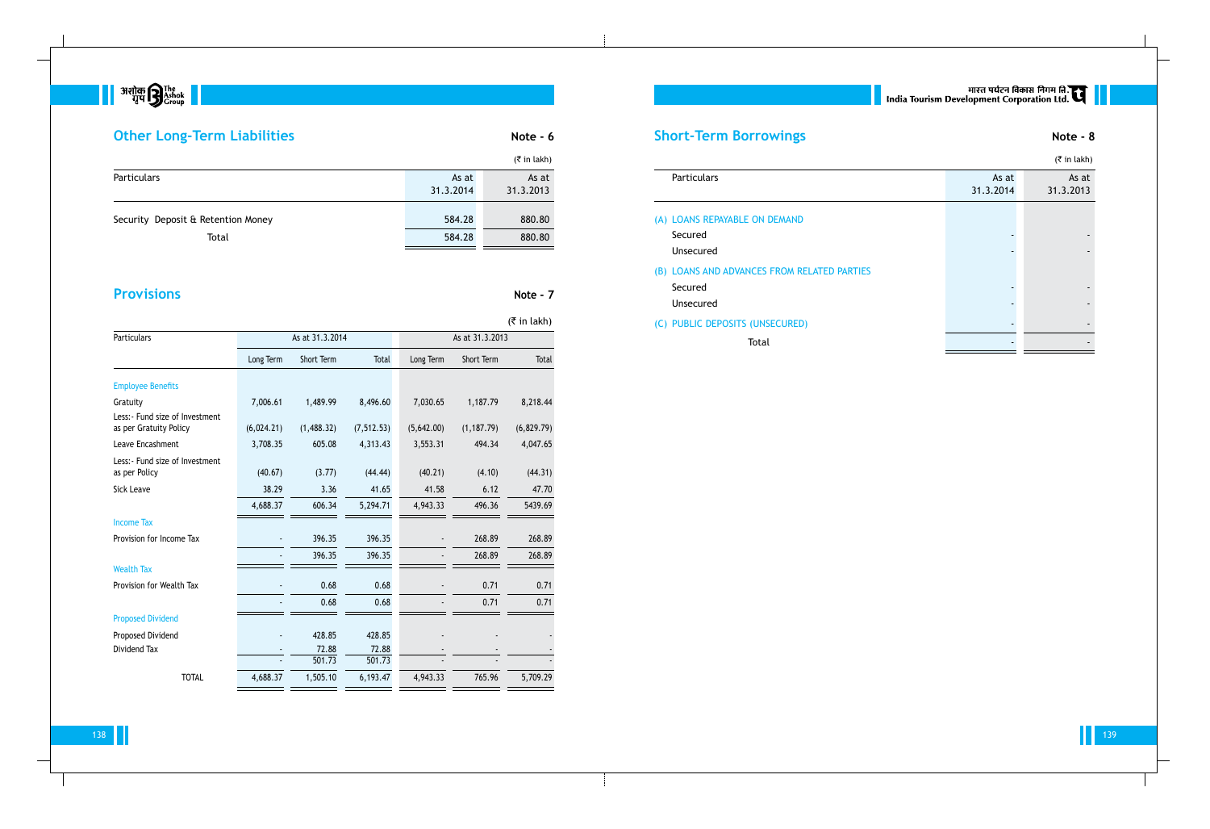$\begin{array}{|c|c|} \hline \text{333} \end{array} \begin{array}{c} \text{333} \end{array} \begin{array}{c} \text{333} \end{array} \begin{array}{c} \text{333} \end{array} \begin{array}{c} \text{333} \end{array} \begin{array}{c} \text{333} \end{array} \begin{array}{c} \text{333} \end{array}$ 

# **Other Long-Term Liabilities Note - 6 Note - 6**

138 139

|                                    |                    | $(5 \in \mathsf{in} \, \mathsf{l}_k)$ |
|------------------------------------|--------------------|---------------------------------------|
| <b>Particulars</b>                 | As at<br>31.3.2014 | As at<br>31.3.2013                    |
| Security Deposit & Retention Money | 584.28             | 880.80                                |
| Total                              | 584.28             | 880.80                                |

# **Provisions** Note - 7

## $(\bar{\bar{\tau}}$  in lakh)

| Particulars                                               |            | As at 31.3.2014 |             | As at 31.3.2013 |             |            |  |
|-----------------------------------------------------------|------------|-----------------|-------------|-----------------|-------------|------------|--|
|                                                           | Long Term  | Short Term      | Total       | Long Term       | Short Term  | Total      |  |
| <b>Employee Benefits</b>                                  |            |                 |             |                 |             |            |  |
| Gratuity                                                  | 7,006.61   | 1,489.99        | 8,496.60    | 7,030.65        | 1,187.79    | 8,218.44   |  |
| Less: - Fund size of Investment<br>as per Gratuity Policy | (6,024.21) | (1,488.32)      | (7, 512.53) | (5,642.00)      | (1, 187.79) | (6,829.79) |  |
| Leave Encashment                                          | 3,708.35   | 605.08          | 4,313.43    | 3,553.31        | 494.34      | 4,047.65   |  |
| Less: - Fund size of Investment<br>as per Policy          | (40.67)    | (3.77)          | (44.44)     | (40.21)         | (4.10)      | (44.31)    |  |
| <b>Sick Leave</b>                                         | 38.29      | 3.36            | 41.65       | 41.58           | 6.12        | 47.70      |  |
|                                                           | 4,688.37   | 606.34          | 5,294.71    | 4,943.33        | 496.36      | 5439.69    |  |
| <b>Income Tax</b>                                         |            |                 |             |                 |             |            |  |
| Provision for Income Tax                                  |            | 396.35          | 396.35      |                 | 268.89      | 268.89     |  |
|                                                           |            | 396.35          | 396.35      |                 | 268.89      | 268.89     |  |
| <b>Wealth Tax</b>                                         |            |                 |             |                 |             |            |  |
| Provision for Wealth Tax                                  |            | 0.68            | 0.68        |                 | 0.71        | 0.71       |  |
|                                                           |            | 0.68            | 0.68        |                 | 0.71        | 0.71       |  |
| <b>Proposed Dividend</b>                                  |            |                 |             |                 |             |            |  |
| Proposed Dividend                                         |            | 428.85          | 428.85      |                 |             |            |  |
| Dividend Tax                                              |            | 72.88           | 72.88       |                 |             |            |  |
|                                                           |            | 501.73          | 501.73      |                 |             |            |  |
| <b>TOTAL</b>                                              | 4,688.37   | 1,505.10        | 6,193.47    | 4,943.33        | 765.96      | 5,709.29   |  |
|                                                           |            |                 |             |                 |             |            |  |

## Particulars

- (A) LOANS REPAYABLE ON DEMAN Unsecured
- (B) LOANS AND ADVANCES FROM Unsecured

## (C) PUBLIC DEPOSITS (UNSECURE

| <b>Short-Term Borrowings</b>                |                    | Note - 8                                      |
|---------------------------------------------|--------------------|-----------------------------------------------|
|                                             |                    | $(5 \in \mathsf{in} \, \mathsf{l}_\mathsf{R}$ |
| Particulars                                 | As at<br>31.3.2014 | As at<br>31.3.2013                            |
| (A) LOANS REPAYABLE ON DEMAND               |                    |                                               |
| Secured                                     |                    |                                               |
| Unsecured                                   |                    |                                               |
| (B) LOANS AND ADVANCES FROM RELATED PARTIES |                    |                                               |
| Secured                                     |                    |                                               |
| Unsecured                                   |                    |                                               |
| (C) PUBLIC DEPOSITS (UNSECURED)             |                    |                                               |
| Total                                       |                    |                                               |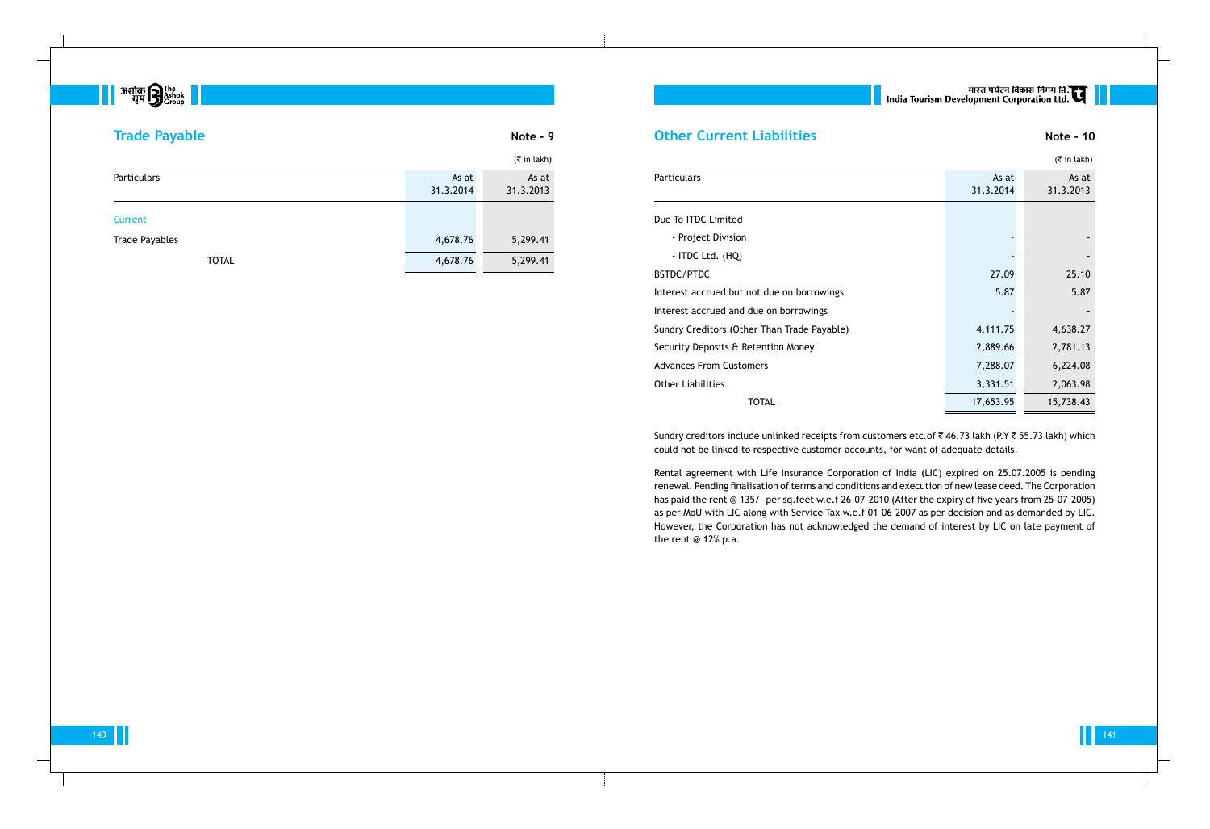## 140 141

|                                             |           | $($ ₹ in lakh) |  |
|---------------------------------------------|-----------|----------------|--|
| Particulars                                 | As at     | As at          |  |
|                                             | 31.3.2014 | 31.3.2013      |  |
| Due To ITDC Limited                         |           |                |  |
| - Project Division                          |           |                |  |
| - ITDC Ltd. (HQ)                            |           |                |  |
| BSTDC/PTDC                                  | 27.09     | 25.10          |  |
| Interest accrued but not due on borrowings  | 5.87      | 5.87           |  |
| Interest accrued and due on borrowings      |           |                |  |
| Sundry Creditors (Other Than Trade Payable) | 4,111.75  | 4,638.27       |  |
| Security Deposits & Retention Money         | 2,889.66  | 2,781.13       |  |
| <b>Advances From Customers</b>              | 7,288.07  | 6,224.08       |  |
| <b>Other Liabilities</b>                    | 3,331.51  | 2,063.98       |  |
| <b>TOTAL</b>                                | 17,653.95 | 15,738.43      |  |

Sundry creditors include unlinked receipts from customers etc.of  $\bar{\tau}$  46.73 lakh (P.Y  $\bar{\tau}$  55.73 lakh) which could not be linked to respective customer accounts, for want of adequate details.

Rental agreement with Life Insurance Corporation of India (LIC) expired on 25.07.2005 is pending renewal. Pending finalisation of terms and conditions and execution of new lease deed. The Corporation has paid the rent @ 135/- per sq.feet w.e.f 26-07-2010 (After the expiry of five years from 25-07-2005) as per MoU with LIC along with Service Tax w.e.f 01-06-2007 as per decision and as demanded by LIC. However, the Corporation has not acknowledged the demand of interest by LIC on late payment of the rent @ 12% p.a.

# ् ।<br>| India Tourism Development Corporation Ltd. |<br>| India Tourism Development Corporation Ltd. |

# **Super Property of the Second Plant of Second Plant Property**

| <b>Trade Payable</b>  |                    | Note - 9           |  |  |  |
|-----------------------|--------------------|--------------------|--|--|--|
|                       |                    |                    |  |  |  |
| <b>Particulars</b>    | As at<br>31.3.2014 | As at<br>31.3.2013 |  |  |  |
| <b>Current</b>        |                    |                    |  |  |  |
| <b>Trade Payables</b> | 4,678.76           | 5,299.41           |  |  |  |
| <b>TOTAL</b>          | 4,678.76           | 5,299.41           |  |  |  |

# **Other Current Liabilities Note - 10 Note - 10**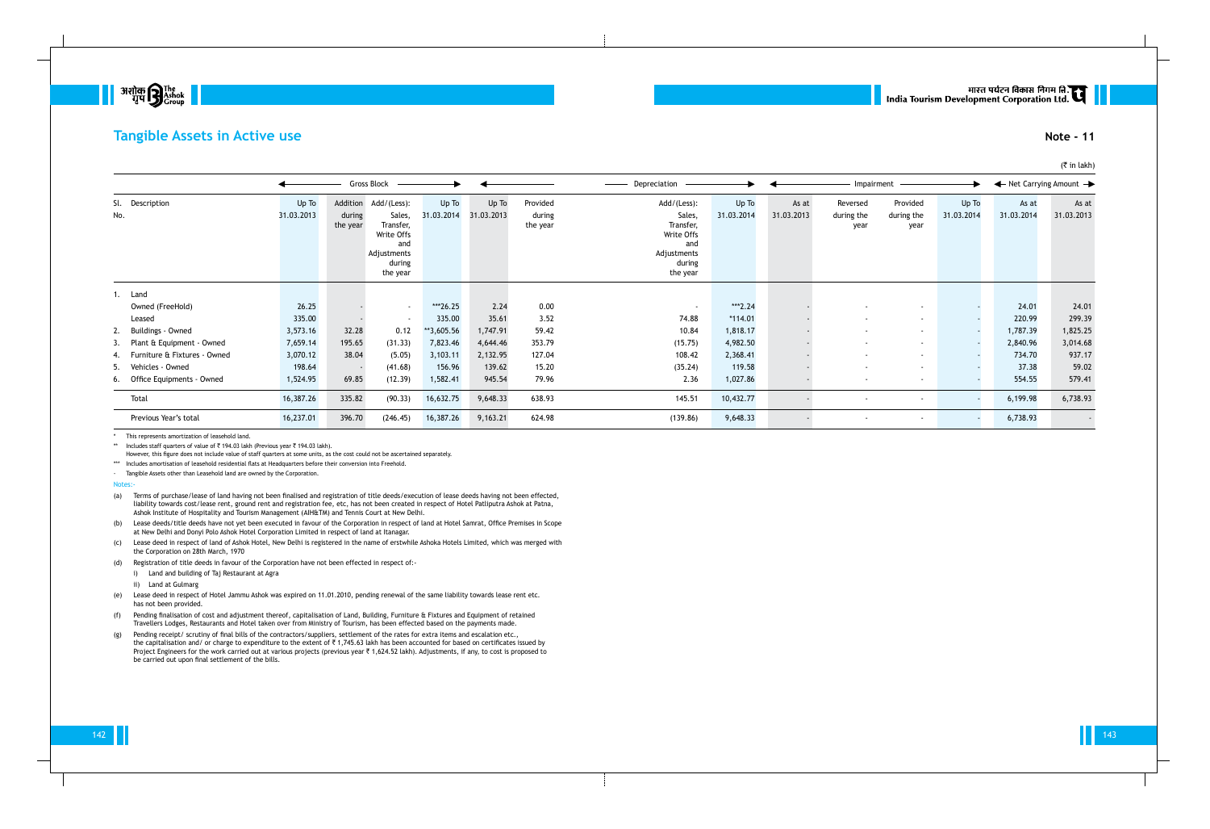142 143



## **Tangible Assets in Active use Note - 11**

|                        |                                 |                                |                                                                                              | Gross Block         |                     |                                |                                                                                              | Depreciation        |                     |                                | Impairment                     |                     |                     | $\leftarrow$ Net Carrying Amount $\rightarrow$ |          |
|------------------------|---------------------------------|--------------------------------|----------------------------------------------------------------------------------------------|---------------------|---------------------|--------------------------------|----------------------------------------------------------------------------------------------|---------------------|---------------------|--------------------------------|--------------------------------|---------------------|---------------------|------------------------------------------------|----------|
| Sl. Description<br>No. | Up To<br>31.03.2013             | Addition<br>during<br>the year | Add/(Less):<br>Sales,<br>Transfer,<br>Write Offs<br>and<br>Adjustments<br>during<br>the year | Up To<br>31.03.2014 | Up To<br>31.03.2013 | Provided<br>during<br>the year | Add/(Less):<br>Sales,<br>Transfer,<br>Write Offs<br>and<br>Adjustments<br>during<br>the year | Up To<br>31.03.2014 | As at<br>31.03.2013 | Reversed<br>during the<br>year | Provided<br>during the<br>year | Up To<br>31.03.2014 | As at<br>31.03.2014 | As at<br>31.03.2013                            |          |
|                        | Land<br>Owned (FreeHold)        | 26.25                          |                                                                                              | $\sim$              | ***26.25            | 2.24                           | 0.00                                                                                         | $\sim$              | ***2.24             |                                | $\sim$                         | $\sim$              |                     | 24.01                                          | 24.01    |
|                        | Leased                          | 335.00                         |                                                                                              | $\sim$              | 335.00              | 35.61                          | 3.52                                                                                         | 74.88               | $*114.01$           |                                | $\sim$                         | $\sim$              |                     | 220.99                                         | 299.39   |
|                        | 2. Buildings - Owned            | 3,573.16                       | 32.28                                                                                        | 0.12                | **3,605.56          | 1,747.91                       | 59.42                                                                                        | 10.84               | 1,818.17            |                                | $\sim$                         | $\sim$              |                     | 1,787.39                                       | 1,825.25 |
|                        | 3. Plant & Equipment - Owned    | 7,659.14                       | 195.65                                                                                       | (31.33)             | 7,823.46            | 4,644.46                       | 353.79                                                                                       | (15.75)             | 4,982.50            |                                | $\sim$                         | $\sim$              |                     | 2,840.96                                       | 3,014.68 |
|                        | 4. Furniture & Fixtures - Owned | 3,070.12                       | 38.04                                                                                        | (5.05)              | 3,103.11            | 2,132.95                       | 127.04                                                                                       | 108.42              | 2,368.41            |                                | $\sim$                         | $\sim$              |                     | 734.70                                         | 937.17   |
|                        | 5. Vehicles - Owned             | 198.64                         | $\sim$                                                                                       | (41.68)             | 156.96              | 139.62                         | 15.20                                                                                        | (35.24)             | 119.58              |                                | $\sim$                         | $\sim$              |                     | 37.38                                          | 59.02    |
|                        | 6. Office Equipments - Owned    | 1,524.95                       | 69.85                                                                                        | (12.39)             | 1,582.41            | 945.54                         | 79.96                                                                                        | 2.36                | 1,027.86            |                                | $\sim$                         | $\sim$              |                     | 554.55                                         | 579.41   |
|                        | Total                           | 16,387.26                      | 335.82                                                                                       | (90.33)             | 16,632.75           | 9,648.33                       | 638.93                                                                                       | 145.51              | 10,432.77           |                                |                                | $\sim$              |                     | 6,199.98                                       | 6,738.93 |
|                        | Previous Year's total           | 16,237.01                      | 396.70                                                                                       | (246.45)            | 16,387.26           | 9,163.21                       | 624.98                                                                                       | (139.86)            | 9,648.33            |                                |                                |                     |                     | 6,738.93                                       | $\sim$   |

\* This represents amortization of leasehold land.

\*\* Includes staff quarters of value of  $\bar{\tau}$  194.03 lakh (Previous year  $\bar{\tau}$  194.03 lakh).

However, this figure does not include value of staff quarters at some units, as the cost could not be ascertained separately.

\*\*\* Includes amortisation of leasehold residential flats at Headquarters before their conversion into Freehold.

- Tangible Assets other than Leasehold land are owned by the Corporation.

Notes:

(a) Terms of purchase/lease of land having not been finalised and registration of title deeds/execution of lease deeds having not been effected, liability towards cost/lease rent, ground rent and registration fee, etc, has not been created in respect of Hotel Patliputra Ashok at Patna, Ashok Institute of Hospitality and Tourism Management (AIH&TM) and Tennis Court at New Delhi.

(b) Lease deeds/title deeds have not yet been executed in favour of the Corporation in respect of land at Hotel Samrat, Office Premises in Scope at New Delhi and Donyi Polo Ashok Hotel Corporation Limited in respect of land at Itanagar.

(c) Lease deed in respect of land of Ashok Hotel, New Delhi is registered in the name of erstwhile Ashoka Hotels Limited, which was merged with the Corporation on 28th March, 1970

(d) Registration of title deeds in favour of the Corporation have not been effected in respect of:-

i) Land and building of Taj Restaurant at Agra

ii) Land at Gulmarg

(e) Lease deed in respect of Hotel Jammu Ashok was expired on 11.01.2010, pending renewal of the same liability towards lease rent etc. has not been provided.

(f) Pending finalisation of cost and adjustment thereof, capitalisation of Land, Building, Furniture & Fixtures and Equipment of retained Travellers Lodges, Restaurants and Hotel taken over from Ministry of Tourism, has been effected based on the payments made.

(g) Pending receipt/ scrutiny of final bills of the contractors/suppliers, settlement of the rates for extra items and escalation etc., the capitalisation and/ or charge to expenditure to the extent of  $\bar{\tau}$  1,745.63 lakh has been accounted for based on certificates issued by Project Engineers for the work carried out at various projects (previous year  $\bar{\tau}$  1,624.52 lakh). Adjustments, if any, to cost is proposed to be carried out upon final settlement of the bills.

# मारत पर्यटन विकास निगम लि.<br>India Tourism Development Corporation Ltd.

## $($ ₹ in lakh)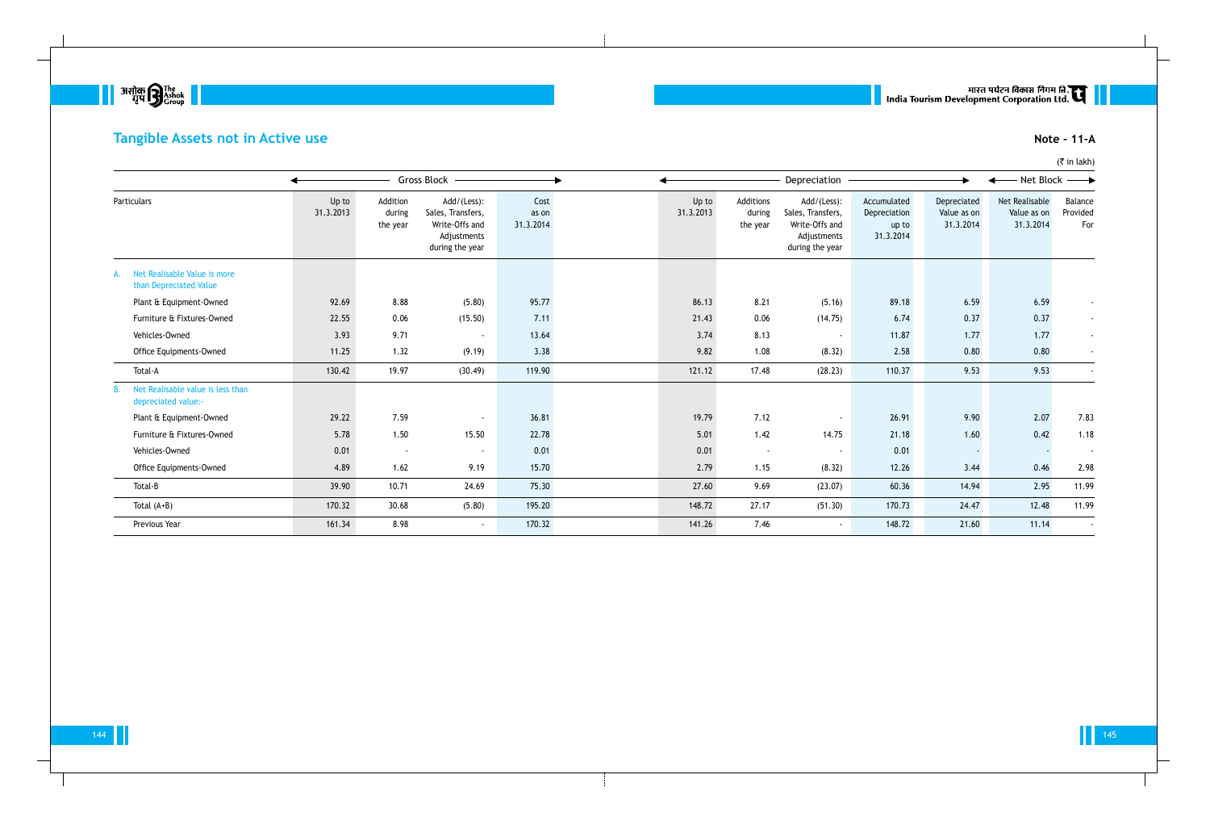

# **Tangible Assets not in Active use Note - 11-A**

|                                                          |                    |                                | Gross Block -                                                                        |                            |                    |                                 | Depreciation                                                                         |                                                   | $\blacktriangleright$                   | ← Net Block ←                              |                            |
|----------------------------------------------------------|--------------------|--------------------------------|--------------------------------------------------------------------------------------|----------------------------|--------------------|---------------------------------|--------------------------------------------------------------------------------------|---------------------------------------------------|-----------------------------------------|--------------------------------------------|----------------------------|
| Particulars                                              | Up to<br>31.3.2013 | Addition<br>during<br>the year | Add/(Less):<br>Sales, Transfers,<br>Write-Offs and<br>Adjustments<br>during the year | Cost<br>as on<br>31.3.2014 | Up to<br>31.3.2013 | Additions<br>during<br>the year | Add/(Less):<br>Sales, Transfers,<br>Write-Offs and<br>Adjustments<br>during the year | Accumulated<br>Depreciation<br>up to<br>31.3.2014 | Depreciated<br>Value as on<br>31.3.2014 | Net Realisable<br>Value as on<br>31.3.2014 | Balance<br>Provided<br>For |
| Net Realisable Value is more<br>than Depreciated Value   |                    |                                |                                                                                      |                            |                    |                                 |                                                                                      |                                                   |                                         |                                            |                            |
| Plant & Equipment-Owned                                  | 92.69              | 8.88                           | (5.80)                                                                               | 95.77                      | 86.13              | 8.21                            | (5.16)                                                                               | 89.18                                             | 6.59                                    | 6.59                                       |                            |
| Furniture & Fixtures-Owned                               | 22.55              | 0.06                           | (15.50)                                                                              | 7.11                       | 21.43              | 0.06                            | (14.75)                                                                              | 6.74                                              | 0.37                                    | 0.37                                       |                            |
| Vehicles-Owned                                           | 3.93               | 9.71                           | $\sim$                                                                               | 13.64                      | 3.74               | 8.13                            | $\blacksquare$                                                                       | 11.87                                             | 1.77                                    | 1.77                                       |                            |
| Office Equipments-Owned                                  | 11.25              | 1.32                           | (9.19)                                                                               | 3.38                       | 9.82               | 1.08                            | (8.32)                                                                               | 2.58                                              | 0.80                                    | 0.80                                       |                            |
| Total-A                                                  | 130.42             | 19.97                          | (30.49)                                                                              | 119.90                     | 121.12             | 17.48                           | (28.23)                                                                              | 110.37                                            | 9.53                                    | 9.53                                       |                            |
| Net Realisable value is less than<br>depreciated value:- |                    |                                |                                                                                      |                            |                    |                                 |                                                                                      |                                                   |                                         |                                            |                            |
| Plant & Equipment-Owned                                  | 29.22              | 7.59                           | $\sim$                                                                               | 36.81                      | 19.79              | 7.12                            | $\overline{\phantom{a}}$                                                             | 26.91                                             | 9.90                                    | 2.07                                       | 7.83                       |
| Furniture & Fixtures-Owned                               | 5.78               | 1.50                           | 15.50                                                                                | 22.78                      | 5.01               | 1.42                            | 14.75                                                                                | 21.18                                             | 1.60                                    | 0.42                                       | 1.18                       |
| Vehicles-Owned                                           | 0.01               | $\sim$                         | $\sim$                                                                               | 0.01                       | 0.01               | $\overline{\phantom{a}}$        | $\sim$                                                                               | 0.01                                              |                                         |                                            | $\sim$                     |
| Office Equipments-Owned                                  | 4.89               | 1.62                           | 9.19                                                                                 | 15.70                      | 2.79               | 1.15                            | (8.32)                                                                               | 12.26                                             | 3.44                                    | 0.46                                       | 2.98                       |
| Total-B                                                  | 39.90              | 10.71                          | 24.69                                                                                | 75.30                      | 27.60              | 9.69                            | (23.07)                                                                              | 60.36                                             | 14.94                                   | 2.95                                       | 11.99                      |
| Total $(A+B)$                                            | 170.32             | 30.68                          | (5.80)                                                                               | 195.20                     | 148.72             | 27.17                           | (51.30)                                                                              | 170.73                                            | 24.47                                   | 12.48                                      | 11.99                      |
| Previous Year                                            | 161.34             | 8.98                           | $\sim$                                                                               | 170.32                     | 141.26             | 7.46                            | $\sim$                                                                               | 148.72                                            | 21.60                                   | 11.14                                      |                            |

# ् ।<br>| India Tourism Development Corporation Ltd. स्टार्न ।<br>| India Tourism Development Corporation Ltd.

(₹ in lakh)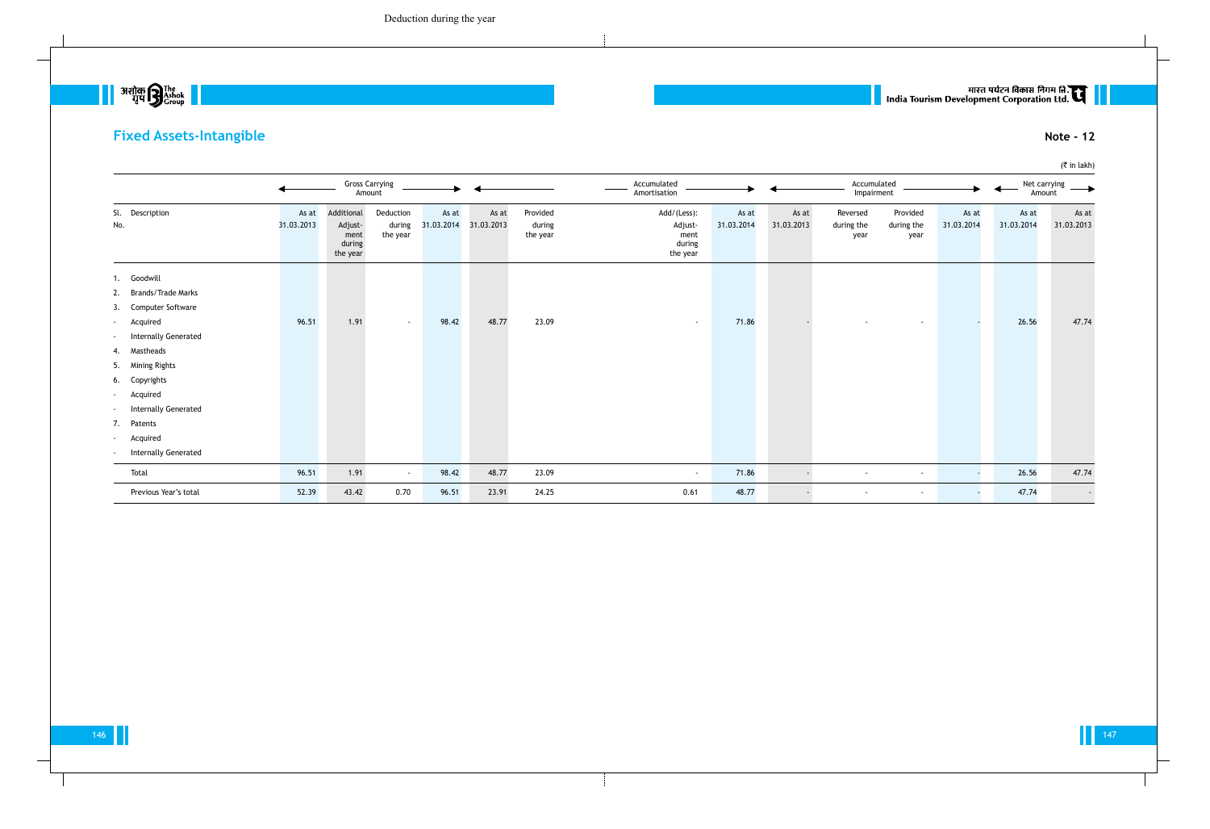# **Fixed Assets-Intangible Note - 12**

|                                                                                                                                                                                                                                                                                                      |                     |                                                     | <b>Gross Carrying</b><br>Amount |                     |                     |                                | Accumulated<br>Amortisation                          |                     |                     | Accumulated<br>Impairment      |                                |                          | Amount              | Net carrying        |
|------------------------------------------------------------------------------------------------------------------------------------------------------------------------------------------------------------------------------------------------------------------------------------------------------|---------------------|-----------------------------------------------------|---------------------------------|---------------------|---------------------|--------------------------------|------------------------------------------------------|---------------------|---------------------|--------------------------------|--------------------------------|--------------------------|---------------------|---------------------|
| Sl. Description<br>No.                                                                                                                                                                                                                                                                               | As at<br>31.03.2013 | Additional<br>Adjust-<br>ment<br>during<br>the year | Deduction<br>during<br>the year | As at<br>31.03.2014 | As at<br>31.03.2013 | Provided<br>during<br>the year | Add/(Less):<br>Adjust-<br>ment<br>during<br>the year | As at<br>31.03.2014 | As at<br>31.03.2013 | Reversed<br>during the<br>year | Provided<br>during the<br>year | As at<br>31.03.2014      | As at<br>31.03.2014 | As at<br>31.03.2013 |
| 1. Goodwill<br>2. Brands/Trade Marks<br>3. Computer Software<br>Acquired<br>$\sim$<br>Internally Generated<br>$\sim$<br>4. Mastheads<br>5. Mining Rights<br>6. Copyrights<br>Acquired<br>$\sim$<br><b>Internally Generated</b><br>$\sim$<br>7. Patents<br>Acquired<br>$\sim$<br>Internally Generated | 96.51               | 1.91                                                | $\sim$                          | 98.42               | 48.77               | 23.09                          | $\sim$                                               | 71.86               |                     |                                | $\sim$                         |                          | 26.56               | 47.74               |
| Total                                                                                                                                                                                                                                                                                                | 96.51               | 1.91                                                | $\sim$                          | 98.42               | 48.77               | 23.09                          | $\sim$                                               | 71.86               |                     | $\sim$                         | $\sim$                         | $\overline{\phantom{a}}$ | 26.56               | 47.74               |
| Previous Year's total                                                                                                                                                                                                                                                                                | 52.39               | 43.42                                               | 0.70                            | 96.51               | 23.91               | 24.25                          | 0.61                                                 | 48.77               |                     | $\overline{\phantom{a}}$       | $\sim$                         | $\sim$                   | 47.74               | $\sim$              |

# | | सारत पर्यटन विकास निगम लि.<br>| India Tourism Development Corporation Ltd.

(₹ in lakh)

 $\begin{array}{|c|c|} \hline & \hline \text{319} \text{h}^{\text{31} \text{m}} \text{m}^{\text{31} \text{m}} \\ \hline \text{41} \text{m}^{\text{31} \text{m}} \text{m}^{\text{31} \text{m}} \text{m}^{\text{31} \text{m}} \text{m}^{\text{31} \text{m}} \text{m}^{\text{31} \text{m}} \text{m}^{\text{31} \text{m}} \text{m}^{\text{31} \text{m}} \text{m}^{\text{31} \text{m}} \text{m}^{\text{31} \text{$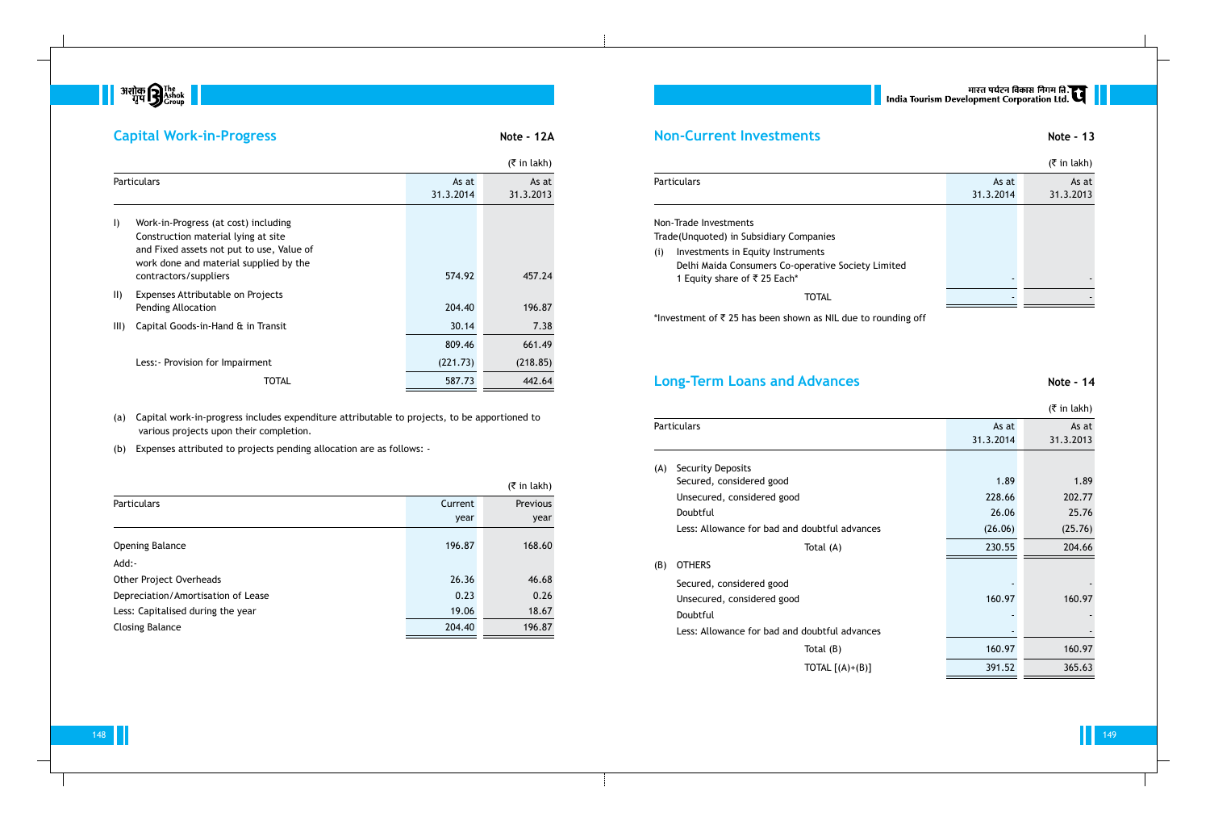

# **Capital Work-in-Progress Note - 12A**

|               |                                                                                                                                                                                             |                    | $(\bar{\bar{\zeta}})$ in lakh) |
|---------------|---------------------------------------------------------------------------------------------------------------------------------------------------------------------------------------------|--------------------|--------------------------------|
|               | <b>Particulars</b>                                                                                                                                                                          | As at<br>31.3.2014 | As at<br>31.3.2013             |
| $\vert$       | Work-in-Progress (at cost) including<br>Construction material lying at site<br>and Fixed assets not put to use, Value of<br>work done and material supplied by the<br>contractors/suppliers | 574.92             | 457.24                         |
| $\vert \vert$ | Expenses Attributable on Projects<br>Pending Allocation                                                                                                                                     | 204.40             | 196.87                         |
| III)          | Capital Goods-in-Hand & in Transit                                                                                                                                                          | 30.14              | 7.38                           |
|               |                                                                                                                                                                                             | 809.46             | 661.49                         |
|               | Less: - Provision for Impairment                                                                                                                                                            | (221.73)           | (218.85)                       |
|               | TOTAL                                                                                                                                                                                       | 587.73             | 442.64                         |

(a) Capital work-in-progress includes expenditure attributable to projects, to be apportioned to various projects upon their completion.

(b) Expenses attributed to projects pending allocation are as follows: -

|                                    |         | $(5 \in \mathsf{in} \, \mathsf{l}_\mathsf{R}$ |
|------------------------------------|---------|-----------------------------------------------|
| <b>Particulars</b>                 | Current | Previous                                      |
|                                    | year    | year                                          |
| <b>Opening Balance</b>             | 196.87  | 168.60                                        |
| Add:-                              |         |                                               |
| Other Project Overheads            | 26.36   | 46.68                                         |
| Depreciation/Amortisation of Lease | 0.23    | 0.26                                          |
| Less: Capitalised during the year  | 19.06   | 18.67                                         |
| <b>Closing Balance</b>             | 204.40  | 196.87                                        |

# **Non-Current Investments Note - 13**

|  | $($ ₹ in lakh) |
|--|----------------|

| <b>Particulars</b>                                 | As at     | As at     |
|----------------------------------------------------|-----------|-----------|
|                                                    | 31.3.2014 | 31.3.2013 |
| Non-Trade Investments                              |           |           |
|                                                    |           |           |
| Trade(Unquoted) in Subsidiary Companies            |           |           |
| Investments in Equity Instruments<br>(i)           |           |           |
| Delhi Maida Consumers Co-operative Society Limited |           |           |
| 1 Equity share of ₹ 25 Each*                       |           |           |
| TOTAL                                              |           |           |
|                                                    |           |           |

\*Investment of  $\bar{\tau}$  25 has been shown as NIL due to rounding off

# **Long-Term Loans and Advances Note - 14**

|     |                                               |                    | $($ ₹ in lakh)     |
|-----|-----------------------------------------------|--------------------|--------------------|
|     | <b>Particulars</b>                            | As at<br>31.3.2014 | As at<br>31.3.2013 |
| (A) | <b>Security Deposits</b>                      |                    |                    |
|     | Secured, considered good                      | 1.89               | 1.89               |
|     | Unsecured, considered good                    | 228.66             | 202.77             |
|     | Doubtful                                      | 26.06              | 25.76              |
|     | Less: Allowance for bad and doubtful advances | (26.06)            | (25.76)            |
|     | Total (A)                                     | 230.55             | 204.66             |
| (B) | <b>OTHERS</b>                                 |                    |                    |
|     | Secured, considered good                      |                    |                    |
|     | Unsecured, considered good                    | 160.97             | 160.97             |
|     | Doubtful                                      |                    |                    |
|     | Less: Allowance for bad and doubtful advances |                    |                    |
|     | Total $(B)$                                   | 160.97             | 160.97             |
|     | TOTAL $[(A)+(B)]$                             | 391.52             | 365.63             |
|     |                                               |                    |                    |

# ् । मारत पर्यटन विकास निगम हि.<br>| India Tourism Development Corporation Ltd.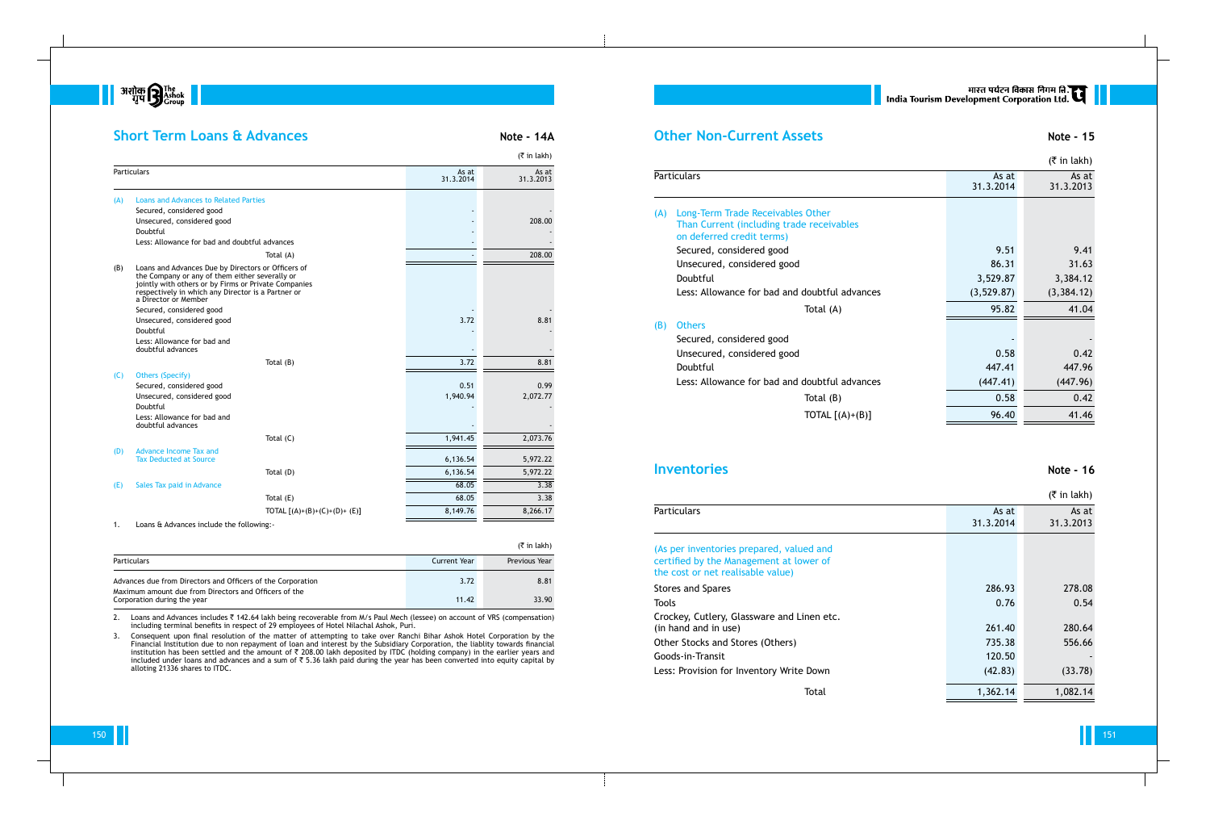

## **Short Term Loans & Advances Note - 14A**

|     |                                                                                                                                                                                                                                            |                               |                    | $(5 \in \mathsf{in} \, \mathsf{l}_k)$ |
|-----|--------------------------------------------------------------------------------------------------------------------------------------------------------------------------------------------------------------------------------------------|-------------------------------|--------------------|---------------------------------------|
|     | Particulars                                                                                                                                                                                                                                |                               | As at<br>31.3.2014 | As at<br>31.3.2013                    |
| (A) | <b>Loans and Advances to Related Parties</b>                                                                                                                                                                                               |                               |                    |                                       |
|     | Secured, considered good                                                                                                                                                                                                                   |                               |                    |                                       |
|     | Unsecured, considered good                                                                                                                                                                                                                 |                               |                    | 208.00                                |
|     | Doubtful                                                                                                                                                                                                                                   |                               |                    |                                       |
|     | Less: Allowance for bad and doubtful advances                                                                                                                                                                                              |                               |                    |                                       |
|     |                                                                                                                                                                                                                                            | Total (A)                     |                    | 208.00                                |
| (B) | Loans and Advances Due by Directors or Officers of<br>the Company or any of them either severally or<br>jointly with others or by Firms or Private Companies<br>respectively in which any Director is a Partner or<br>a Director or Member |                               |                    |                                       |
|     | Secured, considered good                                                                                                                                                                                                                   |                               |                    |                                       |
|     | Unsecured, considered good                                                                                                                                                                                                                 |                               | 3.72               | 8.81                                  |
|     | Doubtful                                                                                                                                                                                                                                   |                               |                    |                                       |
|     | Less: Allowance for bad and<br>doubtful advances                                                                                                                                                                                           |                               |                    |                                       |
|     |                                                                                                                                                                                                                                            | Total $(B)$                   | 3.72               | 8.81                                  |
| (C) | <b>Others (Specify)</b>                                                                                                                                                                                                                    |                               |                    |                                       |
|     | Secured, considered good                                                                                                                                                                                                                   |                               | 0.51               | 0.99                                  |
|     | Unsecured, considered good                                                                                                                                                                                                                 |                               | 1,940.94           | 2,072.77                              |
|     | Doubtful                                                                                                                                                                                                                                   |                               |                    |                                       |
|     | Less: Allowance for bad and<br>doubtful advances                                                                                                                                                                                           |                               |                    |                                       |
|     |                                                                                                                                                                                                                                            | Total $(C)$                   | 1,941.45           | 2,073.76                              |
| (D) | <b>Advance Income Tax and</b><br><b>Tax Deducted at Source</b>                                                                                                                                                                             |                               | 6,136.54           | 5,972.22                              |
|     |                                                                                                                                                                                                                                            | Total (D)                     | 6,136.54           | 5,972.22                              |
| (E) | Sales Tax paid in Advance                                                                                                                                                                                                                  |                               | 68.05              | 3.38                                  |
|     |                                                                                                                                                                                                                                            | Total (E)                     | 68.05              | 3.38                                  |
|     |                                                                                                                                                                                                                                            | TOTAL $[(A)+(B)+(C)+(D)+(E)]$ | 8,149.76           | 8,266.17                              |
|     |                                                                                                                                                                                                                                            |                               |                    |                                       |

2. Loans and Advances includes ₹ 142.64 lakh being recoverable from M/s Paul Mech (lessee) on account of VRS (compensation) including terminal benefits in respect of 29 employees of Hotel Nilachal Ashok, Puri.

1. Loans & Advances include the following:-

|                                                                                      |              | (₹ in lakh)   |
|--------------------------------------------------------------------------------------|--------------|---------------|
| <b>Particulars</b>                                                                   | Current Year | Previous Year |
| Advances due from Directors and Officers of the Corporation                          | 3.72         | 8.81          |
| Maximum amount due from Directors and Officers of the<br>Corporation during the year | 11.42        | 33.90         |

# मारत पर्यटन विकास निगम लि.<br>India Tourism Development Corporation Ltd.

3. Consequent upon final resolution of the matter of attempting to take over Ranchi Bihar Ashok Hotel Corporation by the Financial Institution due to non repayment of loan and interest by the Subsidiary Corporation, the liablity towards financial institution has been settled and the amount of ₹ 208.00 lakh deposited by ITDC (holding company) in the earlier years and included under loans and advances and a sum of ₹ 5.36 lakh paid during the year has been converted into equity capital by alloting 21336 shares to ITDC.

## **Other Non-Current Assets Note - 15**

|     |                                                                                |                         | $($ ₹ in lakh)          |
|-----|--------------------------------------------------------------------------------|-------------------------|-------------------------|
|     | <b>Particulars</b>                                                             | As at<br>31.3.2014      | As at<br>31.3.2013      |
| (A) | Long-Term Trade Receivables Other<br>Than Current (including trade receivables |                         |                         |
|     | on deferred credit terms)                                                      | 9.51                    | 9.41                    |
|     | Secured, considered good<br>Unsecured, considered good                         | 86.31                   | 31.63                   |
|     | Doubtful                                                                       |                         |                         |
|     | Less: Allowance for bad and doubtful advances                                  | 3,529.87<br>(3, 529.87) | 3,384.12<br>(3, 384.12) |
|     |                                                                                |                         |                         |
|     | Total (A)                                                                      | 95.82                   | 41.04                   |
| (B) | <b>Others</b>                                                                  |                         |                         |
|     | Secured, considered good                                                       |                         |                         |
|     | Unsecured, considered good                                                     | 0.58                    | 0.42                    |
|     | Doubtful                                                                       | 447.41                  | 447.96                  |
|     | Less: Allowance for bad and doubtful advances                                  | (447.41)                | (447.96)                |
|     | Total $(B)$                                                                    | 0.58                    | 0.42                    |
|     | TOTAL $[(A)+(B)]$                                                              | 96.40                   | 41.46                   |
|     |                                                                                |                         |                         |

## (B) Others

## **Inventories** Note - 16

## Particulars

|                                                                                                                          |                    | $($ ₹ in lakh)     |
|--------------------------------------------------------------------------------------------------------------------------|--------------------|--------------------|
| <b>Particulars</b>                                                                                                       | As at<br>31.3.2014 | As at<br>31.3.2013 |
| (As per inventories prepared, valued and<br>certified by the Management at lower of<br>the cost or net realisable value) |                    |                    |
| <b>Stores and Spares</b>                                                                                                 | 286.93             | 278.08             |
| Tools                                                                                                                    | 0.76               | 0.54               |
| Crockey, Cutlery, Glassware and Linen etc.<br>(in hand and in use)                                                       | 261.40             | 280.64             |
| Other Stocks and Stores (Others)                                                                                         | 735.38             | 556.66             |
| Goods-in-Transit                                                                                                         | 120.50             |                    |
| Less: Provision for Inventory Write Down                                                                                 | (42.83)            | (33.78)            |
| Total                                                                                                                    | 1,362.14           | 1,082.14           |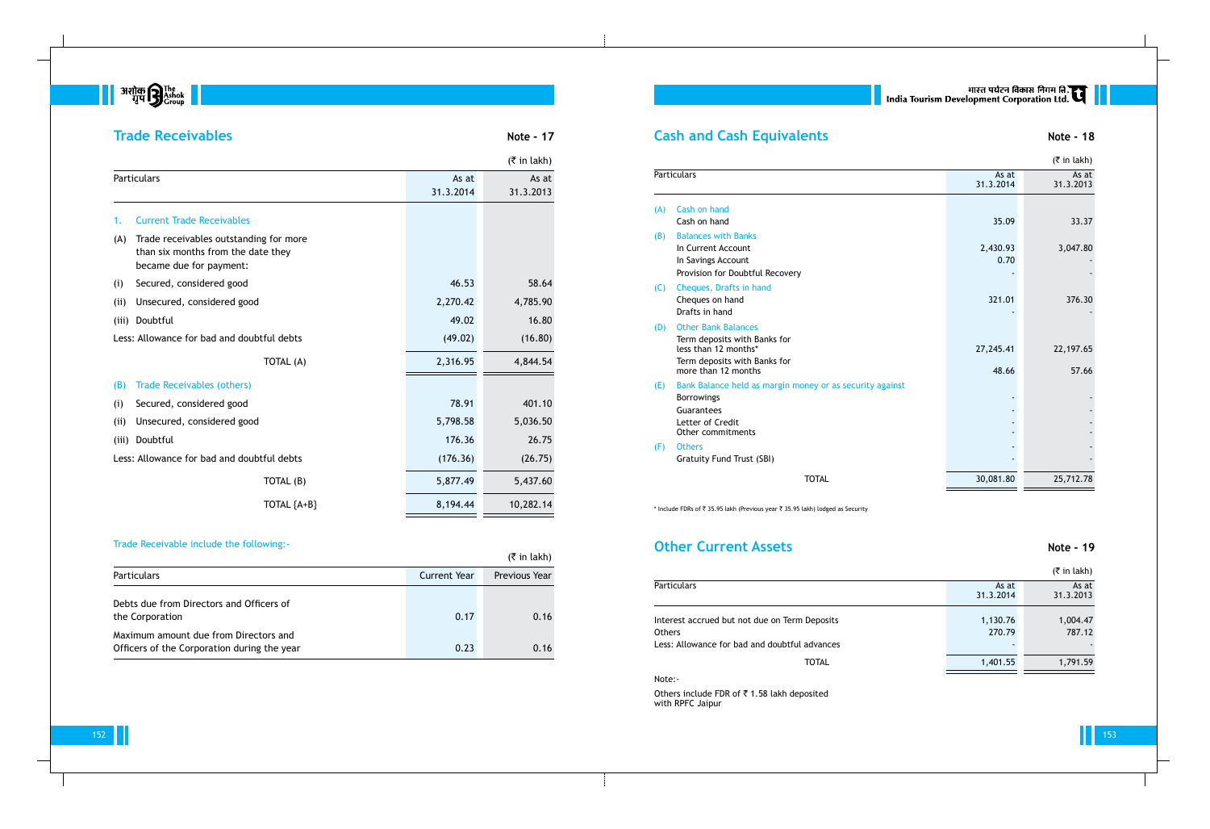**But a** अशोक **B** The Rishok  $\blacksquare$ 

## **Trade Receivables Note - 17**

|       |                                                                                                         |                    | $($ ₹ in lakh)     |
|-------|---------------------------------------------------------------------------------------------------------|--------------------|--------------------|
|       | <b>Particulars</b>                                                                                      | As at<br>31.3.2014 | As at<br>31.3.2013 |
| 1.    | <b>Current Trade Receivables</b>                                                                        |                    |                    |
| (A)   | Trade receivables outstanding for more<br>than six months from the date they<br>became due for payment: |                    |                    |
| (i)   | Secured, considered good                                                                                | 46.53              | 58.64              |
| (i)   | Unsecured, considered good                                                                              | 2,270.42           | 4,785.90           |
| (iii) | Doubtful                                                                                                | 49.02              | 16.80              |
|       | Less: Allowance for bad and doubtful debts                                                              | (49.02)            | (16.80)            |
|       | TOTAL (A)                                                                                               | 2,316.95           | 4,844.54           |
| (B)   | <b>Trade Receivables (others)</b>                                                                       |                    |                    |
| (i)   | Secured, considered good                                                                                | 78.91              | 401.10             |
| (i)   | Unsecured, considered good                                                                              | 5,798.58           | 5,036.50           |
| (iii) | Doubtful                                                                                                | 176.36             | 26.75              |
|       | Less: Allowance for bad and doubtful debts                                                              | (176.36)           | (26.75)            |
|       | TOTAL (B)                                                                                               | 5,877.49           | 5,437.60           |
|       | TOTAL ${A+B}$                                                                                           | 8,194.44           | 10,282.14          |

|     | <b>Particulars</b>                                                                                                                        |
|-----|-------------------------------------------------------------------------------------------------------------------------------------------|
| (A) | Cash on hand<br>Cash on hand                                                                                                              |
| (B) | <b>Balances with Banks</b><br>In Current Account<br>In Savings Account<br>Provision for Doubtful Recovery                                 |
| (C) | Cheques, Drafts in hand<br>Cheques on hand<br>Drafts in hand                                                                              |
| (D) | <b>Other Bank Balances</b><br>Term deposits with Banks for<br>less than 12 months*<br>Term deposits with Banks for<br>more than 12 months |
| (E) | Bank Balance held as margin money or as security against<br><b>Borrowings</b><br>Guarantees<br>Letter of Credit<br>Other commitments      |
| (F) | <b>Others</b><br><b>Gratuity Fund Trust (SBI)</b>                                                                                         |

\* Include FDRs of  $\bar{\tau}$  35.95 lakh (Previous year  $\bar{\tau}$  35.95 lakh) lodged as Security

# **Other Current Assets Note - 19**

## Trade Receivable include the following:-

|                                                                                      |                     | $(3\overline{5})$ in lakh) |
|--------------------------------------------------------------------------------------|---------------------|----------------------------|
| <b>Particulars</b>                                                                   | <b>Current Year</b> | Previous Year              |
| Debts due from Directors and Officers of<br>the Corporation                          | 0.17                | 0.16                       |
| Maximum amount due from Directors and<br>Officers of the Corporation during the year | 0.23                | 0.16                       |

# **Cash and Cash Equival**

Others include FDR of  $\bar{\tau}$  1.58 lakh deposited with RPFC Jaipur

# ् । India Tourism Development Corporation Ltd.

| <b>Cash and Cash Equivalents</b>                                                                                                                 |                    | <b>Note - 18</b>    |
|--------------------------------------------------------------------------------------------------------------------------------------------------|--------------------|---------------------|
|                                                                                                                                                  |                    | $($ ₹ in lakh)      |
| <b>Particulars</b>                                                                                                                               | As at<br>31.3.2014 | As at<br>31.3.2013  |
| Cash on hand<br>(A)<br>Cash on hand                                                                                                              | 35.09              | 33.37               |
| (B)<br><b>Balances with Banks</b><br>In Current Account<br>In Savings Account<br>Provision for Doubtful Recovery                                 | 2,430.93<br>0.70   | 3,047.80            |
| Cheques, Drafts in hand<br>(C)<br>Cheques on hand<br>Drafts in hand                                                                              | 321.01             | 376.30              |
| (D)<br><b>Other Bank Balances</b><br>Term deposits with Banks for<br>less than 12 months*<br>Term deposits with Banks for<br>more than 12 months | 27,245.41<br>48.66 | 22, 197.65<br>57.66 |
| (E)<br>Bank Balance held as margin money or as security against<br><b>Borrowings</b><br>Guarantees<br>Letter of Credit<br>Other commitments      |                    |                     |
| (F)<br><b>Others</b><br><b>Gratuity Fund Trust (SBI)</b>                                                                                         |                    |                     |
| <b>TOTAL</b>                                                                                                                                     | 30,081.80          | 25,712.78           |

|                                                                                                                 |                    | $($ ₹ in lakh)     |
|-----------------------------------------------------------------------------------------------------------------|--------------------|--------------------|
| Particulars                                                                                                     | As at<br>31.3.2014 | As at<br>31.3.2013 |
| Interest accrued but not due on Term Deposits<br><b>Others</b><br>Less: Allowance for bad and doubtful advances | 1,130.76<br>270.79 | 1,004.47<br>787.12 |
| <b>TOTAL</b>                                                                                                    | 1,401.55           | 1,791.59           |

| Particulars                                                                           |
|---------------------------------------------------------------------------------------|
| Interest accrued but not due on Tern<br>Others<br>Less: Allowance for bad and doubtfu |
| Note:-                                                                                |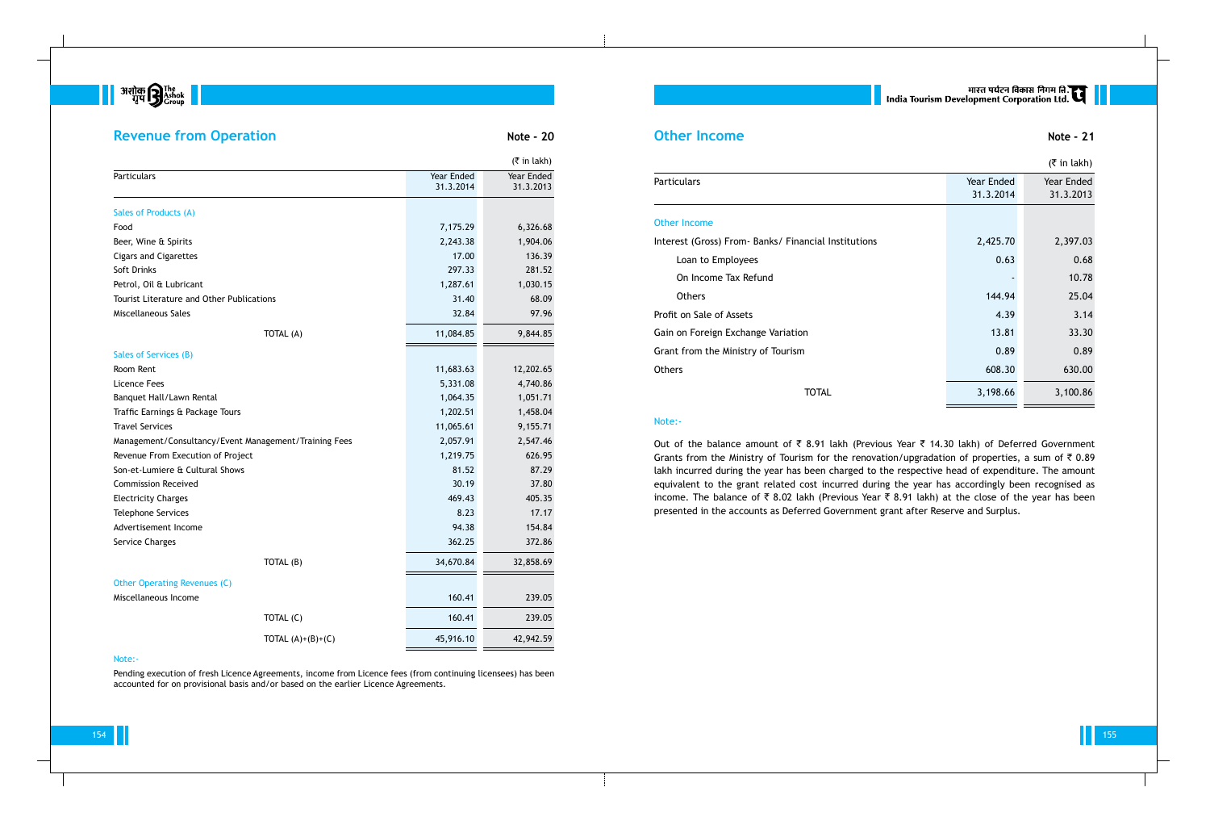

## **Revenue from Operation Note - 20**

154 155

|                                                       |                     |                         | $($ ₹ in lakh)          |
|-------------------------------------------------------|---------------------|-------------------------|-------------------------|
| Particulars                                           |                     | Year Ended<br>31.3.2014 | Year Ended<br>31.3.2013 |
| Sales of Products (A)                                 |                     |                         |                         |
| Food                                                  |                     | 7,175.29                | 6,326.68                |
| Beer, Wine & Spirits                                  |                     | 2,243.38                | 1,904.06                |
| <b>Cigars and Cigarettes</b>                          |                     | 17.00                   | 136.39                  |
| Soft Drinks                                           |                     | 297.33                  | 281.52                  |
| Petrol, Oil & Lubricant                               |                     | 1,287.61                | 1,030.15                |
| <b>Tourist Literature and Other Publications</b>      |                     | 31.40                   | 68.09                   |
| Miscellaneous Sales                                   |                     | 32.84                   | 97.96                   |
|                                                       | TOTAL (A)           | 11,084.85               | 9,844.85                |
| Sales of Services (B)                                 |                     |                         |                         |
| Room Rent                                             |                     | 11,683.63               | 12,202.65               |
| Licence Fees                                          |                     | 5,331.08                | 4,740.86                |
| Banquet Hall/Lawn Rental                              |                     | 1,064.35                | 1,051.71                |
| Traffic Earnings & Package Tours                      |                     | 1,202.51                | 1,458.04                |
| <b>Travel Services</b>                                |                     | 11,065.61               | 9,155.71                |
| Management/Consultancy/Event Management/Training Fees |                     | 2,057.91                | 2,547.46                |
| Revenue From Execution of Project                     |                     | 1,219.75                | 626.95                  |
| Son-et-Lumiere & Cultural Shows                       |                     | 81.52                   | 87.29                   |
| <b>Commission Received</b>                            |                     | 30.19                   | 37.80                   |
| <b>Electricity Charges</b>                            |                     | 469.43                  | 405.35                  |
| <b>Telephone Services</b>                             |                     | 8.23                    | 17.17                   |
| Advertisement Income                                  |                     | 94.38                   | 154.84                  |
| Service Charges                                       |                     | 362.25                  | 372.86                  |
|                                                       | TOTAL (B)           | 34,670.84               | 32,858.69               |
| Other Operating Revenues (C)                          |                     |                         |                         |
| Miscellaneous Income                                  |                     | 160.41                  | 239.05                  |
|                                                       | TOTAL (C)           | 160.41                  | 239.05                  |
|                                                       | TOTAL $(A)+(B)+(C)$ | 45,916.10               | 42,942.59               |

## **Other Income Note - 21**

## Other Income Interest (Gross) From- Banks/ Fin

## Note:-

Out of the balance amount of  $\bar{\tau}$  8.91 lakh (Previous Year  $\bar{\tau}$  14.30 lakh) of Deferred Government Grants from the Ministry of Tourism for the renovation/upgradation of properties, a sum of  $\bar{\tau}$  0.89 lakh incurred during the year has been charged to the respective head of expenditure. The amount equivalent to the grant related cost incurred during the year has accordingly been recognised as income. The balance of  $\bar{\tau}$  8.02 lakh (Previous Year  $\bar{\tau}$  8.91 lakh) at the close of the year has been presented in the accounts as Deferred Government grant after Reserve and Surplus.

Pending execution of fresh Licence Agreements, income from Licence fees (from continuing licensees) has been accounted for on provisional basis and/or based on the earlier Licence Agreements.

# मारत पर्यटन विकास निगम ति.<br>India Tourism Development Corporation Ltd.

|                                                      |            | $($ ₹ in lakh) |
|------------------------------------------------------|------------|----------------|
| Particulars                                          | Year Ended | Year Ended     |
|                                                      | 31.3.2014  | 31.3.2013      |
| <b>Other Income</b>                                  |            |                |
| Interest (Gross) From- Banks/ Financial Institutions | 2,425.70   | 2,397.03       |
| Loan to Employees                                    | 0.63       | 0.68           |
| On Income Tax Refund                                 |            | 10.78          |
| <b>Others</b>                                        | 144.94     | 25.04          |
| Profit on Sale of Assets                             | 4.39       | 3.14           |
| Gain on Foreign Exchange Variation                   | 13.81      | 33.30          |
| Grant from the Ministry of Tourism                   | 0.89       | 0.89           |
| <b>Others</b>                                        | 608.30     | 630.00         |
| <b>TOTAL</b>                                         | 3,198.66   | 3,100.86       |

## Note:-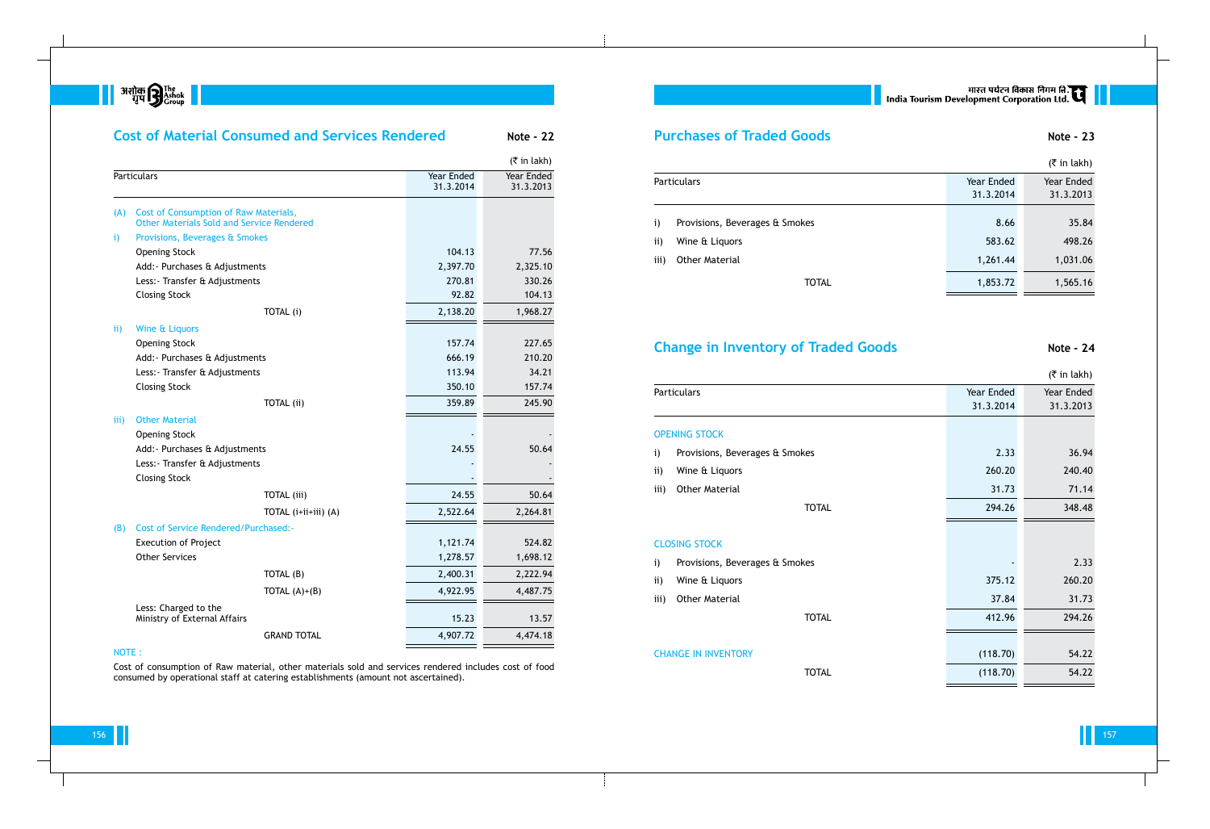**B** अशोक **B** The The Transfer  $\blacksquare$ 

## **Cost of Material Consumed and Services Rendered Mote - 22**  $($ ₹ in lakh) Particulars Particulars Particulars Channels (1991) 1988 (Vear Ended Vear Ended Vear Ended Vear Ended Vear Ended Vear Ended St. 31.3.2013 31.3.2013 (A) Cost of Consumption of Raw Materials, Other Materials Sold and Service Rendered i) Provisions, Beverages & Smokes Opening Stock 77.56 Add:- Purchases & Adjustments 2,397.70 2,325.10 Less: Transfer & Adjustments 270.81 330.26 Closing Stock 104.13 TOTAL (i) 2,138.20 1,968.27 ii) Wine & Liquors Opening Stock 227.65 Add:- Purchases & Adjustments and a set of the control of the control of the control of the control of the control of the control of the control of the control of the control of the control of the control of the control of Less: Transfer & Adjustments 113.94 34.21 Closing Stock 250.10 250.10 157.74 TOTAL (ii) 359.89 245.90 iii) Other Material **Opening Stock** Add:- Purchases & Adjustments 24.55 50.64 Less: - Transfer & Adjustments **Closing Stock** TOTAL (iii) 24.55 50.64 TOTAL (i+ii+iii) (A) 2,522.64 2,264.81 (B) Cost of Service Rendered/Purchased:- Execution of Project 524.82 Other Services 1,278.57 1,698.12 TOTAL (B) 2,400.31 2,222.94 TOTAL (A)+(B) 4,922.95 4,487.75 Less: Charged to the Ministry of External Affairs 13.57

## **Purchases of Traded Goods Note - 23**

- i) Provisions, Beverages & Smol
- ii) Wine & Liquors
- iii) Other Material

## **Change in Inventory of Traded Goods 8 Note - 24**

NOTE :

Cost of consumption of Raw material, other materials sold and services rendered includes cost of food consumed by operational staff at catering establishments (amount not ascertained).

GRAND TOTAL 4,907.72 4,474.18

# |<br>| India Tourism Development Corporation Ltd.

|      |                                |            | $($ ₹ in lakh) |
|------|--------------------------------|------------|----------------|
|      | Particulars                    | Year Ended | Year Ended     |
|      |                                | 31.3.2014  | 31.3.2013      |
|      |                                |            |                |
| i)   | Provisions, Beverages & Smokes | 8.66       | 35.84          |
| ii)  | Wine & Liquors                 | 583.62     | 498.26         |
| iii) | <b>Other Material</b>          | 1,261.44   | 1,031.06       |
|      | <b>TOTAL</b>                   | 1,853.72   | 1,565.16       |
|      |                                |            |                |

## OPENING STOCK

- i) Provisions, Beverages  $\alpha$  Smokes
- ii) Wine  $\hat{a}$  Liquors
- iii) Other Material

|                    |                                |            | $($ ₹ in lakh) |
|--------------------|--------------------------------|------------|----------------|
| <b>Particulars</b> |                                | Year Ended | Year Ended     |
|                    |                                | 31.3.2014  | 31.3.2013      |
|                    | <b>OPENING STOCK</b>           |            |                |
| i)                 | Provisions, Beverages & Smokes | 2.33       | 36.94          |
| ii)                | Wine & Liquors                 | 260.20     | 240.40         |
| iii)               | <b>Other Material</b>          | 31.73      | 71.14          |
|                    | <b>TOTAL</b>                   | 294.26     | 348.48         |
|                    | <b>CLOSING STOCK</b>           |            |                |
| i)                 | Provisions, Beverages & Smokes |            | 2.33           |
| ii)                | Wine & Liquors                 | 375.12     | 260.20         |
| iii)               | <b>Other Material</b>          | 37.84      | 31.73          |
|                    | <b>TOTAL</b>                   | 412.96     | 294.26         |
|                    |                                |            |                |
|                    | <b>CHANGE IN INVENTORY</b>     | (118.70)   | 54.22          |
|                    | <b>TOTAL</b>                   | (118.70)   | 54.22          |
|                    |                                |            |                |

## CLOSING STOCK

- i) Provisions, Beverages  $\theta$ : Smokes
- ii) Wine & Liquors
- iii) Other Material

## **CHANGE IN INVENTORY**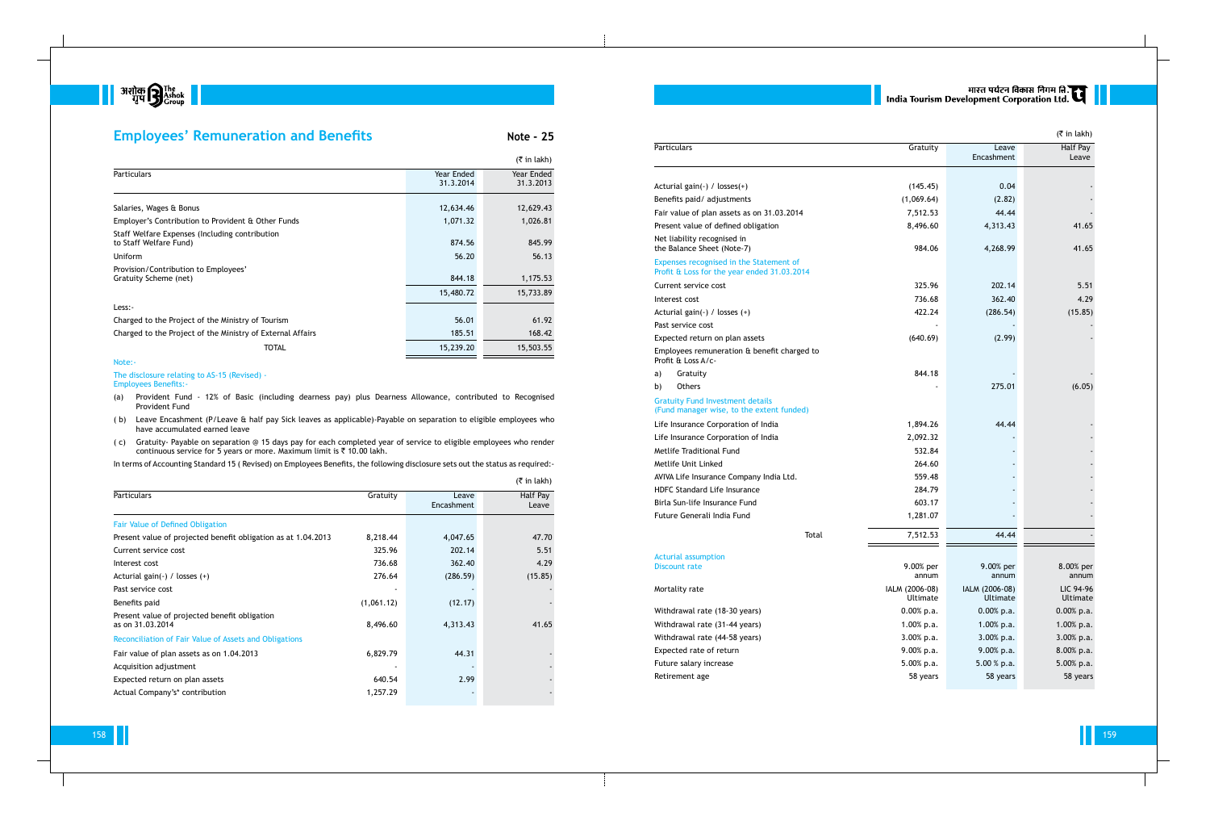

## **Employees' Remuneration and Benefits Note - 25**

158 159

|                                                                          |                         | $(5 \in \mathsf{in} \, \mathsf{l}_\mathsf{R}$ |
|--------------------------------------------------------------------------|-------------------------|-----------------------------------------------|
| <b>Particulars</b>                                                       | Year Ended<br>31.3.2014 | Year Ended<br>31.3.2013                       |
| Salaries, Wages & Bonus                                                  | 12,634.46               | 12,629.43                                     |
| Employer's Contribution to Provident & Other Funds                       | 1,071.32                | 1,026.81                                      |
| Staff Welfare Expenses (Including contribution<br>to Staff Welfare Fund) | 874.56                  | 845.99                                        |
| Uniform                                                                  | 56.20                   | 56.13                                         |
| Provision/Contribution to Employees'<br>Gratuity Scheme (net)            | 844.18<br>15,480.72     | 1,175.53<br>15,733.89                         |
| Less:-                                                                   |                         |                                               |
| Charged to the Project of the Ministry of Tourism                        | 56.01                   | 61.92                                         |
| Charged to the Project of the Ministry of External Affairs               | 185.51                  | 168.42                                        |
| TOTAL                                                                    | 15,239.20               | 15,503.55                                     |

- (a) Provident Fund 12% of Basic (including dearness pay) plus Dearness Allowance, contributed to Recognised Provident Fund
- ( b) Leave Encashment (P/Leave & half pay Sick leaves as applicable)-Payable on separation to eligible employees who have accumulated earned leave
- ( c) Gratuity- Payable on separation @ 15 days pay for each completed year of service to eligible employees who render continuous service for 5 years or more. Maximum limit is  $\bar{\tau}$  10.00 lakh.

### Note:-

The disclosure relating to AS-15 (Revised) - Employees Benefits:-

## Acturial gain(-) /  $losses(+)$ Benefits paid/ adjustments Fair value of plan assets as on 31.03.2014 Present value of defined obligation Net liability recognised in the Balance Sheet (Note-7) Expenses recognised in the Statement of

Interest cost

In terms of Accounting Standard 15 ( Revised) on Employees Benefits, the following disclosure sets out the status as required:-

a) Gratuity

### Gratuity Fund Investment details (Fund manager wise, to the extent funde

### Acturial assumption Discount rate

### Mortality rate

# मारत पर्यटन विकास निगम ति.<br>India Tourism Development Corporation Ltd.

|                                                                   |            |                     | $($ ₹ in lakh)    |
|-------------------------------------------------------------------|------------|---------------------|-------------------|
| Particulars                                                       | Gratuity   | Leave<br>Encashment | Half Pay<br>Leave |
| Fair Value of Defined Obligation                                  |            |                     |                   |
| Present value of projected benefit obligation as at 1.04.2013     | 8,218.44   | 4,047.65            | 47.70             |
| Current service cost                                              | 325.96     | 202.14              | 5.51              |
| Interest cost                                                     | 736.68     | 362.40              | 4.29              |
| Acturial gain(-) / losses $(+)$                                   | 276.64     | (286.59)            | (15.85)           |
| Past service cost                                                 |            |                     |                   |
| Benefits paid                                                     | (1,061.12) | (12.17)             |                   |
| Present value of projected benefit obligation<br>as on 31.03.2014 | 8,496.60   | 4,313.43            | 41.65             |
| Reconciliation of Fair Value of Assets and Obligations            |            |                     |                   |
| Fair value of plan assets as on 1.04.2013                         | 6,829.79   | 44.31               |                   |
| Acquisition adjustment                                            |            |                     |                   |
| Expected return on plan assets                                    | 640.54     | 2.99                |                   |
| Actual Company's* contribution                                    | 1,257.29   |                     |                   |

Past service cost

b) Others

|                                                                                        |                            |                            | $($ ₹ in lakh)        |
|----------------------------------------------------------------------------------------|----------------------------|----------------------------|-----------------------|
| Particulars                                                                            | Gratuity                   | Leave<br>Encashment        | Half Pay<br>Leave     |
|                                                                                        |                            |                            |                       |
| Acturial gain(-) / losses(+)                                                           | (145.45)                   | 0.04                       |                       |
| Benefits paid/ adjustments                                                             | (1,069.64)                 | (2.82)                     |                       |
| Fair value of plan assets as on 31.03.2014                                             | 7,512.53                   | 44.44                      |                       |
| Present value of defined obligation                                                    | 8,496.60                   | 4,313.43                   | 41.65                 |
| Net liability recognised in<br>the Balance Sheet (Note-7)                              | 984.06                     | 4,268.99                   | 41.65                 |
| Expenses recognised in the Statement of<br>Profit & Loss for the year ended 31.03.2014 |                            |                            |                       |
| Current service cost                                                                   | 325.96                     | 202.14                     | 5.51                  |
| Interest cost                                                                          | 736.68                     | 362.40                     | 4.29                  |
| Acturial gain(-) / losses (+)                                                          | 422.24                     | (286.54)                   | (15.85)               |
| Past service cost                                                                      |                            |                            |                       |
| Expected return on plan assets                                                         | (640.69)                   | (2.99)                     |                       |
| Employees remuneration & benefit charged to<br>Profit & Loss A/c-                      |                            |                            |                       |
| a)<br>Gratuity                                                                         | 844.18                     |                            |                       |
| b)<br><b>Others</b>                                                                    |                            | 275.01                     | (6.05)                |
| <b>Gratuity Fund Investment details</b><br>(Fund manager wise, to the extent funded)   |                            |                            |                       |
| Life Insurance Corporation of India                                                    | 1,894.26                   | 44.44                      |                       |
| Life Insurance Corporation of India                                                    | 2,092.32                   |                            |                       |
| Metlife Traditional Fund                                                               | 532.84                     |                            |                       |
| Metlife Unit Linked                                                                    | 264.60                     |                            |                       |
| AVIVA Life Insurance Company India Ltd.                                                | 559.48                     |                            |                       |
| <b>HDFC Standard Life Insurance</b>                                                    | 284.79                     |                            |                       |
| Birla Sun-life Insurance Fund                                                          | 603.17                     |                            |                       |
| Future Generali India Fund                                                             | 1,281.07                   |                            |                       |
| Total                                                                                  | 7,512.53                   | 44.44                      |                       |
|                                                                                        |                            |                            |                       |
| <b>Acturial assumption</b><br><b>Discount rate</b>                                     | 9.00% per<br>annum         | 9.00% per<br>annum         | 8.00% per<br>annum    |
| Mortality rate                                                                         | IALM (2006-08)<br>Ultimate | IALM (2006-08)<br>Ultimate | LIC 94-96<br>Ultimate |
| Withdrawal rate (18-30 years)                                                          | $0.00\%$ p.a.              | $0.00\%$ p.a.              | $0.00\%$ p.a.         |
| Withdrawal rate (31-44 years)                                                          | 1.00% p.a.                 | 1.00% p.a.                 | 1.00% p.a.            |
| Withdrawal rate (44-58 years)                                                          | 3.00% p.a.                 | 3.00% p.a.                 | 3.00% p.a.            |
| Expected rate of return                                                                | 9.00% p.a.                 | 9.00% p.a.                 | 8.00% p.a.            |
| Future salary increase                                                                 | 5.00% p.a.                 | 5.00 % p.a.                | 5.00% p.a.            |
| Retirement age                                                                         | 58 years                   | 58 years                   | 58 years              |
|                                                                                        |                            |                            |                       |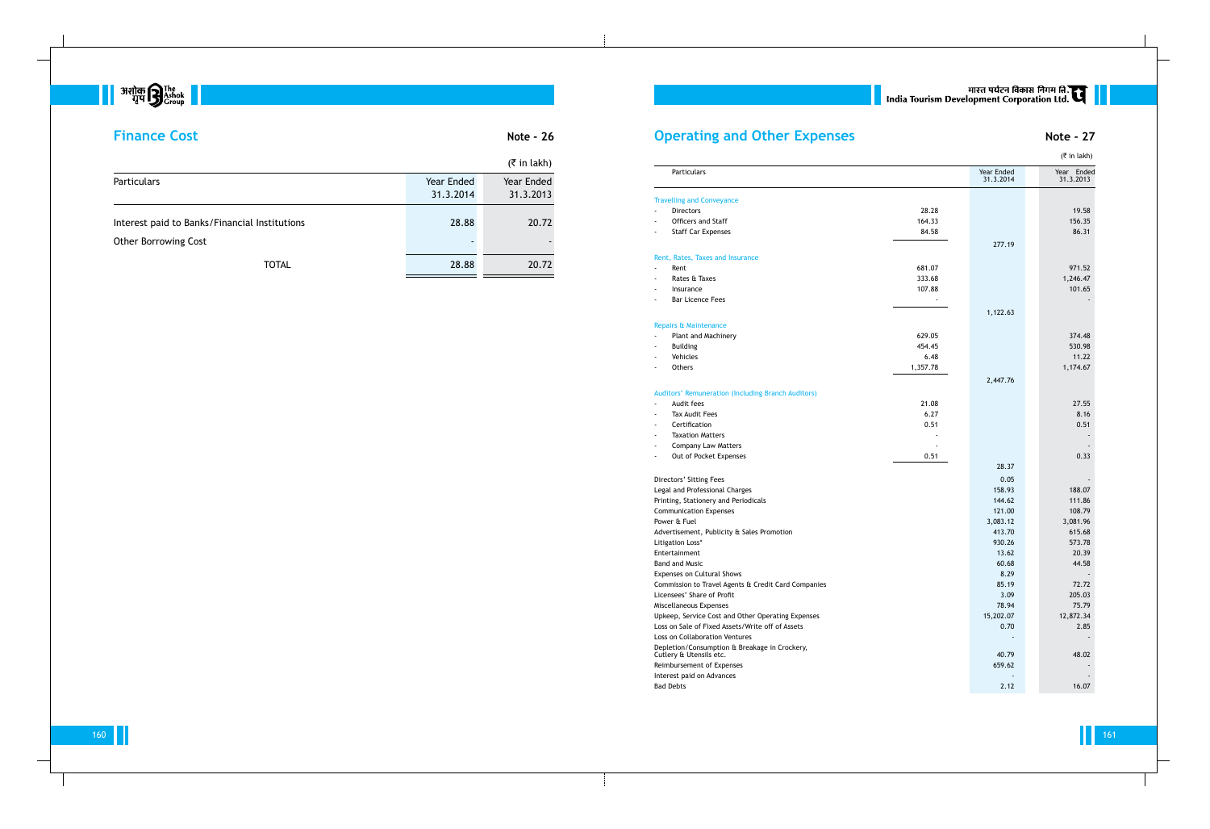

# **Finance Cost Note - 26**

|                                                                              |                                   | $(5 \in \mathsf{in} \, \mathsf{l}_\mathsf{akh})$ |
|------------------------------------------------------------------------------|-----------------------------------|--------------------------------------------------|
| <b>Particulars</b>                                                           | Year Ended<br>31.3.2014           | Year Ended<br>31.3.2013                          |
| Interest paid to Banks/Financial Institutions<br><b>Other Borrowing Cost</b> | 28.88<br>$\overline{\phantom{0}}$ | 20.72                                            |
| <b>TOTAL</b>                                                                 | 28.88                             | 20.72                                            |

# **Operating and Other Expenses Note - 27**

### Travelling and Conveyance

- Directors
- Officers and Staff
- Staff Car Expenses

### Rent, Rates, Taxes and Insurance

- 
- Rates & Taxes
- Insurance
- Bar Licence Fees

### Repairs & Maintenance

- Plant and Machinery
- 
- 
- 

## Auditors' Remuneration (Including Branch Auditors)

- 
- Tax Audit Fees
- Certification
- Taxation Matters
- Company Law Matters
- Out of Pocket Expenses

|                                                                          |          |                         | $(3\overline{5})$ in lakh) |
|--------------------------------------------------------------------------|----------|-------------------------|----------------------------|
| <b>Particulars</b>                                                       |          | Year Ended<br>31.3.2014 | Year Ended<br>31.3.2013    |
| <b>Travelling and Conveyance</b>                                         |          |                         |                            |
| <b>Directors</b>                                                         | 28.28    |                         | 19.58                      |
| Officers and Staff                                                       | 164.33   |                         | 156.35                     |
| <b>Staff Car Expenses</b>                                                | 84.58    |                         | 86.31                      |
|                                                                          |          | 277.19                  |                            |
| Rent, Rates, Taxes and Insurance                                         |          |                         |                            |
| Rent                                                                     | 681.07   |                         | 971.52                     |
| Rates & Taxes                                                            | 333.68   |                         | 1,246.47                   |
| Insurance                                                                | 107.88   |                         | 101.65                     |
| <b>Bar Licence Fees</b>                                                  |          |                         |                            |
|                                                                          |          |                         |                            |
|                                                                          |          | 1,122.63                |                            |
| <b>Repairs &amp; Maintenance</b>                                         |          |                         |                            |
| Plant and Machinery                                                      | 629.05   |                         | 374.48                     |
| <b>Building</b>                                                          | 454.45   |                         | 530.98                     |
| Vehicles                                                                 | 6.48     |                         | 11.22                      |
| Others                                                                   | 1,357.78 |                         | 1,174.67                   |
|                                                                          |          | 2,447.76                |                            |
| Auditors' Remuneration (Including Branch Auditors)                       |          |                         |                            |
| Audit fees                                                               | 21.08    |                         | 27.55                      |
| <b>Tax Audit Fees</b><br>÷.                                              | 6.27     |                         | 8.16                       |
| Certification<br>÷.                                                      | 0.51     |                         | 0.51                       |
| <b>Taxation Matters</b><br>÷.                                            |          |                         |                            |
| <b>Company Law Matters</b>                                               |          |                         |                            |
| Out of Pocket Expenses<br>$\overline{\phantom{a}}$                       | 0.51     |                         | 0.33                       |
|                                                                          |          | 28.37                   |                            |
| Directors' Sitting Fees                                                  |          | 0.05                    |                            |
| Legal and Professional Charges                                           |          | 158.93                  | 188.07                     |
| Printing, Stationery and Periodicals                                     |          | 144.62                  | 111.86                     |
| <b>Communication Expenses</b>                                            |          | 121.00                  | 108.79                     |
| Power & Fuel                                                             |          | 3,083.12                | 3,081.96                   |
| Advertisement, Publicity & Sales Promotion                               |          | 413.70                  | 615.68                     |
| Litigation Loss*                                                         |          | 930.26                  | 573.78                     |
| Entertainment                                                            |          | 13.62                   | 20.39                      |
| <b>Band and Music</b>                                                    |          | 60.68                   | 44.58                      |
| Expenses on Cultural Shows                                               |          | 8.29                    |                            |
| Commission to Travel Agents & Credit Card Companies                      |          | 85.19                   | 72.72                      |
| Licensees' Share of Profit                                               |          | 3.09                    | 205.03                     |
| Miscellaneous Expenses                                                   |          | 78.94                   | 75.79                      |
| Upkeep, Service Cost and Other Operating Expenses                        |          | 15,202.07               | 12,872.34                  |
| Loss on Sale of Fixed Assets/Write off of Assets                         |          | 0.70                    | 2.85                       |
| Loss on Collaboration Ventures                                           |          |                         |                            |
| Depletion/Consumption & Breakage in Crockery,<br>Cutlery & Utensils etc. |          | 40.79                   | 48.02                      |
| Reimbursement of Expenses                                                |          | 659.62                  |                            |
| Interest paid on Advances                                                |          |                         |                            |
| <b>Bad Debts</b>                                                         |          | 2.12                    | 16.07                      |

# || भारत पर्यटन विकास निगम ति.<br>| India Tourism Development Corporation Ltd.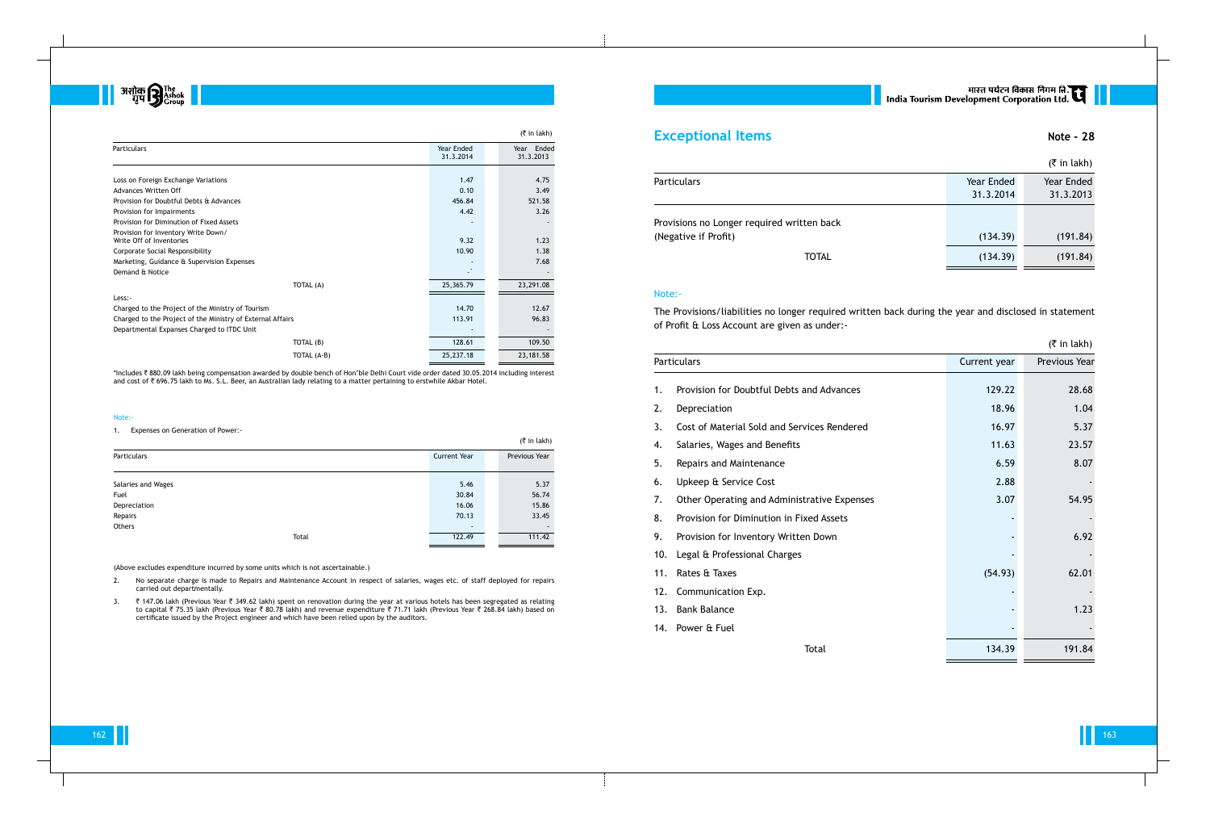\*Includes ₹ 880.09 lakh being compensation awarded by double bench of Hon'ble Delhi Court vide order dated 30.05.2014 including interest and cost of ` 696.75 lakh to Ms. S.L. Beer, an Australian lady relating to a matter pertaining to erstwhile Akbar Hotel.



|                                                                 |             |                         | $(5 \in \mathsf{In} \, \mathsf{l}_k)$ |
|-----------------------------------------------------------------|-------------|-------------------------|---------------------------------------|
| Particulars                                                     |             | Year Ended<br>31.3.2014 | Year Ended<br>31.3.2013               |
|                                                                 |             |                         |                                       |
| Loss on Foreign Exchange Variations                             |             | 1.47                    | 4.75                                  |
| Advances Written Off                                            |             | 0.10                    | 3.49                                  |
| Provision for Doubtful Debts & Advances                         |             | 456.84                  | 521.58                                |
| Provision for Impairments                                       |             | 4.42                    | 3.26                                  |
| Provision for Diminution of Fixed Assets                        |             |                         |                                       |
| Provision for Inventory Write Down/<br>Write Off of Inventories |             | 9.32                    | 1.23                                  |
| Corporate Social Responsibility                                 |             | 10.90                   | 1.38                                  |
| Marketing, Guidance & Supervision Expenses                      |             |                         | 7.68                                  |
| Demand & Notice                                                 |             | LN.                     |                                       |
|                                                                 | TOTAL (A)   | 25,365.79               | 23,291.08                             |
| Less:-                                                          |             |                         |                                       |
| Charged to the Project of the Ministry of Tourism               |             | 14.70                   | 12.67                                 |
| Charged to the Project of the Ministry of External Affairs      |             | 113.91                  | 96.83                                 |
| Departmental Expanses Charged to ITDC Unit                      |             |                         |                                       |
|                                                                 | TOTAL (B)   | 128.61                  | 109.50                                |
|                                                                 | TOTAL (A-B) | 25,237.18               | 23,181.58                             |

### Note:-

1. Expenses on Generation of Power:-

|                    |       |                     | (₹ in lakh)   |
|--------------------|-------|---------------------|---------------|
| <b>Particulars</b> |       | <b>Current Year</b> | Previous Year |
|                    |       |                     |               |
| Salaries and Wages |       | 5.46                | 5.37          |
| Fuel               |       | 30.84               | 56.74         |
| Depreciation       |       | 16.06               | 15.86         |
| Repairs            |       | 70.13               | 33.45         |
| Others             |       | ۰                   |               |
|                    | Total | 122.49              | 111.42        |

(Above excludes expenditure incurred by some units which is not ascertainable.)

- 2. No separate charge is made to Repairs and Maintenance Account in respect of salaries, wages etc. of staff deployed for repairs carried out departmentally.
- 3. ₹ 147.06 lakh (Previous Year ₹ 349.62 lakh) spent on renovation during the year at various hotels has been segregated as relating to capital ₹ 75.35 lakh (Previous Year ₹ 80.78 lakh) and revenue expenditure ₹ 71.71 lakh (Previous Year ₹ 268.84 lakh) based on certificate issued by the Project engineer and which have been relied upon by the auditors.

## **Exceptional Items Note - 28**

|                                            |            | $(\bar{\bar{\zeta}})$ in lakh) |
|--------------------------------------------|------------|--------------------------------|
| <b>Particulars</b>                         | Year Ended | Year Ended                     |
|                                            | 31.3.2014  | 31.3.2013                      |
| Provisions no Longer required written back |            |                                |
| (Negative if Profit)                       | (134.39)   | (191.84)                       |
| <b>TOTAL</b>                               | (134.39)   | (191.84)                       |

## Note:-

The Provisions/liabilities no longer required written back during the year and disclosed in statement of Profit & Loss Account are given as under:-

### Particulars

- 1. Provision for Doubtful Debts
- 2. Depreciation
- 3. Cost of Material Sold and Se
- 4. Salaries, Wages and Benefits
- 5. Repairs and Maintenance
- 6. Upkeep & Service Cost
- 7. Other Operating and Admini
- 8. Provision for Diminution in
- 9. Provision for Inventory Writt
- 10. Legal & Professional Charge
- 11. Rates & Taxes
- 12. Communication Exp.
- 13. Bank Balance
- 14. Power & Fuel

# भारत पर्यटन विकास निगम लि.<br>| India Tourism Development Corporation Ltd.

|                    |                                             |              | $(3\overline{5})$ in lakh) |
|--------------------|---------------------------------------------|--------------|----------------------------|
| <b>Particulars</b> |                                             | Current year | Previous Year              |
| 1.                 | Provision for Doubtful Debts and Advances   | 129.22       | 28.68                      |
| 2.                 | Depreciation                                | 18.96        | 1.04                       |
| 3.                 | Cost of Material Sold and Services Rendered | 16.97        | 5.37                       |
| 4.                 | Salaries, Wages and Benefits                | 11.63        | 23.57                      |
| 5.                 | Repairs and Maintenance                     | 6.59         | 8.07                       |
| 6.                 | Upkeep & Service Cost                       | 2.88         |                            |
| 7.                 | Other Operating and Administrative Expenses | 3.07         | 54.95                      |
| 8.                 | Provision for Diminution in Fixed Assets    |              |                            |
| 9.                 | Provision for Inventory Written Down        |              | 6.92                       |
| 10.                | Legal & Professional Charges                |              |                            |
| 11.                | Rates & Taxes                               | (54.93)      | 62.01                      |
| 12.                | Communication Exp.                          |              |                            |
| 13.                | <b>Bank Balance</b>                         |              | 1.23                       |
|                    | 14. Power & Fuel                            |              |                            |
|                    | Total                                       | 134.39       | 191.84                     |
|                    |                                             |              |                            |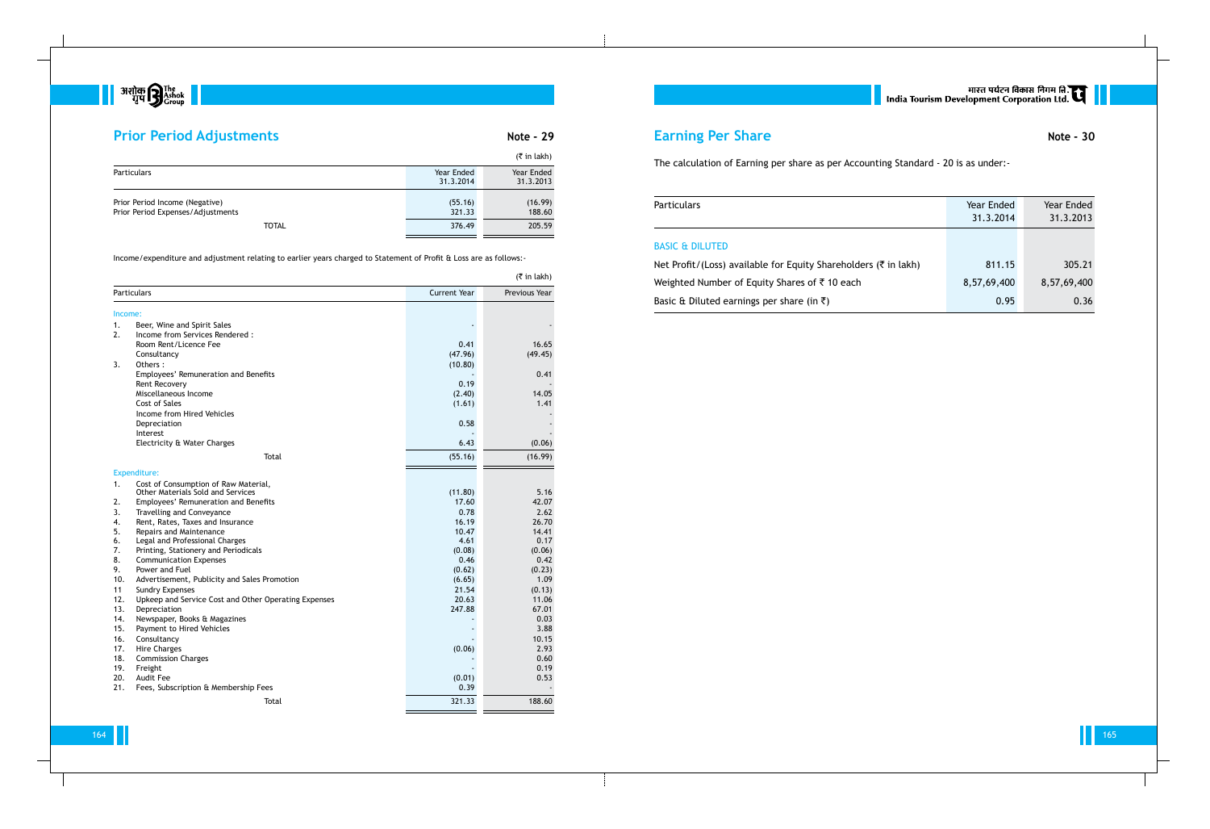

# **Prior Period Adjustments Note - 29**

164 165

|                                                                     |                         | $(5 \in \mathsf{in} \, \mathsf{l}_\mathsf{akh})$ |
|---------------------------------------------------------------------|-------------------------|--------------------------------------------------|
| <b>Particulars</b>                                                  | Year Ended<br>31.3.2014 | Year Ended<br>31.3.2013                          |
| Prior Period Income (Negative)<br>Prior Period Expenses/Adjustments | (55.16)<br>321.33       | (16.99)<br>188.60                                |
| <b>TOTAL</b>                                                        | 376.49                  | 205.59                                           |

Income/expenditure and adjustment relating to earlier years charged to Statement of Profit & Loss are as follows:-

|         | $($ ₹ in lakh)                                       |                     |               |  |
|---------|------------------------------------------------------|---------------------|---------------|--|
|         | Particulars                                          | <b>Current Year</b> | Previous Year |  |
| Income: |                                                      |                     |               |  |
| 1.      | Beer, Wine and Spirit Sales                          |                     |               |  |
| 2.      | Income from Services Rendered:                       |                     |               |  |
|         | Room Rent/Licence Fee                                | 0.41                | 16.65         |  |
|         | Consultancy                                          | (47.96)             | (49.45)       |  |
| 3.      | Others:                                              | (10.80)             |               |  |
|         | Employees' Remuneration and Benefits                 |                     | 0.41          |  |
|         | Rent Recovery                                        | 0.19                |               |  |
|         | Miscellaneous Income                                 | (2.40)              | 14.05         |  |
|         | Cost of Sales                                        | (1.61)              | 1.41          |  |
|         | Income from Hired Vehicles                           |                     |               |  |
|         | Depreciation                                         | 0.58                |               |  |
|         | Interest                                             |                     |               |  |
|         | Electricity & Water Charges                          | 6.43                | (0.06)        |  |
|         | Total                                                | (55.16)             | (16.99)       |  |
|         | Expenditure:                                         |                     |               |  |
| 1.      | Cost of Consumption of Raw Material,                 |                     |               |  |
|         | <b>Other Materials Sold and Services</b>             | (11.80)             | 5.16          |  |
| 2.      | Employees' Remuneration and Benefits                 | 17.60               | 42.07         |  |
| 3.      | Travelling and Conveyance                            | 0.78                | 2.62          |  |
| 4.      | Rent, Rates, Taxes and Insurance                     | 16.19               | 26.70         |  |
| 5.      | Repairs and Maintenance                              | 10.47               | 14.41         |  |
| 6.      | Legal and Professional Charges                       | 4.61                | 0.17          |  |
| 7.      | Printing, Stationery and Periodicals                 | (0.08)              | (0.06)        |  |
| 8.      | <b>Communication Expenses</b>                        | 0.46                | 0.42          |  |
| 9.      | Power and Fuel                                       | (0.62)              | (0.23)        |  |
| 10.     | Advertisement, Publicity and Sales Promotion         | (6.65)              | 1.09          |  |
| 11      | <b>Sundry Expenses</b>                               | 21.54               | (0.13)        |  |
| 12.     | Upkeep and Service Cost and Other Operating Expenses | 20.63               | 11.06         |  |
| 13.     | Depreciation                                         | 247.88              | 67.01         |  |
| 14.     | Newspaper, Books & Magazines                         |                     | 0.03          |  |
| 15.     | Payment to Hired Vehicles                            |                     | 3.88          |  |
| 16.     | Consultancy                                          |                     | 10.15         |  |
| 17.     | <b>Hire Charges</b>                                  | (0.06)              | 2.93          |  |
| 18.     | <b>Commission Charges</b>                            |                     | 0.60          |  |
| 19.     | Freight                                              |                     | 0.19          |  |
| 20.     | Audit Fee                                            | (0.01)              | 0.53          |  |
| 21.     | Fees, Subscription & Membership Fees                 | 0.39                |               |  |
|         | Total                                                | 321.33              | 188.60        |  |

# **Earning Per Share Note - 30**

The calculation of Earning per share as per Accounting Standard - 20 is as under:-

Particulars

|                                | Year Ended  | Year Ended  |
|--------------------------------|-------------|-------------|
|                                | 31.3.2014   | 31.3.2013   |
|                                |             |             |
|                                |             |             |
| quity Shareholders (₹ in lakh) | 811.15      | 305.21      |
| res of ₹ 10 each               | 8,57,69,400 | 8,57,69,400 |
| re (in ₹)                      | 0.95        | 0.36        |

## BASIC & DILUTED

Net Profit/(Loss) available for Eq Weighted Number of Equity Shar Basic & Diluted earnings per shar | सारत पर्यटन विकास निगम ति.<br>| India Tourism Development Corporation Ltd.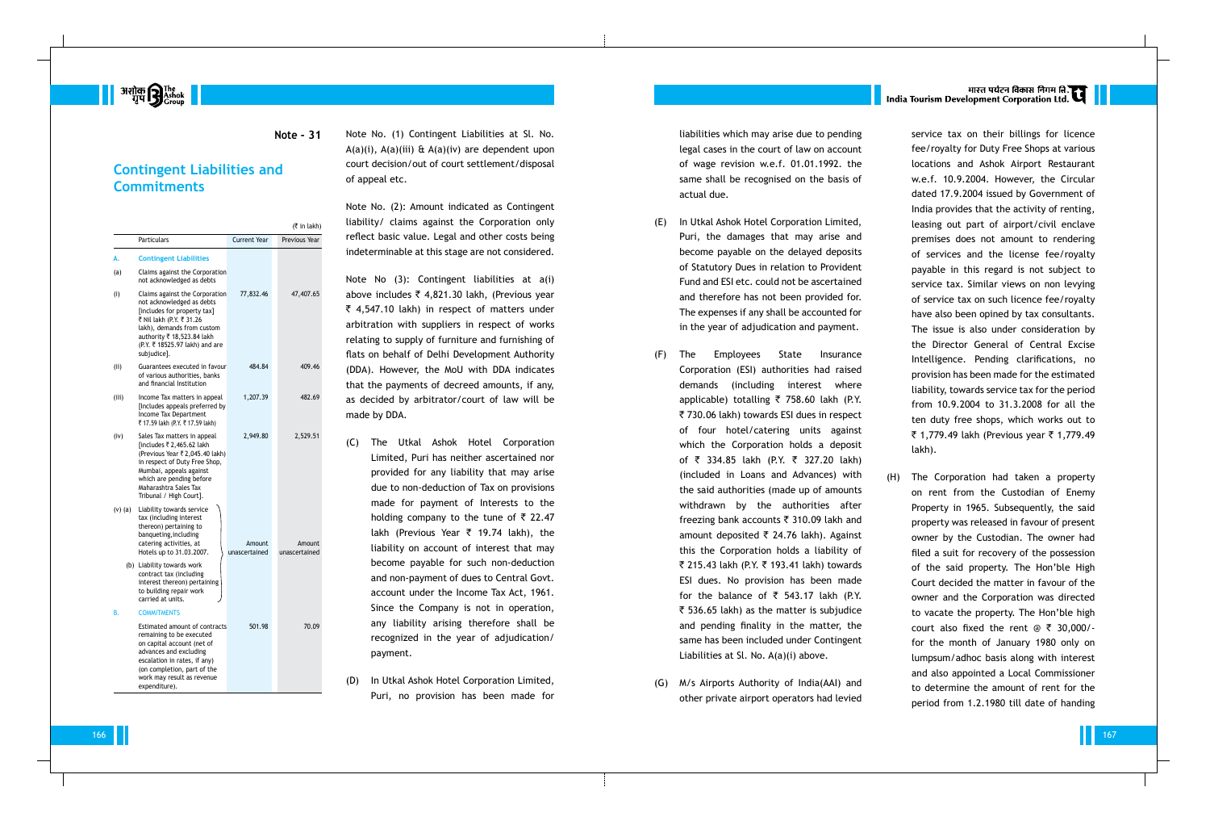**||** अशोक **सिंह हैं ||**<br>| अशोक सुप

### **Note - 31**

## **Contingent Liabilities and Commitments**

|         |                                                                                                                                                                                                                                         |                         | (₹ in lakh)             |
|---------|-----------------------------------------------------------------------------------------------------------------------------------------------------------------------------------------------------------------------------------------|-------------------------|-------------------------|
|         | <b>Particulars</b>                                                                                                                                                                                                                      | Current Year            | Previous Year           |
| А.      | <b>Contingent Liabilities</b>                                                                                                                                                                                                           |                         |                         |
| (a)     | Claims against the Corporation<br>not acknowledged as debts                                                                                                                                                                             |                         |                         |
| (i)     | Claims against the Corporation<br>not acknowledged as debts<br>[includes for property tax]<br>₹ Nil lakh (P.Y. ₹ 31.26<br>lakh), demands from custom<br>authority ₹ 18,523.84 lakh<br>(P.Y. ₹ 18525.97 lakh) and are<br>subjudice].     | 77,832.46               | 47,407.65               |
| (iii)   | Guarantees executed in favour<br>of various authorities, banks<br>and financial Institution                                                                                                                                             | 484.84                  | 409.46                  |
| (iii)   | Income Tax matters in appeal<br>[Includes appeals preferred by<br>Income Tax Department<br>₹ 17.59 lakh (P.Y. ₹ 17.59 lakh)                                                                                                             | 1,207.39                | 482.69                  |
| (iv)    | Sales Tax matters in appeal<br>[includes ₹ 2,465.62 lakh<br>(Previous Year ₹ 2,045.40 lakh)<br>in respect of Duty Free Shop,<br>Mumbai, appeals against<br>which are pending before<br>Maharashtra Sales Tax<br>Tribunal / High Court]. | 2,949.80                | 2,529.51                |
| (v) (a) | Liability towards service<br>tax (including interest<br>thereon) pertaining to<br>banqueting, including<br>catering activities, at<br>Hotels up to 31.03.2007.                                                                          | Amount<br>unascertained | Amount<br>unascertained |
|         | (b) Liability towards work<br>contract tax (including<br>interest thereon) pertaining<br>to building repair work<br>carried at units.                                                                                                   |                         |                         |
| В.      | <b>COMMITMENTS</b>                                                                                                                                                                                                                      |                         |                         |
|         | Estimated amount of contracts<br>remaining to be executed<br>on capital account (net of<br>advances and excluding<br>escalation in rates, if any)<br>(on completion, part of the<br>work may result as revenue<br>expenditure).         | 501.98                  | 70.09                   |

Note No. (1) Contingent Liabilities at Sl. No.  $A(a)(i)$ ,  $A(a)(iii)$  &  $A(a)(iv)$  are dependent upon court decision/out of court settlement/disposal of appeal etc.

Note No. (2): Amount indicated as Contingent liability/ claims against the Corporation only reflect basic value. Legal and other costs being indeterminable at this stage are not considered.

Note No (3): Contingent liabilities at a(i) above includes  $\bar{\tau}$  4,821.30 lakh, (Previous year  $\bar{\tau}$  4,547.10 lakh) in respect of matters under arbitration with suppliers in respect of works relating to supply of furniture and furnishing of flats on behalf of Delhi Development Authority (DDA). However, the MoU with DDA indicates that the payments of decreed amounts, if any, as decided by arbitrator/court of law will be made by DDA.

- (C) The Utkal Ashok Hotel Corporation Limited, Puri has neither ascertained nor provided for any liability that may arise due to non-deduction of Tax on provisions made for payment of Interests to the holding company to the tune of  $\bar{\tau}$  22.47 lakh (Previous Year  $\bar{\tau}$  19.74 lakh), the liability on account of interest that may become payable for such non-deduction and non-payment of dues to Central Govt. account under the Income Tax Act, 1961. Since the Company is not in operation, any liability arising therefore shall be recognized in the year of adjudication/ payment.
- (D) In Utkal Ashok Hotel Corporation Limited, Puri, no provision has been made for

liabilities which may arise due to pending legal cases in the court of law on account of wage revision w.e.f. 01.01.1992. the same shall be recognised on the basis of actual due.

- (E) In Utkal Ashok Hotel Corporation Limited, Puri, the damages that may arise and become payable on the delayed deposits of Statutory Dues in relation to Provident Fund and ESI etc. could not be ascertained and therefore has not been provided for. The expenses if any shall be accounted for in the year of adjudication and payment.
- (F) The Employees State Insurance Corporation (ESI) authorities had raised demands (including interest where applicable) totalling  $\overline{\zeta}$  758.60 lakh (P.Y. ` 730.06 lakh) towards ESI dues in respect of four hotel/catering units against which the Corporation holds a deposit of  $\bar{\tau}$  334.85 lakh (P.Y.  $\bar{\tau}$  327.20 lakh) (included in Loans and Advances) with the said authorities (made up of amounts withdrawn by the authorities after freezing bank accounts  $\bar{\tau}$  310.09 lakh and amount deposited  $\bar{\tau}$  24.76 lakh). Against this the Corporation holds a liability of ₹ 215.43 lakh (P.Y. ₹ 193.41 lakh) towards ESI dues. No provision has been made for the balance of  $\bar{\tau}$  543.17 lakh (P.Y.  $\bar{\tau}$  536.65 lakh) as the matter is subjudice and pending finality in the matter, the same has been included under Contingent Liabilities at Sl. No. A(a)(i) above.
- (G) M/s Airports Authority of India(AAI) and other private airport operators had levied

# भारत पर्यटन विकास निगम ति.<br>India Tourism Development Corporation Ltd.

service tax on their billings for licence fee/royalty for Duty Free Shops at various locations and Ashok Airport Restaurant w.e.f. 10.9.2004. However, the Circular dated 17.9.2004 issued by Government of India provides that the activity of renting, leasing out part of airport/civil enclave premises does not amount to rendering of services and the license fee/royalty payable in this regard is not subject to service tax. Similar views on non levying of service tax on such licence fee/royalty have also been opined by tax consultants. The issue is also under consideration by the Director General of Central Excise Intelligence. Pending clarifications, no provision has been made for the estimated liability, towards service tax for the period from 10.9.2004 to 31.3.2008 for all the ten duty free shops, which works out to ₹ 1,779.49 lakh (Previous year ₹ 1,779.49 lakh).

(H) The Corporation had taken a property on rent from the Custodian of Enemy Property in 1965. Subsequently, the said property was released in favour of present owner by the Custodian. The owner had filed a suit for recovery of the possession of the said property. The Hon'ble High Court decided the matter in favour of the owner and the Corporation was directed to vacate the property. The Hon'ble high court also fixed the rent  $\textcircled{e}$   $\overline{\tau}$  30,000/for the month of January 1980 only on lumpsum/adhoc basis along with interest and also appointed a Local Commissioner to determine the amount of rent for the period from 1.2.1980 till date of handing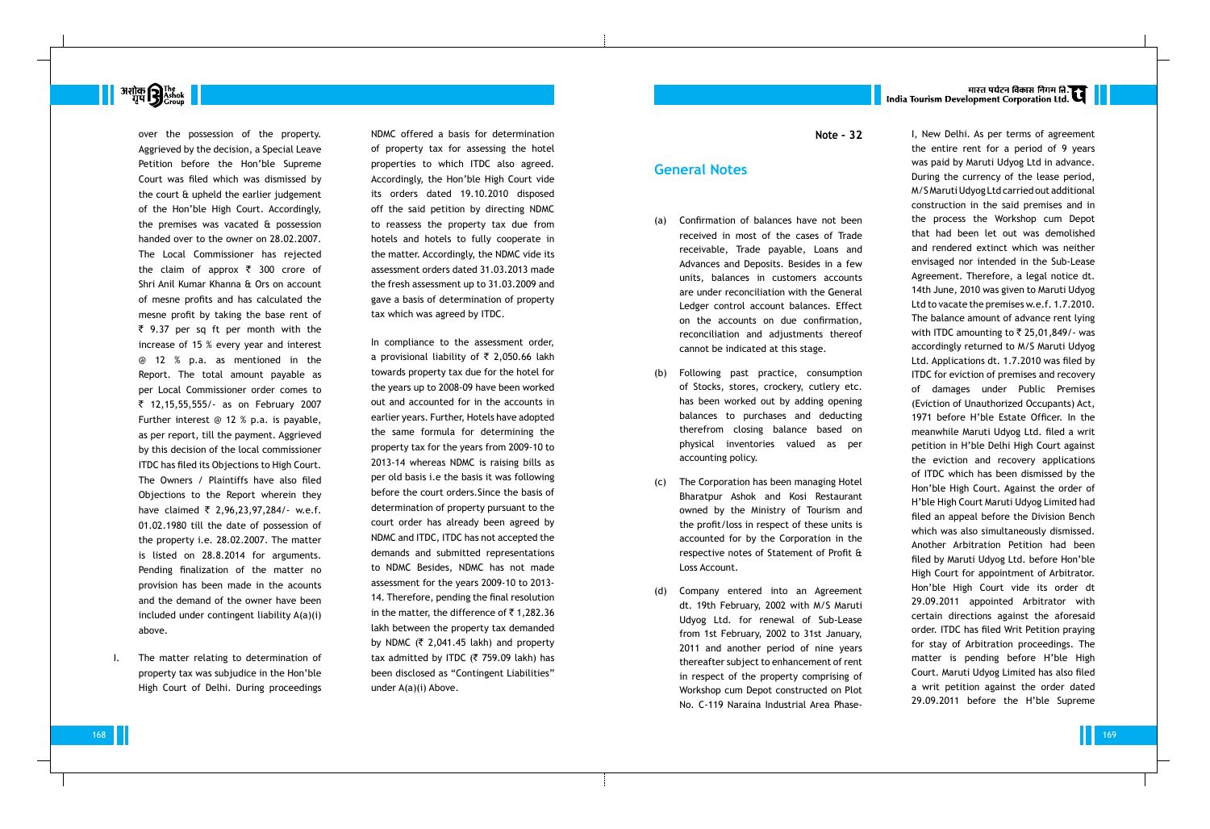# मारत पर्यटन विकास निगम ति.<br>India Tourism Development Corporation Ltd.

# **अशोक सिंह**<br>बाप से <sup>The</sup> Group

over the possession of the property. Aggrieved by the decision, a Special Leave Petition before the Hon'ble Supreme Court was filed which was dismissed by the court & upheld the earlier judgement of the Hon'ble High Court. Accordingly, the premises was vacated & possession handed over to the owner on 28.02.2007. The Local Commissioner has rejected the claim of approx  $\bar{\tau}$  300 crore of Shri Anil Kumar Khanna & Ors on account of mesne profits and has calculated the mesne profit by taking the base rent of  $\bar{\tau}$  9.37 per sq ft per month with the increase of 15 % every year and interest @ 12 % p.a. as mentioned in the Report. The total amount payable as per Local Commissioner order comes to ` 12,15,55,555/- as on February 2007 Further interest @ 12 % p.a. is payable, as per report, till the payment. Aggrieved by this decision of the local commissioner ITDC has filed its Objections to High Court. The Owners / Plaintiffs have also filed Objections to the Report wherein they have claimed  $\bar{\tau}$  2,96,23,97,284/- w.e.f. 01.02.1980 till the date of possession of the property i.e. 28.02.2007. The matter is listed on 28.8.2014 for arguments. Pending finalization of the matter no provision has been made in the acounts and the demand of the owner have been included under contingent liability A(a)(i) above.

I. The matter relating to determination of property tax was subjudice in the Hon'ble High Court of Delhi. During proceedings NDMC offered a basis for determination of property tax for assessing the hotel properties to which ITDC also agreed. Accordingly, the Hon'ble High Court vide its orders dated 19.10.2010 disposed off the said petition by directing NDMC to reassess the property tax due from hotels and hotels to fully cooperate in the matter. Accordingly, the NDMC vide its assessment orders dated 31.03.2013 made the fresh assessment up to 31.03.2009 and gave a basis of determination of property tax which was agreed by ITDC.

- Confirmation of balances have not been received in most of the cases of Trade receivable, Trade payable, Loans and Advances and Deposits. Besides in a few units, balances in customers accounts are under reconciliation with the General Ledger control account balances. Effect on the accounts on due confirmation, reconciliation and adjustments thereof cannot be indicated at this stage.
- (b) Following past practice, consumption of Stocks, stores, crockery, cutlery etc. has been worked out by adding opening balances to purchases and deducting therefrom closing balance based on physical inventories valued as per accounting policy.
- (c) The Corporation has been managing Hotel Bharatpur Ashok and Kosi Restaurant owned by the Ministry of Tourism and the profit/loss in respect of these units is accounted for by the Corporation in the respective notes of Statement of Profit & Loss Account.
- (d) Company entered into an Agreement dt. 19th February, 2002 with M/S Maruti Udyog Ltd. for renewal of Sub-Lease from 1st February, 2002 to 31st January, 2011 and another period of nine years thereafter subject to enhancement of rent in respect of the property comprising of Workshop cum Depot constructed on Plot No. C-119 Naraina Industrial Area Phase-

In compliance to the assessment order, a provisional liability of  $\bar{\tau}$  2,050.66 lakh towards property tax due for the hotel for the years up to 2008-09 have been worked out and accounted for in the accounts in earlier years. Further, Hotels have adopted the same formula for determining the property tax for the years from 2009-10 to 2013-14 whereas NDMC is raising bills as per old basis i.e the basis it was following before the court orders.Since the basis of determination of property pursuant to the court order has already been agreed by NDMC and ITDC, ITDC has not accepted the demands and submitted representations to NDMC Besides, NDMC has not made assessment for the years 2009-10 to 2013- 14. Therefore, pending the final resolution in the matter, the difference of  $\bar{\tau}$  1,282.36 lakh between the property tax demanded by NDMC ( $\bar{\tau}$  2,041.45 lakh) and property tax admitted by ITDC ( $\bar{\tau}$  759.09 lakh) has been disclosed as "Contingent Liabilities" under A(a)(i) Above.

**Note - 32**

## **General Notes**

I, New Delhi. As per terms of agreement the entire rent for a period of 9 years was paid by Maruti Udyog Ltd in advance. During the currency of the lease period, M/S Maruti Udyog Ltd carried out additional construction in the said premises and in the process the Workshop cum Depot that had been let out was demolished and rendered extinct which was neither envisaged nor intended in the Sub-Lease Agreement. Therefore, a legal notice dt. 14th June, 2010 was given to Maruti Udyog Ltd to vacate the premises w.e.f. 1.7.2010. The balance amount of advance rent lying with ITDC amounting to  $\bar{\tau}$  25,01,849/- was accordingly returned to M/S Maruti Udyog Ltd. Applications dt. 1.7.2010 was filed by ITDC for eviction of premises and recovery of damages under Public Premises (Eviction of Unauthorized Occupants) Act, 1971 before H'ble Estate Officer. In the meanwhile Maruti Udyog Ltd. filed a writ petition in H'ble Delhi High Court against the eviction and recovery applications of ITDC which has been dismissed by the Hon'ble High Court. Against the order of H'ble High Court Maruti Udyog Limited had filed an appeal before the Division Bench which was also simultaneously dismissed. Another Arbitration Petition had been filed by Maruti Udyog Ltd. before Hon'ble High Court for appointment of Arbitrator. Hon'ble High Court vide its order dt 29.09.2011 appointed Arbitrator with certain directions against the aforesaid order. ITDC has filed Writ Petition praying for stay of Arbitration proceedings. The matter is pending before H'ble High Court. Maruti Udyog Limited has also filed a writ petition against the order dated 29.09.2011 before the H'ble Supreme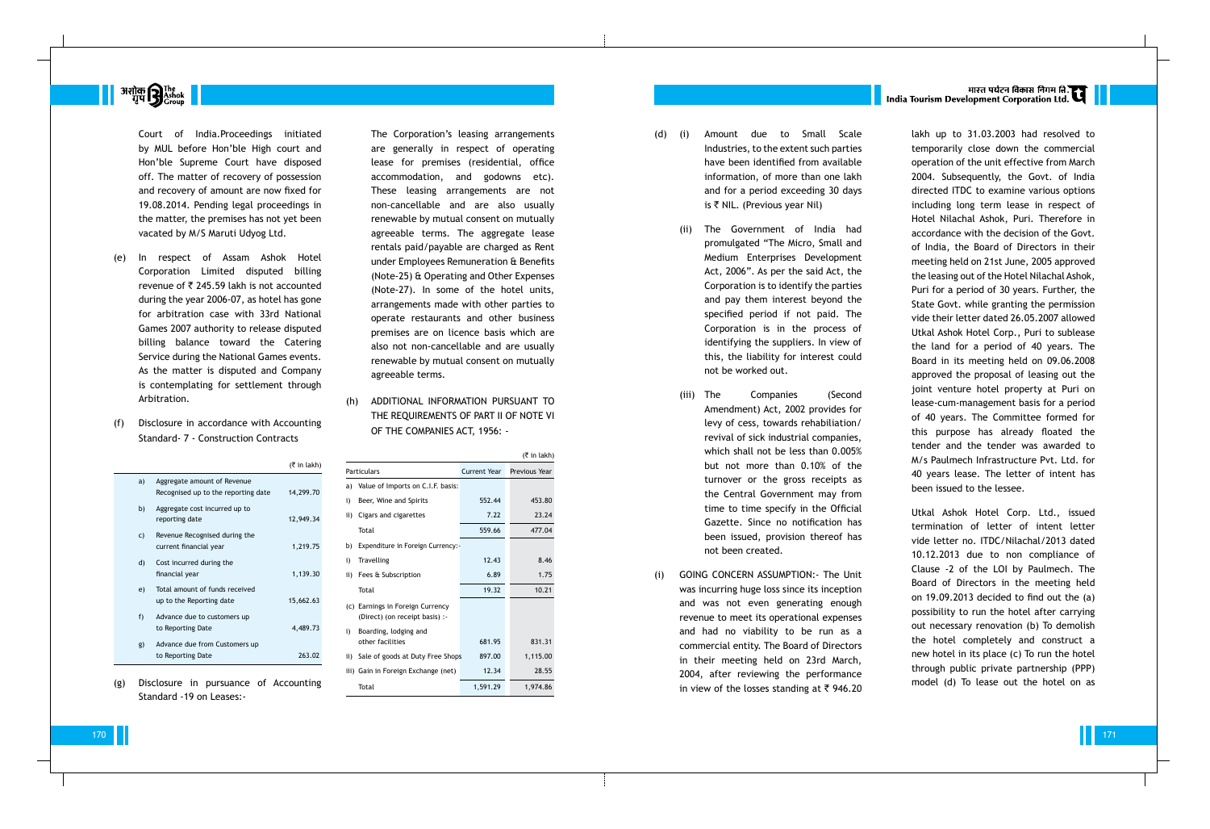

Court of India.Proceedings initiated by MUL before Hon'ble High court and Hon'ble Supreme Court have disposed off. The matter of recovery of possession and recovery of amount are now fixed for 19.08.2014. Pending legal proceedings in the matter, the premises has not yet been vacated by M/S Maruti Udyog Ltd.

- (e) In respect of Assam Ashok Hotel Corporation Limited disputed billing revenue of  $\bar{\tau}$  245.59 lakh is not accounted during the year 2006-07, as hotel has gone for arbitration case with 33rd National Games 2007 authority to release disputed billing balance toward the Catering Service during the National Games events. As the matter is disputed and Company is contemplating for settlement through Arbitration.
- (f) Disclosure in accordance with Accounting Standard- 7 - Construction C ontracts
	- $($ ₹ in lakh) a) Aggregate amount of Revenue Recognised up to the reporting date 14,299.70 b) Aggregate cost incurred up to reporting date 12,949.34 c) Revenue Recognised during the current financial year 1,219.75 d) Cost incurred during the financial year 1,139.30 e) Total amount of funds received up to the Reporting date 15,662.63 f) Advance due to customers up to Reporting Date 4,489.73 g) Advance due from Customers up to Reporting Date 263.02
- (g) Disclosure in pursuance of Accounting Standard -19 on Leases:-

The Corporation's leasing arrangements are generally in respect of operating lease for premises (residential, office accommodation, and godowns etc). These leasing arrangements are not non-cancellable and are also usually renewable by mutual consent on mutually agreeable terms. The aggregate lease rentals paid/payable are charged as Rent under Employees Remuneration & Benefits (Note-25) & Operating and Other Expenses (Note-27). In some of the hotel units, arrangements made with other parties to operate restaurants and other business premises are on licence basis which are also not non-cancellable and are usually renewable by mutual consent on mutually agreeable terms.

(h) ADDITIONAL INFORMATION PURSUANT TO THE REQUIREMENTS OF PART II OF NOTE VI OF THE COMPANIES ACT, 1956: -

- (d) Amount due to Small Scale Industries, to the extent such parties have been identified from available information, of more than one lakh and for a period exceeding 30 days is  $\bar{\tau}$  NIL. (Previous year Nil)
	- (ii) The Government of India had promulgated "The Micro, Small and Medium Enterprises Development Act, 2006". As per the said Act, the Corporation is to identify the parties and pay them interest beyond the specified period if not paid. The Corporation is in the process of identifying the suppliers. In view of this, the liability for interest could not be worked out.
	- (iii) The Companies (Second Amendment) Act, 2002 provides for levy of cess, towards rehabiliation/ revival of sick industrial companies, which shall not be less than 0.005% but not more than 0.10% of the turnover or the gross receipts as the Central Government may from time to time specify in the Official Gazette. Since no notification has been issued, provision thereof has not been created.
- (i) GOING CONCERN ASSUMPTION:- The Unit was incurring huge loss since its inception and was not even generating enough revenue to meet its operational expenses and had no viability to be run as a commercial entity. The Board of Directors in their meeting held on 23rd March, 2004, after reviewing the performance in view of the losses standing at  $\bar{\tau}$  946.20

# भारत पर्यटन विकास निगम ति.<br>India Tourism Development Corporation Ltd.

|     |                                                                    |              | $(5 \in \mathsf{In} \, \mathsf{l}_k)$ |
|-----|--------------------------------------------------------------------|--------------|---------------------------------------|
|     | Particulars                                                        | Current Year | Previous Year                         |
| a)  | Value of Imports on C.I.F. basis:                                  |              |                                       |
| i)  | Beer, Wine and Spirits                                             | 552.44       | 453.80                                |
| ii) | Cigars and cigarettes                                              | 7.22         | 23.24                                 |
|     | Total                                                              | 559.66       | 477.04                                |
| b)  | Expenditure in Foreign Currency:-                                  |              |                                       |
| i)  | Travelling                                                         | 12.43        | 8.46                                  |
| ii) | Fees & Subscription                                                | 6.89         | 1.75                                  |
|     | Total                                                              | 19.32        | 10.21                                 |
|     | (c) Earnings in Foreign Currency<br>(Direct) (on receipt basis) :- |              |                                       |
| i)  | Boarding, lodging and<br>other facilities                          | 681.95       | 831.31                                |
|     | ii) Sale of goods at Duty Free Shops                               | 897.00       | 1,115.00                              |
|     | iii) Gain in Foreign Exchange (net)                                | 12.34        | 28.55                                 |
|     | Total                                                              | 1,591.29     | 1,974.86                              |

lakh up to 31.03.2003 had resolved to temporarily close down the commercial operation of the unit effective from March 2004. Subsequently, the Govt. of India directed ITDC to examine various options including long term lease in respect of Hotel Nilachal Ashok, Puri. Therefore in accordance with the decision of the Govt. of India, the Board of Directors in their meeting held on 21st June, 2005 approved the leasing out of the Hotel Nilachal Ashok, Puri for a period of 30 years. Further, the State Govt. while granting the permission vide their letter dated 26.05.2007 allowed Utkal Ashok Hotel Corp., Puri to sublease the land for a period of 40 years. The Board in its meeting held on 09.06.2008 approved the proposal of leasing out the joint venture hotel property at Puri on lease-cum-management basis for a period of 40 years. The Committee formed for this purpose has already floated the tender and the tender was awarded to M/s Paulmech Infrastructure Pvt. Ltd. for 40 years lease. The letter of intent has been issued to the lessee.

Utkal Ashok Hotel Corp. Ltd., issued termination of letter of intent letter vide letter no. ITDC/Nilachal/2013 dated 10.12.2013 due to non compliance of Clause -2 of the LOI by Paulmech. The Board of Directors in the meeting held on 19.09.2013 decided to find out the (a) possibility to run the hotel after carrying out necessary renovation (b) To demolish the hotel completely and construct a new hotel in its place (c) To run the hotel through public private partnership (PPP) model (d) To lease out the hotel on as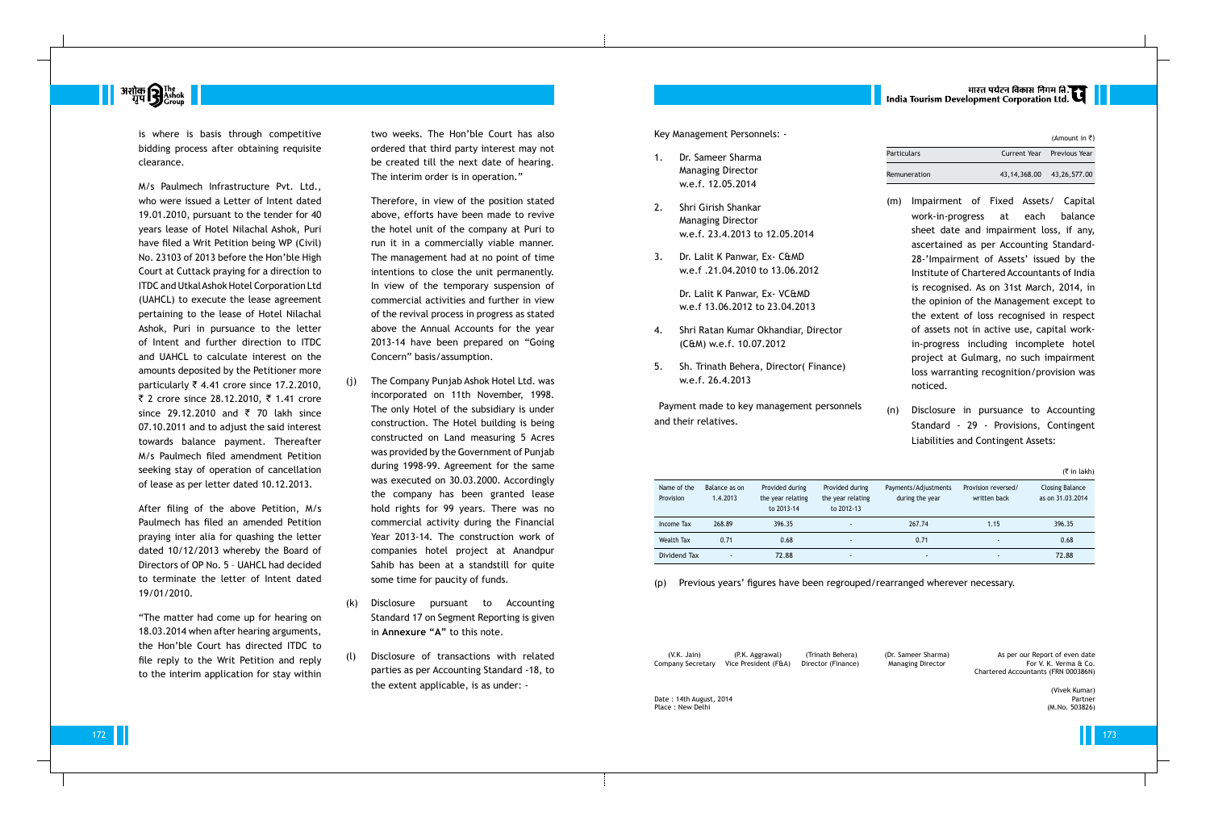# मारत पर्यटन विकास निगम लि.<br>India Tourism Development Corporation Ltd.

(Amount in  $\bar{z}$ )



is where is basis through competitive bidding process after obtaining requisite clearance.

M/s Paulmech Infrastructure Pvt. Ltd., who were issued a Letter of Intent dated 19.01.2010, pursuant to the tender for 40 years lease of Hotel Nilachal Ashok, Puri have filed a Writ Petition being WP (Civil) No. 23103 of 2013 before the Hon'ble High Court at Cuttack praying for a direction to ITDC and Utkal Ashok Hotel Corporation Ltd (UAHCL) to execute the lease agreement pertaining to the lease of Hotel Nilachal Ashok, Puri in pursuance to the letter of Intent and further direction to ITDC and UAHCL to calculate interest on the amounts deposited by the Petitioner more particularly  $\overline{\zeta}$  4.41 crore since 17.2.2010, ₹ 2 crore since 28.12.2010, ₹ 1.41 crore since 29.12.2010 and ₹ 70 lakh since 07.10.2011 and to adjust the said interest towards balance payment. Thereafter M/s Paulmech filed amendment Petition seeking stay of operation of cancellation of lease as per letter dated 10.12.2013.

After filing of the above Petition, M/s Paulmech has filed an amended Petition praying inter alia for quashing the letter dated 10/12/2013 whereby the Board of Directors of OP No. 5 – UAHCL had decided to terminate the letter of Intent dated 19/01/2010.

"The matter had come up for hearing on 18.03.2014 when after hearing arguments, the Hon'ble Court has directed ITDC to file reply to the Writ Petition and reply to the interim application for stay within

two weeks. The Hon'ble Court has also ordered that third party interest may not be created till the next date of hearing. The interim order is in operation."

Therefore, in view of the position stated above, efforts have been made to revive the hotel unit of the company at Puri to run it in a commercially viable manner. The management had at no point of time intentions to close the unit permanently. In view of the temporary suspension of commercial activities and further in view of the revival process in progress as stated above the Annual Accounts for the year 2013-14 have been prepared on "Going Concern" basis/assumption.

> (V.K. Jain) (P.K. Aggrawal) (Trinath Behera) (Dr. Sameer Sharma) As per our Report of even date<br>Annany Secretary Vice President (F&A) Director (Finance) Managing Director (Anna Grout Report A. Verma & Co. Chartered Accountants (FRN 000386N)

- (j) The Company Punjab Ashok Hotel Ltd. was incorporated on 11th November, 1998. The only Hotel of the subsidiary is under construction. The Hotel building is being constructed on Land measuring 5 Acres was provided by the Government of Punjab during 1998-99. Agreement for the same was executed on 30.03.2000. Accordingly the company has been granted lease hold rights for 99 years. There was no commercial activity during the Financial Year 2013-14. The construction work of companies hotel project at Anandpur Sahib has been at a standstill for quite some time for paucity of funds.
- (k) Disclosure pursuant to Accounting Standard 17 on Segment Reporting is given in **Annexure "A"** to this note.
- (l) Disclosure of transactions with related parties as per Accounting Standard -18, to the extent applicable, is as under: -

Key Management Personnels: -

- 1. Dr. Sameer Sharma Managing Director w.e.f. 12.05.2014
- 2. Shri Girish Shankar Managing Director w.e.f. 23.4.2013 to 12.05.2014
- 3. Dr. Lalit K Panwar, Ex- C&MD w.e.f .21.04.2010 to 13.06.2012

Dr. Lalit K Panwar, Ex- VC&MD w.e.f 13.06.2012 to 23.04.2013

- 4. Shri Ratan Kumar Okhandiar, Director (C&M) w.e.f. 10.07.2012
- 5. Sh. Trinath Behera, Director( Finance) w.e.f. 26.4.2013

Payment made to key management personnels and their relatives.

| Particulars  |                                 | Current Year Previous Year |
|--------------|---------------------------------|----------------------------|
| Remuneration | 43, 14, 368, 00 43, 26, 577, 00 |                            |

- (m) Impairment of Fixed Assets/ Capital work-in-progress at each balance sheet date and impairment loss, if any, ascertained as per Accounting Standard-28-'Impairment of Assets' issued by the Institute of Chartered Accountants of India is recognised. As on 31st March, 2014, in the opinion of the Management except to the extent of loss recognised in respect of assets not in active use, capital workin-progress including incomplete hotel project at Gulmarg, no such impairment loss warranting recognition/provision was noticed.
- (n) Disclosure in pursuance to Accounting Standard - 29 - Provisions, Contingent Liabilities and Contingent Assets:

|                          |                           |                                                    |                                                    |                                         |                                     | $(3\overline{5})$ in lakh)                 |
|--------------------------|---------------------------|----------------------------------------------------|----------------------------------------------------|-----------------------------------------|-------------------------------------|--------------------------------------------|
| Name of the<br>Provision | Balance as on<br>1.4.2013 | Provided during<br>the year relating<br>to 2013-14 | Provided during<br>the year relating<br>to 2012-13 | Payments/Adjustments<br>during the year | Provision reversed/<br>written back | <b>Closing Balance</b><br>as on 31.03.2014 |
| Income Tax               | 268.89                    | 396.35                                             |                                                    | 267.74                                  | 1.15                                | 396.35                                     |
| Wealth Tax               | 0.71                      | 0.68                                               |                                                    | 0.71                                    | $\overline{\phantom{a}}$            | 0.68                                       |
| Dividend Tax             | $\overline{\phantom{a}}$  | 72.88                                              | -                                                  | ٠                                       |                                     | 72.88                                      |

(p) Previous years' figures have been regrouped/rearranged wherever necessary.

Company Secretary Vice President (F&A) Director (Finance) Managing Director For V. K. Verma & Co.

Date : 14th August, 2014 Partner (M.No. 503826)<br>Place : New Delhi (M.No. 503826) Place : New Delhi

(Vivek Kumar)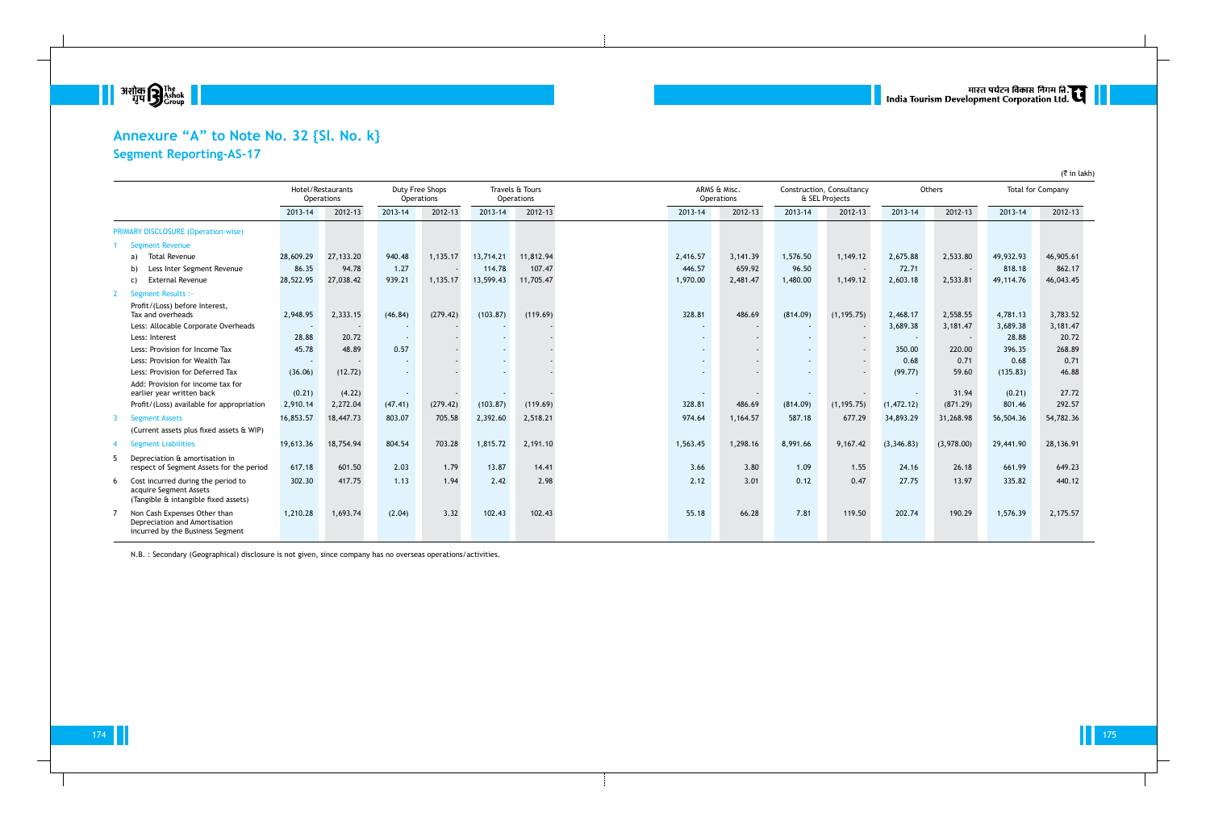

# **Annexure "A" to Note No. 32 {Sl. No. k} Segment Reporting-AS-17**

|   |                                                                                                      |           | Hotel/Restaurants<br>Operations |                          | Duty Free Shops<br><b>Operations</b> |           | Travels & Tours<br>Operations |                          | ARMS & Misc.<br>Operations |          | Construction, Consultancy<br>& SEL Projects |            | Others     |           | (1.111)(1.11)<br>Total for Company |  |
|---|------------------------------------------------------------------------------------------------------|-----------|---------------------------------|--------------------------|--------------------------------------|-----------|-------------------------------|--------------------------|----------------------------|----------|---------------------------------------------|------------|------------|-----------|------------------------------------|--|
|   |                                                                                                      | 2013-14   | 2012-13                         | 2013-14                  | 2012-13                              | 2013-14   | 2012-13                       | 2013-14                  | 2012-13                    | 2013-14  | 2012-13                                     | 2013-14    | 2012-13    | 2013-14   | 2012-13                            |  |
|   | <b>PRIMARY DISCLOSURE (Operation-wise)</b>                                                           |           |                                 |                          |                                      |           |                               |                          |                            |          |                                             |            |            |           |                                    |  |
|   | <b>Segment Revenue</b>                                                                               |           |                                 |                          |                                      |           |                               |                          |                            |          |                                             |            |            |           |                                    |  |
|   | <b>Total Revenue</b><br>a)                                                                           | 28,609.29 | 27,133.20                       | 940.48                   | 1,135.17                             | 13,714.21 | 11,812.94                     | 2,416.57                 | 3,141.39                   | 1,576.50 | 1,149.12                                    | 2,675.88   | 2,533.80   | 49,932.93 | 46,905.61                          |  |
|   | Less Inter Segment Revenue                                                                           | 86.35     | 94.78                           | 1.27                     |                                      | 114.78    | 107.47                        | 446.57                   | 659.92                     | 96.50    |                                             | 72.71      |            | 818.18    | 862.17                             |  |
|   | <b>External Revenue</b><br>C)                                                                        | 28,522.95 | 27,038.42                       | 939.21                   | 1,135.17                             | 13,599.43 | 11,705.47                     | 1,970.00                 | 2,481.47                   | 1,480.00 | 1,149.12                                    | 2,603.18   | 2,533.81   | 49,114.76 | 46,043.45                          |  |
|   | <b>Segment Results :-</b>                                                                            |           |                                 |                          |                                      |           |                               |                          |                            |          |                                             |            |            |           |                                    |  |
|   | Profit/(Loss) before Interest,<br>Tax and overheads                                                  | 2,948.95  | 2,333.15                        | (46.84)                  | (279.42)                             | (103.87)  | (119.69)                      | 328.81                   | 486.69                     | (814.09) | (1, 195.75)                                 | 2,468.17   | 2,558.55   | 4,781.13  | 3,783.52                           |  |
|   | Less: Allocable Corporate Overheads                                                                  | $\sim$    |                                 |                          |                                      |           |                               | $\overline{\phantom{a}}$ |                            |          |                                             | 3,689.38   | 3,181.47   | 3,689.38  | 3,181.47                           |  |
|   | Less: Interest                                                                                       | 28.88     | 20.72                           | $\overline{\phantom{a}}$ |                                      |           |                               |                          |                            |          |                                             |            |            | 28.88     | 20.72                              |  |
|   | Less: Provision for Income Tax                                                                       | 45.78     | 48.89                           | 0.57                     |                                      |           |                               | $\overline{\phantom{a}}$ |                            |          |                                             | 350.00     | 220.00     | 396.35    | 268.89                             |  |
|   | Less: Provision for Wealth Tax                                                                       | $\sim$    |                                 |                          |                                      |           |                               |                          |                            |          |                                             | 0.68       | 0.71       | 0.68      | 0.71                               |  |
|   | Less: Provision for Deferred Tax                                                                     | (36.06)   | (12.72)                         | $\overline{\phantom{a}}$ |                                      |           |                               |                          |                            |          |                                             | (99.77)    | 59.60      | (135.83)  | 46.88                              |  |
|   | Add: Provision for income tax for<br>earlier year written back                                       | (0.21)    | (4.22)                          | $\overline{\phantom{a}}$ |                                      |           |                               |                          |                            |          |                                             |            | 31.94      | (0.21)    | 27.72                              |  |
|   | Profit/(Loss) available for appropriation                                                            | 2,910.14  | 2,272.04                        | (47.41)                  | (279.42)                             | (103.87)  | (119.69)                      | 328.81                   | 486.69                     | (814.09) | (1, 195.75)                                 | (1,472.12) | (871.29)   | 801.46    | 292.57                             |  |
|   | <b>Segment Assets</b>                                                                                | 16,853.57 | 18,447.73                       | 803.07                   | 705.58                               | 2,392.60  | 2,518.21                      | 974.64                   | 1,164.57                   | 587.18   | 677.29                                      | 34,893.29  | 31,268.98  | 56,504.36 | 54,782.36                          |  |
|   | (Current assets plus fixed assets & WIP)                                                             |           |                                 |                          |                                      |           |                               |                          |                            |          |                                             |            |            |           |                                    |  |
|   | <b>Segment Liabilities</b>                                                                           | 19,613.36 | 18,754.94                       | 804.54                   | 703.28                               | 1,815.72  | 2,191.10                      | 1,563.45                 | 1,298.16                   | 8,991.66 | 9,167.42                                    | (3,346.83) | (3,978.00) | 29,441.90 | 28,136.91                          |  |
|   | Depreciation & amortisation in<br>respect of Segment Assets for the period                           | 617.18    | 601.50                          | 2.03                     | 1.79                                 | 13.87     | 14.41                         | 3.66                     | 3.80                       | 1.09     | 1.55                                        | 24.16      | 26.18      | 661.99    | 649.23                             |  |
| 6 | Cost incurred during the period to<br>acquire Segment Assets<br>(Tangible & intangible fixed assets) | 302.30    | 417.75                          | 1.13                     | 1.94                                 | 2.42      | 2.98                          | 2.12                     | 3.01                       | 0.12     | 0.47                                        | 27.75      | 13.97      | 335.82    | 440.12                             |  |
|   | Non Cash Expenses Other than<br>Depreciation and Amortisation<br>incurred by the Business Segment    | 1,210.28  | 1,693.74                        | (2.04)                   | 3.32                                 | 102.43    | 102.43                        | 55.18                    | 66.28                      | 7.81     | 119.50                                      | 202.74     | 190.29     | 1,576.39  | 2,175.57                           |  |

N.B. : Secondary (Geographical) disclosure is not given, since company has no overseas operations/activities.

# ् ।<br>| India Tourism Development Corporation Ltd. स्टार्न ||

 $($ ₹ in lakh)

174 ∎ | Политика и от профессионална профессионална профессионална профессионална профессионална профессионалн<br>Политика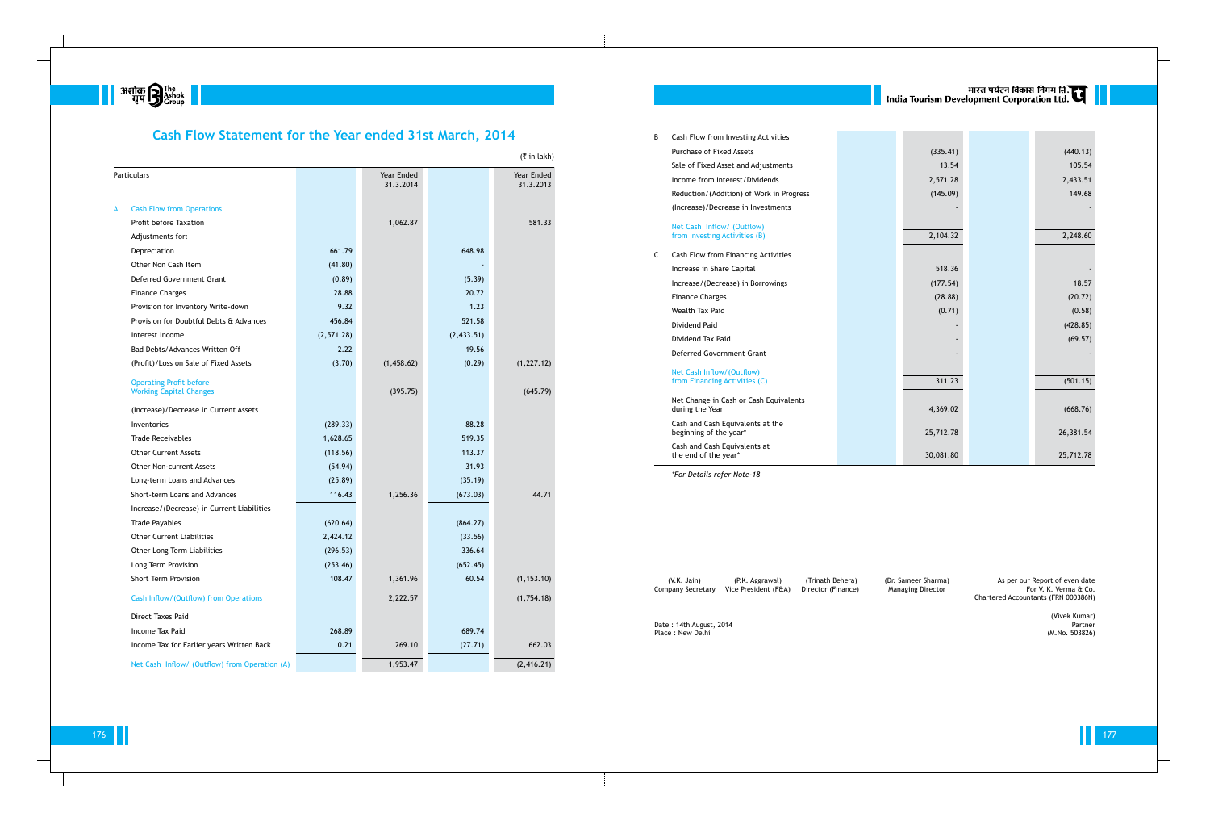

# **Cash Flow Statement for the Year ended 31st March, 2014**

B Cash Flow from Investing Activities Purchase of Fixed Assets Sale of Fixed Asset and Adjustments Income from Interest/Dividends Reduction/(Addition) of Work in Prog (Increase)/Decrease in Investments

| <b>Particulars</b>                                               |            | Year Ended<br>31.3.2014 |             | Year Ended<br>31.3.2013 |
|------------------------------------------------------------------|------------|-------------------------|-------------|-------------------------|
| <b>Cash Flow from Operations</b><br>A                            |            |                         |             |                         |
| Profit before Taxation                                           |            | 1,062.87                |             | 581.33                  |
| Adjustments for:                                                 |            |                         |             |                         |
| Depreciation                                                     | 661.79     |                         | 648.98      |                         |
| Other Non Cash Item                                              | (41.80)    |                         |             |                         |
| Deferred Government Grant                                        | (0.89)     |                         | (5.39)      |                         |
| <b>Finance Charges</b>                                           | 28.88      |                         | 20.72       |                         |
| Provision for Inventory Write-down                               | 9.32       |                         | 1.23        |                         |
| Provision for Doubtful Debts & Advances                          | 456.84     |                         | 521.58      |                         |
| Interest Income                                                  | (2,571.28) |                         | (2, 433.51) |                         |
| Bad Debts/Advances Written Off                                   | 2.22       |                         | 19.56       |                         |
| (Profit)/Loss on Sale of Fixed Assets                            | (3.70)     | (1,458.62)              | (0.29)      | (1, 227.12)             |
| <b>Operating Profit before</b><br><b>Working Capital Changes</b> |            | (395.75)                |             | (645.79)                |
| (Increase)/Decrease in Current Assets                            |            |                         |             |                         |
| Inventories                                                      | (289.33)   |                         | 88.28       |                         |
| <b>Trade Receivables</b>                                         | 1,628.65   |                         | 519.35      |                         |
| <b>Other Current Assets</b>                                      | (118.56)   |                         | 113.37      |                         |
| <b>Other Non-current Assets</b>                                  | (54.94)    |                         | 31.93       |                         |
| Long-term Loans and Advances                                     | (25.89)    |                         | (35.19)     |                         |
| Short-term Loans and Advances                                    | 116.43     | 1,256.36                | (673.03)    | 44.71                   |
| Increase/(Decrease) in Current Liabilities                       |            |                         |             |                         |
| <b>Trade Payables</b>                                            | (620.64)   |                         | (864.27)    |                         |
| <b>Other Current Liabilities</b>                                 | 2,424.12   |                         | (33.56)     |                         |
| Other Long Term Liabilities                                      | (296.53)   |                         | 336.64      |                         |
| Long Term Provision                                              | (253.46)   |                         | (652.45)    |                         |
| Short Term Provision                                             | 108.47     | 1,361.96                | 60.54       | (1, 153.10)             |
| Cash Inflow/(Outflow) from Operations                            |            | 2,222.57                |             | (1,754.18)              |
| Direct Taxes Paid                                                |            |                         |             |                         |
| Income Tax Paid                                                  | 268.89     |                         | 689.74      |                         |
| Income Tax for Earlier years Written Back                        | 0.21       | 269.10                  | (27.71)     | 662.03                  |
| Net Cash Inflow/ (Outflow) from Operation (A)                    |            | 1,953.47                |             | (2,416.21)              |

### Net Cash Inflow/ (Outflow) from Investing Activities (B)

- C Cash Flow from Financing Activities Increase in Share Capital Increase/(Decrease) in Borrowings
	- Finance Charges
	- Wealth Tax Paid
	- Dividend Paid
	- Dividend Tax Paid

### Deferred Government Grant

### Net Cash Inflow/(Outflow) from Financing Activities (C)

Net Change in Cash or Cash Equivaler during the Year

Cash and Cash Equivalents at the beginning of the year\*

Cash and Cash Equivalents at the end of the year\*

(V.K. Jain) (P.K. Aggrawal) (Trinath Behera) (Dr. Sameer Sharma) As per our Report of even date (V.K. Jain) (P.K. Aggrawal) (Trinath Behera) (Dr. Sameer Sharma)<br>Company Secretary Vice President (F&A) Director (Finance) Managing Director

Date : 14th August, 2014 Partner<br>Place : New Delhi Partner (M.No. 503826) Place : New Delhi

|       |           | मारत पर्यटन विकास निगम हि.<br>India Tourism Development Corporation Ltd. |           |  |
|-------|-----------|--------------------------------------------------------------------------|-----------|--|
|       |           |                                                                          |           |  |
|       |           |                                                                          |           |  |
|       | (335.41)  |                                                                          | (440.13)  |  |
|       | 13.54     |                                                                          | 105.54    |  |
|       | 2,571.28  |                                                                          | 2,433.51  |  |
| gress | (145.09)  |                                                                          | 149.68    |  |
|       |           |                                                                          |           |  |
|       |           |                                                                          |           |  |
|       | 2,104.32  |                                                                          | 2,248.60  |  |
|       |           |                                                                          |           |  |
|       | 518.36    |                                                                          |           |  |
|       | (177.54)  |                                                                          | 18.57     |  |
|       | (28.88)   |                                                                          | (20.72)   |  |
|       | (0.71)    |                                                                          | (0.58)    |  |
|       |           |                                                                          | (428.85)  |  |
|       |           |                                                                          | (69.57)   |  |
|       |           |                                                                          |           |  |
|       |           |                                                                          |           |  |
|       | 311.23    |                                                                          | (501.15)  |  |
|       |           |                                                                          |           |  |
| nts   | 4,369.02  |                                                                          | (668.76)  |  |
|       |           |                                                                          |           |  |
|       | 25,712.78 |                                                                          | 26,381.54 |  |
|       | 30,081.80 |                                                                          | 25,712.78 |  |

*\*For Details refer Note-18*

Chartered Accountants (FRN 000386N)

(Vivek Kumar)